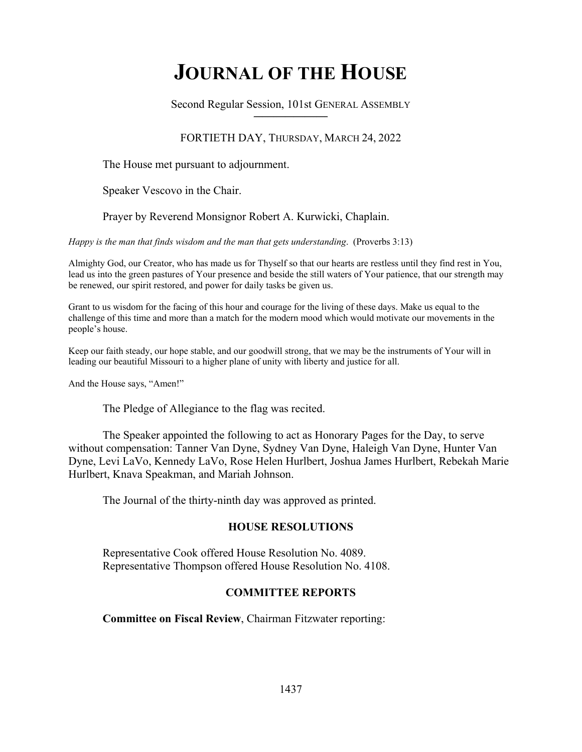# **JOURNAL OF THE HOUSE**

Second Regular Session, 101st GENERAL ASSEMBLY **\_\_\_\_\_\_\_\_\_\_\_\_\_\_\_\_\_\_\_\_\_\_\_\_\_\_**

# FORTIETH DAY, THURSDAY, MARCH 24, 2022

The House met pursuant to adjournment.

Speaker Vescovo in the Chair.

Prayer by Reverend Monsignor Robert A. Kurwicki, Chaplain.

*Happy is the man that finds wisdom and the man that gets understanding*. (Proverbs 3:13)

Almighty God, our Creator, who has made us for Thyself so that our hearts are restless until they find rest in You, lead us into the green pastures of Your presence and beside the still waters of Your patience, that our strength may be renewed, our spirit restored, and power for daily tasks be given us.

Grant to us wisdom for the facing of this hour and courage for the living of these days. Make us equal to the challenge of this time and more than a match for the modern mood which would motivate our movements in the people's house.

Keep our faith steady, our hope stable, and our goodwill strong, that we may be the instruments of Your will in leading our beautiful Missouri to a higher plane of unity with liberty and justice for all.

And the House says, "Amen!"

The Pledge of Allegiance to the flag was recited.

 The Speaker appointed the following to act as Honorary Pages for the Day, to serve without compensation: Tanner Van Dyne, Sydney Van Dyne, Haleigh Van Dyne, Hunter Van Dyne, Levi LaVo, Kennedy LaVo, Rose Helen Hurlbert, Joshua James Hurlbert, Rebekah Marie Hurlbert, Knava Speakman, and Mariah Johnson.

The Journal of the thirty-ninth day was approved as printed.

# **HOUSE RESOLUTIONS**

 Representative Cook offered House Resolution No. 4089. Representative Thompson offered House Resolution No. 4108.

# **COMMITTEE REPORTS**

**Committee on Fiscal Review**, Chairman Fitzwater reporting: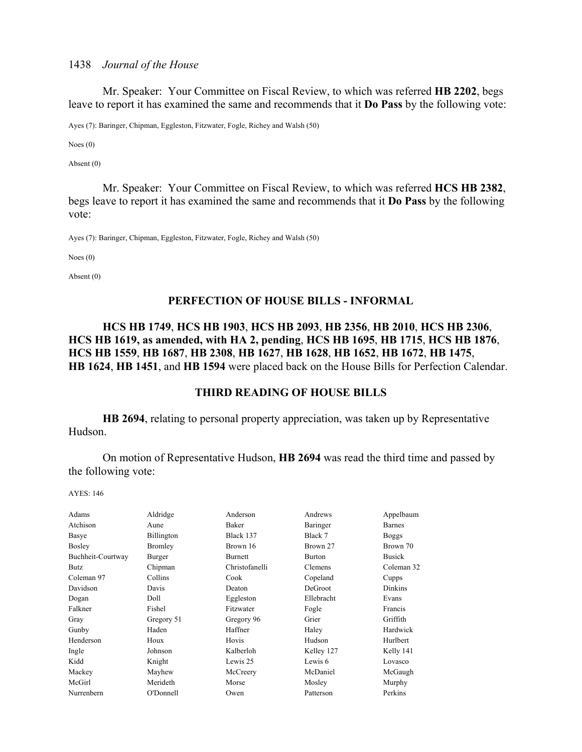Mr. Speaker: Your Committee on Fiscal Review, to which was referred **HB 2202**, begs leave to report it has examined the same and recommends that it **Do Pass** by the following vote:

Ayes (7): Baringer, Chipman, Eggleston, Fitzwater, Fogle, Richey and Walsh (50)

Noes (0)

Absent (0)

 Mr. Speaker: Your Committee on Fiscal Review, to which was referred **HCS HB 2382**, begs leave to report it has examined the same and recommends that it **Do Pass** by the following vote:

Ayes (7): Baringer, Chipman, Eggleston, Fitzwater, Fogle, Richey and Walsh (50)

Noes (0)

Absent (0)

## **PERFECTION OF HOUSE BILLS - INFORMAL**

# **HCS HB 1749**, **HCS HB 1903**, **HCS HB 2093**, **HB 2356**, **HB 2010**, **HCS HB 2306**, **HCS HB 1619, as amended, with HA 2, pending**, **HCS HB 1695**, **HB 1715**, **HCS HB 1876**, **HCS HB 1559**, **HB 1687**, **HB 2308**, **HB 1627**, **HB 1628**, **HB 1652**, **HB 1672**, **HB 1475**, **HB 1624**, **HB 1451**, and **HB 1594** were placed back on the House Bills for Perfection Calendar.

# **THIRD READING OF HOUSE BILLS**

**HB 2694**, relating to personal property appreciation, was taken up by Representative Hudson.

 On motion of Representative Hudson, **HB 2694** was read the third time and passed by the following vote:

| Adams             | Aldridge       | Anderson       | Andrews        | Appelbaum      |
|-------------------|----------------|----------------|----------------|----------------|
| Atchison          | Aune           | Baker          | Baringer       | <b>Barnes</b>  |
| Basye             | Billington     | Black 137      | Black 7        | <b>Boggs</b>   |
| Bosley            | <b>Bromley</b> | Brown 16       | Brown 27       | Brown 70       |
| Buchheit-Courtway | Burger         | <b>Burnett</b> | <b>Burton</b>  | <b>Busick</b>  |
| <b>Butz</b>       | Chipman        | Christofanelli | <b>Clemens</b> | Coleman 32     |
| Coleman 97        | Collins        | Cook           | Copeland       | Cupps          |
| Davidson          | Davis          | Deaton         | DeGroot        | <b>Dinkins</b> |
| Dogan             | Doll           | Eggleston      | Ellebracht     | Evans          |
| Falkner           | Fishel         | Fitzwater      | Fogle          | Francis        |
| Gray              | Gregory 51     | Gregory 96     | Grier          | Griffith       |
| Gunby             | Haden          | Haffner        | Haley          | Hardwick       |
| Henderson         | Houx           | Hovis          | Hudson         | Hurlbert       |
| Ingle             | Johnson        | Kalberloh      | Kelley 127     | Kelly 141      |
| Kidd              | Knight         | Lewis 25       | Lewis 6        | Lovasco        |
| Mackey            | Mayhew         | McCreery       | McDaniel       | McGaugh        |
| McGirl            | Merideth       | Morse          | Mosley         | Murphy         |
| Nurrenbern        | O'Donnell      | Owen           | Patterson      | Perkins        |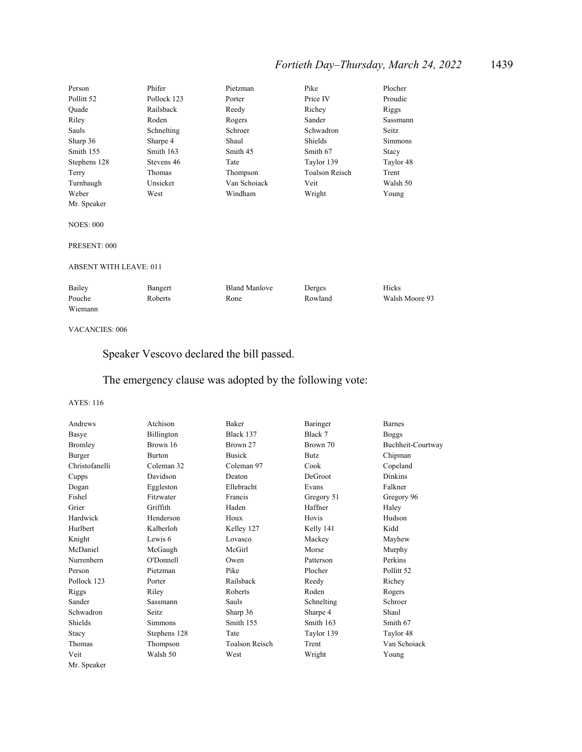# *Fortieth Day–Thursday, March 24, 2022* 1439

| Person                        | Phifer        | Pietzman             | Pike                  | Plocher        |
|-------------------------------|---------------|----------------------|-----------------------|----------------|
| Pollitt <sub>52</sub>         | Pollock 123   | Porter               | Price IV              | Proudie        |
| Ouade                         | Railsback     | Reedy                | Richey                | Riggs          |
| Riley                         | Roden         | Rogers               | Sander                | Sassmann       |
| Sauls                         | Schnelting    | Schroer              | Schwadron             | Seitz          |
| Sharp 36                      | Sharpe 4      | Shaul                | Shields               | <b>Simmons</b> |
| Smith 155                     | Smith 163     | Smith 45             | Smith 67              | Stacy          |
| Stephens 128                  | Stevens 46    | Tate                 | Taylor 139            | Taylor 48      |
| Terry                         | <b>Thomas</b> | Thompson             | <b>Toalson Reisch</b> | Trent          |
| Turnbaugh                     | Unsicker      | Van Schoiack         | Veit                  | Walsh 50       |
| Weber                         | West          | Windham              | Wright                | Young          |
| Mr. Speaker                   |               |                      |                       |                |
| <b>NOES: 000</b>              |               |                      |                       |                |
| PRESENT: 000                  |               |                      |                       |                |
| <b>ABSENT WITH LEAVE: 011</b> |               |                      |                       |                |
| Bailey                        | Bangert       | <b>Bland Manlove</b> | Derges                | Hicks          |
| Pouche<br>Wiemann             | Roberts       | Rone                 | Rowland               | Walsh Moore 93 |

#### VACANCIES: 006

Speaker Vescovo declared the bill passed.

# The emergency clause was adopted by the following vote:

| Andrews        | Atchison       | Baker          | Baringer   | <b>Barnes</b>         |
|----------------|----------------|----------------|------------|-----------------------|
| Basye          | Billington     | Black 137      | Black 7    | <b>Boggs</b>          |
| <b>Bromley</b> | Brown 16       | Brown 27       | Brown 70   | Buchheit-Courtway     |
| Burger         | <b>Burton</b>  | <b>Busick</b>  | Butz       | Chipman               |
| Christofanelli | Coleman 32     | Coleman 97     | Cook       | Copeland              |
| Cupps          | Davidson       | Deaton         | DeGroot    | <b>Dinkins</b>        |
| Dogan          | Eggleston      | Ellebracht     | Evans      | Falkner               |
| Fishel         | Fitzwater      | Francis        | Gregory 51 | Gregory 96            |
| Grier          | Griffith       | Haden          | Haffner    | Haley                 |
| Hardwick       | Henderson      | Houx           | Hovis      | Hudson                |
| Hurlbert       | Kalberloh      | Kelley 127     | Kelly 141  | Kidd                  |
| Knight         | Lewis 6        | Lovasco        | Mackey     | Mayhew                |
| McDaniel       | McGaugh        | McGirl         | Morse      | Murphy                |
| Nurrenbern     | O'Donnell      | Owen           | Patterson  | Perkins               |
| Person         | Pietzman       | Pike           | Plocher    | Pollitt <sub>52</sub> |
| Pollock 123    | Porter         | Railsback      | Reedy      | Richey                |
| Riggs          | Riley          | Roberts        | Roden      | Rogers                |
| Sander         | Sassmann       | Sauls          | Schnelting | Schroer               |
| Schwadron      | Seitz          | Sharp 36       | Sharpe 4   | Shaul                 |
| Shields        | <b>Simmons</b> | Smith 155      | Smith 163  | Smith 67              |
| Stacy          | Stephens 128   | Tate           | Taylor 139 | Taylor 48             |
| Thomas         | Thompson       | Toalson Reisch | Trent      | Van Schoiack          |
| Veit           | Walsh 50       | West           | Wright     | Young                 |
| Mr. Speaker    |                |                |            |                       |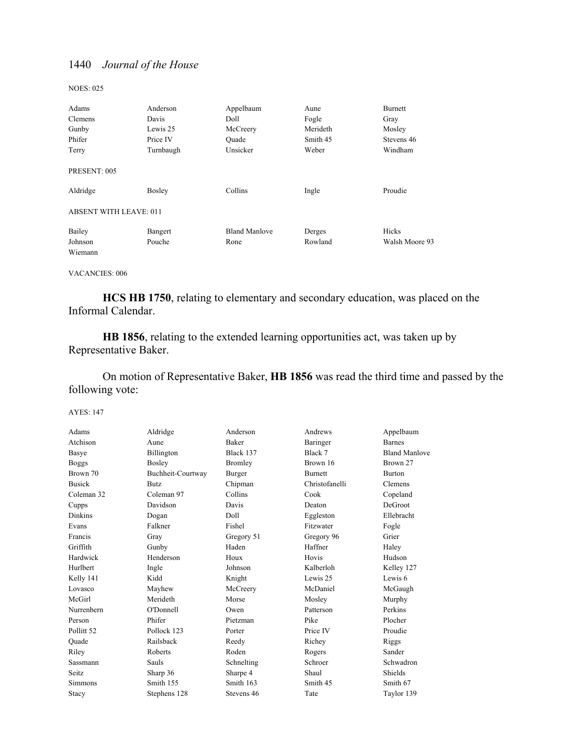NOES: 025

| Adams                         | Anderson  | Appelbaum            | Aune     | Burnett        |
|-------------------------------|-----------|----------------------|----------|----------------|
| Clemens                       | Davis     | Doll                 | Fogle    | Gray           |
| Gunby                         | Lewis 25  | McCreery             | Merideth | Mosley         |
| Phifer                        | Price IV  | Ouade                | Smith 45 | Stevens 46     |
| Terry                         | Turnbaugh | Unsicker             | Weber    | Windham        |
| PRESENT: 005                  |           |                      |          |                |
| Aldridge                      | Bosley    | Collins              | Ingle    | Proudie        |
| <b>ABSENT WITH LEAVE: 011</b> |           |                      |          |                |
| Bailey                        | Bangert   | <b>Bland Manlove</b> | Derges   | Hicks          |
| Johnson                       | Pouche    | Rone                 | Rowland  | Walsh Moore 93 |
| Wiemann                       |           |                      |          |                |

#### VACANCIES: 006

**HCS HB 1750**, relating to elementary and secondary education, was placed on the Informal Calendar.

**HB 1856**, relating to the extended learning opportunities act, was taken up by Representative Baker.

 On motion of Representative Baker, **HB 1856** was read the third time and passed by the following vote:

| Adams                 | Aldridge          | Anderson     | Andrews        | Appelbaum            |
|-----------------------|-------------------|--------------|----------------|----------------------|
| Atchison              | Aune              | <b>Baker</b> | Baringer       | <b>Barnes</b>        |
| Basye                 | Billington        | Black 137    | Black 7        | <b>Bland Manlove</b> |
| <b>Boggs</b>          | Bosley            | Bromley      | Brown 16       | Brown 27             |
| Brown 70              | Buchheit-Courtway | Burger       | <b>Burnett</b> | <b>Burton</b>        |
| <b>Busick</b>         | Butz.             | Chipman      | Christofanelli | Clemens              |
| Coleman 32            | Coleman 97        | Collins      | Cook           | Copeland             |
| Cupps                 | Davidson          | Davis        | Deaton         | DeGroot              |
| <b>Dinkins</b>        | Dogan             | Doll         | Eggleston      | Ellebracht           |
| Evans                 | Falkner           | Fishel       | Fitzwater      | Fogle                |
| Francis               | Gray              | Gregory 51   | Gregory 96     | Grier                |
| Griffith              | Gunby             | Haden        | Haffner        | Haley                |
| Hardwick              | Henderson         | Houx         | Hovis          | Hudson               |
| Hurlbert              | Ingle             | Johnson      | Kalberloh      | Kelley 127           |
| Kelly 141             | Kidd              | Knight       | Lewis 25       | Lewis 6              |
| Lovasco               | Mayhew            | McCreery     | McDaniel       | McGaugh              |
| McGirl                | Merideth          | Morse        | Mosley         | Murphy               |
| Nurrenbern            | O'Donnell         | Owen         | Patterson      | Perkins              |
| Person                | Phifer            | Pietzman     | Pike           | Plocher              |
| Pollitt <sub>52</sub> | Pollock 123       | Porter       | Price IV       | Proudie              |
| Quade                 | Railsback         | Reedy        | Richey         | Riggs                |
| Rilev                 | Roberts           | Roden        | Rogers         | Sander               |
| Sassmann              | Sauls             | Schnelting   | Schroer        | Schwadron            |
| Seitz                 | Sharp 36          | Sharpe 4     | Shaul          | Shields              |
| <b>Simmons</b>        | Smith 155         | Smith 163    | Smith 45       | Smith 67             |
| Stacy                 | Stephens 128      | Stevens 46   | Tate           | Taylor 139           |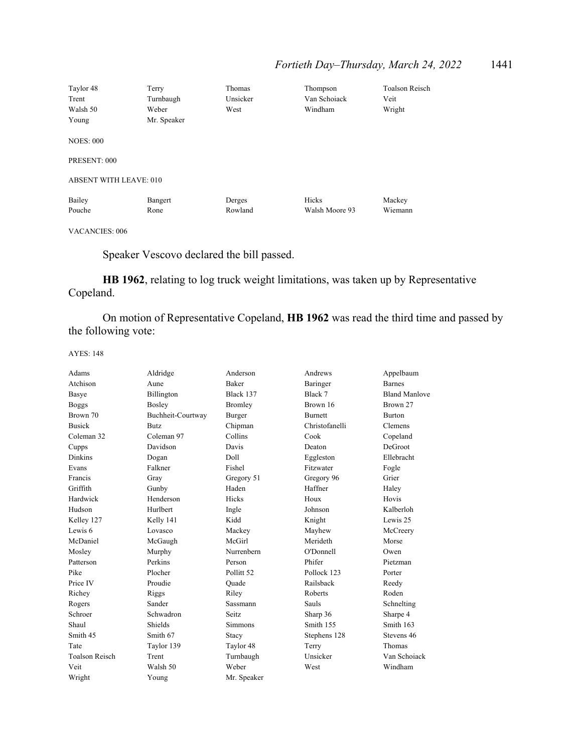| Taylor 48                     | Terry           | Thomas            | Thompson                | <b>Toalson Reisch</b> |
|-------------------------------|-----------------|-------------------|-------------------------|-----------------------|
| Trent                         | Turnbaugh       | Unsicker          | Van Schoiack            | Veit                  |
| Walsh 50                      | Weber           | West              | Windham                 | Wright                |
| Young                         | Mr. Speaker     |                   |                         |                       |
| <b>NOES: 000</b>              |                 |                   |                         |                       |
| PRESENT: 000                  |                 |                   |                         |                       |
| <b>ABSENT WITH LEAVE: 010</b> |                 |                   |                         |                       |
| Bailey<br>Pouche              | Bangert<br>Rone | Derges<br>Rowland | Hicks<br>Walsh Moore 93 | Mackey<br>Wiemann     |

VACANCIES: 006

Speaker Vescovo declared the bill passed.

**HB 1962**, relating to log truck weight limitations, was taken up by Representative Copeland.

 On motion of Representative Copeland, **HB 1962** was read the third time and passed by the following vote:

| Adams                 | Aldridge          | Anderson              | Andrews        | Appelbaum            |
|-----------------------|-------------------|-----------------------|----------------|----------------------|
| Atchison              | Aune              | Baker                 | Baringer       | <b>Barnes</b>        |
| Basye                 | Billington        | Black 137             | Black 7        | <b>Bland Manlove</b> |
| <b>Boggs</b>          | Bosley            | Bromley               | Brown 16       | Brown 27             |
| Brown 70              | Buchheit-Courtway | Burger                | <b>Burnett</b> | <b>Burton</b>        |
| <b>Busick</b>         | <b>Butz</b>       | Chipman               | Christofanelli | Clemens              |
| Coleman 32            | Coleman 97        | Collins               | Cook           | Copeland             |
| Cupps                 | Davidson          | Davis                 | Deaton         | DeGroot              |
| <b>Dinkins</b>        | Dogan             | Doll                  | Eggleston      | Ellebracht           |
| Evans                 | Falkner           | Fishel                | Fitzwater      | Fogle                |
| Francis               | Gray              | Gregory 51            | Gregory 96     | Grier                |
| Griffith              | Gunby             | Haden                 | Haffner        | Haley                |
| Hardwick              | Henderson         | Hicks                 | Houx           | Hovis                |
| Hudson                | Hurlbert          | Ingle                 | Johnson        | Kalberloh            |
| Kelley 127            | Kelly 141         | Kidd                  | Knight         | Lewis 25             |
| Lewis 6               | Lovasco           | Mackey                | Mayhew         | McCreery             |
| McDaniel              | McGaugh           | McGirl                | Merideth       | Morse                |
| Mosley                | Murphy            | Nurrenbern            | O'Donnell      | Owen                 |
| Patterson             | Perkins           | Person                | Phifer         | Pietzman             |
| Pike                  | Plocher           | Pollitt <sub>52</sub> | Pollock 123    | Porter               |
| Price IV              | Proudie           | Ouade                 | Railsback      | Reedy                |
| Richey                | Riggs             | Riley                 | Roberts        | Roden                |
| Rogers                | Sander            | Sassmann              | Sauls          | Schnelting           |
| Schroer               | Schwadron         | Seitz.                | Sharp 36       | Sharpe 4             |
| Shaul                 | Shields           | <b>Simmons</b>        | Smith 155      | Smith 163            |
| Smith 45              | Smith 67          | Stacy                 | Stephens 128   | Stevens 46           |
| Tate                  | Taylor 139        | Taylor 48             | Terry          | Thomas               |
| <b>Toalson Reisch</b> | Trent             | Turnbaugh             | Unsicker       | Van Schoiack         |
| Veit                  | Walsh 50          | Weber                 | West           | Windham              |
| Wright                | Young             | Mr. Speaker           |                |                      |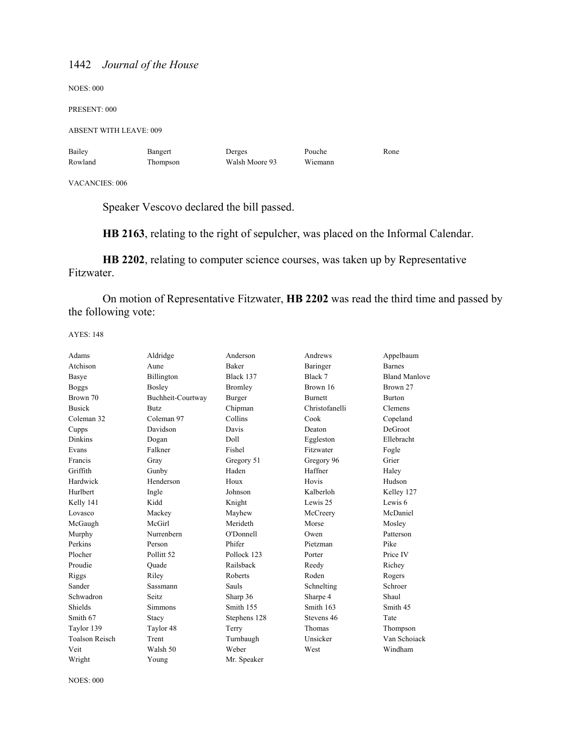NOES: 000

PRESENT: 000

ABSENT WITH LEAVE: 009

| Bailey  | Bangert  | Derges         | Pouche  | Rone |
|---------|----------|----------------|---------|------|
| Rowland | Thompson | Walsh Moore 93 | Wiemann |      |

VACANCIES: 006

Speaker Vescovo declared the bill passed.

**HB 2163**, relating to the right of sepulcher, was placed on the Informal Calendar.

**HB 2202**, relating to computer science courses, was taken up by Representative Fitzwater.

 On motion of Representative Fitzwater, **HB 2202** was read the third time and passed by the following vote:

| Adams                 | Aldridge              | Anderson     | Andrews        | Appelbaum            |
|-----------------------|-----------------------|--------------|----------------|----------------------|
| Atchison              | Aune                  | <b>Baker</b> | Baringer       | <b>Barnes</b>        |
| Basye                 | Billington            | Black 137    | Black 7        | <b>Bland Manlove</b> |
| <b>Boggs</b>          | Bosley                | Bromley      | Brown 16       | Brown 27             |
| Brown 70              | Buchheit-Courtway     | Burger       | <b>Burnett</b> | <b>Burton</b>        |
| <b>Busick</b>         | <b>Butz</b>           | Chipman      | Christofanelli | Clemens              |
| Coleman 32            | Coleman 97            | Collins      | Cook           | Copeland             |
| Cupps                 | Davidson              | Davis        | Deaton         | DeGroot              |
| <b>Dinkins</b>        | Dogan                 | Doll         | Eggleston      | Ellebracht           |
| Evans                 | Falkner               | Fishel       | Fitzwater      | Fogle                |
| Francis               | Gray                  | Gregory 51   | Gregory 96     | Grier                |
| Griffith              | Gunby                 | Haden        | Haffner        | Haley                |
| Hardwick              | Henderson             | Houx         | Hovis          | Hudson               |
| Hurlbert              | Ingle                 | Johnson      | Kalberloh      | Kelley 127           |
| Kelly 141             | Kidd                  | Knight       | Lewis 25       | Lewis 6              |
| Lovasco               | Mackey                | Mayhew       | McCreery       | McDaniel             |
| McGaugh               | McGirl                | Merideth     | Morse          | Mosley               |
| Murphy                | Nurrenbern            | O'Donnell    | Owen           | Patterson            |
| Perkins               | Person                | Phifer       | Pietzman       | Pike                 |
| Plocher               | Pollitt <sub>52</sub> | Pollock 123  | Porter         | Price IV             |
| Proudie               | Quade                 | Railsback    | Reedy          | Richey               |
| Riggs                 | Riley                 | Roberts      | Roden          | Rogers               |
| Sander                | Sassmann              | Sauls        | Schnelting     | Schroer              |
| Schwadron             | Seitz.                | Sharp 36     | Sharpe 4       | Shaul                |
| Shields               | <b>Simmons</b>        | Smith 155    | Smith 163      | Smith 45             |
| Smith 67              | Stacy                 | Stephens 128 | Stevens 46     | Tate                 |
| Taylor 139            | Taylor 48             | Terry        | Thomas         | Thompson             |
| <b>Toalson Reisch</b> | Trent                 | Turnbaugh    | Unsicker       | Van Schoiack         |
| Veit                  | Walsh 50              | Weber        | West           | Windham              |
| Wright                | Young                 | Mr. Speaker  |                |                      |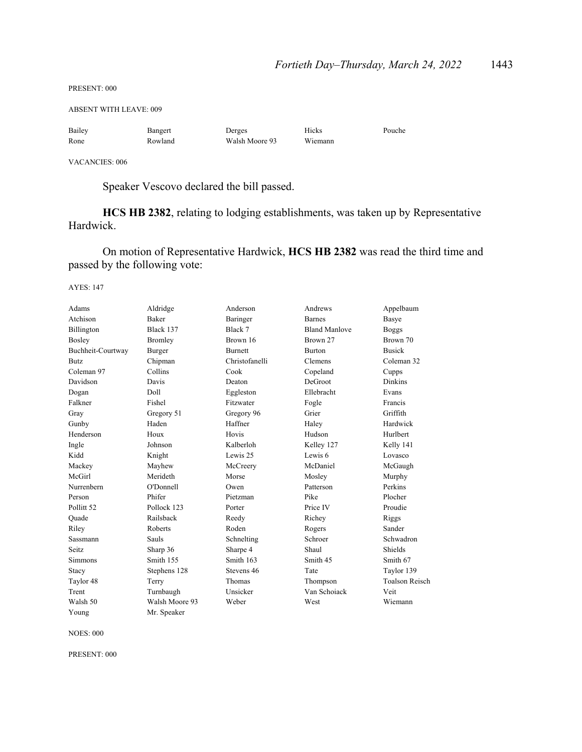PRESENT: 000

ABSENT WITH LEAVE: 009

| Bailey | Bangert | Derges         | Hicks   | Pouche |
|--------|---------|----------------|---------|--------|
| Rone   | Rowland | Walsh Moore 93 | Wiemann |        |

VACANCIES: 006

Speaker Vescovo declared the bill passed.

**HCS HB 2382**, relating to lodging establishments, was taken up by Representative Hardwick.

 On motion of Representative Hardwick, **HCS HB 2382** was read the third time and passed by the following vote:

AYES: 147

| Adams                 | Aldridge       | Anderson       | Andrews              | Appelbaum             |
|-----------------------|----------------|----------------|----------------------|-----------------------|
| Atchison              | <b>Baker</b>   | Baringer       | <b>Barnes</b>        | Basye                 |
| Billington            | Black 137      | Black 7        | <b>Bland Manlove</b> | <b>Boggs</b>          |
| Bosley                | <b>Bromley</b> | Brown 16       | Brown 27             | Brown 70              |
| Buchheit-Courtway     | Burger         | <b>Burnett</b> | <b>Burton</b>        | <b>Busick</b>         |
| <b>Butz</b>           | Chipman        | Christofanelli | Clemens              | Coleman 32            |
| Coleman 97            | Collins        | Cook           | Copeland             | Cupps                 |
| Davidson              | Davis          | Deaton         | DeGroot              | <b>Dinkins</b>        |
| Dogan                 | Doll           | Eggleston      | Ellebracht           | Evans                 |
| Falkner               | Fishel         | Fitzwater      | Fogle                | Francis               |
| Gray                  | Gregory 51     | Gregory 96     | Grier                | Griffith              |
| Gunby                 | Haden          | Haffner        | Haley                | Hardwick              |
| Henderson             | Houx           | Hovis          | Hudson               | Hurlbert              |
| Ingle                 | Johnson        | Kalberloh      | Kelley 127           | Kelly 141             |
| Kidd                  | Knight         | Lewis 25       | Lewis 6              | Lovasco               |
| Mackey                | Mayhew         | McCreery       | McDaniel             | McGaugh               |
| McGirl                | Merideth       | Morse          | Mosley               | Murphy                |
| Nurrenbern            | O'Donnell      | Owen           | Patterson            | Perkins               |
| Person                | Phifer         | Pietzman       | Pike                 | Plocher               |
| Pollitt <sub>52</sub> | Pollock 123    | Porter         | Price IV             | Proudie               |
| Quade                 | Railsback      | Reedy          | Richey               | Riggs                 |
| Riley                 | Roberts        | Roden          | Rogers               | Sander                |
| Sassmann              | Sauls          | Schnelting     | Schroer              | Schwadron             |
| Seitz.                | Sharp 36       | Sharpe 4       | Shaul                | Shields               |
| <b>Simmons</b>        | Smith 155      | Smith 163      | Smith 45             | Smith 67              |
| Stacy                 | Stephens 128   | Stevens 46     | Tate                 | Taylor 139            |
| Taylor 48             | Terry          | Thomas         | Thompson             | <b>Toalson Reisch</b> |
| Trent                 | Turnbaugh      | Unsicker       | Van Schoiack         | Veit                  |
| Walsh 50              | Walsh Moore 93 | Weber          | West                 | Wiemann               |
| Young                 | Mr. Speaker    |                |                      |                       |

NOES: 000

PRESENT: 000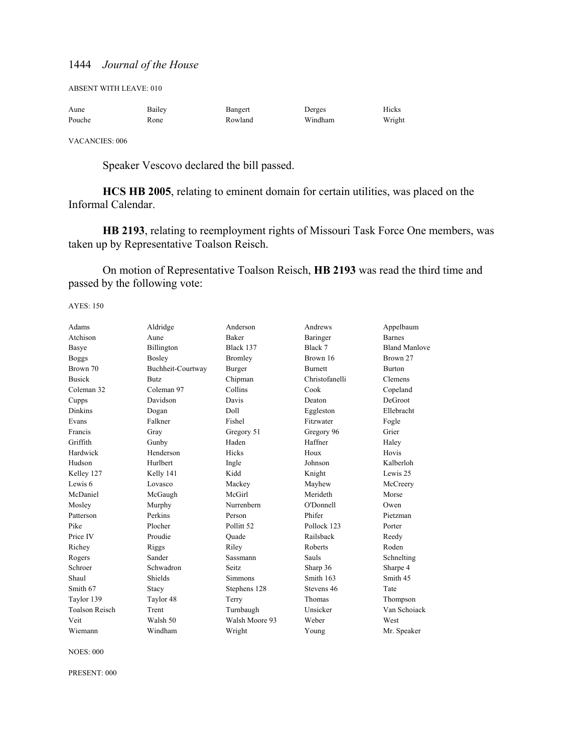ABSENT WITH LEAVE: 010

| Aune   | Bailey | Bangert | Derges  | Hicks  |
|--------|--------|---------|---------|--------|
| Pouche | Rone   | Rowland | Windham | Wright |

VACANCIES: 006

Speaker Vescovo declared the bill passed.

**HCS HB 2005**, relating to eminent domain for certain utilities, was placed on the Informal Calendar.

**HB 2193**, relating to reemployment rights of Missouri Task Force One members, was taken up by Representative Toalson Reisch.

 On motion of Representative Toalson Reisch, **HB 2193** was read the third time and passed by the following vote:

AYES: 150

| Adams                 | Aldridge          | Anderson              | Andrews        | Appelbaum            |
|-----------------------|-------------------|-----------------------|----------------|----------------------|
| Atchison              | Aune              | <b>Baker</b>          | Baringer       | <b>Barnes</b>        |
| Basye                 | Billington        | Black 137             | Black 7        | <b>Bland Manlove</b> |
| <b>Boggs</b>          | Bosley            | Bromley               | Brown 16       | Brown 27             |
| Brown 70              | Buchheit-Courtway | <b>Burger</b>         | Burnett        | <b>Burton</b>        |
| <b>Busick</b>         | <b>Butz</b>       | Chipman               | Christofanelli | Clemens              |
| Coleman 32            | Coleman 97        | Collins               | Cook           | Copeland             |
| Cupps                 | Davidson          | Davis                 | Deaton         | DeGroot              |
| Dinkins               | Dogan             | Doll                  | Eggleston      | Ellebracht           |
| Evans                 | Falkner           | Fishel                | Fitzwater      | Fogle                |
| Francis               | Gray              | Gregory 51            | Gregory 96     | Grier                |
| Griffith              | Gunby             | Haden                 | Haffner        | Haley                |
| Hardwick              | Henderson         | Hicks                 | Houx           | Hovis                |
| Hudson                | Hurlbert          | Ingle                 | Johnson        | Kalberloh            |
| Kelley 127            | Kelly 141         | Kidd                  | Knight         | Lewis 25             |
| Lewis <sub>6</sub>    | Lovasco           | Mackey                | Mayhew         | McCreery             |
| McDaniel              | McGaugh           | McGirl                | Merideth       | Morse                |
| Mosley                | Murphy            | Nurrenbern            | O'Donnell      | Owen                 |
| Patterson             | Perkins           | Person                | Phifer         | Pietzman             |
| Pike                  | Plocher           | Pollitt <sub>52</sub> | Pollock 123    | Porter               |
| Price IV              | Proudie           | Ouade                 | Railsback      | Reedy                |
| Richey                | Riggs             | Riley                 | Roberts        | Roden                |
| Rogers                | Sander            | Sassmann              | Sauls          | Schnelting           |
| Schroer               | Schwadron         | Seitz                 | Sharp 36       | Sharpe 4             |
| Shaul                 | Shields           | Simmons               | Smith 163      | Smith 45             |
| Smith 67              | Stacy             | Stephens 128          | Stevens 46     | Tate                 |
| Taylor 139            | Taylor 48         | Terry                 | Thomas         | Thompson             |
| <b>Toalson Reisch</b> | Trent             | Turnbaugh             | Unsicker       | Van Schoiack         |
| Veit                  | Walsh 50          | Walsh Moore 93        | Weber          | West                 |
| Wiemann               | Windham           | Wright                | Young          | Mr. Speaker          |

NOES: 000

PRESENT: 000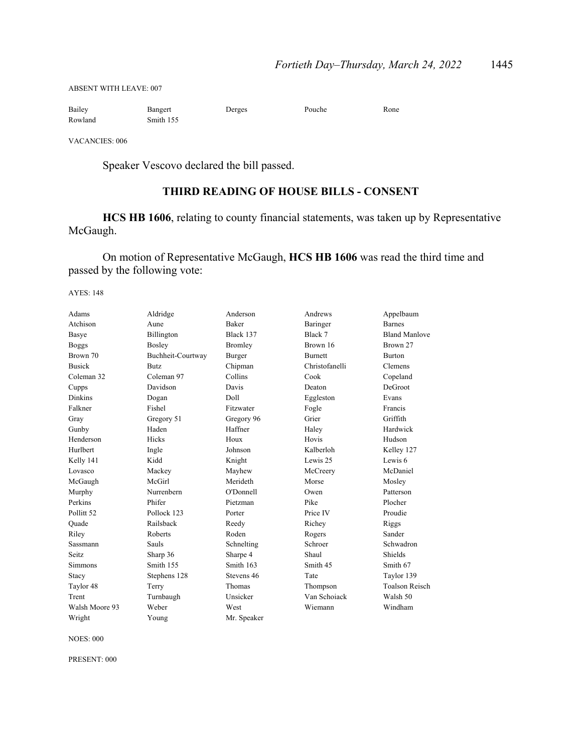ABSENT WITH LEAVE: 007

| Bailey  | Bangert   | Derges | Pouche | Rone |
|---------|-----------|--------|--------|------|
| Rowland | Smith 155 |        |        |      |

VACANCIES: 006

Speaker Vescovo declared the bill passed.

# **THIRD READING OF HOUSE BILLS - CONSENT**

**HCS HB 1606**, relating to county financial statements, was taken up by Representative McGaugh.

 On motion of Representative McGaugh, **HCS HB 1606** was read the third time and passed by the following vote:

AYES: 148

| Adams                 | Aldridge          | Anderson     | Andrews        | Appelbaum             |
|-----------------------|-------------------|--------------|----------------|-----------------------|
| Atchison              | Aune              | <b>Baker</b> | Baringer       | <b>Barnes</b>         |
| Basye                 | Billington        | Black 137    | Black 7        | <b>Bland Manlove</b>  |
| <b>Boggs</b>          | Bosley            | Bromley      | Brown 16       | Brown 27              |
| Brown 70              | Buchheit-Courtway | Burger       | <b>Burnett</b> | <b>Burton</b>         |
| <b>Busick</b>         | Butz              | Chipman      | Christofanelli | Clemens               |
| Coleman 32            | Coleman 97        | Collins      | Cook           | Copeland              |
| Cupps                 | Davidson          | Davis        | Deaton         | DeGroot               |
| <b>Dinkins</b>        | Dogan             | Doll         | Eggleston      | Evans                 |
| Falkner               | Fishel            | Fitzwater    | Fogle          | Francis               |
| Gray                  | Gregory 51        | Gregory 96   | Grier          | Griffith              |
| Gunby                 | Haden             | Haffner      | Haley          | Hardwick              |
| Henderson             | Hicks             | Houx         | Hovis          | Hudson                |
| Hurlbert              | Ingle             | Johnson      | Kalberloh      | Kelley 127            |
| Kelly 141             | Kidd              | Knight       | Lewis 25       | Lewis 6               |
| Lovasco               | Mackey            | Mayhew       | McCreery       | McDaniel              |
| McGaugh               | McGirl            | Merideth     | Morse          | Mosley                |
| Murphy                | Nurrenbern        | O'Donnell    | Owen           | Patterson             |
| Perkins               | Phifer            | Pietzman     | Pike           | Plocher               |
| Pollitt <sub>52</sub> | Pollock 123       | Porter       | Price IV       | Proudie               |
| Ouade                 | Railsback         | Reedy        | Richey         | Riggs                 |
| Riley                 | Roberts           | Roden        | Rogers         | Sander                |
| Sassmann              | Sauls             | Schnelting   | Schroer        | Schwadron             |
| Seitz                 | Sharp 36          | Sharpe 4     | Shaul          | Shields               |
| Simmons               | Smith 155         | Smith 163    | Smith 45       | Smith 67              |
| Stacy                 | Stephens 128      | Stevens 46   | Tate           | Taylor 139            |
| Taylor 48             | Terry             | Thomas       | Thompson       | <b>Toalson Reisch</b> |
| Trent                 | Turnbaugh         | Unsicker     | Van Schoiack   | Walsh 50              |
| Walsh Moore 93        | Weber             | West         | Wiemann        | Windham               |
| Wright                | Young             | Mr. Speaker  |                |                       |

NOES: 000

PRESENT: 000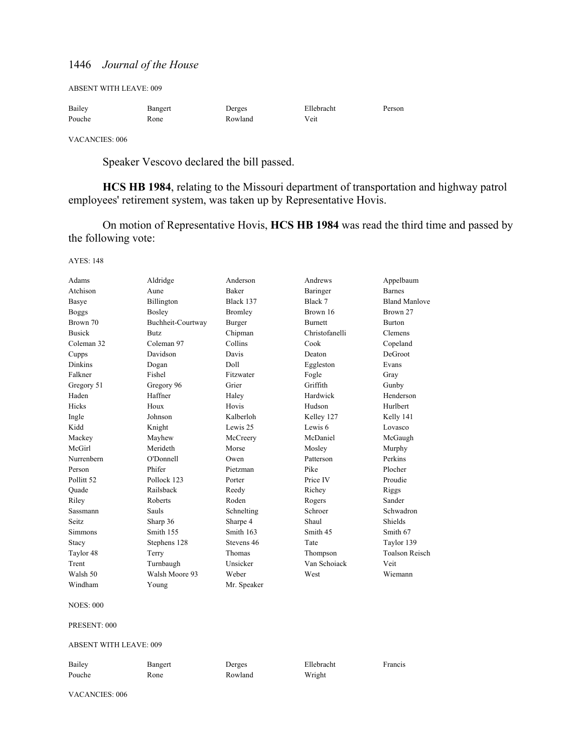ABSENT WITH LEAVE: 009

| Bailey | Bangert | Derges  | Ellebracht | Person |
|--------|---------|---------|------------|--------|
| Pouche | Rone    | Rowland | Veit       |        |

VACANCIES: 006

Speaker Vescovo declared the bill passed.

**HCS HB 1984**, relating to the Missouri department of transportation and highway patrol employees' retirement system, was taken up by Representative Hovis.

 On motion of Representative Hovis, **HCS HB 1984** was read the third time and passed by the following vote:

AYES: 148

| Adams                 | Aldridge          | Anderson     | Andrews        | Appelbaum             |
|-----------------------|-------------------|--------------|----------------|-----------------------|
| Atchison              | Aune              | <b>Baker</b> | Baringer       | <b>Barnes</b>         |
| Basye                 | Billington        | Black 137    | Black 7        | <b>Bland Manlove</b>  |
| <b>Boggs</b>          | Bosley            | Bromley      | Brown 16       | Brown 27              |
| Brown 70              | Buchheit-Courtway | Burger       | <b>Burnett</b> | <b>Burton</b>         |
| <b>Busick</b>         | Butz              | Chipman      | Christofanelli | Clemens               |
| Coleman 32            | Coleman 97        | Collins      | Cook           | Copeland              |
| Cupps                 | Davidson          | Davis        | Deaton         | DeGroot               |
| <b>Dinkins</b>        | Dogan             | Doll         | Eggleston      | Evans                 |
| Falkner               | Fishel            | Fitzwater    | Fogle          | Gray                  |
| Gregory 51            | Gregory 96        | Grier        | Griffith       | Gunby                 |
| Haden                 | Haffner           | Haley        | Hardwick       | Henderson             |
| Hicks                 | Houx              | Hovis        | Hudson         | Hurlbert              |
| Ingle                 | Johnson           | Kalberloh    | Kelley 127     | Kelly 141             |
| Kidd                  | Knight            | Lewis 25     | Lewis 6        | Lovasco               |
| Mackey                | Mayhew            | McCreery     | McDaniel       | McGaugh               |
| McGirl                | Merideth          | Morse        | Mosley         | Murphy                |
| Nurrenbern            | O'Donnell         | Owen         | Patterson      | Perkins               |
| Person                | Phifer            | Pietzman     | Pike           | Plocher               |
| Pollitt <sub>52</sub> | Pollock 123       | Porter       | Price IV       | Proudie               |
| Quade                 | Railsback         | Reedy        | Richey         | Riggs                 |
| Riley                 | Roberts           | Roden        | Rogers         | Sander                |
| Sassmann              | Sauls             | Schnelting   | Schroer        | Schwadron             |
| <b>Seitz</b>          | Sharp 36          | Sharpe 4     | Shaul          | Shields               |
| <b>Simmons</b>        | Smith 155         | Smith 163    | Smith 45       | Smith 67              |
| Stacy                 | Stephens 128      | Stevens 46   | Tate           | Taylor 139            |
| Taylor 48             | Terry             | Thomas       | Thompson       | <b>Toalson Reisch</b> |
| Trent                 | Turnbaugh         | Unsicker     | Van Schoiack   | Veit                  |
| Walsh 50              | Walsh Moore 93    | Weber        | West           | Wiemann               |
| Windham               | Young             | Mr. Speaker  |                |                       |

NOES: 000

PRESENT: 000

ABSENT WITH LEAVE: 009

| Bailey | Bangert | Derges  | Ellebracht | Francis |
|--------|---------|---------|------------|---------|
| Pouche | Rone    | Rowland | Wright     |         |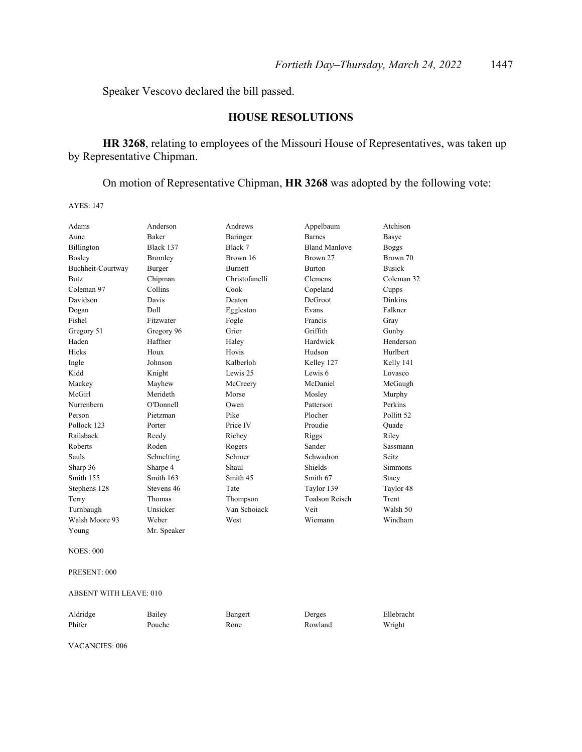Speaker Vescovo declared the bill passed.

# **HOUSE RESOLUTIONS**

**HR 3268**, relating to employees of the Missouri House of Representatives, was taken up by Representative Chipman.

On motion of Representative Chipman, **HR 3268** was adopted by the following vote:

AYES: 147

| Adams             | Anderson       | Andrews        | Appelbaum             | Atchison              |
|-------------------|----------------|----------------|-----------------------|-----------------------|
| Aune              | <b>Baker</b>   | Baringer       | <b>Barnes</b>         | Basye                 |
| Billington        | Black 137      | Black 7        | <b>Bland Manlove</b>  | <b>Boggs</b>          |
| Bosley            | <b>Bromley</b> | Brown 16       | Brown 27              | Brown 70              |
| Buchheit-Courtway | Burger         | <b>Burnett</b> | <b>Burton</b>         | <b>Busick</b>         |
| <b>Butz</b>       | Chipman        | Christofanelli | Clemens               | Coleman 32            |
| Coleman 97        | Collins        | Cook           | Copeland              | Cupps                 |
| Davidson          | Davis          | Deaton         | DeGroot               | <b>Dinkins</b>        |
| Dogan             | Doll           | Eggleston      | Evans                 | Falkner               |
| Fishel            | Fitzwater      | Fogle          | Francis               | Gray                  |
| Gregory 51        | Gregory 96     | Grier          | Griffith              | Gunby                 |
| Haden             | Haffner        | Haley          | Hardwick              | Henderson             |
| Hicks             | Houx           | Hovis          | Hudson                | Hurlbert              |
| Ingle             | Johnson        | Kalberloh      | Kelley 127            | Kelly 141             |
| Kidd              | Knight         | Lewis 25       | Lewis 6               | Lovasco               |
| Mackey            | Mayhew         | McCreery       | McDaniel              | McGaugh               |
| McGirl            | Merideth       | Morse          | Mosley                | Murphy                |
| Nurrenbern        | O'Donnell      | Owen           | Patterson             | Perkins               |
| Person            | Pietzman       | Pike           | Plocher               | Pollitt <sub>52</sub> |
| Pollock 123       | Porter         | Price IV       | Proudie               | Ouade                 |
| Railsback         | Reedy          | Richey         | Riggs                 | Riley                 |
| Roberts           | Roden          | Rogers         | Sander                | Sassmann              |
| Sauls             | Schnelting     | Schroer        | Schwadron             | Seitz.                |
| Sharp 36          | Sharpe 4       | Shaul          | Shields               | <b>Simmons</b>        |
| Smith 155         | Smith 163      | Smith 45       | Smith 67              | Stacy                 |
| Stephens 128      | Stevens 46     | Tate           | Taylor 139            | Taylor 48             |
| Terry             | Thomas         | Thompson       | <b>Toalson Reisch</b> | Trent                 |
| Turnbaugh         | Unsicker       | Van Schoiack   | Veit                  | Walsh 50              |
| Walsh Moore 93    | Weber          | West           | Wiemann               | Windham               |
| Young             | Mr. Speaker    |                |                       |                       |

NOES: 000

PRESENT: 000

ABSENT WITH LEAVE: 010

| Aldridge | Bailey | Bangert | Derges  | Ellebracht |
|----------|--------|---------|---------|------------|
| Phifer   | Pouche | Rone    | Rowland | Wright     |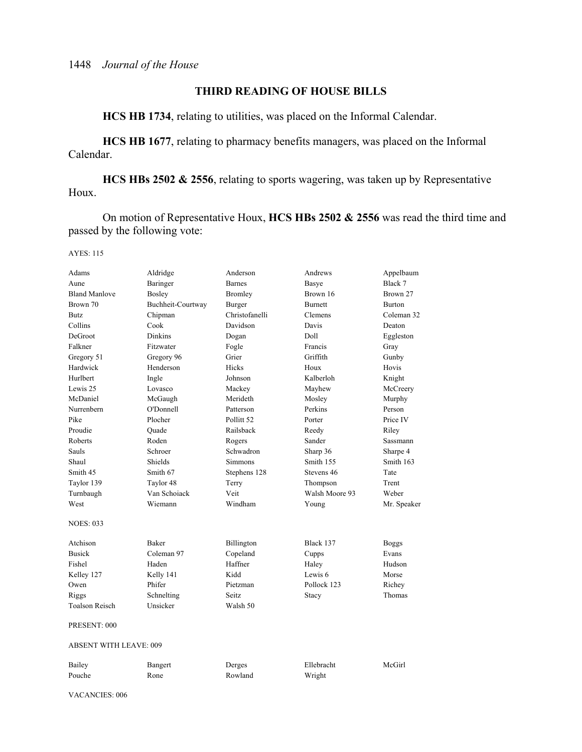# **THIRD READING OF HOUSE BILLS**

**HCS HB 1734**, relating to utilities, was placed on the Informal Calendar.

**HCS HB 1677**, relating to pharmacy benefits managers, was placed on the Informal Calendar.

**HCS HBs 2502 & 2556**, relating to sports wagering, was taken up by Representative Houx.

 On motion of Representative Houx, **HCS HBs 2502 & 2556** was read the third time and passed by the following vote:

AYES: 115

| Adams                         | Aldridge          | Anderson       | Andrews        | Appelbaum    |
|-------------------------------|-------------------|----------------|----------------|--------------|
| Aune                          | Baringer          | <b>Barnes</b>  | Basye          | Black 7      |
| <b>Bland Manlove</b>          | Bosley            | Bromley        | Brown 16       | Brown 27     |
| Brown 70                      | Buchheit-Courtway | Burger         | <b>Burnett</b> | Burton       |
| Butz                          | Chipman           | Christofanelli | Clemens        | Coleman 32   |
| Collins                       | Cook              | Davidson       | Davis          | Deaton       |
| DeGroot                       | <b>Dinkins</b>    | Dogan          | Doll           | Eggleston    |
| Falkner                       | Fitzwater         | Fogle          | Francis        | Gray         |
| Gregory 51                    | Gregory 96        | Grier          | Griffith       | Gunby        |
| Hardwick                      | Henderson         | Hicks          | Houx           | Hovis        |
| Hurlbert                      | Ingle             | Johnson        | Kalberloh      | Knight       |
| Lewis 25                      | Lovasco           | Mackey         | Mayhew         | McCreery     |
| McDaniel                      | McGaugh           | Merideth       | Mosley         | Murphy       |
| Nurrenbern                    | O'Donnell         | Patterson      | Perkins        | Person       |
| Pike                          | Plocher           | Pollitt 52     | Porter         | Price IV     |
| Proudie                       | Ouade             | Railsback      | Reedy          | Riley        |
| Roberts                       | Roden             | Rogers         | Sander         | Sassmann     |
| Sauls                         | Schroer           | Schwadron      | Sharp 36       | Sharpe 4     |
| Shaul                         | Shields           | Simmons        | Smith 155      | Smith 163    |
| Smith 45                      | Smith 67          | Stephens 128   | Stevens 46     | Tate         |
| Taylor 139                    | Taylor 48         | Terry          | Thompson       | Trent        |
| Turnbaugh                     | Van Schoiack      | Veit           | Walsh Moore 93 | Weber        |
| West                          | Wiemann           | Windham        | Young          | Mr. Speaker  |
| <b>NOES: 033</b>              |                   |                |                |              |
| Atchison                      | <b>Baker</b>      | Billington     | Black 137      | <b>Boggs</b> |
| <b>Busick</b>                 | Coleman 97        | Copeland       | Cupps          | Evans        |
| Fishel                        | Haden             | Haffner        | Haley          | Hudson       |
| Kelley 127                    | Kelly 141         | Kidd           | Lewis 6        | Morse        |
| Owen                          | Phifer            | Pietzman       | Pollock 123    | Richey       |
| Riggs                         | Schnelting        | Seitz.         | Stacy          | Thomas       |
| <b>Toalson Reisch</b>         | Unsicker          | Walsh 50       |                |              |
| PRESENT: 000                  |                   |                |                |              |
| <b>ABSENT WITH LEAVE: 009</b> |                   |                |                |              |
| Bailey                        | Bangert           | Derges         | Ellebracht     | McGirl       |
| Pouche                        | Rone              | Rowland        | Wright         |              |
|                               |                   |                |                |              |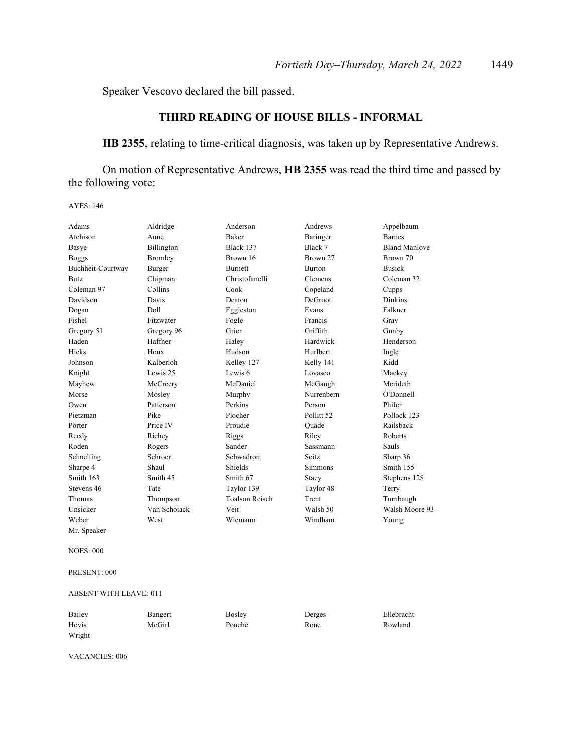Speaker Vescovo declared the bill passed.

# **THIRD READING OF HOUSE BILLS - INFORMAL**

**HB 2355**, relating to time-critical diagnosis, was taken up by Representative Andrews.

 On motion of Representative Andrews, **HB 2355** was read the third time and passed by the following vote:

AYES: 146

| Adams             | Aldridge       | Anderson              | Andrews               | Appelbaum            |
|-------------------|----------------|-----------------------|-----------------------|----------------------|
| Atchison          | Aune           | Baker                 | Baringer              | <b>Barnes</b>        |
| Basye             | Billington     | Black 137             | Black 7               | <b>Bland Manlove</b> |
| <b>Boggs</b>      | <b>Bromley</b> | Brown 16              | Brown 27              | Brown 70             |
| Buchheit-Courtway | Burger         | <b>Burnett</b>        | <b>Burton</b>         | <b>Busick</b>        |
| <b>Butz</b>       | Chipman        | Christofanelli        | Clemens               | Coleman 32           |
| Coleman 97        | Collins        | Cook                  | Copeland              | Cupps                |
| Davidson          | Davis          | Deaton                | DeGroot               | <b>Dinkins</b>       |
| Dogan             | Doll           | Eggleston             | Evans                 | Falkner              |
| Fishel            | Fitzwater      | Fogle                 | Francis               | Gray                 |
| Gregory 51        | Gregory 96     | Grier                 | Griffith              | Gunby                |
| Haden             | Haffner        | Haley                 | Hardwick              | Henderson            |
| Hicks             | Houx           | Hudson                | Hurlbert              | Ingle                |
| Johnson           | Kalberloh      | Kelley 127            | Kelly 141             | Kidd                 |
| Knight            | Lewis 25       | Lewis 6               | Lovasco               | Mackey               |
| Mayhew            | McCreery       | McDaniel              | McGaugh               | Merideth             |
| Morse             | Mosley         | Murphy                | Nurrenbern            | O'Donnell            |
| Owen              | Patterson      | Perkins               | Person                | Phifer               |
| Pietzman          | Pike           | Plocher               | Pollitt <sub>52</sub> | Pollock 123          |
| Porter            | Price IV       | Proudie               | Ouade                 | Railsback            |
| Reedy             | Richey         | Riggs                 | Riley                 | Roberts              |
| Roden             | Rogers         | Sander                | Sassmann              | Sauls                |
| Schnelting        | Schroer        | Schwadron             | Seitz.                | Sharp 36             |
| Sharpe 4          | Shaul          | Shields               | Simmons               | Smith 155            |
| Smith 163         | Smith 45       | Smith 67              | Stacy                 | Stephens 128         |
| Stevens 46        | Tate           | Taylor 139            | Taylor 48             | Terry                |
| Thomas            | Thompson       | <b>Toalson Reisch</b> | Trent                 | Turnbaugh            |
| Unsicker          | Van Schoiack   | Veit                  | Walsh 50              | Walsh Moore 93       |
| Weber             | West           | Wiemann               | Windham               | Young                |
| Mr. Speaker       |                |                       |                       |                      |

NOES: 000

PRESENT: 000

#### ABSENT WITH LEAVE: 011

| Bailey | Bangert | Bosley | Derges | Ellebracht |
|--------|---------|--------|--------|------------|
| Hovis  | McGirl  | Pouche | Rone   | Rowland    |
| Wright |         |        |        |            |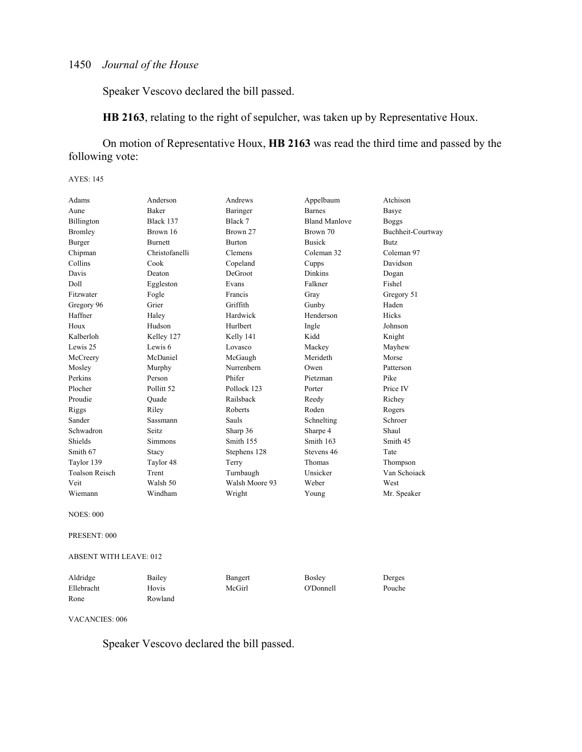Speaker Vescovo declared the bill passed.

**HB 2163**, relating to the right of sepulcher, was taken up by Representative Houx.

 On motion of Representative Houx, **HB 2163** was read the third time and passed by the following vote:

#### AYES: 145

| Adams            | Anderson                      | Andrews        | Appelbaum            | Atchison          |  |  |
|------------------|-------------------------------|----------------|----------------------|-------------------|--|--|
| Aune             | <b>Baker</b>                  | Baringer       | <b>Barnes</b>        | Basye             |  |  |
| Billington       | Black 137                     | Black 7        | <b>Bland Manlove</b> | <b>Boggs</b>      |  |  |
| <b>Bromley</b>   | Brown 16                      | Brown 27       | Brown 70             | Buchheit-Courtway |  |  |
| Burger           | <b>Burnett</b>                | <b>Burton</b>  | <b>Busick</b>        | Butz              |  |  |
| Chipman          | Christofanelli                | Clemens        | Coleman 32           | Coleman 97        |  |  |
| Collins          | Cook                          | Copeland       | Cupps                | Davidson          |  |  |
| Davis            | Deaton                        | DeGroot        | Dinkins              | Dogan             |  |  |
| Doll             | Eggleston                     | Evans          | Falkner              | Fishel            |  |  |
| Fitzwater        | Fogle                         | Francis        | Gray                 | Gregory 51        |  |  |
| Gregory 96       | Grier                         | Griffith       | Gunby                | Haden             |  |  |
| Haffner          | Haley                         | Hardwick       | Henderson            | <b>Hicks</b>      |  |  |
| Houx             | Hudson                        | Hurlbert       | Ingle                | Johnson           |  |  |
| Kalberloh        | Kelley 127                    | Kelly 141      | Kidd                 | Knight            |  |  |
| Lewis 25         | Lewis 6                       | Lovasco        | Mackey               | Mayhew            |  |  |
| McCreery         | McDaniel                      | McGaugh        | Merideth             | Morse             |  |  |
| Mosley           | Murphy                        | Nurrenbern     | Owen                 | Patterson         |  |  |
| Perkins          | Person                        | Phifer         | Pietzman             | Pike              |  |  |
| Plocher          | Pollitt 52                    | Pollock 123    | Porter               | Price IV          |  |  |
| Proudie          | Quade                         | Railsback      | Reedy                | Richey            |  |  |
| Riggs            | Riley                         | Roberts        | Roden                | Rogers            |  |  |
| Sander           | Sassmann                      | Sauls          | Schnelting           | Schroer           |  |  |
| Schwadron        | Seitz                         | Sharp 36       | Sharpe 4             | Shaul             |  |  |
| Shields          | Simmons                       | Smith 155      | Smith 163            | Smith 45          |  |  |
| Smith 67         | Stacy                         | Stephens 128   | Stevens 46           | Tate              |  |  |
| Taylor 139       | Taylor 48                     | Terry          | Thomas               | Thompson          |  |  |
| Toalson Reisch   | Trent                         | Turnbaugh      | Unsicker             | Van Schoiack      |  |  |
| Veit             | Walsh 50                      | Walsh Moore 93 | Weber                | West              |  |  |
| Wiemann          | Windham                       | Wright         | Young                | Mr. Speaker       |  |  |
| <b>NOES: 000</b> |                               |                |                      |                   |  |  |
| PRESENT: 000     |                               |                |                      |                   |  |  |
|                  | <b>ABSENT WITH LEAVE: 012</b> |                |                      |                   |  |  |
| Aldridge         | Bailey                        | Bangert        | <b>Bosley</b>        | Derges            |  |  |

VACANCIES: 006

Rone Rowland

Speaker Vescovo declared the bill passed.

Ellebracht Hovis McGirl O'Donnell Pouche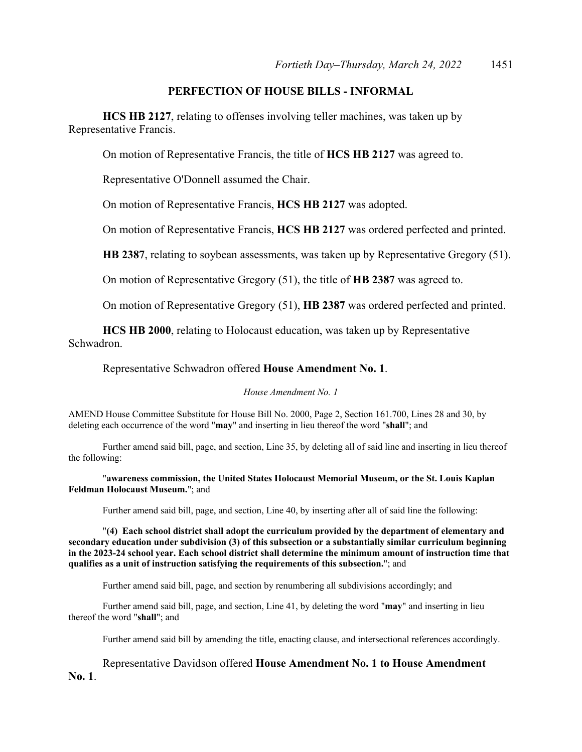# **PERFECTION OF HOUSE BILLS - INFORMAL**

**HCS HB 2127**, relating to offenses involving teller machines, was taken up by Representative Francis.

On motion of Representative Francis, the title of **HCS HB 2127** was agreed to.

Representative O'Donnell assumed the Chair.

On motion of Representative Francis, **HCS HB 2127** was adopted.

On motion of Representative Francis, **HCS HB 2127** was ordered perfected and printed.

**HB 2387**, relating to soybean assessments, was taken up by Representative Gregory (51).

On motion of Representative Gregory (51), the title of **HB 2387** was agreed to.

On motion of Representative Gregory (51), **HB 2387** was ordered perfected and printed.

**HCS HB 2000**, relating to Holocaust education, was taken up by Representative Schwadron.

Representative Schwadron offered **House Amendment No. 1**.

*House Amendment No. 1*

AMEND House Committee Substitute for House Bill No. 2000, Page 2, Section 161.700, Lines 28 and 30, by deleting each occurrence of the word "**may**" and inserting in lieu thereof the word "**shall**"; and

 Further amend said bill, page, and section, Line 35, by deleting all of said line and inserting in lieu thereof the following:

"**awareness commission, the United States Holocaust Memorial Museum, or the St. Louis Kaplan Feldman Holocaust Museum.**"; and

Further amend said bill, page, and section, Line 40, by inserting after all of said line the following:

"**(4) Each school district shall adopt the curriculum provided by the department of elementary and secondary education under subdivision (3) of this subsection or a substantially similar curriculum beginning in the 2023-24 school year. Each school district shall determine the minimum amount of instruction time that qualifies as a unit of instruction satisfying the requirements of this subsection.**"; and

Further amend said bill, page, and section by renumbering all subdivisions accordingly; and

 Further amend said bill, page, and section, Line 41, by deleting the word "**may**" and inserting in lieu thereof the word "**shall**"; and

Further amend said bill by amending the title, enacting clause, and intersectional references accordingly.

 Representative Davidson offered **House Amendment No. 1 to House Amendment No. 1**.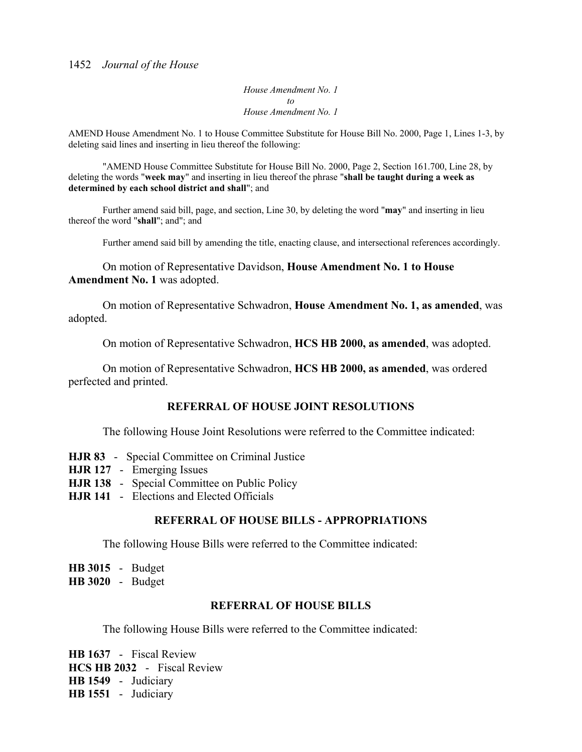*House Amendment No. 1 to House Amendment No. 1*

AMEND House Amendment No. 1 to House Committee Substitute for House Bill No. 2000, Page 1, Lines 1-3, by deleting said lines and inserting in lieu thereof the following:

 "AMEND House Committee Substitute for House Bill No. 2000, Page 2, Section 161.700, Line 28, by deleting the words "**week may**" and inserting in lieu thereof the phrase "**shall be taught during a week as determined by each school district and shall**"; and

 Further amend said bill, page, and section, Line 30, by deleting the word "**may**" and inserting in lieu thereof the word "**shall**"; and"; and

Further amend said bill by amending the title, enacting clause, and intersectional references accordingly.

 On motion of Representative Davidson, **House Amendment No. 1 to House Amendment No. 1** was adopted.

 On motion of Representative Schwadron, **House Amendment No. 1, as amended**, was adopted.

On motion of Representative Schwadron, **HCS HB 2000, as amended**, was adopted.

 On motion of Representative Schwadron, **HCS HB 2000, as amended**, was ordered perfected and printed.

## **REFERRAL OF HOUSE JOINT RESOLUTIONS**

The following House Joint Resolutions were referred to the Committee indicated:

- **HJR 83** Special Committee on Criminal Justice
- **HJR 127** Emerging Issues
- **HJR 138** Special Committee on Public Policy
- **HJR 141** Elections and Elected Officials

## **REFERRAL OF HOUSE BILLS - APPROPRIATIONS**

The following House Bills were referred to the Committee indicated:

**HB 3015** - Budget **HB 3020** - Budget

# **REFERRAL OF HOUSE BILLS**

The following House Bills were referred to the Committee indicated:

**HB 1637** - Fiscal Review **HCS HB 2032** - Fiscal Review **HB 1549** - Judiciary **HB 1551** - Judiciary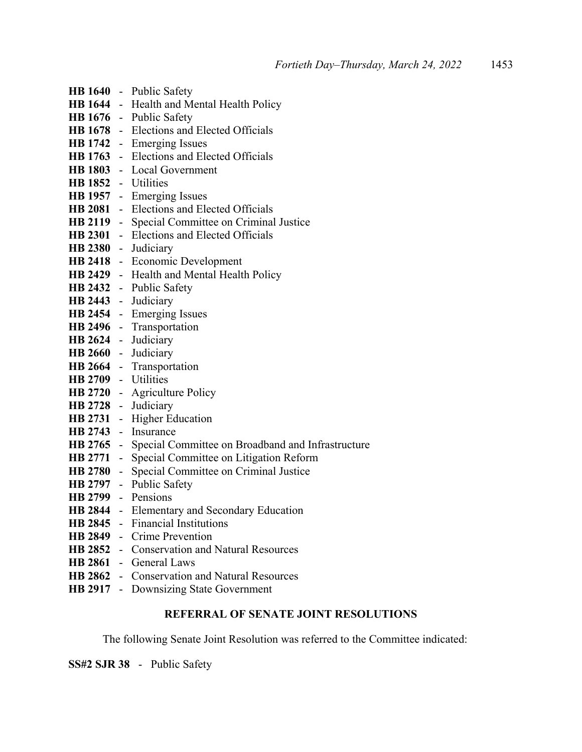|                     |        | HB 1640 - Public Safety                                            |
|---------------------|--------|--------------------------------------------------------------------|
|                     |        | HB 1644 - Health and Mental Health Policy                          |
|                     |        | HB 1676 - Public Safety                                            |
|                     |        | HB 1678 - Elections and Elected Officials                          |
|                     |        | HB 1742 - Emerging Issues                                          |
|                     |        | HB 1763 - Elections and Elected Officials                          |
|                     |        | HB 1803 - Local Government                                         |
| HB 1852 - Utilities |        |                                                                    |
|                     |        | HB 1957 - Emerging Issues                                          |
|                     |        | HB 2081 - Elections and Elected Officials                          |
|                     |        | <b>HB 2119</b> - Special Committee on Criminal Justice             |
|                     |        | HB 2301 - Elections and Elected Officials                          |
| HB 2380 - Judiciary |        |                                                                    |
|                     |        | HB 2418 - Economic Development                                     |
|                     |        | HB 2429 - Health and Mental Health Policy                          |
|                     |        | HB 2432 - Public Safety                                            |
| HB 2443 - Judiciary |        |                                                                    |
|                     |        | HB 2454 - Emerging Issues                                          |
|                     |        | HB 2496 - Transportation                                           |
| HB 2624 - Judiciary |        |                                                                    |
| HB 2660 - Judiciary |        |                                                                    |
|                     |        | HB 2664 - Transportation                                           |
| HB 2709 - Utilities |        |                                                                    |
|                     |        | HB 2720 - Agriculture Policy                                       |
|                     |        | HB 2728 - Judiciary                                                |
|                     |        | HB 2731 - Higher Education                                         |
|                     |        | HB 2743 - Insurance                                                |
|                     |        | <b>HB 2765</b> - Special Committee on Broadband and Infrastructure |
|                     |        | <b>HB 2771</b> - Special Committee on Litigation Reform            |
| HB 2780 -           |        | Special Committee on Criminal Justice                              |
|                     |        | HB 2797 - Public Safety                                            |
| HB 2799 - Pensions  |        |                                                                    |
|                     |        | HB 2844 - Elementary and Secondary Education                       |
| <b>HB 2845</b>      | $\sim$ | <b>Financial Institutions</b>                                      |
|                     |        | HB 2849 - Crime Prevention                                         |
|                     |        | <b>HB 2852</b> - Conservation and Natural Resources                |
|                     |        | HB 2861 - General Laws                                             |
| <b>HB 2862</b>      |        | - Conservation and Natural Resources                               |
| HB 2917 -           |        | Downsizing State Government                                        |

# **REFERRAL OF SENATE JOINT RESOLUTIONS**

The following Senate Joint Resolution was referred to the Committee indicated:

**SS#2 SJR 38** - Public Safety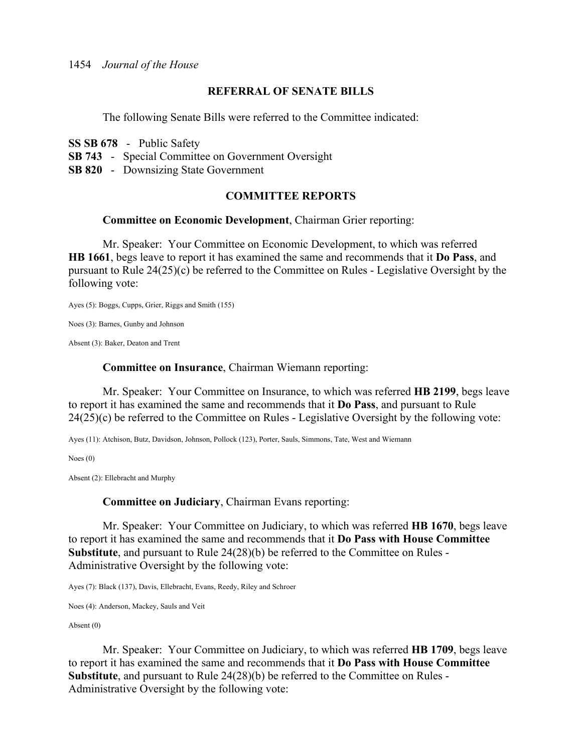# **REFERRAL OF SENATE BILLS**

The following Senate Bills were referred to the Committee indicated:

**SS SB 678** - Public Safety

**SB 743** - Special Committee on Government Oversight

**SB 820** - Downsizing State Government

# **COMMITTEE REPORTS**

# **Committee on Economic Development**, Chairman Grier reporting:

 Mr. Speaker: Your Committee on Economic Development, to which was referred **HB 1661**, begs leave to report it has examined the same and recommends that it **Do Pass**, and pursuant to Rule 24(25)(c) be referred to the Committee on Rules - Legislative Oversight by the following vote:

Ayes (5): Boggs, Cupps, Grier, Riggs and Smith (155)

Noes (3): Barnes, Gunby and Johnson

Absent (3): Baker, Deaton and Trent

# **Committee on Insurance**, Chairman Wiemann reporting:

 Mr. Speaker: Your Committee on Insurance, to which was referred **HB 2199**, begs leave to report it has examined the same and recommends that it **Do Pass**, and pursuant to Rule 24(25)(c) be referred to the Committee on Rules - Legislative Oversight by the following vote:

Ayes (11): Atchison, Butz, Davidson, Johnson, Pollock (123), Porter, Sauls, Simmons, Tate, West and Wiemann

Noes (0)

Absent (2): Ellebracht and Murphy

**Committee on Judiciary**, Chairman Evans reporting:

 Mr. Speaker: Your Committee on Judiciary, to which was referred **HB 1670**, begs leave to report it has examined the same and recommends that it **Do Pass with House Committee Substitute**, and pursuant to Rule 24(28)(b) be referred to the Committee on Rules - Administrative Oversight by the following vote:

Ayes (7): Black (137), Davis, Ellebracht, Evans, Reedy, Riley and Schroer

Noes (4): Anderson, Mackey, Sauls and Veit

Absent (0)

 Mr. Speaker: Your Committee on Judiciary, to which was referred **HB 1709**, begs leave to report it has examined the same and recommends that it **Do Pass with House Committee Substitute**, and pursuant to Rule 24(28)(b) be referred to the Committee on Rules - Administrative Oversight by the following vote: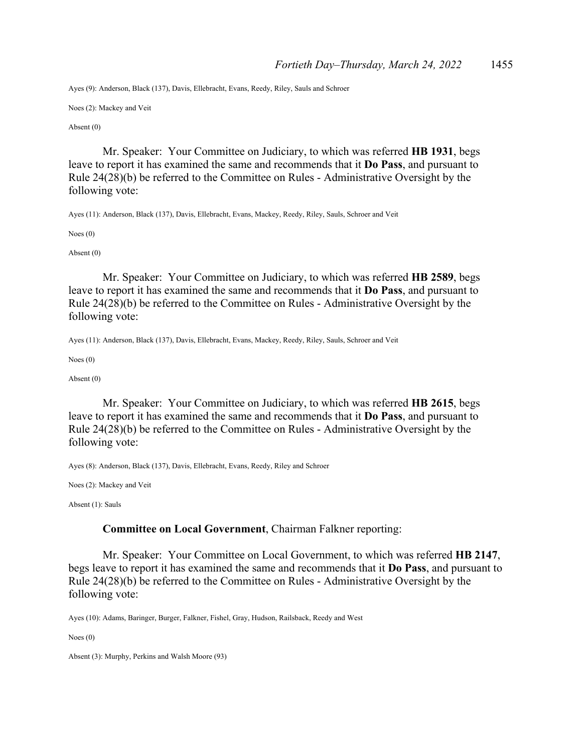Ayes (9): Anderson, Black (137), Davis, Ellebracht, Evans, Reedy, Riley, Sauls and Schroer

Noes (2): Mackey and Veit

Absent (0)

 Mr. Speaker: Your Committee on Judiciary, to which was referred **HB 1931**, begs leave to report it has examined the same and recommends that it **Do Pass**, and pursuant to Rule 24(28)(b) be referred to the Committee on Rules - Administrative Oversight by the following vote:

Ayes (11): Anderson, Black (137), Davis, Ellebracht, Evans, Mackey, Reedy, Riley, Sauls, Schroer and Veit

Noes (0)

Absent (0)

 Mr. Speaker: Your Committee on Judiciary, to which was referred **HB 2589**, begs leave to report it has examined the same and recommends that it **Do Pass**, and pursuant to Rule 24(28)(b) be referred to the Committee on Rules - Administrative Oversight by the following vote:

Ayes (11): Anderson, Black (137), Davis, Ellebracht, Evans, Mackey, Reedy, Riley, Sauls, Schroer and Veit

Noes (0)

Absent (0)

 Mr. Speaker: Your Committee on Judiciary, to which was referred **HB 2615**, begs leave to report it has examined the same and recommends that it **Do Pass**, and pursuant to Rule 24(28)(b) be referred to the Committee on Rules - Administrative Oversight by the following vote:

Ayes (8): Anderson, Black (137), Davis, Ellebracht, Evans, Reedy, Riley and Schroer

Noes (2): Mackey and Veit

Absent (1): Sauls

### **Committee on Local Government**, Chairman Falkner reporting:

 Mr. Speaker: Your Committee on Local Government, to which was referred **HB 2147**, begs leave to report it has examined the same and recommends that it **Do Pass**, and pursuant to Rule 24(28)(b) be referred to the Committee on Rules - Administrative Oversight by the following vote:

Ayes (10): Adams, Baringer, Burger, Falkner, Fishel, Gray, Hudson, Railsback, Reedy and West

Noes (0)

Absent (3): Murphy, Perkins and Walsh Moore (93)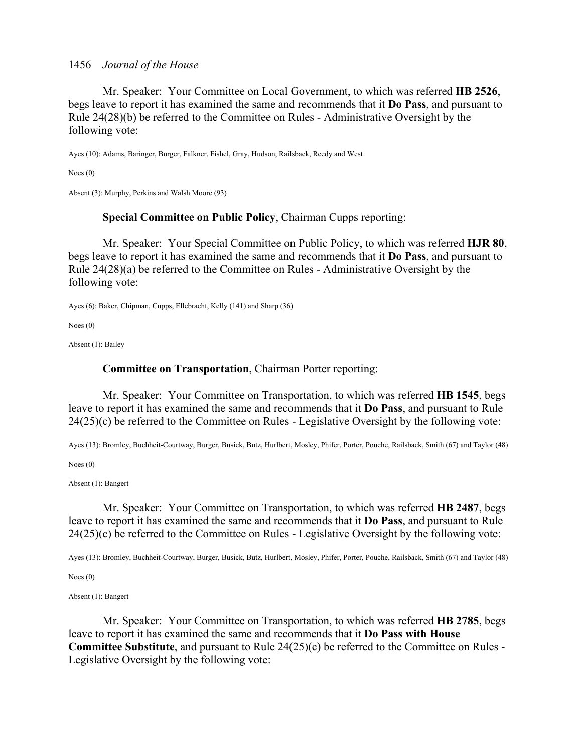Mr. Speaker: Your Committee on Local Government, to which was referred **HB 2526**, begs leave to report it has examined the same and recommends that it **Do Pass**, and pursuant to Rule 24(28)(b) be referred to the Committee on Rules - Administrative Oversight by the following vote:

Ayes (10): Adams, Baringer, Burger, Falkner, Fishel, Gray, Hudson, Railsback, Reedy and West

Noes (0)

Absent (3): Murphy, Perkins and Walsh Moore (93)

## **Special Committee on Public Policy**, Chairman Cupps reporting:

 Mr. Speaker: Your Special Committee on Public Policy, to which was referred **HJR 80**, begs leave to report it has examined the same and recommends that it **Do Pass**, and pursuant to Rule 24(28)(a) be referred to the Committee on Rules - Administrative Oversight by the following vote:

Ayes (6): Baker, Chipman, Cupps, Ellebracht, Kelly (141) and Sharp (36)

Noes (0)

Absent (1): Bailey

## **Committee on Transportation**, Chairman Porter reporting:

 Mr. Speaker: Your Committee on Transportation, to which was referred **HB 1545**, begs leave to report it has examined the same and recommends that it **Do Pass**, and pursuant to Rule 24(25)(c) be referred to the Committee on Rules - Legislative Oversight by the following vote:

Ayes (13): Bromley, Buchheit-Courtway, Burger, Busick, Butz, Hurlbert, Mosley, Phifer, Porter, Pouche, Railsback, Smith (67) and Taylor (48)

Noes (0)

Absent (1): Bangert

 Mr. Speaker: Your Committee on Transportation, to which was referred **HB 2487**, begs leave to report it has examined the same and recommends that it **Do Pass**, and pursuant to Rule 24(25)(c) be referred to the Committee on Rules - Legislative Oversight by the following vote:

Ayes (13): Bromley, Buchheit-Courtway, Burger, Busick, Butz, Hurlbert, Mosley, Phifer, Porter, Pouche, Railsback, Smith (67) and Taylor (48)

Noes (0)

Absent (1): Bangert

 Mr. Speaker: Your Committee on Transportation, to which was referred **HB 2785**, begs leave to report it has examined the same and recommends that it **Do Pass with House Committee Substitute**, and pursuant to Rule 24(25)(c) be referred to the Committee on Rules - Legislative Oversight by the following vote: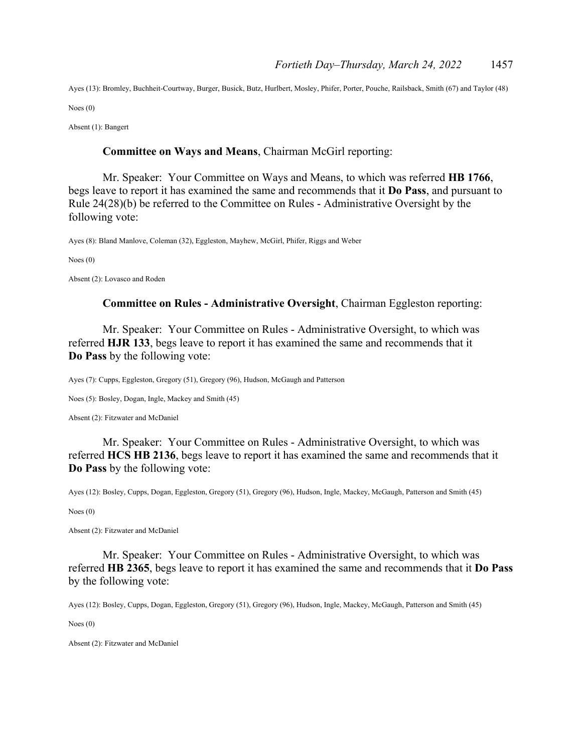Ayes (13): Bromley, Buchheit-Courtway, Burger, Busick, Butz, Hurlbert, Mosley, Phifer, Porter, Pouche, Railsback, Smith (67) and Taylor (48)

Noes (0)

Absent (1): Bangert

### **Committee on Ways and Means**, Chairman McGirl reporting:

 Mr. Speaker: Your Committee on Ways and Means, to which was referred **HB 1766**, begs leave to report it has examined the same and recommends that it **Do Pass**, and pursuant to Rule 24(28)(b) be referred to the Committee on Rules - Administrative Oversight by the following vote:

Ayes (8): Bland Manlove, Coleman (32), Eggleston, Mayhew, McGirl, Phifer, Riggs and Weber

Noes (0)

Absent (2): Lovasco and Roden

### **Committee on Rules - Administrative Oversight**, Chairman Eggleston reporting:

 Mr. Speaker: Your Committee on Rules - Administrative Oversight, to which was referred **HJR 133**, begs leave to report it has examined the same and recommends that it **Do Pass** by the following vote:

Ayes (7): Cupps, Eggleston, Gregory (51), Gregory (96), Hudson, McGaugh and Patterson

Noes (5): Bosley, Dogan, Ingle, Mackey and Smith (45)

Absent (2): Fitzwater and McDaniel

 Mr. Speaker: Your Committee on Rules - Administrative Oversight, to which was referred **HCS HB 2136**, begs leave to report it has examined the same and recommends that it **Do Pass** by the following vote:

Ayes (12): Bosley, Cupps, Dogan, Eggleston, Gregory (51), Gregory (96), Hudson, Ingle, Mackey, McGaugh, Patterson and Smith (45)

Noes (0)

Absent (2): Fitzwater and McDaniel

 Mr. Speaker: Your Committee on Rules - Administrative Oversight, to which was referred **HB 2365**, begs leave to report it has examined the same and recommends that it **Do Pass** by the following vote:

Ayes (12): Bosley, Cupps, Dogan, Eggleston, Gregory (51), Gregory (96), Hudson, Ingle, Mackey, McGaugh, Patterson and Smith (45)

Noes (0)

Absent (2): Fitzwater and McDaniel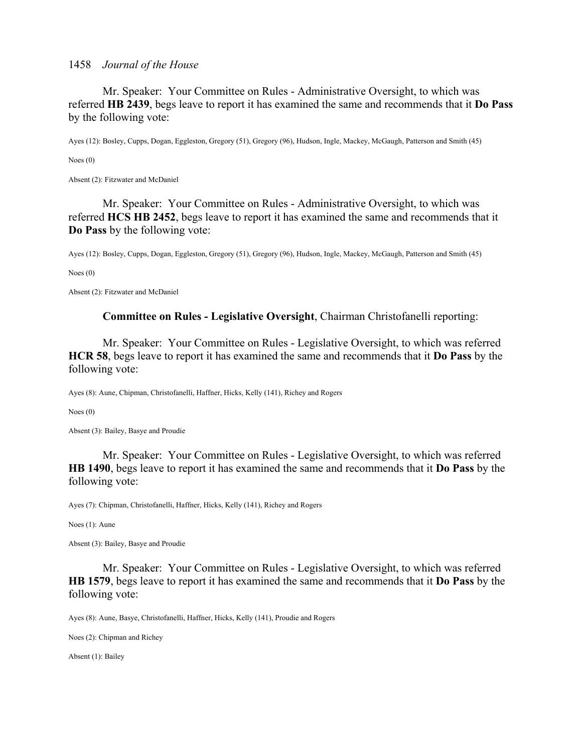Mr. Speaker: Your Committee on Rules - Administrative Oversight, to which was referred **HB 2439**, begs leave to report it has examined the same and recommends that it **Do Pass** by the following vote:

Ayes (12): Bosley, Cupps, Dogan, Eggleston, Gregory (51), Gregory (96), Hudson, Ingle, Mackey, McGaugh, Patterson and Smith (45)

Noes (0)

Absent (2): Fitzwater and McDaniel

 Mr. Speaker: Your Committee on Rules - Administrative Oversight, to which was referred **HCS HB 2452**, begs leave to report it has examined the same and recommends that it **Do Pass** by the following vote:

Ayes (12): Bosley, Cupps, Dogan, Eggleston, Gregory (51), Gregory (96), Hudson, Ingle, Mackey, McGaugh, Patterson and Smith (45)

Noes (0)

Absent (2): Fitzwater and McDaniel

## **Committee on Rules - Legislative Oversight**, Chairman Christofanelli reporting:

 Mr. Speaker: Your Committee on Rules - Legislative Oversight, to which was referred **HCR 58**, begs leave to report it has examined the same and recommends that it **Do Pass** by the following vote:

Ayes (8): Aune, Chipman, Christofanelli, Haffner, Hicks, Kelly (141), Richey and Rogers

Noes (0)

Absent (3): Bailey, Basye and Proudie

 Mr. Speaker: Your Committee on Rules - Legislative Oversight, to which was referred **HB 1490**, begs leave to report it has examined the same and recommends that it **Do Pass** by the following vote:

Ayes (7): Chipman, Christofanelli, Haffner, Hicks, Kelly (141), Richey and Rogers

Noes (1): Aune

Absent (3): Bailey, Basye and Proudie

 Mr. Speaker: Your Committee on Rules - Legislative Oversight, to which was referred **HB 1579**, begs leave to report it has examined the same and recommends that it **Do Pass** by the following vote:

Ayes (8): Aune, Basye, Christofanelli, Haffner, Hicks, Kelly (141), Proudie and Rogers

Noes (2): Chipman and Richey

Absent (1): Bailey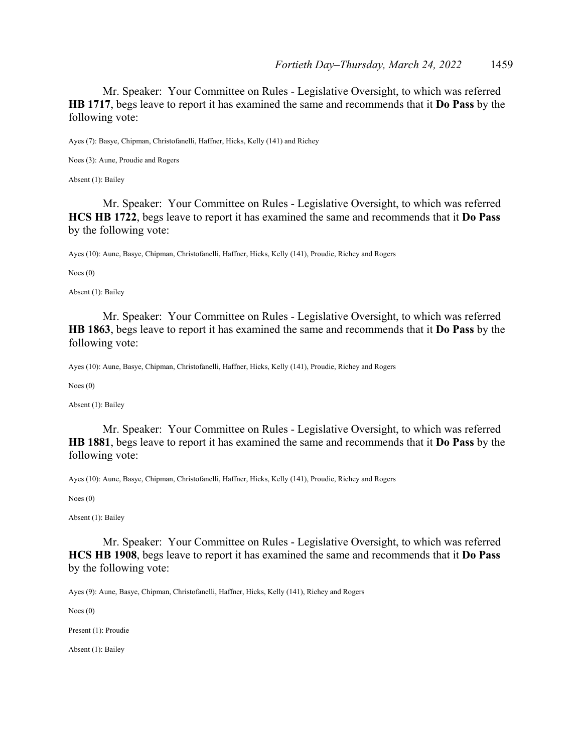Mr. Speaker: Your Committee on Rules - Legislative Oversight, to which was referred **HB 1717**, begs leave to report it has examined the same and recommends that it **Do Pass** by the following vote:

Ayes (7): Basye, Chipman, Christofanelli, Haffner, Hicks, Kelly (141) and Richey

Noes (3): Aune, Proudie and Rogers

Absent (1): Bailey

 Mr. Speaker: Your Committee on Rules - Legislative Oversight, to which was referred **HCS HB 1722**, begs leave to report it has examined the same and recommends that it **Do Pass** by the following vote:

Ayes (10): Aune, Basye, Chipman, Christofanelli, Haffner, Hicks, Kelly (141), Proudie, Richey and Rogers

Noes (0)

Absent (1): Bailey

 Mr. Speaker: Your Committee on Rules - Legislative Oversight, to which was referred **HB 1863**, begs leave to report it has examined the same and recommends that it **Do Pass** by the following vote:

Ayes (10): Aune, Basye, Chipman, Christofanelli, Haffner, Hicks, Kelly (141), Proudie, Richey and Rogers

Noes (0)

Absent (1): Bailey

 Mr. Speaker: Your Committee on Rules - Legislative Oversight, to which was referred **HB 1881**, begs leave to report it has examined the same and recommends that it **Do Pass** by the following vote:

Ayes (10): Aune, Basye, Chipman, Christofanelli, Haffner, Hicks, Kelly (141), Proudie, Richey and Rogers

Noes (0)

Absent (1): Bailey

 Mr. Speaker: Your Committee on Rules - Legislative Oversight, to which was referred **HCS HB 1908**, begs leave to report it has examined the same and recommends that it **Do Pass** by the following vote:

Ayes (9): Aune, Basye, Chipman, Christofanelli, Haffner, Hicks, Kelly (141), Richey and Rogers

Noes (0)

Present (1): Proudie

Absent (1): Bailey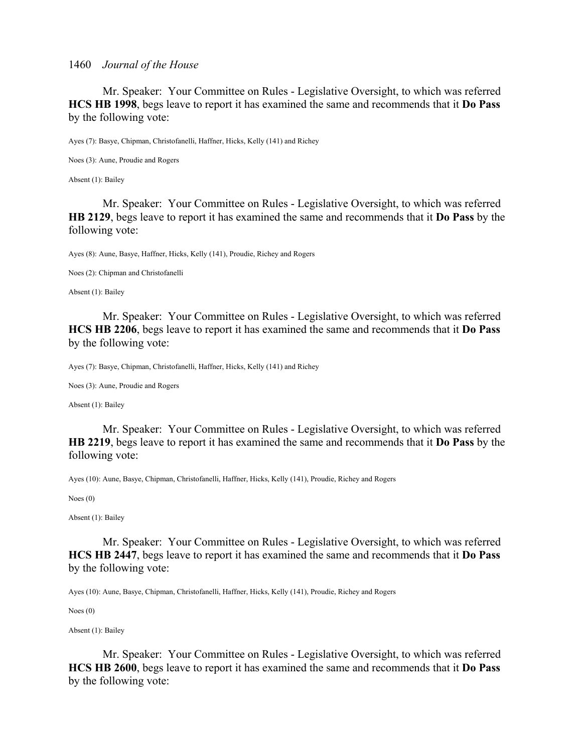Mr. Speaker: Your Committee on Rules - Legislative Oversight, to which was referred **HCS HB 1998**, begs leave to report it has examined the same and recommends that it **Do Pass** by the following vote:

Ayes (7): Basye, Chipman, Christofanelli, Haffner, Hicks, Kelly (141) and Richey

Noes (3): Aune, Proudie and Rogers

Absent (1): Bailey

 Mr. Speaker: Your Committee on Rules - Legislative Oversight, to which was referred **HB 2129**, begs leave to report it has examined the same and recommends that it **Do Pass** by the following vote:

Ayes (8): Aune, Basye, Haffner, Hicks, Kelly (141), Proudie, Richey and Rogers

Noes (2): Chipman and Christofanelli

Absent (1): Bailey

 Mr. Speaker: Your Committee on Rules - Legislative Oversight, to which was referred **HCS HB 2206**, begs leave to report it has examined the same and recommends that it **Do Pass** by the following vote:

Ayes (7): Basye, Chipman, Christofanelli, Haffner, Hicks, Kelly (141) and Richey

Noes (3): Aune, Proudie and Rogers

Absent (1): Bailey

 Mr. Speaker: Your Committee on Rules - Legislative Oversight, to which was referred **HB 2219**, begs leave to report it has examined the same and recommends that it **Do Pass** by the following vote:

Ayes (10): Aune, Basye, Chipman, Christofanelli, Haffner, Hicks, Kelly (141), Proudie, Richey and Rogers

Noes (0)

Absent (1): Bailey

 Mr. Speaker: Your Committee on Rules - Legislative Oversight, to which was referred **HCS HB 2447**, begs leave to report it has examined the same and recommends that it **Do Pass** by the following vote:

Ayes (10): Aune, Basye, Chipman, Christofanelli, Haffner, Hicks, Kelly (141), Proudie, Richey and Rogers

Noes (0)

Absent (1): Bailey

 Mr. Speaker: Your Committee on Rules - Legislative Oversight, to which was referred **HCS HB 2600**, begs leave to report it has examined the same and recommends that it **Do Pass** by the following vote: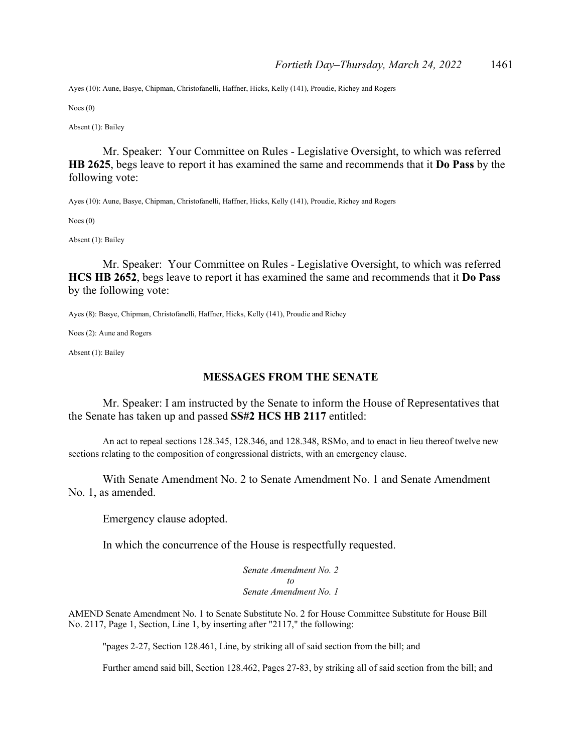Ayes (10): Aune, Basye, Chipman, Christofanelli, Haffner, Hicks, Kelly (141), Proudie, Richey and Rogers

Noes (0)

Absent (1): Bailey

 Mr. Speaker: Your Committee on Rules - Legislative Oversight, to which was referred **HB 2625**, begs leave to report it has examined the same and recommends that it **Do Pass** by the following vote:

Ayes (10): Aune, Basye, Chipman, Christofanelli, Haffner, Hicks, Kelly (141), Proudie, Richey and Rogers

Noes (0)

Absent (1): Bailey

 Mr. Speaker: Your Committee on Rules - Legislative Oversight, to which was referred **HCS HB 2652**, begs leave to report it has examined the same and recommends that it **Do Pass** by the following vote:

Ayes (8): Basye, Chipman, Christofanelli, Haffner, Hicks, Kelly (141), Proudie and Richey

Noes (2): Aune and Rogers

Absent (1): Bailey

#### **MESSAGES FROM THE SENATE**

 Mr. Speaker: I am instructed by the Senate to inform the House of Representatives that the Senate has taken up and passed **SS#2 HCS HB 2117** entitled:

 An act to repeal sections 128.345, 128.346, and 128.348, RSMo, and to enact in lieu thereof twelve new sections relating to the composition of congressional districts, with an emergency clause.

With Senate Amendment No. 2 to Senate Amendment No. 1 and Senate Amendment No. 1, as amended.

Emergency clause adopted.

In which the concurrence of the House is respectfully requested.

*Senate Amendment No. 2 to Senate Amendment No. 1* 

AMEND Senate Amendment No. 1 to Senate Substitute No. 2 for House Committee Substitute for House Bill No. 2117, Page 1, Section, Line 1, by inserting after "2117," the following:

"pages 2-27, Section 128.461, Line, by striking all of said section from the bill; and

Further amend said bill, Section 128.462, Pages 27-83, by striking all of said section from the bill; and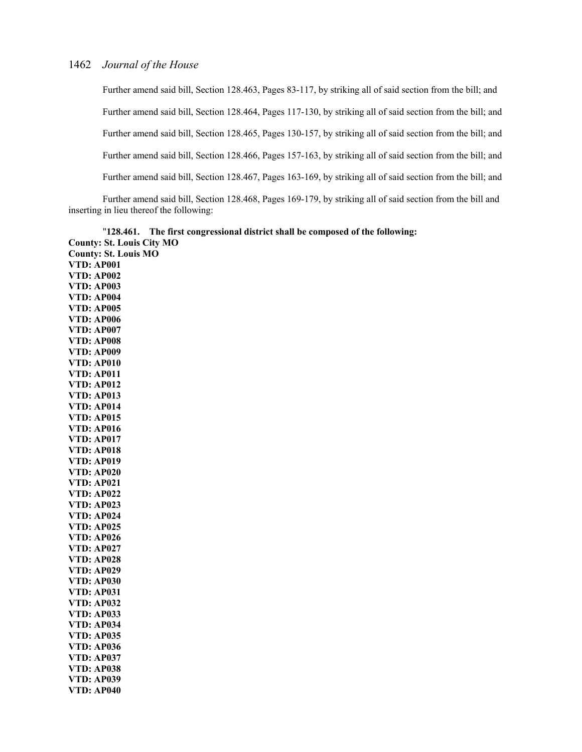Further amend said bill, Section 128.463, Pages 83-117, by striking all of said section from the bill; and Further amend said bill, Section 128.464, Pages 117-130, by striking all of said section from the bill; and Further amend said bill, Section 128.465, Pages 130-157, by striking all of said section from the bill; and Further amend said bill, Section 128.466, Pages 157-163, by striking all of said section from the bill; and Further amend said bill, Section 128.467, Pages 163-169, by striking all of said section from the bill; and

Further amend said bill, Section 128.468, Pages 169-179, by striking all of said section from the bill and inserting in lieu thereof the following:

"**128.461. The first congressional district shall be composed of the following: County: St. Louis City MO County: St. Louis MO VTD: AP001 VTD: AP002 VTD: AP003 VTD: AP004 VTD: AP005 VTD: AP006 VTD: AP007 VTD: AP008 VTD: AP009 VTD: AP010 VTD: AP011 VTD: AP012 VTD: AP013 VTD: AP014 VTD: AP015 VTD: AP016 VTD: AP017 VTD: AP018 VTD: AP019 VTD: AP020 VTD: AP021 VTD: AP022 VTD: AP023 VTD: AP024 VTD: AP025 VTD: AP026 VTD: AP027 VTD: AP028 VTD: AP029 VTD: AP030 VTD: AP031 VTD: AP032 VTD: AP033 VTD: AP034 VTD: AP035 VTD: AP036 VTD: AP037 VTD: AP038 VTD: AP039 VTD: AP040**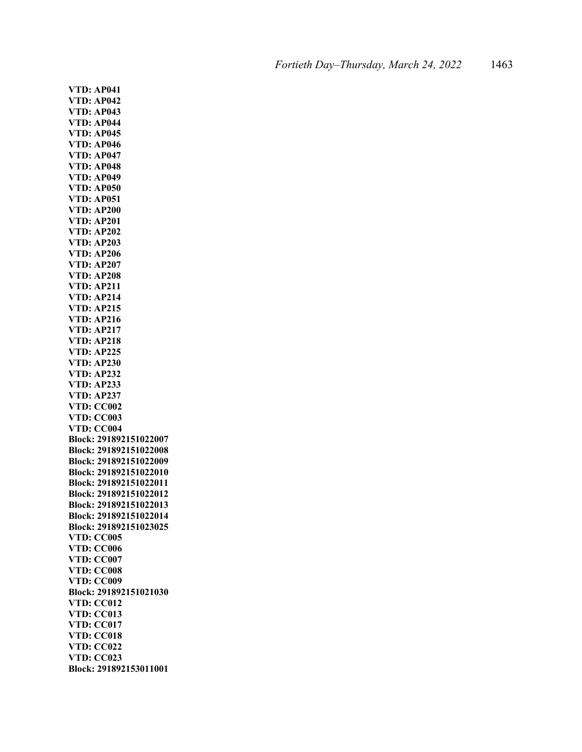**VTD: AP041 VTD: AP042 VTD: AP043 VTD: AP044 VTD: AP045 VTD: AP046 VTD: AP047 VTD: AP048 VTD: AP049 VTD: AP050 VTD: AP051 VTD: AP200 VTD: AP201 VTD: AP202 VTD: AP203 VTD: AP206 VTD: AP207 VTD: AP208 VTD: AP211 VTD: AP214 VTD: AP215 VTD: AP216 VTD: AP217 VTD: AP218 VTD: AP225 VTD: AP230 VTD: AP232 VTD: AP233 VTD: AP237 VTD: CC002 VTD: CC003 VTD: CC004 Block: 291892151022007 Block: 291892151022008 Block: 291892151022009 Block: 291892151022010 Block: 291892151022011 Block: 291892151022012 Block: 291892151022013 Block: 291892151022014 Block: 291892151023025 VTD: CC005 VTD: CC006 VTD: CC007 VTD: CC008 VTD: CC009 Block: 291892151021030 VTD: CC012 VTD: CC013 VTD: CC017 VTD: CC018 VTD: CC022 VTD: CC023 Block: 291892153011001**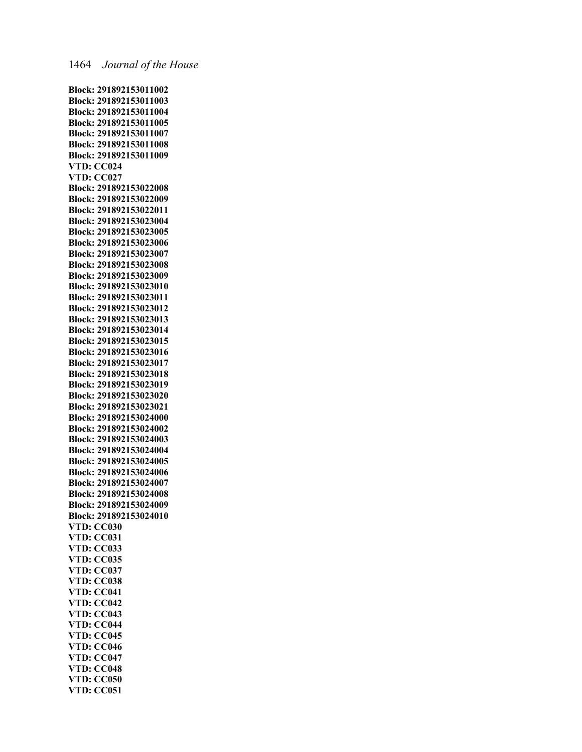**Block: 291892153011002 Block: 291892153011003 Block: 291892153011004 Block: 291892153011005 Block: 291892153011007 Block: 291892153011008 Block: 291892153011009 VTD: CC024 VTD: CC027 Block: 291892153022008 Block: 291892153022009 Block: 291892153022011 Block: 291892153023004 Block: 291892153023005 Block: 291892153023006 Block: 291892153023007 Block: 291892153023008 Block: 291892153023009 Block: 291892153023010 Block: 291892153023011 Block: 291892153023012 Block: 291892153023013 Block: 291892153023014 Block: 291892153023015 Block: 291892153023016 Block: 291892153023017 Block: 291892153023018 Block: 291892153023019 Block: 291892153023020 Block: 291892153023021 Block: 291892153024000 Block: 291892153024002 Block: 291892153024003 Block: 291892153024004 Block: 291892153024005 Block: 291892153024006 Block: 291892153024007 Block: 291892153024008 Block: 291892153024009 Block: 291892153024010 VTD: CC030 VTD: CC031 VTD: CC033 VTD: CC035 VTD: CC037 VTD: CC038 VTD: CC041 VTD: CC042 VTD: CC043 VTD: CC044 VTD: CC045 VTD: CC046 VTD: CC047 VTD: CC048 VTD: CC050 VTD: CC051**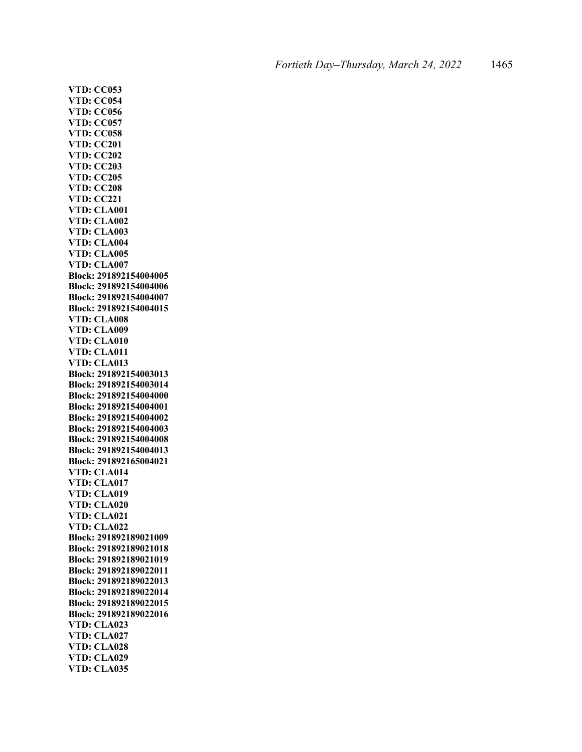**VTD: CC053 VTD: CC054 VTD: CC056 VTD: CC057 VTD: CC058 VTD: CC201 VTD: CC202 VTD: CC203 VTD: CC205 VTD: CC208 VTD: CC221 VTD: CLA001 VTD: CLA002 VTD: CLA003 VTD: CLA004 VTD: CLA005 VTD: CLA007 Block: 291892154004005 Block: 291892154004006 Block: 291892154004007 Block: 291892154004015 VTD: CLA008 VTD: CLA009 VTD: CLA010 VTD: CLA011 VTD: CLA013 Block: 291892154003013 Block: 291892154003014 Block: 291892154004000 Block: 291892154004001 Block: 291892154004002 Block: 291892154004003 Block: 291892154004008 Block: 291892154004013 Block: 291892165004021 VTD: CLA014 VTD: CLA017 VTD: CLA019 VTD: CLA020 VTD: CLA021 VTD: CLA022 Block: 291892189021009 Block: 291892189021018 Block: 291892189021019 Block: 291892189022011 Block: 291892189022013 Block: 291892189022014 Block: 291892189022015 Block: 291892189022016 VTD: CLA023 VTD: CLA027 VTD: CLA028 VTD: CLA029 VTD: CLA035**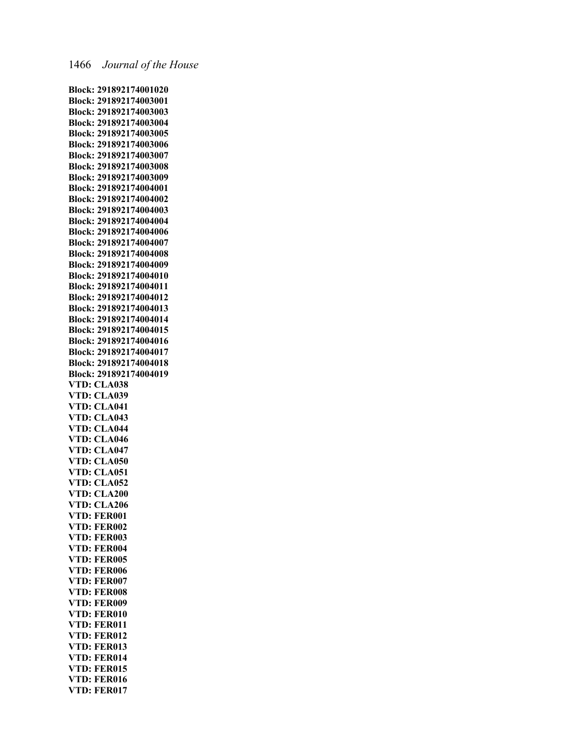**Block: 291892174001020 Block: 291892174003001 Block: 291892174003003 Block: 291892174003004 Block: 291892174003005 Block: 291892174003006 Block: 291892174003007 Block: 291892174003008 Block: 291892174003009 Block: 291892174004001 Block: 291892174004002 Block: 291892174004003 Block: 291892174004004 Block: 291892174004006 Block: 291892174004007 Block: 291892174004008 Block: 291892174004009 Block: 291892174004010 Block: 291892174004011 Block: 291892174004012 Block: 291892174004013 Block: 291892174004014 Block: 291892174004015 Block: 291892174004016 Block: 291892174004017 Block: 291892174004018 Block: 291892174004019 VTD: CLA038 VTD: CLA039 VTD: CLA041 VTD: CLA043 VTD: CLA044 VTD: CLA046 VTD: CLA047 VTD: CLA050 VTD: CLA051 VTD: CLA052 VTD: CLA200 VTD: CLA206 VTD: FER001 VTD: FER002 VTD: FER003 VTD: FER004 VTD: FER005 VTD: FER006 VTD: FER007 VTD: FER008 VTD: FER009 VTD: FER010 VTD: FER011 VTD: FER012 VTD: FER013 VTD: FER014 VTD: FER015 VTD: FER016 VTD: FER017**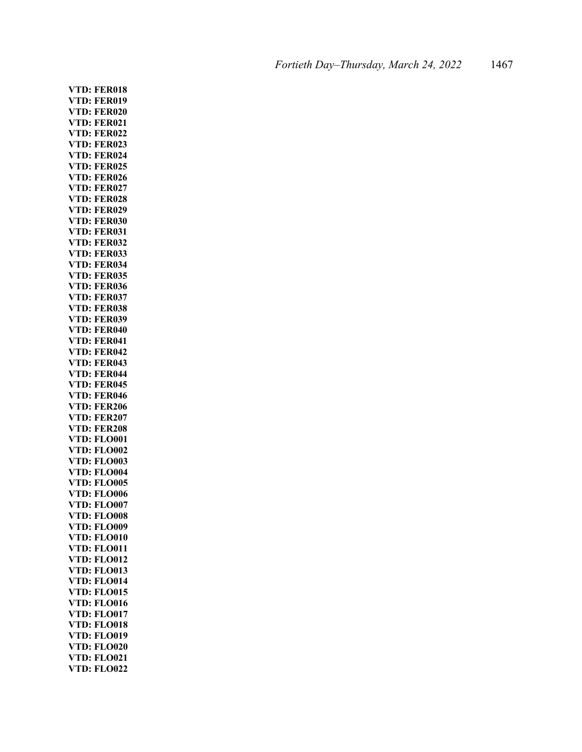**VTD: FER018 VTD: FER019 VTD: FER020 VTD: FER021 VTD: FER022 VTD: FER023 VTD: FER024 VTD: FER025 VTD: FER026 VTD: FER027 VTD: FER028 VTD: FER029 VTD: FER030 VTD: FER031 VTD: FER032 VTD: FER033 VTD: FER034 VTD: FER035 VTD: FER036 VTD: FER037 VTD: FER038 VTD: FER039 VTD: FER040 VTD: FER041 VTD: FER042 VTD: FER043 VTD: FER044 VTD: FER045 VTD: FER046 VTD: FER206 VTD: FER207 VTD: FER208 VTD: FLO001 VTD: FLO002 VTD: FLO003 VTD: FLO004 VTD: FLO005 VTD: FLO006 VTD: FLO007 VTD: FLO008 VTD: FLO009 VTD: FLO010 VTD: FLO011 VTD: FLO012 VTD: FLO013 VTD: FLO014 VTD: FLO015 VTD: FLO016 VTD: FLO017 VTD: FLO018 VTD: FLO019 VTD: FLO020 VTD: FLO021 VTD: FLO022**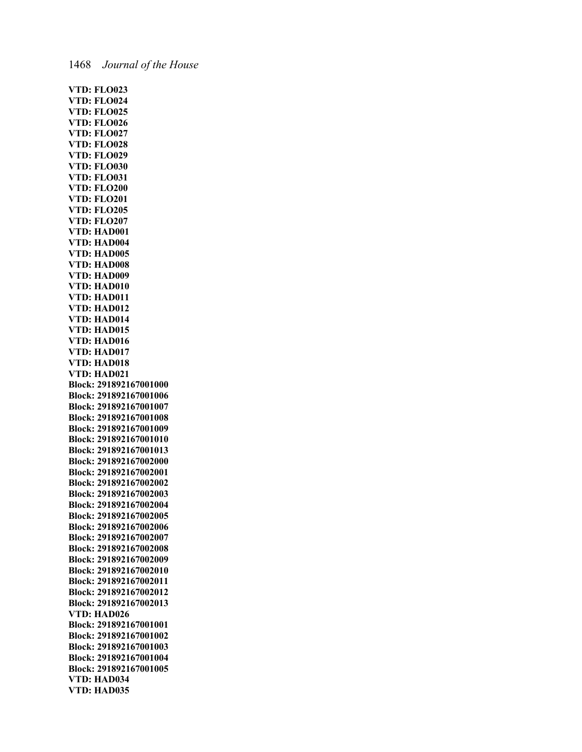**VTD: FLO023 VTD: FLO024 VTD: FLO025 VTD: FLO026 VTD: FLO027 VTD: FLO028 VTD: FLO029 VTD: FLO030 VTD: FLO031 VTD: FLO200 VTD: FLO201 VTD: FLO205 VTD: FLO207 VTD: HAD001 VTD: HAD004 VTD: HAD005 VTD: HAD008 VTD: HAD009 VTD: HAD010 VTD: HAD011 VTD: HAD012 VTD: HAD014 VTD: HAD015 VTD: HAD016 VTD: HAD017 VTD: HAD018 VTD: HAD021 Block: 291892167001000 Block: 291892167001006 Block: 291892167001007 Block: 291892167001008 Block: 291892167001009 Block: 291892167001010 Block: 291892167001013 Block: 291892167002000 Block: 291892167002001 Block: 291892167002002 Block: 291892167002003 Block: 291892167002004 Block: 291892167002005 Block: 291892167002006 Block: 291892167002007 Block: 291892167002008 Block: 291892167002009 Block: 291892167002010 Block: 291892167002011 Block: 291892167002012 Block: 291892167002013 VTD: HAD026 Block: 291892167001001 Block: 291892167001002 Block: 291892167001003 Block: 291892167001004 Block: 291892167001005 VTD: HAD034 VTD: HAD035**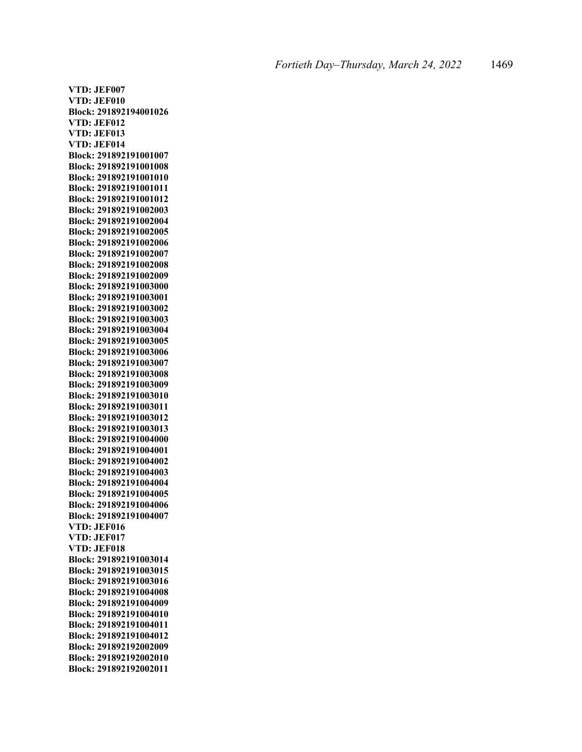**VTD: JEF007 VTD: JEF010 Block: 291892194001026 VTD: JEF012 VTD: JEF013 VTD: JEF014 Block: 291892191001007 Block: 291892191001008 Block: 291892191001010 Block: 291892191001011 Block: 291892191001012 Block: 291892191002003 Block: 291892191002004 Block: 291892191002005 Block: 291892191002006 Block: 291892191002007 Block: 291892191002008 Block: 291892191002009 Block: 291892191003000 Block: 291892191003001 Block: 291892191003002 Block: 291892191003003 Block: 291892191003004 Block: 291892191003005 Block: 291892191003006 Block: 291892191003007 Block: 291892191003008 Block: 291892191003009 Block: 291892191003010 Block: 291892191003011 Block: 291892191003012 Block: 291892191003013 Block: 291892191004000 Block: 291892191004001 Block: 291892191004002 Block: 291892191004003 Block: 291892191004004 Block: 291892191004005 Block: 291892191004006 Block: 291892191004007 VTD: JEF016 VTD: JEF017 VTD: JEF018 Block: 291892191003014 Block: 291892191003015 Block: 291892191003016 Block: 291892191004008 Block: 291892191004009 Block: 291892191004010 Block: 291892191004011 Block: 291892191004012 Block: 291892192002009 Block: 291892192002010 Block: 291892192002011**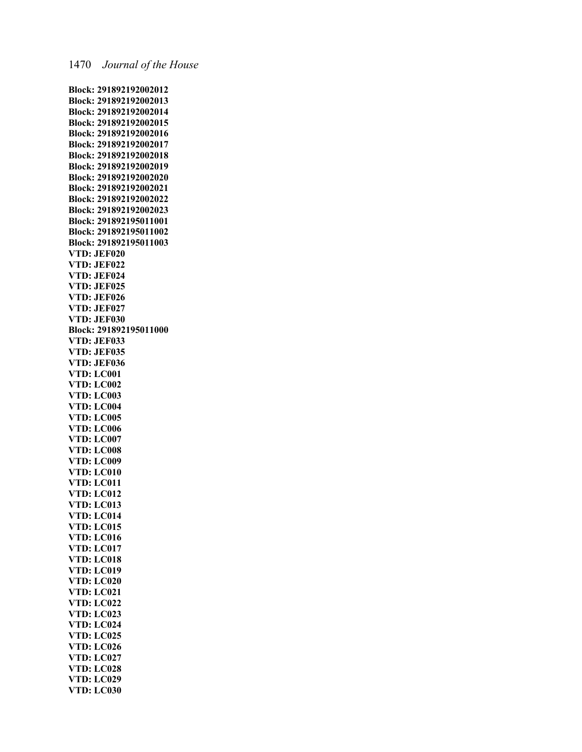**Block: 291892192002012 Block: 291892192002013 Block: 291892192002014 Block: 291892192002015 Block: 291892192002016 Block: 291892192002017 Block: 291892192002018 Block: 291892192002019 Block: 291892192002020 Block: 291892192002021 Block: 291892192002022 Block: 291892192002023 Block: 291892195011001 Block: 291892195011002 Block: 291892195011003 VTD: JEF020 VTD: JEF022 VTD: JEF024 VTD: JEF025 VTD: JEF026 VTD: JEF027 VTD: JEF030 Block: 291892195011000 VTD: JEF033 VTD: JEF035 VTD: JEF036 VTD: LC001 VTD: LC002 VTD: LC003 VTD: LC004 VTD: LC005 VTD: LC006 VTD: LC007 VTD: LC008 VTD: LC009 VTD: LC010 VTD: LC011 VTD: LC012 VTD: LC013 VTD: LC014 VTD: LC015 VTD: LC016 VTD: LC017 VTD: LC018 VTD: LC019 VTD: LC020 VTD: LC021 VTD: LC022 VTD: LC023 VTD: LC024 VTD: LC025 VTD: LC026 VTD: LC027 VTD: LC028 VTD: LC029 VTD: LC030**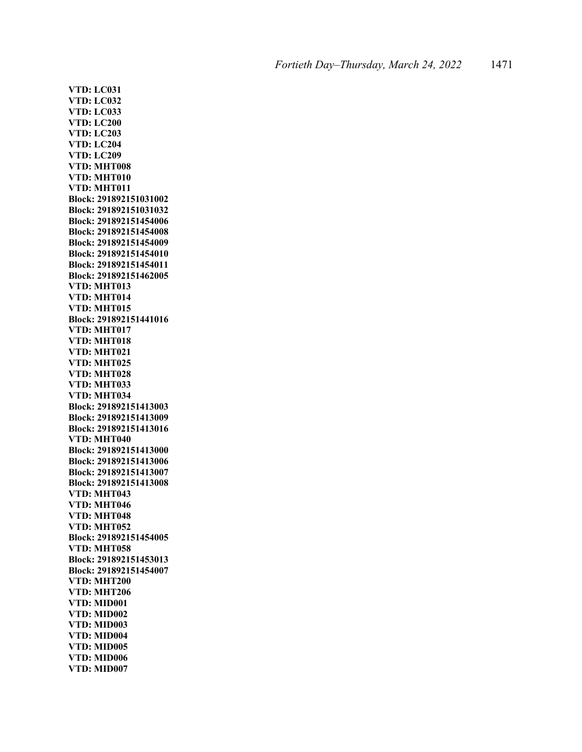**VTD: LC031 VTD: LC032 VTD: LC033 VTD: LC200 VTD: LC203 VTD: LC204 VTD: LC209 VTD: MHT008 VTD: MHT010 VTD: MHT011 Block: 291892151031002 Block: 291892151031032 Block: 291892151454006 Block: 291892151454008 Block: 291892151454009 Block: 291892151454010 Block: 291892151454011 Block: 291892151462005 VTD: MHT013 VTD: MHT014 VTD: MHT015 Block: 291892151441016 VTD: MHT017 VTD: MHT018 VTD: MHT021 VTD: MHT025 VTD: MHT028 VTD: MHT033 VTD: MHT034 Block: 291892151413003 Block: 291892151413009 Block: 291892151413016 VTD: MHT040 Block: 291892151413000 Block: 291892151413006 Block: 291892151413007 Block: 291892151413008 VTD: MHT043 VTD: MHT046 VTD: MHT048 VTD: MHT052 Block: 291892151454005 VTD: MHT058 Block: 291892151453013 Block: 291892151454007 VTD: MHT200 VTD: MHT206 VTD: MID001 VTD: MID002 VTD: MID003 VTD: MID004 VTD: MID005 VTD: MID006 VTD: MID007**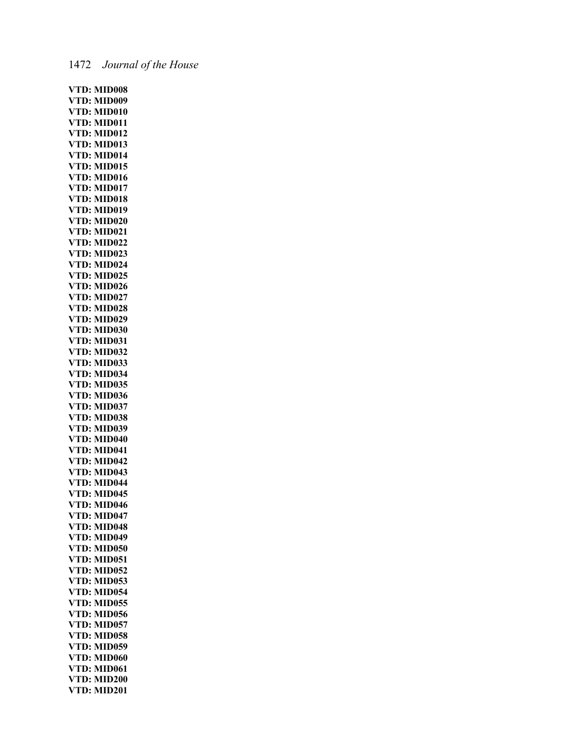**VTD: MID008 VTD: MID009 VTD: MID010 VTD: MID011 VTD: MID012 VTD: MID013 VTD: MID014 VTD: MID015 VTD: MID016 VTD: MID017 VTD: MID018 VTD: MID019 VTD: MID020 VTD: MID021 VTD: MID022 VTD: MID023 VTD: MID024 VTD: MID025 VTD: MID026 VTD: MID027 VTD: MID028 VTD: MID029 VTD: MID030 VTD: MID031 VTD: MID032 VTD: MID033 VTD: MID034 VTD: MID035 VTD: MID036 VTD: MID037 VTD: MID038 VTD: MID039 VTD: MID040 VTD: MID041 VTD: MID042 VTD: MID043 VTD: MID044 VTD: MID045 VTD: MID046 VTD: MID047 VTD: MID048 VTD: MID049 VTD: MID050 VTD: MID051 VTD: MID052 VTD: MID053 VTD: MID054 VTD: MID055 VTD: MID056 VTD: MID057 VTD: MID058 VTD: MID059 VTD: MID060 VTD: MID061 VTD: MID200 VTD: MID201**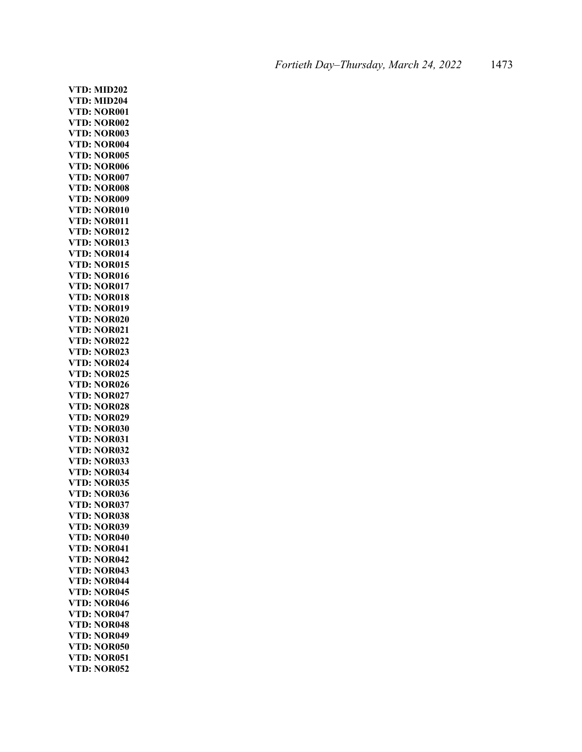**VTD: MID202 VTD: MID204 VTD: NOR001 VTD: NOR002 VTD: NOR003 VTD: NOR004 VTD: NOR005 VTD: NOR006 VTD: NOR007 VTD: NOR008 VTD: NOR009 VTD: NOR010 VTD: NOR011 VTD: NOR012 VTD: NOR013 VTD: NOR014 VTD: NOR015 VTD: NOR016 VTD: NOR017 VTD: NOR018 VTD: NOR019 VTD: NOR020 VTD: NOR021 VTD: NOR022 VTD: NOR023 VTD: NOR024 VTD: NOR025 VTD: NOR026 VTD: NOR027 VTD: NOR028 VTD: NOR029 VTD: NOR030 VTD: NOR031 VTD: NOR032 VTD: NOR033 VTD: NOR034 VTD: NOR035 VTD: NOR036 VTD: NOR037 VTD: NOR038 VTD: NOR039 VTD: NOR040 VTD: NOR041 VTD: NOR042 VTD: NOR043 VTD: NOR044 VTD: NOR045 VTD: NOR046 VTD: NOR047 VTD: NOR048 VTD: NOR049 VTD: NOR050 VTD: NOR051 VTD: NOR052**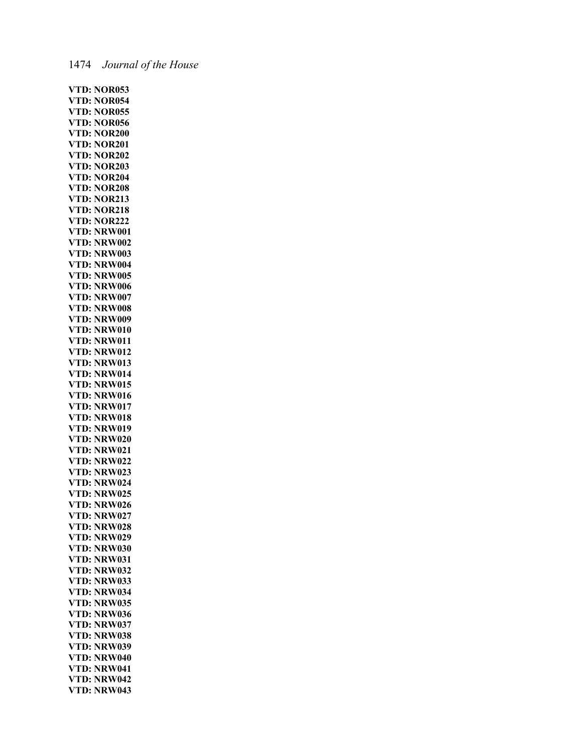### 1474 *Journal of the House*

**VTD: NOR053 VTD: NOR054 VTD: NOR055 VTD: NOR056 VTD: NOR200 VTD: NOR201 VTD: NOR202 VTD: NOR203 VTD: NOR204 VTD: NOR208 VTD: NOR213 VTD: NOR218 VTD: NOR222 VTD: NRW001 VTD: NRW002 VTD: NRW003 VTD: NRW004 VTD: NRW005 VTD: NRW006 VTD: NRW007 VTD: NRW008 VTD: NRW009 VTD: NRW010 VTD: NRW011 VTD: NRW012 VTD: NRW013 VTD: NRW014 VTD: NRW015 VTD: NRW016 VTD: NRW017 VTD: NRW018 VTD: NRW019 VTD: NRW020 VTD: NRW021 VTD: NRW022 VTD: NRW023 VTD: NRW024 VTD: NRW025 VTD: NRW026 VTD: NRW027 VTD: NRW028 VTD: NRW029 VTD: NRW030 VTD: NRW031 VTD: NRW032 VTD: NRW033 VTD: NRW034 VTD: NRW035 VTD: NRW036 VTD: NRW037 VTD: NRW038 VTD: NRW039 VTD: NRW040 VTD: NRW041 VTD: NRW042 VTD: NRW043**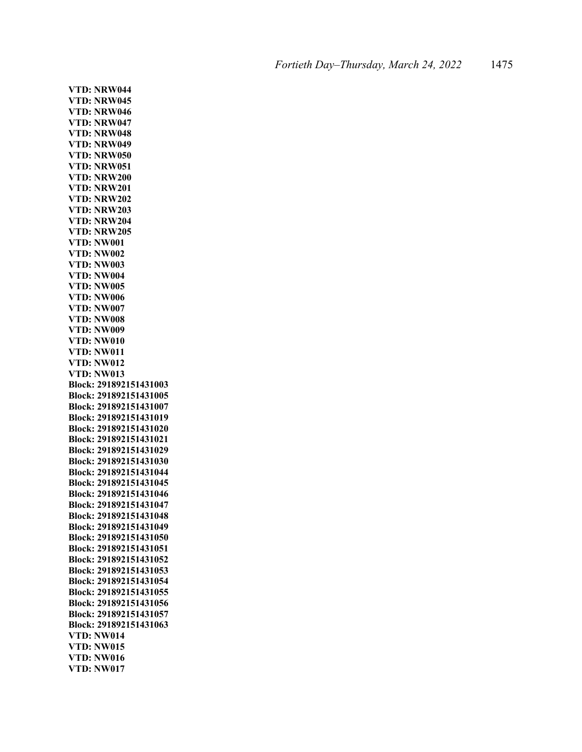**VTD: NRW044 VTD: NRW045 VTD: NRW046 VTD: NRW047 VTD: NRW048 VTD: NRW049 VTD: NRW050 VTD: NRW051 VTD: NRW200 VTD: NRW201 VTD: NRW202 VTD: NRW203 VTD: NRW204 VTD: NRW205 VTD: NW001 VTD: NW002 VTD: NW003 VTD: NW004 VTD: NW005 VTD: NW006 VTD: NW007 VTD: NW008 VTD: NW009 VTD: NW010 VTD: NW011 VTD: NW012 VTD: NW013 Block: 291892151431003 Block: 291892151431005 Block: 291892151431007 Block: 291892151431019 Block: 291892151431020 Block: 291892151431021 Block: 291892151431029 Block: 291892151431030 Block: 291892151431044 Block: 291892151431045 Block: 291892151431046 Block: 291892151431047 Block: 291892151431048 Block: 291892151431049 Block: 291892151431050 Block: 291892151431051 Block: 291892151431052 Block: 291892151431053 Block: 291892151431054 Block: 291892151431055 Block: 291892151431056 Block: 291892151431057 Block: 291892151431063 VTD: NW014 VTD: NW015 VTD: NW016 VTD: NW017**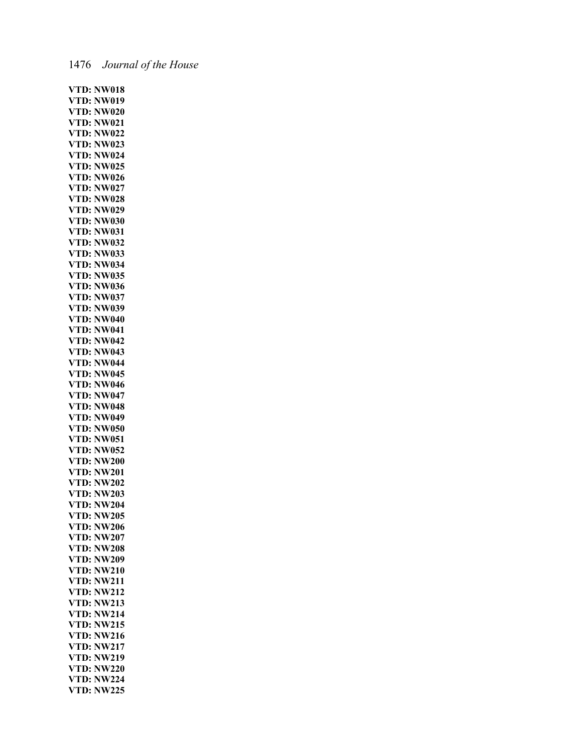|  | 1476 | Journal of the House |  |  |
|--|------|----------------------|--|--|
|--|------|----------------------|--|--|

| VTD:                                   | <b>NW018</b>                 |
|----------------------------------------|------------------------------|
| VTD:                                   | <b>NW019</b>                 |
| VTD:                                   | <b>NW020</b>                 |
| VTD:                                   | <b>NW021</b>                 |
| VTD:                                   | <b>NW022</b>                 |
| VTD:                                   | <b>NW023</b>                 |
| VTD:                                   | <b>NW024</b>                 |
| VTD:                                   | <b>NW025</b>                 |
| VTD:                                   | <b>NW026</b>                 |
| VTD:                                   | <b>NW027</b>                 |
| VTD:                                   | <b>NW028</b>                 |
| VT <mark>D:</mark><br>VTD:             | <b>NW029</b>                 |
|                                        | <b>NW030</b>                 |
| VTD:                                   | <b>NW031</b>                 |
| VTD:                                   | <b>NW032</b>                 |
| VTD:                                   | <b>NW033</b>                 |
| VTD:                                   | <b>NW034</b>                 |
| VTD:                                   | <b>NW035</b>                 |
| VTD:                                   | <b>NW036</b>                 |
| VTD:                                   | <b>NW037</b>                 |
| VTD:                                   | <b>NW039</b>                 |
| VTD:                                   | <b>NW040</b>                 |
| VTD:                                   | <b>NW041</b>                 |
| VTD:                                   | <b>NW042</b>                 |
| VTD:                                   | <b>NW043</b>                 |
| VTD:                                   | <b>NW044</b>                 |
| VTD:                                   | <b>NW045</b>                 |
| VTD:                                   | <b>NW046</b>                 |
| VTD:                                   | <b>NW047</b>                 |
| VTD:                                   | <b>NW048</b>                 |
| VTD:                                   | <b>NW049</b>                 |
| VTD:                                   | <b>NW050</b>                 |
| VTD:                                   | <b>NW051</b>                 |
| VTD:                                   | <b>NW052</b>                 |
| v 1 D:<br>VTD:<br>VTD:<br>VTD:<br>VTD: | <b>NW200</b>                 |
|                                        | <b>NW201</b>                 |
|                                        | <b>NW202</b>                 |
|                                        | <b>NW203</b>                 |
| VTD:                                   | <b>NW204</b>                 |
| VTD:                                   | <b>NW205</b>                 |
| VTD:                                   | <b>NW206</b>                 |
| VTD:                                   | <b>NW207</b>                 |
| VTD:                                   | <b>NW208</b>                 |
| VTD:                                   | <b>NW209</b>                 |
| VTD:                                   | <b>NW210</b>                 |
| VTD:                                   | <b>NW211</b><br><b>NW212</b> |
| VTD:<br>VTD:<br>VTD:                   | <b>NW213</b>                 |
|                                        | <b>NW214</b>                 |
| VTD:                                   | <b>NW215</b>                 |
| VTD:                                   | <b>NW216</b>                 |
| VTD:                                   | <b>NW217</b>                 |
| VTD:                                   | <b>NW219</b>                 |
| VTD:                                   | <b>NW220</b>                 |
| VTD:                                   | <b>NW224</b>                 |
| VTD:                                   | <b>NW225</b>                 |
|                                        |                              |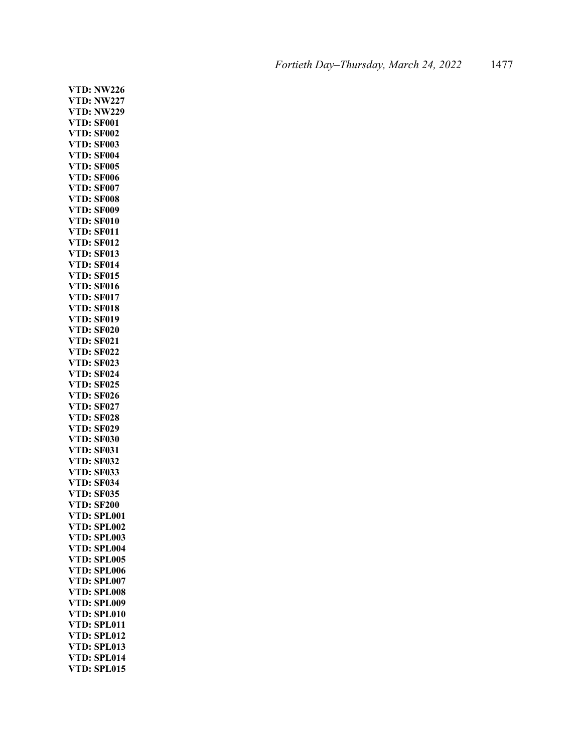**VTD: NW226 VTD: NW227 VTD: NW229 VTD: SF001 VTD: SF002 VTD: SF003 VTD: SF004 VTD: SF005 VTD: SF006 VTD: SF007 VTD: SF008 VTD: SF009 VTD: SF010 VTD: SF011 VTD: SF012 VTD: SF013 VTD: SF014 VTD: SF015 VTD: SF016 VTD: SF017 VTD: SF018 VTD: SF019 VTD: SF020 VTD: SF021 VTD: SF022 VTD: SF023 VTD: SF024 VTD: SF025 VTD: SF026 VTD: SF027 VTD: SF028 VTD: SF029 VTD: SF030 VTD: SF031 VTD: SF032 VTD: SF033 VTD: SF034 VTD: SF035 VTD: SF200 VTD: SPL001 VTD: SPL002 VTD: SPL003 VTD: SPL004 VTD: SPL005 VTD: SPL006 VTD: SPL007 VTD: SPL008 VTD: SPL009 VTD: SPL010 VTD: SPL011 VTD: SPL012 VTD: SPL013 VTD: SPL014 VTD: SPL015**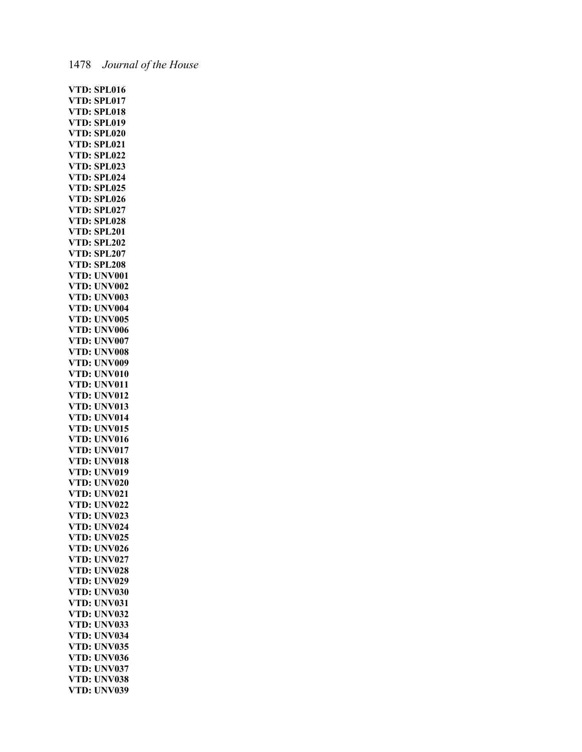# 1478 *Journal of the House*

| VTD:         | <b>SPL016</b> |
|--------------|---------------|
| VTD:         | SPL017        |
|              |               |
| VTD:         | <b>SPL018</b> |
| VTD:         | <b>SPL019</b> |
| VTD:         | <b>SPL020</b> |
| VTD:         | SPL021        |
|              |               |
| VTD:         | <b>SPL022</b> |
| VTD:         | <b>SPL023</b> |
| VTD:         | <b>SPL024</b> |
| D:<br>VT     | <b>SPL025</b> |
| VTD:         | <b>SPL026</b> |
|              |               |
| VTD:         | <b>SPL027</b> |
| VTD:         | <b>SPL028</b> |
| VTD:         | <b>SPL201</b> |
|              |               |
| VTD:         | <b>SPL202</b> |
| VTD:         | <b>SPL207</b> |
| VTD:         | <b>SPL208</b> |
| VTD:         | <b>UNV001</b> |
|              |               |
| VTD:         | <b>UNV002</b> |
| VTD:         | <b>UNV003</b> |
|              | <b>UNV004</b> |
| VTD:<br>VTD: | <b>UNV005</b> |
| VTD:         |               |
|              | <b>UNV006</b> |
| VTD:         | <b>UNV007</b> |
| VTD:         | <b>UNV008</b> |
| VTD:         | <b>UNV009</b> |
| VTD:         | <b>UNV010</b> |
|              |               |
| VTD:         | <b>UNV011</b> |
| VTD:         | <b>UNV012</b> |
| VTD:         | <b>UNV013</b> |
| VTD:         | <b>UNV014</b> |
|              |               |
| VTD:         | <b>UNV015</b> |
| VTD:         | <b>UNV016</b> |
| VTD:         | <b>UNV017</b> |
| VTD:         | <b>UNV018</b> |
| VTD:         |               |
|              | <b>UNV019</b> |
| VTD:         | <b>UNV020</b> |
| VTD:         | <b>UNV021</b> |
| VTD:         | <b>UNV022</b> |
| VTD:         | <b>UNV023</b> |
|              |               |
| VTD:         | <b>UNV024</b> |
| VTD:         | <b>UNV025</b> |
| VTD:         | <b>UNV026</b> |
| VTD:         | <b>UNV027</b> |
|              |               |
| VTD:<br>VTD: | <b>UNV028</b> |
|              | <b>UNV029</b> |
| VTD:         | <b>UNV030</b> |
| VTD:         | <b>UNV031</b> |
| VTD:         | <b>UNV032</b> |
|              |               |
| VTD:         | <b>UNV033</b> |
| VTD:         | <b>UNV034</b> |
| VTD:         | <b>UNV035</b> |
| VTD:         | <b>UNV036</b> |
|              |               |
| VTD:         | <b>UNV037</b> |
| VTD:         | <b>UNV038</b> |
| VTD:         | <b>UNV039</b> |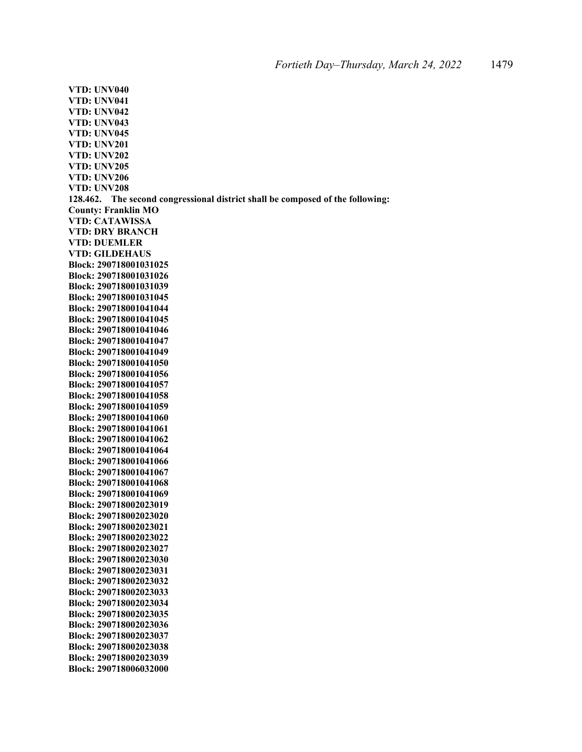**VTD: UNV040 VTD: UNV041 VTD: UNV042 VTD: UNV043 VTD: UNV045 VTD: UNV201 VTD: UNV202 VTD: UNV205 VTD: UNV206 VTD: UNV208 128.462. The second congressional district shall be composed of the following: County: Franklin MO VTD: CATAWISSA VTD: DRY BRANCH VTD: DUEMLER VTD: GILDEHAUS Block: 290718001031025 Block: 290718001031026 Block: 290718001031039 Block: 290718001031045 Block: 290718001041044 Block: 290718001041045 Block: 290718001041046 Block: 290718001041047 Block: 290718001041049 Block: 290718001041050 Block: 290718001041056 Block: 290718001041057 Block: 290718001041058 Block: 290718001041059 Block: 290718001041060 Block: 290718001041061 Block: 290718001041062 Block: 290718001041064 Block: 290718001041066 Block: 290718001041067 Block: 290718001041068 Block: 290718001041069 Block: 290718002023019 Block: 290718002023020 Block: 290718002023021 Block: 290718002023022 Block: 290718002023027 Block: 290718002023030 Block: 290718002023031 Block: 290718002023032 Block: 290718002023033 Block: 290718002023034 Block: 290718002023035 Block: 290718002023036 Block: 290718002023037 Block: 290718002023038 Block: 290718002023039 Block: 290718006032000**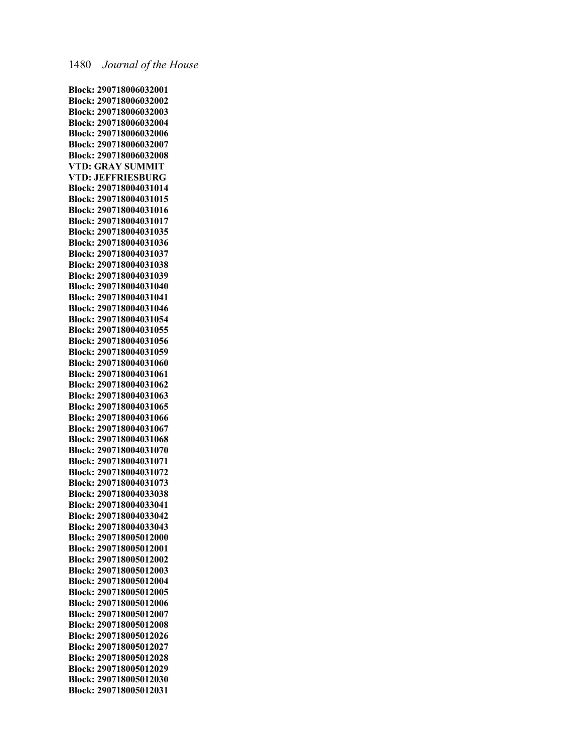**Block: 290718006032001 Block: 290718006032002 Block: 290718006032003 Block: 290718006032004 Block: 290718006032006 Block: 290718006032007 Block: 290718006032008 VTD: GRAY SUMMIT VTD: JEFFRIESBURG Block: 290718004031014 Block: 290718004031015 Block: 290718004031016 Block: 290718004031017 Block: 290718004031035 Block: 290718004031036 Block: 290718004031037 Block: 290718004031038 Block: 290718004031039 Block: 290718004031040 Block: 290718004031041 Block: 290718004031046 Block: 290718004031054 Block: 290718004031055 Block: 290718004031056 Block: 290718004031059 Block: 290718004031060 Block: 290718004031061 Block: 290718004031062 Block: 290718004031063 Block: 290718004031065 Block: 290718004031066 Block: 290718004031067 Block: 290718004031068 Block: 290718004031070 Block: 290718004031071 Block: 290718004031072 Block: 290718004031073 Block: 290718004033038 Block: 290718004033041 Block: 290718004033042 Block: 290718004033043 Block: 290718005012000 Block: 290718005012001 Block: 290718005012002 Block: 290718005012003 Block: 290718005012004 Block: 290718005012005 Block: 290718005012006 Block: 290718005012007 Block: 290718005012008 Block: 290718005012026 Block: 290718005012027 Block: 290718005012028 Block: 290718005012029 Block: 290718005012030 Block: 290718005012031**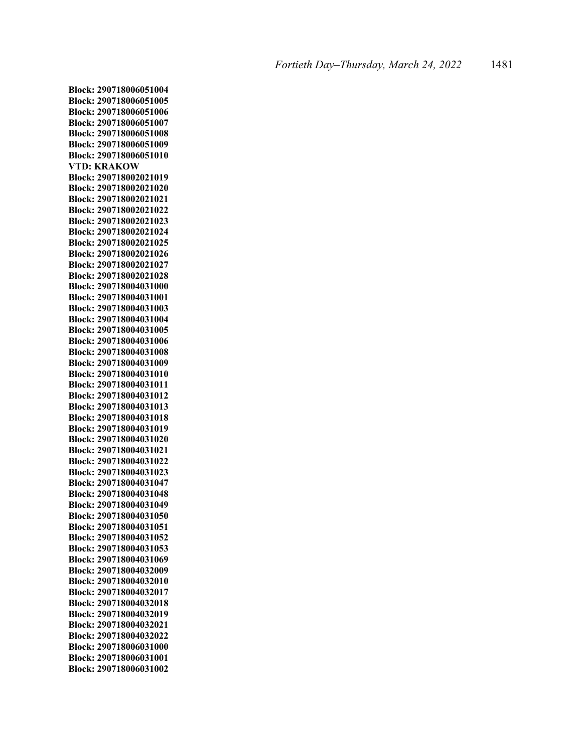**Block: 290718006051004 Block: 290718006051005 Block: 290718006051006 Block: 290718006051007 Block: 290718006051008 Block: 290718006051009 Block: 290718006051010 VTD: KRAKOW Block: 290718002021019 Block: 290718002021020 Block: 290718002021021 Block: 290718002021022 Block: 290718002021023 Block: 290718002021024 Block: 290718002021025 Block: 290718002021026 Block: 290718002021027 Block: 290718002021028 Block: 290718004031000 Block: 290718004031001 Block: 290718004031003 Block: 290718004031004 Block: 290718004031005 Block: 290718004031006 Block: 290718004031008 Block: 290718004031009 Block: 290718004031010 Block: 290718004031011 Block: 290718004031012 Block: 290718004031013 Block: 290718004031018 Block: 290718004031019 Block: 290718004031020 Block: 290718004031021 Block: 290718004031022 Block: 290718004031023 Block: 290718004031047 Block: 290718004031048 Block: 290718004031049 Block: 290718004031050 Block: 290718004031051 Block: 290718004031052 Block: 290718004031053 Block: 290718004031069 Block: 290718004032009 Block: 290718004032010 Block: 290718004032017 Block: 290718004032018 Block: 290718004032019 Block: 290718004032021 Block: 290718004032022 Block: 290718006031000 Block: 290718006031001 Block: 290718006031002**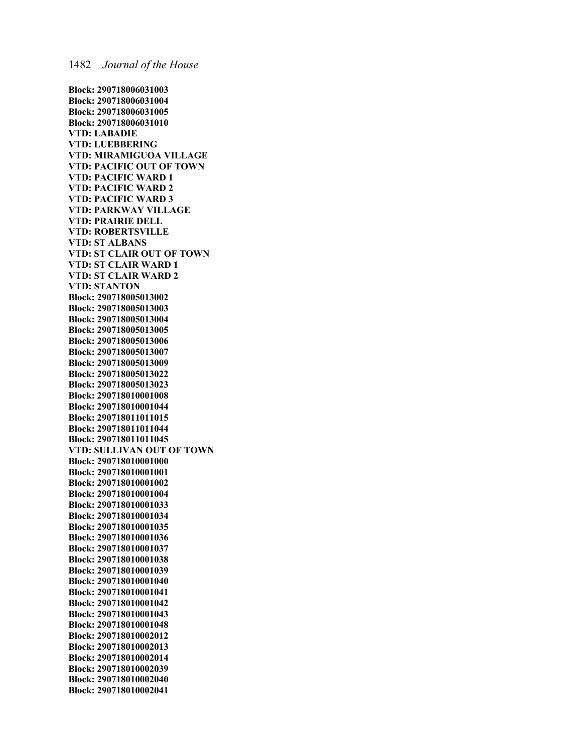**Block: 290718006031003 Block: 290718006031004 Block: 290718006031005 Block: 290718006031010 VTD: LABADIE VTD: LUEBBERING VTD: MIRAMIGUOA VILLAGE VTD: PACIFIC OUT OF TOWN VTD: PACIFIC WARD 1 VTD: PACIFIC WARD 2 VTD: PACIFIC WARD 3 VTD: PARKWAY VILLAGE VTD: PRAIRIE DELL VTD: ROBERTSVILLE VTD: ST ALBANS VTD: ST CLAIR OUT OF TOWN VTD: ST CLAIR WARD 1 VTD: ST CLAIR WARD 2 VTD: STANTON Block: 290718005013002 Block: 290718005013003 Block: 290718005013004 Block: 290718005013005 Block: 290718005013006 Block: 290718005013007 Block: 290718005013009 Block: 290718005013022 Block: 290718005013023 Block: 290718010001008 Block: 290718010001044 Block: 290718011011015 Block: 290718011011044 Block: 290718011011045 VTD: SULLIVAN OUT OF TOWN Block: 290718010001000 Block: 290718010001001 Block: 290718010001002 Block: 290718010001004 Block: 290718010001033 Block: 290718010001034 Block: 290718010001035 Block: 290718010001036 Block: 290718010001037 Block: 290718010001038 Block: 290718010001039 Block: 290718010001040 Block: 290718010001041 Block: 290718010001042 Block: 290718010001043 Block: 290718010001048 Block: 290718010002012 Block: 290718010002013 Block: 290718010002014 Block: 290718010002039 Block: 290718010002040 Block: 290718010002041**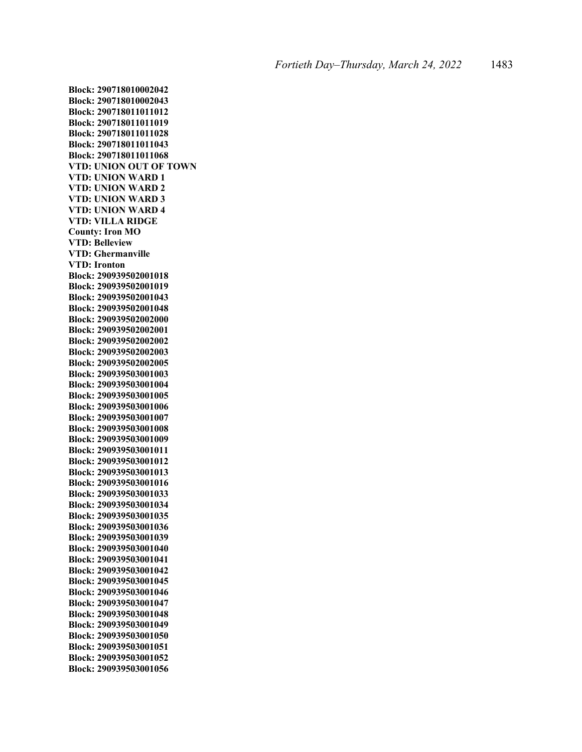**Block: 290718010002042 Block: 290718010002043 Block: 290718011011012 Block: 290718011011019 Block: 290718011011028 Block: 290718011011043 Block: 290718011011068 VTD: UNION OUT OF TOWN VTD: UNION WARD 1 VTD: UNION WARD 2 VTD: UNION WARD 3 VTD: UNION WARD 4 VTD: VILLA RIDGE County: Iron MO VTD: Belleview VTD: Ghermanville VTD: Ironton Block: 290939502001018 Block: 290939502001019 Block: 290939502001043 Block: 290939502001048 Block: 290939502002000 Block: 290939502002001 Block: 290939502002002 Block: 290939502002003 Block: 290939502002005 Block: 290939503001003 Block: 290939503001004 Block: 290939503001005 Block: 290939503001006 Block: 290939503001007 Block: 290939503001008 Block: 290939503001009 Block: 290939503001011 Block: 290939503001012 Block: 290939503001013 Block: 290939503001016 Block: 290939503001033 Block: 290939503001034 Block: 290939503001035 Block: 290939503001036 Block: 290939503001039 Block: 290939503001040 Block: 290939503001041 Block: 290939503001042 Block: 290939503001045 Block: 290939503001046 Block: 290939503001047 Block: 290939503001048 Block: 290939503001049 Block: 290939503001050 Block: 290939503001051 Block: 290939503001052 Block: 290939503001056**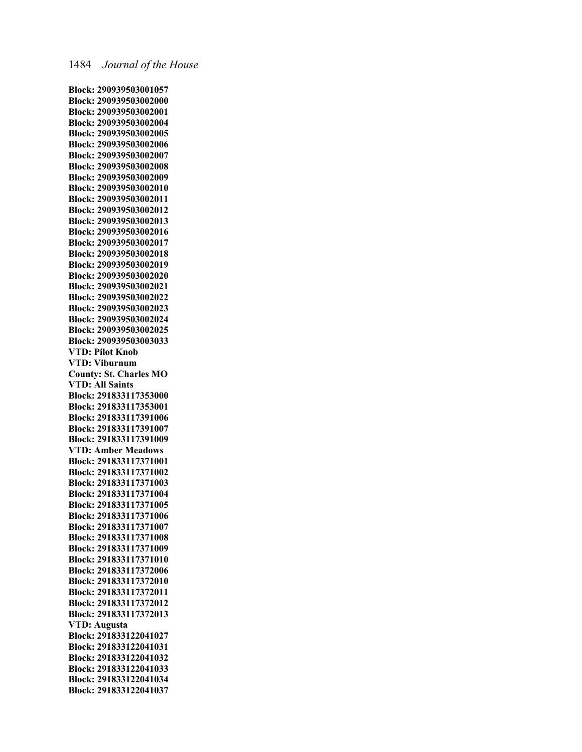**Block: 290939503001057 Block: 290939503002000 Block: 290939503002001 Block: 290939503002004 Block: 290939503002005 Block: 290939503002006 Block: 290939503002007 Block: 290939503002008 Block: 290939503002009 Block: 290939503002010 Block: 290939503002011 Block: 290939503002012 Block: 290939503002013 Block: 290939503002016 Block: 290939503002017 Block: 290939503002018 Block: 290939503002019 Block: 290939503002020 Block: 290939503002021 Block: 290939503002022 Block: 290939503002023 Block: 290939503002024 Block: 290939503002025 Block: 290939503003033 VTD: Pilot Knob VTD: Viburnum County: St. Charles MO VTD: All Saints Block: 291833117353000 Block: 291833117353001 Block: 291833117391006 Block: 291833117391007 Block: 291833117391009 VTD: Amber Meadows Block: 291833117371001 Block: 291833117371002 Block: 291833117371003 Block: 291833117371004 Block: 291833117371005 Block: 291833117371006 Block: 291833117371007 Block: 291833117371008 Block: 291833117371009 Block: 291833117371010 Block: 291833117372006 Block: 291833117372010 Block: 291833117372011 Block: 291833117372012 Block: 291833117372013 VTD: Augusta Block: 291833122041027 Block: 291833122041031 Block: 291833122041032 Block: 291833122041033 Block: 291833122041034 Block: 291833122041037**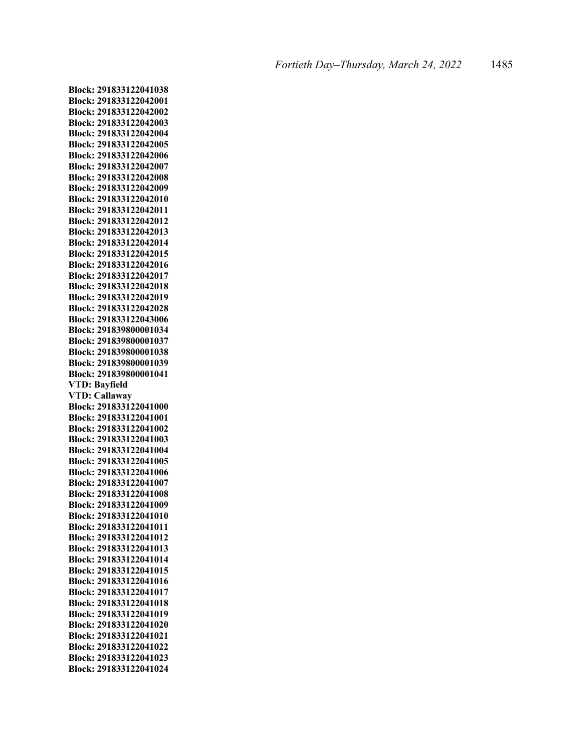**Block: 291833122041038 Block: 291833122042001 Block: 291833122042002 Block: 291833122042003 Block: 291833122042004 Block: 291833122042005 Block: 291833122042006 Block: 291833122042007 Block: 291833122042008 Block: 291833122042009 Block: 291833122042010 Block: 291833122042011 Block: 291833122042012 Block: 291833122042013 Block: 291833122042014 Block: 291833122042015 Block: 291833122042016 Block: 291833122042017 Block: 291833122042018 Block: 291833122042019 Block: 291833122042028 Block: 291833122043006 Block: 291839800001034 Block: 291839800001037 Block: 291839800001038 Block: 291839800001039 Block: 291839800001041 VTD: Bayfield VTD: Callaway Block: 291833122041000 Block: 291833122041001 Block: 291833122041002 Block: 291833122041003 Block: 291833122041004 Block: 291833122041005 Block: 291833122041006 Block: 291833122041007 Block: 291833122041008 Block: 291833122041009 Block: 291833122041010 Block: 291833122041011 Block: 291833122041012 Block: 291833122041013 Block: 291833122041014 Block: 291833122041015 Block: 291833122041016 Block: 291833122041017 Block: 291833122041018 Block: 291833122041019 Block: 291833122041020 Block: 291833122041021 Block: 291833122041022 Block: 291833122041023 Block: 291833122041024**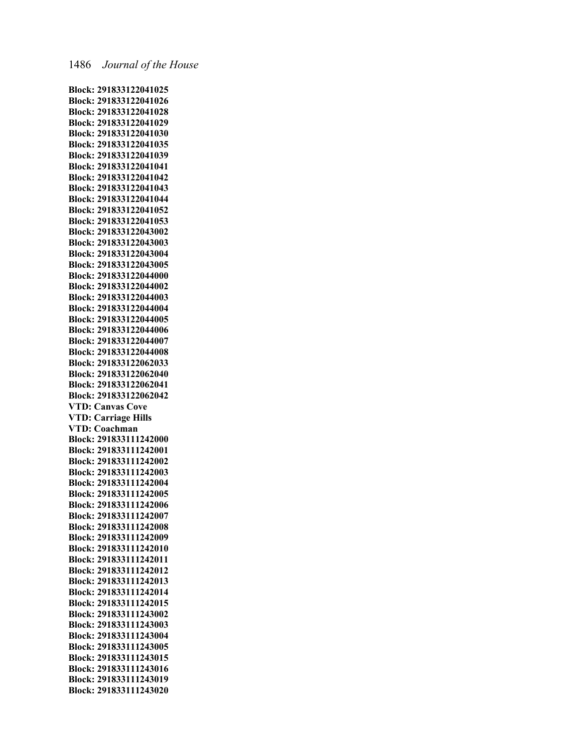**Block: 291833122041025 Block: 291833122041026 Block: 291833122041028 Block: 291833122041029 Block: 291833122041030 Block: 291833122041035 Block: 291833122041039 Block: 291833122041041 Block: 291833122041042 Block: 291833122041043 Block: 291833122041044 Block: 291833122041052 Block: 291833122041053 Block: 291833122043002 Block: 291833122043003 Block: 291833122043004 Block: 291833122043005 Block: 291833122044000 Block: 291833122044002 Block: 291833122044003 Block: 291833122044004 Block: 291833122044005 Block: 291833122044006 Block: 291833122044007 Block: 291833122044008 Block: 291833122062033 Block: 291833122062040 Block: 291833122062041 Block: 291833122062042 VTD: Canvas Cove VTD: Carriage Hills VTD: Coachman Block: 291833111242000 Block: 291833111242001 Block: 291833111242002 Block: 291833111242003 Block: 291833111242004 Block: 291833111242005 Block: 291833111242006 Block: 291833111242007 Block: 291833111242008 Block: 291833111242009 Block: 291833111242010 Block: 291833111242011 Block: 291833111242012 Block: 291833111242013 Block: 291833111242014 Block: 291833111242015 Block: 291833111243002 Block: 291833111243003 Block: 291833111243004 Block: 291833111243005 Block: 291833111243015 Block: 291833111243016 Block: 291833111243019 Block: 291833111243020**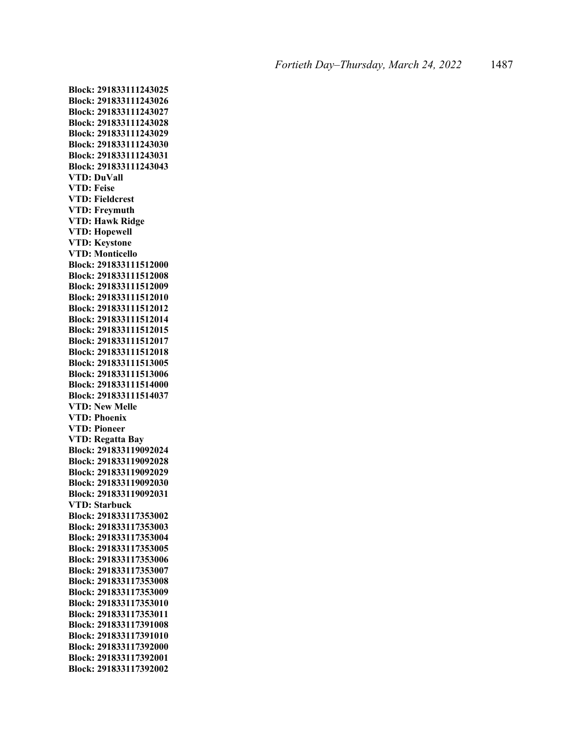**Block: 291833111243025 Block: 291833111243026 Block: 291833111243027 Block: 291833111243028 Block: 291833111243029 Block: 291833111243030 Block: 291833111243031 Block: 291833111243043 VTD: DuVall VTD: Feise VTD: Fieldcrest VTD: Freymuth VTD: Hawk Ridge VTD: Hopewell VTD: Keystone VTD: Monticello Block: 291833111512000 Block: 291833111512008 Block: 291833111512009 Block: 291833111512010 Block: 291833111512012 Block: 291833111512014 Block: 291833111512015 Block: 291833111512017 Block: 291833111512018 Block: 291833111513005 Block: 291833111513006 Block: 291833111514000 Block: 291833111514037 VTD: New Melle VTD: Phoenix VTD: Pioneer VTD: Regatta Bay Block: 291833119092024 Block: 291833119092028 Block: 291833119092029 Block: 291833119092030 Block: 291833119092031 VTD: Starbuck Block: 291833117353002 Block: 291833117353003 Block: 291833117353004 Block: 291833117353005 Block: 291833117353006 Block: 291833117353007 Block: 291833117353008 Block: 291833117353009 Block: 291833117353010 Block: 291833117353011 Block: 291833117391008 Block: 291833117391010 Block: 291833117392000 Block: 291833117392001 Block: 291833117392002**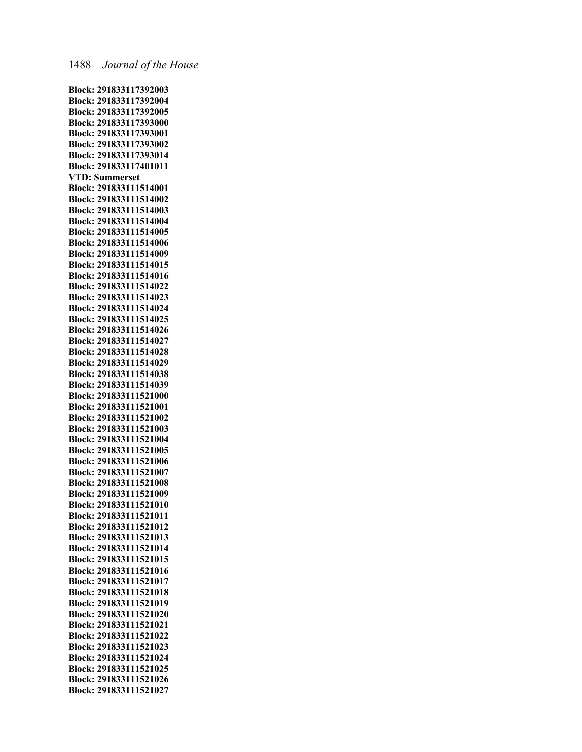**Block: 291833117392003 Block: 291833117392004 Block: 291833117392005 Block: 291833117393000 Block: 291833117393001 Block: 291833117393002 Block: 291833117393014 Block: 291833117401011 VTD: Summerset Block: 291833111514001 Block: 291833111514002 Block: 291833111514003 Block: 291833111514004 Block: 291833111514005 Block: 291833111514006 Block: 291833111514009 Block: 291833111514015 Block: 291833111514016 Block: 291833111514022 Block: 291833111514023 Block: 291833111514024 Block: 291833111514025 Block: 291833111514026 Block: 291833111514027 Block: 291833111514028 Block: 291833111514029 Block: 291833111514038 Block: 291833111514039 Block: 291833111521000 Block: 291833111521001 Block: 291833111521002 Block: 291833111521003 Block: 291833111521004 Block: 291833111521005 Block: 291833111521006 Block: 291833111521007 Block: 291833111521008 Block: 291833111521009 Block: 291833111521010 Block: 291833111521011 Block: 291833111521012 Block: 291833111521013 Block: 291833111521014 Block: 291833111521015 Block: 291833111521016 Block: 291833111521017 Block: 291833111521018 Block: 291833111521019 Block: 291833111521020 Block: 291833111521021 Block: 291833111521022 Block: 291833111521023 Block: 291833111521024 Block: 291833111521025 Block: 291833111521026 Block: 291833111521027**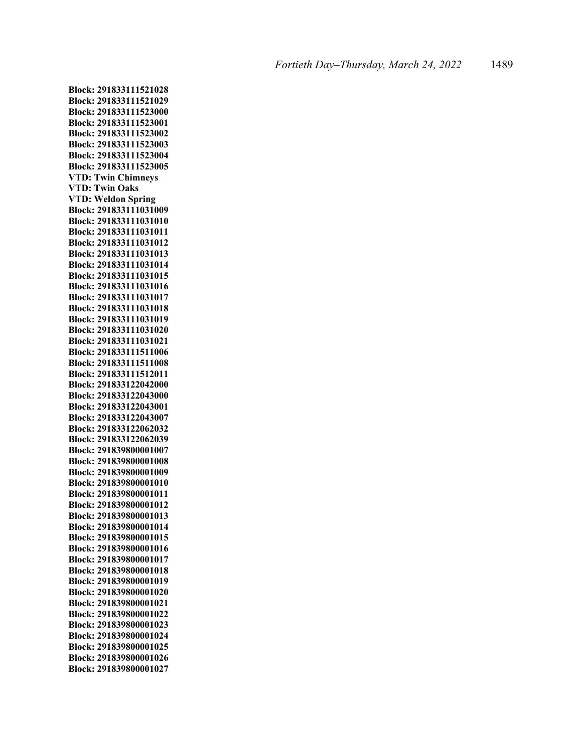**Block: 291833111521028 Block: 291833111521029 Block: 291833111523000 Block: 291833111523001 Block: 291833111523002 Block: 291833111523003 Block: 291833111523004 Block: 291833111523005 VTD: Twin Chimneys VTD: Twin Oaks VTD: Weldon Spring Block: 291833111031009 Block: 291833111031010 Block: 291833111031011 Block: 291833111031012 Block: 291833111031013 Block: 291833111031014 Block: 291833111031015 Block: 291833111031016 Block: 291833111031017 Block: 291833111031018 Block: 291833111031019 Block: 291833111031020 Block: 291833111031021 Block: 291833111511006 Block: 291833111511008 Block: 291833111512011 Block: 291833122042000 Block: 291833122043000 Block: 291833122043001 Block: 291833122043007 Block: 291833122062032 Block: 291833122062039 Block: 291839800001007 Block: 291839800001008 Block: 291839800001009 Block: 291839800001010 Block: 291839800001011 Block: 291839800001012 Block: 291839800001013 Block: 291839800001014 Block: 291839800001015 Block: 291839800001016 Block: 291839800001017 Block: 291839800001018 Block: 291839800001019 Block: 291839800001020 Block: 291839800001021 Block: 291839800001022 Block: 291839800001023 Block: 291839800001024 Block: 291839800001025 Block: 291839800001026 Block: 291839800001027**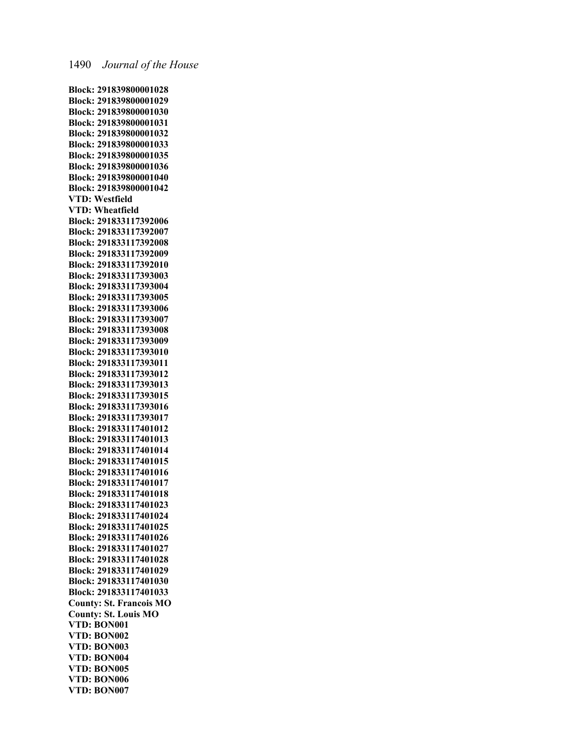**Block: 291839800001028 Block: 291839800001029 Block: 291839800001030 Block: 291839800001031 Block: 291839800001032 Block: 291839800001033 Block: 291839800001035 Block: 291839800001036 Block: 291839800001040 Block: 291839800001042 VTD: Westfield VTD: Wheatfield Block: 291833117392006 Block: 291833117392007 Block: 291833117392008 Block: 291833117392009 Block: 291833117392010 Block: 291833117393003 Block: 291833117393004 Block: 291833117393005 Block: 291833117393006 Block: 291833117393007 Block: 291833117393008 Block: 291833117393009 Block: 291833117393010 Block: 291833117393011 Block: 291833117393012 Block: 291833117393013 Block: 291833117393015 Block: 291833117393016 Block: 291833117393017 Block: 291833117401012 Block: 291833117401013 Block: 291833117401014 Block: 291833117401015 Block: 291833117401016 Block: 291833117401017 Block: 291833117401018 Block: 291833117401023 Block: 291833117401024 Block: 291833117401025 Block: 291833117401026 Block: 291833117401027 Block: 291833117401028 Block: 291833117401029 Block: 291833117401030 Block: 291833117401033 County: St. Francois MO County: St. Louis MO VTD: BON001 VTD: BON002 VTD: BON003 VTD: BON004 VTD: BON005 VTD: BON006 VTD: BON007**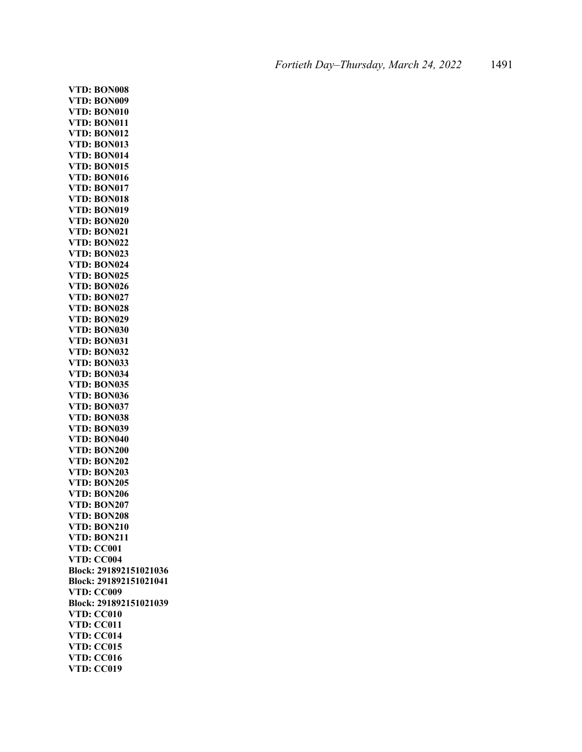**VTD: BON008 VTD: BON009 VTD: BON010 VTD: BON011 VTD: BON012 VTD: BON013 VTD: BON014 VTD: BON015 VTD: BON016 VTD: BON017 VTD: BON018 VTD: BON019 VTD: BON020 VTD: BON021 VTD: BON022 VTD: BON023 VTD: BON024 VTD: BON025 VTD: BON026 VTD: BON027 VTD: BON028 VTD: BON029 VTD: BON030 VTD: BON031 VTD: BON032 VTD: BON033 VTD: BON034 VTD: BON035 VTD: BON036 VTD: BON037 VTD: BON038 VTD: BON039 VTD: BON040 VTD: BON200 VTD: BON202 VTD: BON203 VTD: BON205 VTD: BON206 VTD: BON207 VTD: BON208 VTD: BON210 VTD: BON211 VTD: CC001 VTD: CC004 Block: 291892151021036 Block: 291892151021041 VTD: CC009 Block: 291892151021039 VTD: CC010 VTD: CC011 VTD: CC014 VTD: CC015 VTD: CC016 VTD: CC019**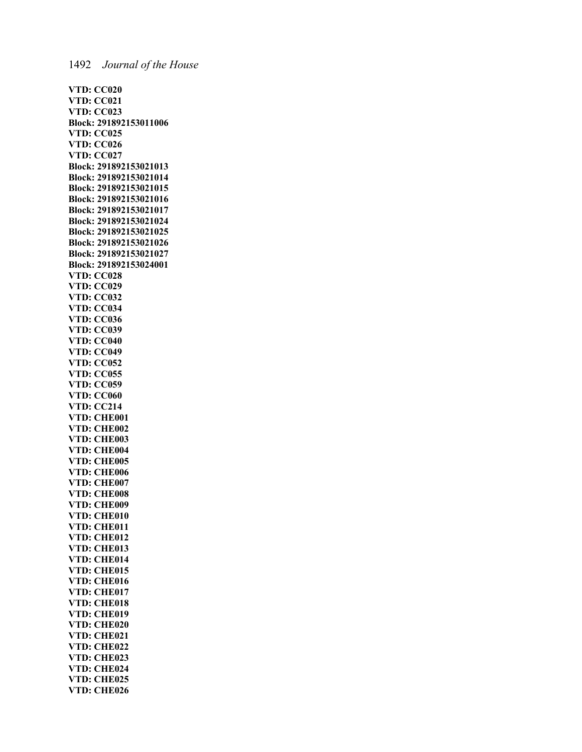**VTD: CC020 VTD: CC021 VTD: CC023 Block: 291892153011006 VTD: CC025 VTD: CC026 VTD: CC027 Block: 291892153021013 Block: 291892153021014 Block: 291892153021015 Block: 291892153021016 Block: 291892153021017 Block: 291892153021024 Block: 291892153021025 Block: 291892153021026 Block: 291892153021027 Block: 291892153024001 VTD: CC028 VTD: CC029 VTD: CC032 VTD: CC034 VTD: CC036 VTD: CC039 VTD: CC040 VTD: CC049 VTD: CC052 VTD: CC055 VTD: CC059 VTD: CC060 VTD: CC214 VTD: CHE001 VTD: CHE002 VTD: CHE003 VTD: CHE004 VTD: CHE005 VTD: CHE006 VTD: CHE007 VTD: CHE008 VTD: CHE009 VTD: CHE010 VTD: CHE011 VTD: CHE012 VTD: CHE013 VTD: CHE014 VTD: CHE015 VTD: CHE016 VTD: CHE017 VTD: CHE018 VTD: CHE019 VTD: CHE020 VTD: CHE021 VTD: CHE022 VTD: CHE023 VTD: CHE024 VTD: CHE025 VTD: CHE026**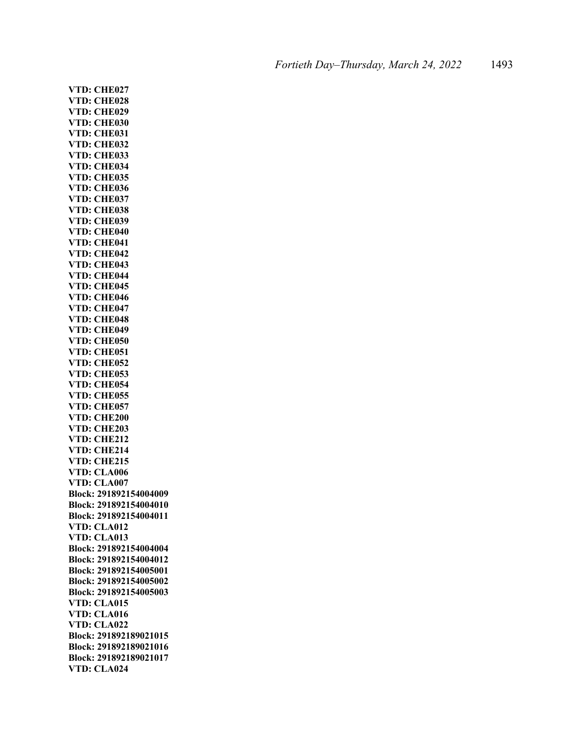**VTD: CHE027 VTD: CHE028 VTD: CHE029 VTD: CHE030 VTD: CHE031 VTD: CHE032 VTD: CHE033 VTD: CHE034 VTD: CHE035 VTD: CHE036 VTD: CHE037 VTD: CHE038 VTD: CHE039 VTD: CHE040 VTD: CHE041 VTD: CHE042 VTD: CHE043 VTD: CHE044 VTD: CHE045 VTD: CHE046 VTD: CHE047 VTD: CHE048 VTD: CHE049 VTD: CHE050 VTD: CHE051 VTD: CHE052 VTD: CHE053 VTD: CHE054 VTD: CHE055 VTD: CHE057 VTD: CHE200 VTD: CHE203 VTD: CHE212 VTD: CHE214 VTD: CHE215 VTD: CLA006 VTD: CLA007 Block: 291892154004009 Block: 291892154004010 Block: 291892154004011 VTD: CLA012 VTD: CLA013 Block: 291892154004004 Block: 291892154004012 Block: 291892154005001 Block: 291892154005002 Block: 291892154005003 VTD: CLA015 VTD: CLA016 VTD: CLA022 Block: 291892189021015 Block: 291892189021016 Block: 291892189021017 VTD: CLA024**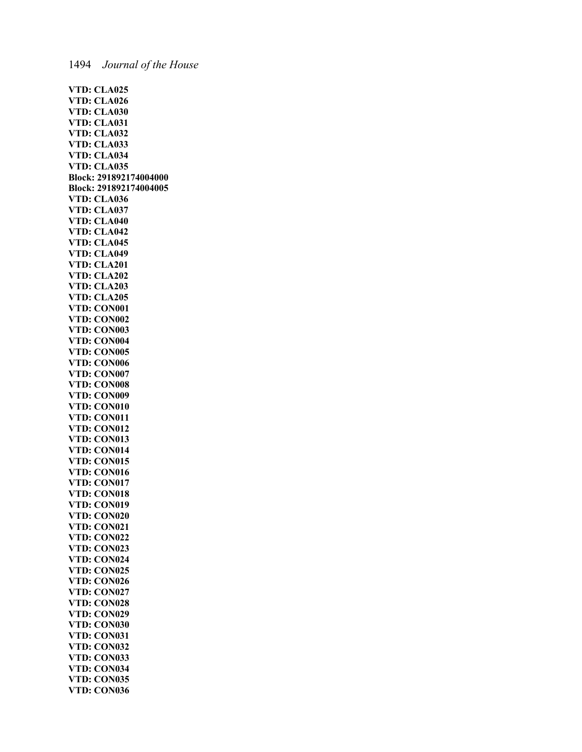| VTD: CLA025                                        |
|----------------------------------------------------|
|                                                    |
| <b>VTD: CLA026<br/>VTD: CLA030<br/>VTD: CLA031</b> |
|                                                    |
| VTD: CLA032                                        |
|                                                    |
| VTD: CLA033                                        |
| VTD: CLA034                                        |
| VTD: CLA035                                        |
| Block: 291892174004000                             |
| Block: 291892174004005                             |
| VTD: CLA036                                        |
| VTD: CLA037                                        |
| <b>VTD: CLA040</b>                                 |
|                                                    |
| <b>VTD: CLA042<br/>VTD: CLA045<br/>VTD: CLA049</b> |
|                                                    |
| VTD: CLA201                                        |
| VTD: CLA202                                        |
| VTD: CLA203                                        |
| VTD: CLA205                                        |
| VTD: CON001                                        |
| VTD: CON002                                        |
| VTD: CON003                                        |
| VTD: CON004                                        |
|                                                    |
| VTD: CON005                                        |
| VTD: CON006<br>VTD: CON007                         |
| VTD: CON008                                        |
| VTD: CON009                                        |
|                                                    |
| VTD: CON010                                        |
| VTD: CON011                                        |
| VTD: CON012                                        |
| VTD: CON013                                        |
| VTD: CON014                                        |
| VTD: CON015                                        |
| VTD: CON016                                        |
| VTD: CON017<br>VTD: CON018                         |
|                                                    |
| VTD: CON019                                        |
| VTD: CON020                                        |
| VTD: CON021                                        |
| VTD: CON022                                        |
| VTD: CON023                                        |
| VTD: CON024                                        |
| VTD: CON025                                        |
| VTD: CON026                                        |
| VTD: CON027                                        |
| VTD: CON028                                        |
| VTD: CON029                                        |
| VTD: CON030                                        |
| VTD: CON031                                        |
| VTD: CON032                                        |
| VTD: CON033                                        |
| VTD: CON034                                        |
| VTD: CON035                                        |
| VTD: CON036                                        |
|                                                    |

# 1494 *Journal of the House*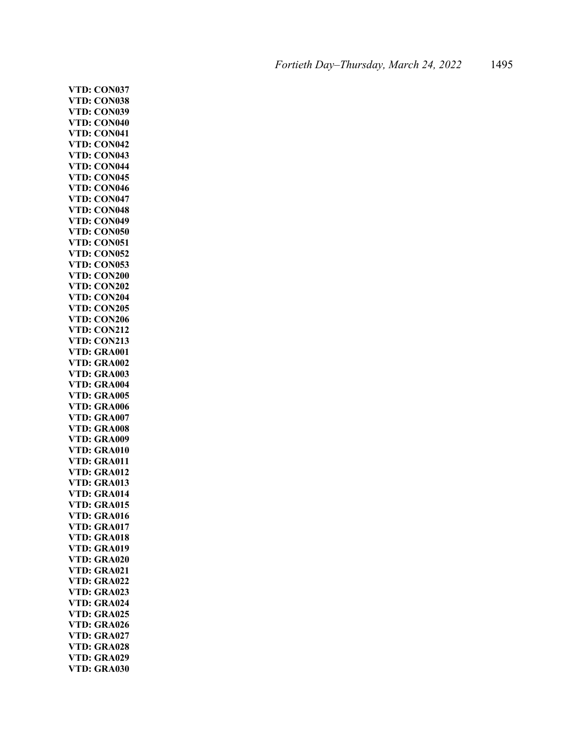**VTD: CON037 VTD: CON038 VTD: CON039 VTD: CON040 VTD: CON041 VTD: CON042 VTD: CON043 VTD: CON044 VTD: CON045 VTD: CON046 VTD: CON047 VTD: CON048 VTD: CON049 VTD: CON050 VTD: CON051 VTD: CON052 VTD: CON053 VTD: CON200 VTD: CON202 VTD: CON204 VTD: CON205 VTD: CON206 VTD: CON212 VTD: CON213 VTD: GRA001 VTD: GRA002 VTD: GRA003 VTD: GRA004 VTD: GRA005 VTD: GRA006 VTD: GRA007 VTD: GRA008 VTD: GRA009 VTD: GRA010 VTD: GRA011 VTD: GRA012 VTD: GRA013 VTD: GRA014 VTD: GRA015 VTD: GRA016 VTD: GRA017 VTD: GRA018 VTD: GRA019 VTD: GRA020 VTD: GRA021 VTD: GRA022 VTD: GRA023 VTD: GRA024 VTD: GRA025 VTD: GRA026 VTD: GRA027 VTD: GRA028 VTD: GRA029 VTD: GRA030**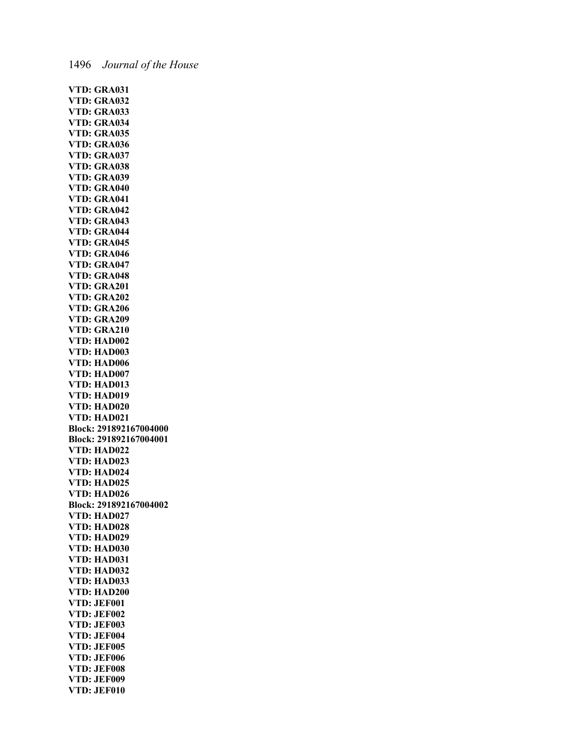**VTD: GRA031 VTD: GRA032 VTD: GRA033 VTD: GRA034 VTD: GRA035 VTD: GRA036 VTD: GRA037 VTD: GRA038 VTD: GRA039 VTD: GRA040 VTD: GRA041 VTD: GRA042 VTD: GRA043 VTD: GRA044 VTD: GRA045 VTD: GRA046 VTD: GRA047 VTD: GRA048 VTD: GRA201 VTD: GRA202 VTD: GRA206 VTD: GRA209 VTD: GRA210 VTD: HAD002 VTD: HAD003 VTD: HAD006 VTD: HAD007 VTD: HAD013 VTD: HAD019 VTD: HAD020 VTD: HAD021 Block: 291892167004000 Block: 291892167004001 VTD: HAD022 VTD: HAD023 VTD: HAD024 VTD: HAD025 VTD: HAD026 Block: 291892167004002 VTD: HAD027 VTD: HAD028 VTD: HAD029 VTD: HAD030 VTD: HAD031 VTD: HAD032 VTD: HAD033 VTD: HAD200 VTD: JEF001 VTD: JEF002 VTD: JEF003 VTD: JEF004 VTD: JEF005 VTD: JEF006 VTD: JEF008 VTD: JEF009 VTD: JEF010**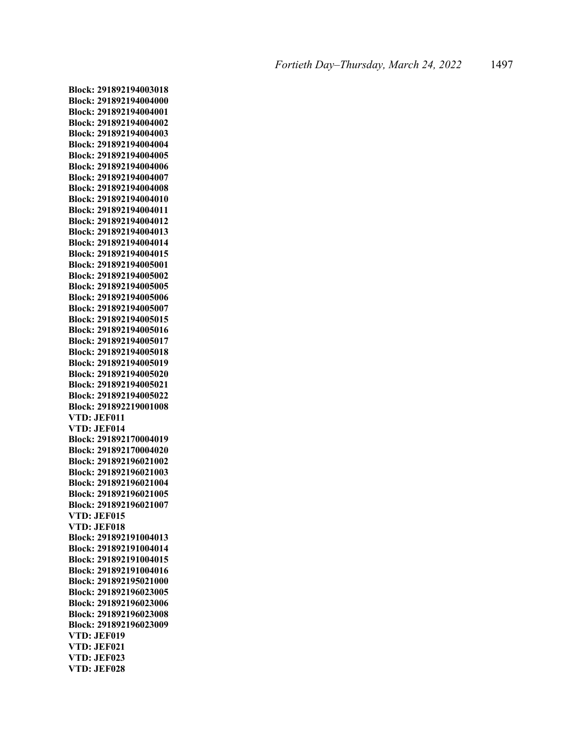**Block: 291892194003018 Block: 291892194004000 Block: 291892194004001 Block: 291892194004002 Block: 291892194004003 Block: 291892194004004 Block: 291892194004005 Block: 291892194004006 Block: 291892194004007 Block: 291892194004008 Block: 291892194004010 Block: 291892194004011 Block: 291892194004012 Block: 291892194004013 Block: 291892194004014 Block: 291892194004015 Block: 291892194005001 Block: 291892194005002 Block: 291892194005005 Block: 291892194005006 Block: 291892194005007 Block: 291892194005015 Block: 291892194005016 Block: 291892194005017 Block: 291892194005018 Block: 291892194005019 Block: 291892194005020 Block: 291892194005021 Block: 291892194005022 Block: 291892219001008 VTD: JEF011 VTD: JEF014 Block: 291892170004019 Block: 291892170004020 Block: 291892196021002 Block: 291892196021003 Block: 291892196021004 Block: 291892196021005 Block: 291892196021007 VTD: JEF015 VTD: JEF018 Block: 291892191004013 Block: 291892191004014 Block: 291892191004015 Block: 291892191004016 Block: 291892195021000 Block: 291892196023005 Block: 291892196023006 Block: 291892196023008 Block: 291892196023009 VTD: JEF019 VTD: JEF021 VTD: JEF023 VTD: JEF028**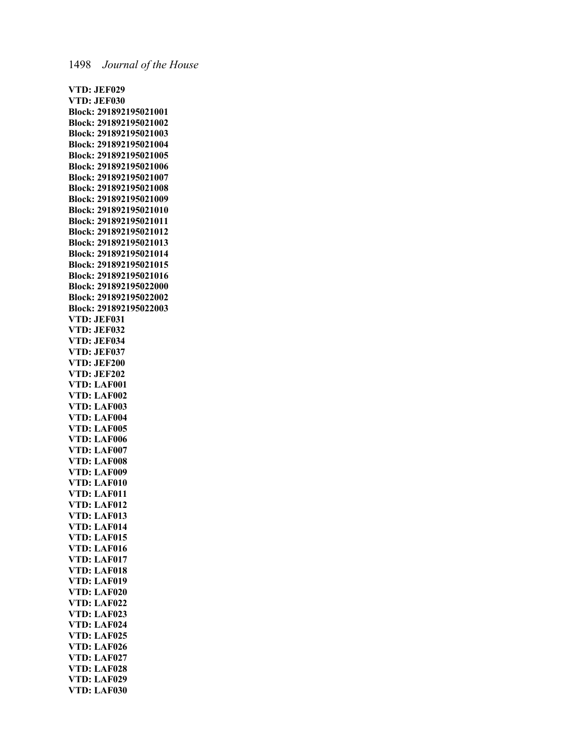**VTD: JEF029 VTD: JEF030 Block: 291892195021001 Block: 291892195021002 Block: 291892195021003 Block: 291892195021004 Block: 291892195021005 Block: 291892195021006 Block: 291892195021007 Block: 291892195021008 Block: 291892195021009 Block: 291892195021010 Block: 291892195021011 Block: 291892195021012 Block: 291892195021013 Block: 291892195021014 Block: 291892195021015 Block: 291892195021016 Block: 291892195022000 Block: 291892195022002 Block: 291892195022003 VTD: JEF031 VTD: JEF032 VTD: JEF034 VTD: JEF037 VTD: JEF200 VTD: JEF202 VTD: LAF001 VTD: LAF002 VTD: LAF003 VTD: LAF004 VTD: LAF005 VTD: LAF006 VTD: LAF007 VTD: LAF008 VTD: LAF009 VTD: LAF010 VTD: LAF011 VTD: LAF012 VTD: LAF013 VTD: LAF014 VTD: LAF015 VTD: LAF016 VTD: LAF017 VTD: LAF018 VTD: LAF019 VTD: LAF020 VTD: LAF022 VTD: LAF023 VTD: LAF024 VTD: LAF025 VTD: LAF026 VTD: LAF027 VTD: LAF028 VTD: LAF029 VTD: LAF030**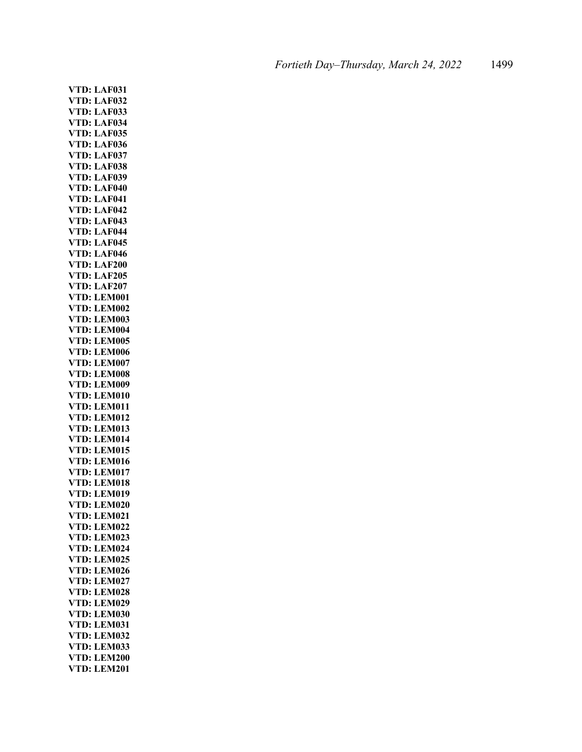**VTD: LAF031 VTD: LAF032 VTD: LAF033 VTD: LAF034 VTD: LAF035 VTD: LAF036 VTD: LAF037 VTD: LAF038 VTD: LAF039 VTD: LAF040 VTD: LAF041 VTD: LAF042 VTD: LAF043 VTD: LAF044 VTD: LAF045 VTD: LAF046 VTD: LAF200 VTD: LAF205 VTD: LAF207 VTD: LEM001 VTD: LEM002 VTD: LEM003 VTD: LEM004 VTD: LEM005 VTD: LEM006 VTD: LEM007 VTD: LEM008 VTD: LEM009 VTD: LEM010 VTD: LEM011 VTD: LEM012 VTD: LEM013 VTD: LEM014 VTD: LEM015 VTD: LEM016 VTD: LEM017 VTD: LEM018 VTD: LEM019 VTD: LEM020 VTD: LEM021 VTD: LEM022 VTD: LEM023 VTD: LEM024 VTD: LEM025 VTD: LEM026 VTD: LEM027 VTD: LEM028 VTD: LEM029 VTD: LEM030 VTD: LEM031 VTD: LEM032 VTD: LEM033 VTD: LEM200 VTD: LEM201**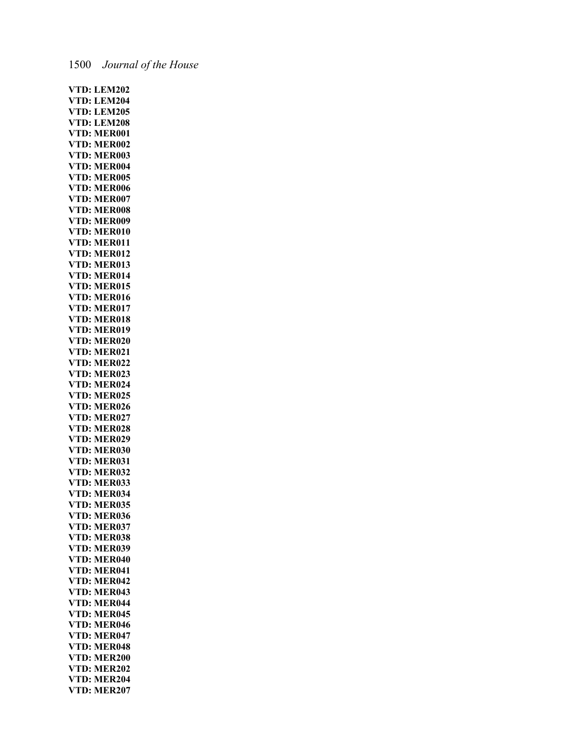| VTD:                       | <b>LEM202</b> |
|----------------------------|---------------|
| VTD:                       | <b>LEM204</b> |
|                            |               |
| VTD:                       | <b>LEM205</b> |
| VTD:                       | <b>LEM208</b> |
| VTD:                       | <b>MER001</b> |
| VTD:                       | <b>MER002</b> |
| VTD:                       | <b>MER003</b> |
| VTD:                       | <b>MER004</b> |
| VTD:                       | <b>MER005</b> |
| VTD:                       | <b>MER006</b> |
| VTD:                       | <b>MER007</b> |
|                            |               |
| VTD:                       | <b>MER008</b> |
| VTD:                       | <b>MER009</b> |
| VTD:                       | <b>MER010</b> |
| VTD:                       | <b>MER011</b> |
| VTD:                       | <b>MER012</b> |
| VTD:                       | <b>MER013</b> |
| VTD:                       | <b>MER014</b> |
| VTD:                       | <b>MER015</b> |
| VTD:                       | <b>MER016</b> |
|                            |               |
| VTD:                       | <b>MER017</b> |
| VTD:                       | <b>MER018</b> |
| VTD:                       | <b>MER019</b> |
| VTD:                       | <b>MER020</b> |
| VTD:                       | <b>MER021</b> |
| VTD:                       | <b>MER022</b> |
| VTD:                       | <b>MER023</b> |
| VTD:                       | <b>MER024</b> |
| VTD:                       | <b>MER025</b> |
|                            | <b>MER026</b> |
| VTD:                       |               |
| VTD:                       | <b>MER027</b> |
| VTD:                       | <b>MER028</b> |
| VTD:                       | <b>MER029</b> |
| VTD:                       | <b>MER030</b> |
| VTD:                       | <b>MER031</b> |
| VTD:                       | <b>MER032</b> |
| VTD:                       | <b>MER033</b> |
| VTD:                       | <b>MER034</b> |
| VTD:                       | <b>MER035</b> |
|                            |               |
| VTD:                       | <b>MER036</b> |
| VTD:                       | <b>MER037</b> |
| VTD:                       | <b>MER038</b> |
| VTD:                       | <b>MER039</b> |
| VTD:                       | <b>MER040</b> |
| VTD:                       | <b>MER041</b> |
| VTD:                       | <b>MER042</b> |
| VTD:                       | <b>MER043</b> |
| VTD:                       | <b>MER044</b> |
| VTD:                       | <b>MER045</b> |
| VTD:                       | <b>MER046</b> |
|                            |               |
| VTD:                       | <b>MER047</b> |
| VTD:                       | <b>MER048</b> |
| VTD:                       | <b>MER200</b> |
| VTD:                       | <b>MER202</b> |
| VT <mark>D:</mark><br>VTD: | <b>MER204</b> |
|                            | <b>MER207</b> |

# 1500 *Journal of the House*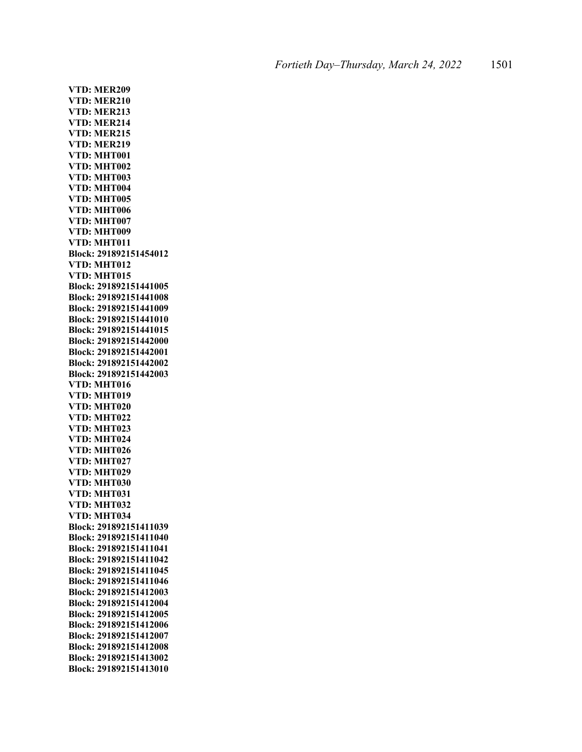**VTD: MER209 VTD: MER210 VTD: MER213 VTD: MER214 VTD: MER215 VTD: MER219 VTD: MHT001 VTD: MHT002 VTD: MHT003 VTD: MHT004 VTD: MHT005 VTD: MHT006 VTD: MHT007 VTD: MHT009 VTD: MHT011 Block: 291892151454012 VTD: MHT012 VTD: MHT015 Block: 291892151441005 Block: 291892151441008 Block: 291892151441009 Block: 291892151441010 Block: 291892151441015 Block: 291892151442000 Block: 291892151442001 Block: 291892151442002 Block: 291892151442003 VTD: MHT016 VTD: MHT019 VTD: MHT020 VTD: MHT022 VTD: MHT023 VTD: MHT024 VTD: MHT026 VTD: MHT027 VTD: MHT029 VTD: MHT030 VTD: MHT031 VTD: MHT032 VTD: MHT034 Block: 291892151411039 Block: 291892151411040 Block: 291892151411041 Block: 291892151411042 Block: 291892151411045 Block: 291892151411046 Block: 291892151412003 Block: 291892151412004 Block: 291892151412005 Block: 291892151412006 Block: 291892151412007 Block: 291892151412008 Block: 291892151413002 Block: 291892151413010**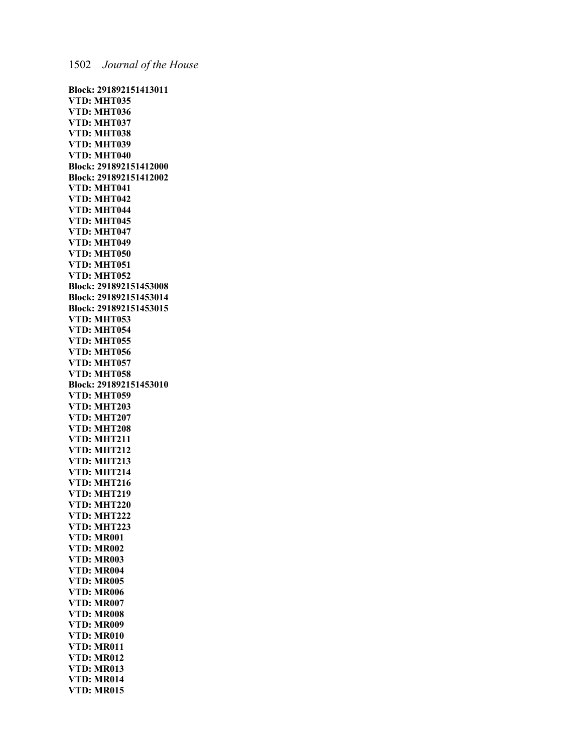**Block: 291892151413011 VTD: MHT035 VTD: MHT036 VTD: MHT037 VTD: MHT038 VTD: MHT039 VTD: MHT040 Block: 291892151412000 Block: 291892151412002 VTD: MHT041 VTD: MHT042 VTD: MHT044 VTD: MHT045 VTD: MHT047 VTD: MHT049 VTD: MHT050 VTD: MHT051 VTD: MHT052 Block: 291892151453008 Block: 291892151453014 Block: 291892151453015 VTD: MHT053 VTD: MHT054 VTD: MHT055 VTD: MHT056 VTD: MHT057 VTD: MHT058 Block: 291892151453010 VTD: MHT059 VTD: MHT203 VTD: MHT207 VTD: MHT208 VTD: MHT211 VTD: MHT212 VTD: MHT213 VTD: MHT214 VTD: MHT216 VTD: MHT219 VTD: MHT220 VTD: MHT222 VTD: MHT223 VTD: MR001 VTD: MR002 VTD: MR003 VTD: MR004 VTD: MR005 VTD: MR006 VTD: MR007 VTD: MR008 VTD: MR009 VTD: MR010 VTD: MR011 VTD: MR012 VTD: MR013 VTD: MR014 VTD: MR015**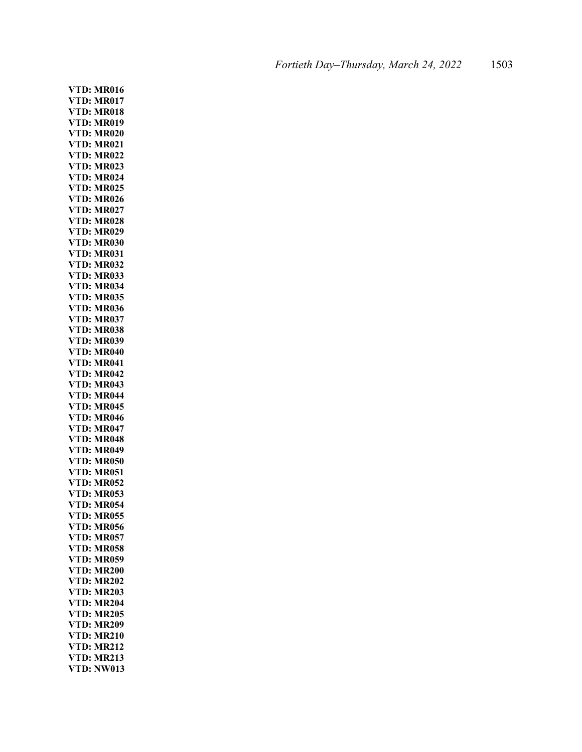**VTD: MR016 VTD: MR017 VTD: MR018 VTD: MR019 VTD: MR020 VTD: MR021 VTD: MR022 VTD: MR023 VTD: MR024 VTD: MR025 VTD: MR026 VTD: MR027 VTD: MR028 VTD: MR029 VTD: MR030 VTD: MR031 VTD: MR032 VTD: MR033 VTD: MR034 VTD: MR035 VTD: MR036 VTD: MR037 VTD: MR038 VTD: MR039 VTD: MR040 VTD: MR041 VTD: MR042 VTD: MR043 VTD: MR044 VTD: MR045 VTD: MR046 VTD: MR047 VTD: MR048 VTD: MR049 VTD: MR050 VTD: MR051 VTD: MR052 VTD: MR053 VTD: MR054 VTD: MR055 VTD: MR056 VTD: MR057 VTD: MR058 VTD: MR059 VTD: MR200 VTD: MR202 VTD: MR203 VTD: MR204 VTD: MR205 VTD: MR209 VTD: MR210 VTD: MR212 VTD: MR213 VTD: NW013**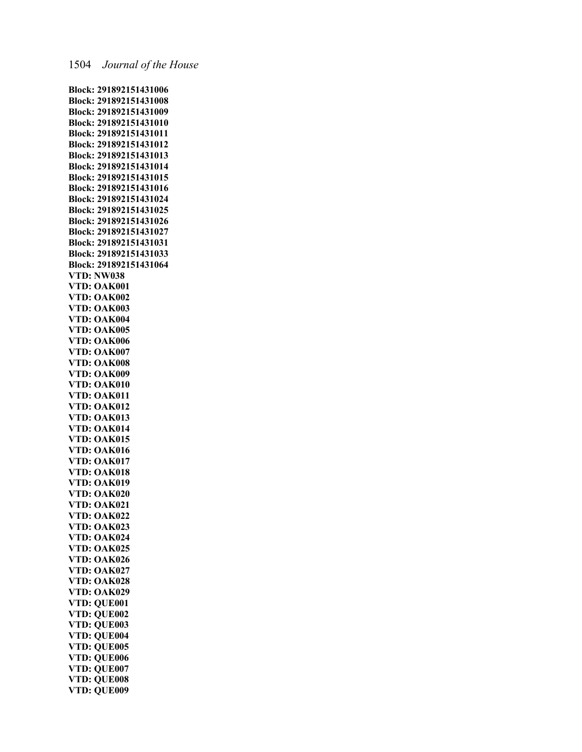**Block: 291892151431006 Block: 291892151431008 Block: 291892151431009 Block: 291892151431010 Block: 291892151431011 Block: 291892151431012 Block: 291892151431013 Block: 291892151431014 Block: 291892151431015 Block: 291892151431016 Block: 291892151431024 Block: 291892151431025 Block: 291892151431026 Block: 291892151431027 Block: 291892151431031 Block: 291892151431033 Block: 291892151431064 VTD: NW038 VTD: OAK001 VTD: OAK002 VTD: OAK003 VTD: OAK004 VTD: OAK005 VTD: OAK006 VTD: OAK007 VTD: OAK008 VTD: OAK009 VTD: OAK010 VTD: OAK011 VTD: OAK012 VTD: OAK013 VTD: OAK014 VTD: OAK015 VTD: OAK016 VTD: OAK017 VTD: OAK018 VTD: OAK019 VTD: OAK020 VTD: OAK021 VTD: OAK022 VTD: OAK023 VTD: OAK024 VTD: OAK025 VTD: OAK026 VTD: OAK027 VTD: OAK028 VTD: OAK029 VTD: QUE001 VTD: QUE002 VTD: QUE003 VTD: QUE004 VTD: QUE005 VTD: QUE006 VTD: QUE007 VTD: QUE008 VTD: QUE009**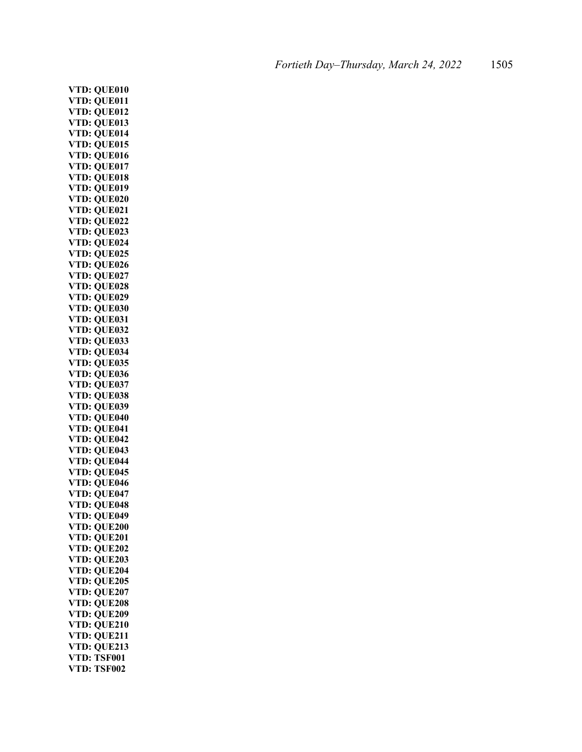**VTD: QUE010 VTD: QUE011 VTD: QUE012 VTD: QUE013 VTD: QUE014 VTD: QUE015 VTD: QUE016 VTD: QUE017 VTD: QUE018 VTD: QUE019 VTD: QUE020 VTD: QUE021 VTD: QUE022 VTD: QUE023 VTD: QUE024 VTD: QUE025 VTD: QUE026 VTD: QUE027 VTD: QUE028 VTD: QUE029 VTD: QUE030 VTD: QUE031 VTD: QUE032 VTD: QUE033 VTD: QUE034 VTD: QUE035 VTD: QUE036 VTD: QUE037 VTD: QUE038 VTD: QUE039 VTD: QUE040 VTD: QUE041 VTD: QUE042 VTD: QUE043 VTD: QUE044 VTD: QUE045 VTD: QUE046 VTD: QUE047 VTD: QUE048 VTD: QUE049 VTD: QUE200 VTD: QUE201 VTD: QUE202 VTD: QUE203 VTD: QUE204 VTD: QUE205 VTD: QUE207 VTD: QUE208 VTD: QUE209 VTD: QUE210 VTD: QUE211 VTD: QUE213 VTD: TSF001 VTD: TSF002**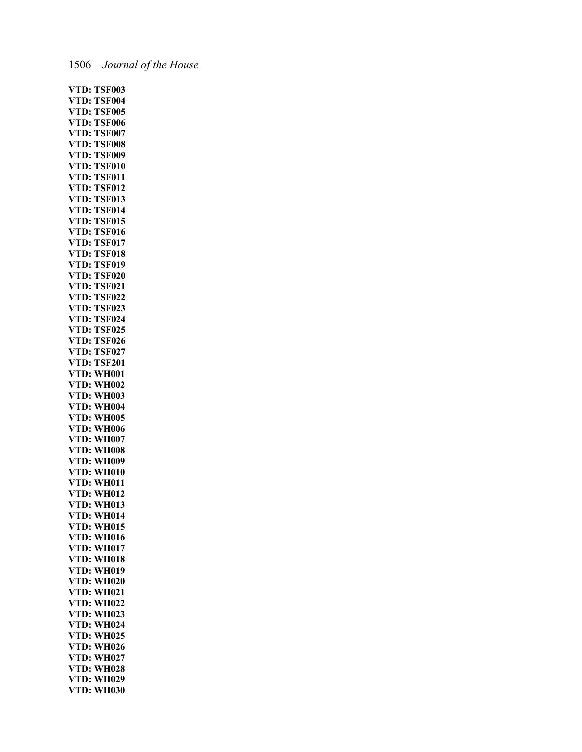| VTD:                 | <b>TSF003</b> |
|----------------------|---------------|
| VTD:                 | <b>TSF004</b> |
|                      |               |
| VTD:                 | <b>TSF005</b> |
| VTD:                 | <b>TSF006</b> |
| VTD:                 | <b>TSF007</b> |
| VTD:                 | <b>TSF008</b> |
| VTD:                 | <b>TSF009</b> |
| VTD:                 | <b>TSF010</b> |
| D:<br>VT             | <b>TSF011</b> |
| VTD:                 | <b>TSF012</b> |
| VTD:                 | <b>TSF013</b> |
| VTD:                 | <b>TSF014</b> |
| VTD:                 | <b>TSF015</b> |
| VTD:                 | <b>TSF016</b> |
|                      |               |
| VTD:                 | <b>TSF017</b> |
| VTD:                 | <b>TSF018</b> |
| VTD:                 | <b>TSF019</b> |
| VTD:                 | <b>TSF020</b> |
| VTD:                 | <b>TSF021</b> |
| VTD:                 | <b>TSF022</b> |
| D:<br>VT             | <b>TSF023</b> |
| VTD:                 | <b>TSF024</b> |
| VTD:                 | <b>TSF025</b> |
| VTD:                 | <b>TSF026</b> |
| VTD:                 | <b>TSF027</b> |
| VTD:                 | <b>TSF201</b> |
|                      |               |
| VTD:                 | <b>WH001</b>  |
| VTD:                 | <b>WH002</b>  |
| VTD:                 | <b>WH003</b>  |
| VTD:                 | <b>WH004</b>  |
| VTD:                 | <b>WH005</b>  |
| VTD:                 | <b>WH006</b>  |
| VTD:                 | <b>WH007</b>  |
| VTD:                 | <b>WH008</b>  |
| VTD:                 | <b>WH009</b>  |
| VTD:                 | <b>WH010</b>  |
| VTD:                 | <b>WH011</b>  |
| VTD:                 | <b>WH012</b>  |
| VTD:                 | <b>WH013</b>  |
|                      | <b>WH014</b>  |
| VTD:                 |               |
| VTD:                 | <b>WH015</b>  |
| VTD:                 | <b>WH016</b>  |
| VTD:                 | <b>WH017</b>  |
| VTD:<br>VTD:<br>VTD: | <b>WH018</b>  |
|                      | <b>WH019</b>  |
| VTD:                 | <b>WH020</b>  |
| VTD:                 | <b>WH021</b>  |
| VTD:                 | <b>WH022</b>  |
| VTD:                 | <b>WH023</b>  |
| VTD:                 | <b>WH024</b>  |
| VTD:                 | <b>WH025</b>  |
| VTD:                 | <b>WH026</b>  |
|                      |               |
| VTD:                 | <b>WH027</b>  |
| VTD:                 | <b>WH028</b>  |
| VTD:                 | <b>WH029</b>  |
| VTD:                 | <b>WH030</b>  |

### 1506 *Journal of the House*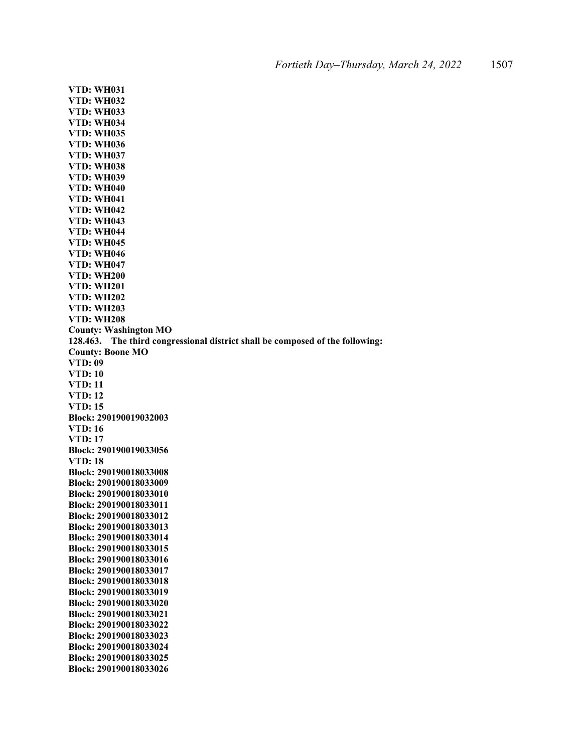**VTD: WH031 VTD: WH032 VTD: WH033 VTD: WH034 VTD: WH035 VTD: WH036 VTD: WH037 VTD: WH038 VTD: WH039 VTD: WH040 VTD: WH041 VTD: WH042 VTD: WH043 VTD: WH044 VTD: WH045 VTD: WH046 VTD: WH047 VTD: WH200 VTD: WH201 VTD: WH202 VTD: WH203 VTD: WH208 County: Washington MO 128.463. The third congressional district shall be composed of the following: County: Boone MO VTD: 09 VTD: 10 VTD: 11 VTD: 12 VTD: 15 Block: 290190019032003 VTD: 16 VTD: 17 Block: 290190019033056 VTD: 18 Block: 290190018033008 Block: 290190018033009 Block: 290190018033010 Block: 290190018033011 Block: 290190018033012 Block: 290190018033013 Block: 290190018033014 Block: 290190018033015 Block: 290190018033016 Block: 290190018033017 Block: 290190018033018 Block: 290190018033019 Block: 290190018033020 Block: 290190018033021 Block: 290190018033022 Block: 290190018033023 Block: 290190018033024 Block: 290190018033025 Block: 290190018033026**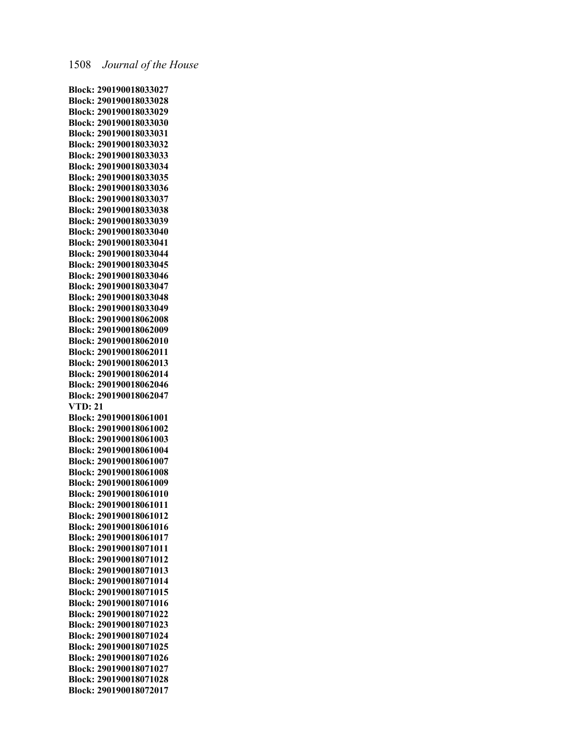**Block: 290190018033027 Block: 290190018033028 Block: 290190018033029 Block: 290190018033030 Block: 290190018033031 Block: 290190018033032 Block: 290190018033033 Block: 290190018033034 Block: 290190018033035 Block: 290190018033036 Block: 290190018033037 Block: 290190018033038 Block: 290190018033039 Block: 290190018033040 Block: 290190018033041 Block: 290190018033044 Block: 290190018033045 Block: 290190018033046 Block: 290190018033047 Block: 290190018033048 Block: 290190018033049 Block: 290190018062008 Block: 290190018062009 Block: 290190018062010 Block: 290190018062011 Block: 290190018062013 Block: 290190018062014 Block: 290190018062046 Block: 290190018062047 VTD: 21 Block: 290190018061001 Block: 290190018061002 Block: 290190018061003 Block: 290190018061004 Block: 290190018061007 Block: 290190018061008 Block: 290190018061009 Block: 290190018061010 Block: 290190018061011 Block: 290190018061012 Block: 290190018061016 Block: 290190018061017 Block: 290190018071011 Block: 290190018071012 Block: 290190018071013 Block: 290190018071014 Block: 290190018071015 Block: 290190018071016 Block: 290190018071022 Block: 290190018071023 Block: 290190018071024 Block: 290190018071025 Block: 290190018071026 Block: 290190018071027 Block: 290190018071028 Block: 290190018072017**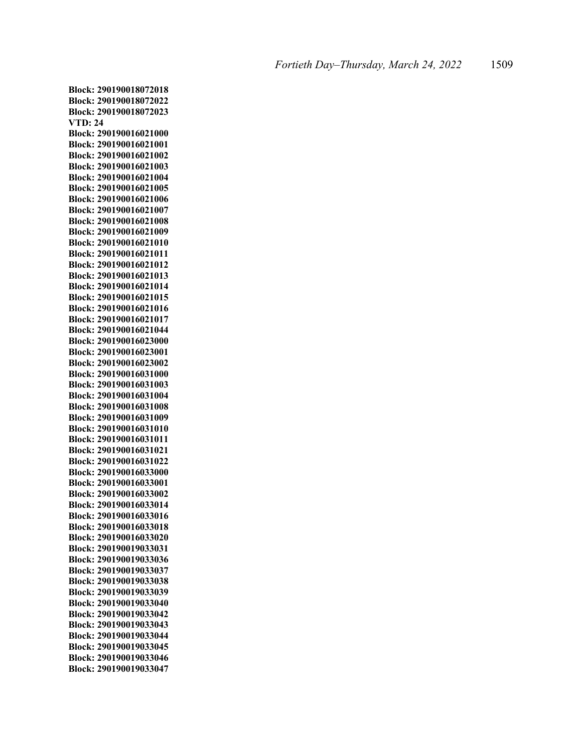**Block: 290190018072018 Block: 290190018072022 Block: 290190018072023 VTD: 24 Block: 290190016021000 Block: 290190016021001 Block: 290190016021002 Block: 290190016021003 Block: 290190016021004 Block: 290190016021005 Block: 290190016021006 Block: 290190016021007 Block: 290190016021008 Block: 290190016021009 Block: 290190016021010 Block: 290190016021011 Block: 290190016021012 Block: 290190016021013 Block: 290190016021014 Block: 290190016021015 Block: 290190016021016 Block: 290190016021017 Block: 290190016021044 Block: 290190016023000 Block: 290190016023001 Block: 290190016023002 Block: 290190016031000 Block: 290190016031003 Block: 290190016031004 Block: 290190016031008 Block: 290190016031009 Block: 290190016031010 Block: 290190016031011 Block: 290190016031021 Block: 290190016031022 Block: 290190016033000 Block: 290190016033001 Block: 290190016033002 Block: 290190016033014 Block: 290190016033016 Block: 290190016033018 Block: 290190016033020 Block: 290190019033031 Block: 290190019033036 Block: 290190019033037 Block: 290190019033038 Block: 290190019033039 Block: 290190019033040 Block: 290190019033042 Block: 290190019033043 Block: 290190019033044 Block: 290190019033045 Block: 290190019033046 Block: 290190019033047**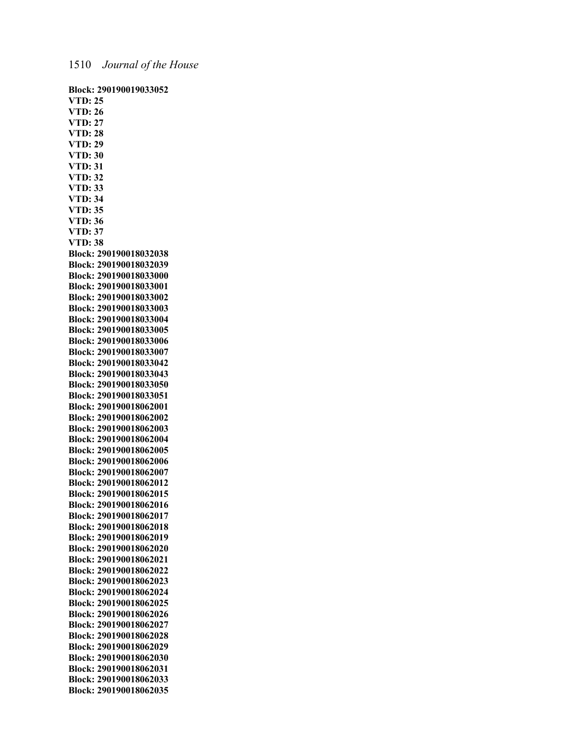**Block: 290190019033052 VTD: 25 VTD: 26 VTD: 27 VTD: 28 VTD: 29 VTD: 30 VTD: 31 VTD: 32 VTD: 33 VTD: 34 VTD: 35 VTD: 36 VTD: 37 VTD: 38 Block: 290190018032038 Block: 290190018032039 Block: 290190018033000 Block: 290190018033001 Block: 290190018033002 Block: 290190018033003 Block: 290190018033004 Block: 290190018033005 Block: 290190018033006 Block: 290190018033007 Block: 290190018033042 Block: 290190018033043 Block: 290190018033050 Block: 290190018033051 Block: 290190018062001 Block: 290190018062002 Block: 290190018062003 Block: 290190018062004 Block: 290190018062005 Block: 290190018062006 Block: 290190018062007 Block: 290190018062012 Block: 290190018062015 Block: 290190018062016 Block: 290190018062017 Block: 290190018062018 Block: 290190018062019 Block: 290190018062020 Block: 290190018062021 Block: 290190018062022 Block: 290190018062023 Block: 290190018062024 Block: 290190018062025 Block: 290190018062026 Block: 290190018062027 Block: 290190018062028 Block: 290190018062029 Block: 290190018062030 Block: 290190018062031 Block: 290190018062033 Block: 290190018062035**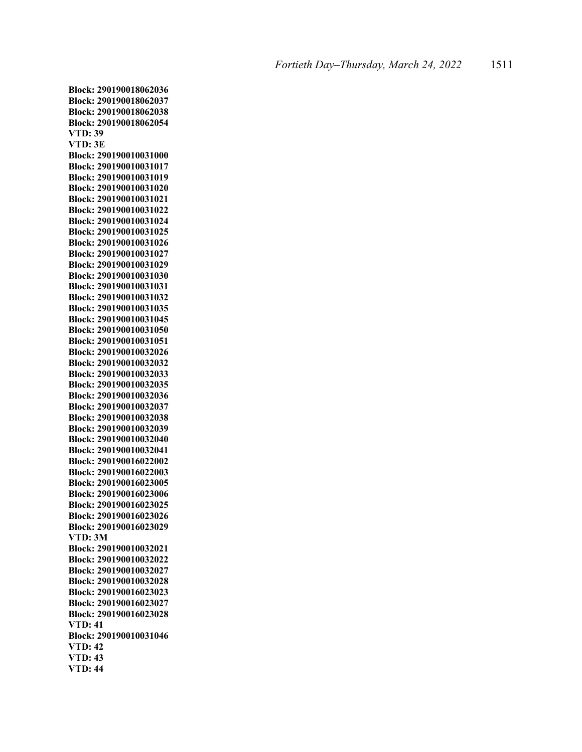**Block: 290190018062036 Block: 290190018062037 Block: 290190018062038 Block: 290190018062054 VTD: 39 VTD: 3E Block: 290190010031000 Block: 290190010031017 Block: 290190010031019 Block: 290190010031020 Block: 290190010031021 Block: 290190010031022 Block: 290190010031024 Block: 290190010031025 Block: 290190010031026 Block: 290190010031027 Block: 290190010031029 Block: 290190010031030 Block: 290190010031031 Block: 290190010031032 Block: 290190010031035 Block: 290190010031045 Block: 290190010031050 Block: 290190010031051 Block: 290190010032026 Block: 290190010032032 Block: 290190010032033 Block: 290190010032035 Block: 290190010032036 Block: 290190010032037 Block: 290190010032038 Block: 290190010032039 Block: 290190010032040 Block: 290190010032041 Block: 290190016022002 Block: 290190016022003 Block: 290190016023005 Block: 290190016023006 Block: 290190016023025 Block: 290190016023026 Block: 290190016023029 VTD: 3M Block: 290190010032021 Block: 290190010032022 Block: 290190010032027 Block: 290190010032028 Block: 290190016023023 Block: 290190016023027 Block: 290190016023028 VTD: 41 Block: 290190010031046 VTD: 42 VTD: 43 VTD: 44**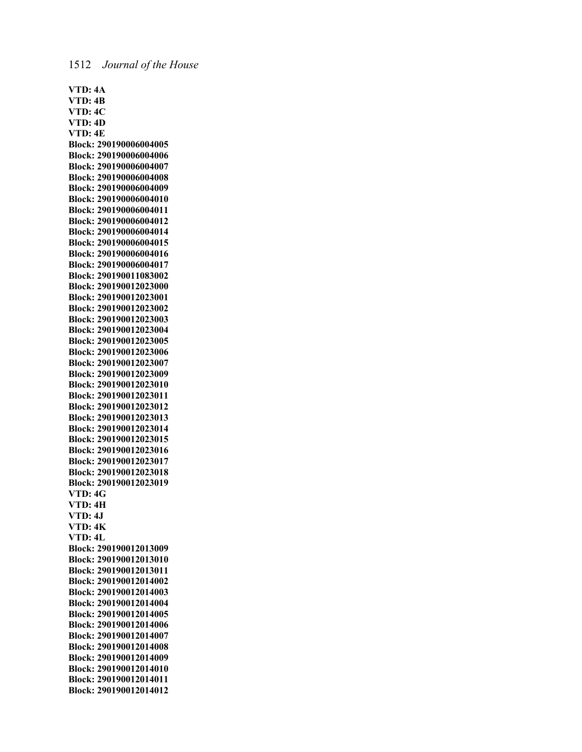**VTD: 4A VTD: 4B VTD: 4C VTD: 4D VTD: 4E Block: 290190006004005 Block: 290190006004006 Block: 290190006004007 Block: 290190006004008 Block: 290190006004009 Block: 290190006004010 Block: 290190006004011 Block: 290190006004012 Block: 290190006004014 Block: 290190006004015 Block: 290190006004016 Block: 290190006004017 Block: 290190011083002 Block: 290190012023000 Block: 290190012023001 Block: 290190012023002 Block: 290190012023003 Block: 290190012023004 Block: 290190012023005 Block: 290190012023006 Block: 290190012023007 Block: 290190012023009 Block: 290190012023010 Block: 290190012023011 Block: 290190012023012 Block: 290190012023013 Block: 290190012023014 Block: 290190012023015 Block: 290190012023016 Block: 290190012023017 Block: 290190012023018 Block: 290190012023019 VTD: 4G VTD: 4H VTD: 4J VTD: 4K VTD: 4L Block: 290190012013009 Block: 290190012013010 Block: 290190012013011 Block: 290190012014002 Block: 290190012014003 Block: 290190012014004 Block: 290190012014005 Block: 290190012014006 Block: 290190012014007 Block: 290190012014008 Block: 290190012014009 Block: 290190012014010 Block: 290190012014011 Block: 290190012014012**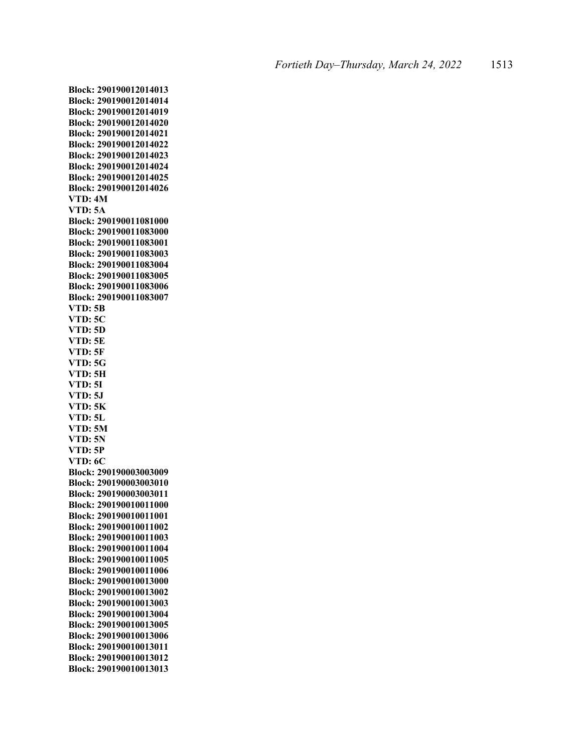**Block: 290190012014013 Block: 290190012014014 Block: 290190012014019 Block: 290190012014020 Block: 290190012014021 Block: 290190012014022 Block: 290190012014023 Block: 290190012014024 Block: 290190012014025 Block: 290190012014026 VTD: 4M VTD: 5A Block: 290190011081000 Block: 290190011083000 Block: 290190011083001 Block: 290190011083003 Block: 290190011083004 Block: 290190011083005 Block: 290190011083006 Block: 290190011083007 VTD: 5B VTD: 5C VTD: 5D VTD: 5E VTD: 5F VTD: 5G VTD: 5H VTD: 5I VTD: 5J VTD: 5K VTD: 5L VTD: 5M VTD: 5N VTD: 5P VTD: 6C Block: 290190003003009 Block: 290190003003010 Block: 290190003003011 Block: 290190010011000 Block: 290190010011001 Block: 290190010011002 Block: 290190010011003 Block: 290190010011004 Block: 290190010011005 Block: 290190010011006 Block: 290190010013000 Block: 290190010013002 Block: 290190010013003 Block: 290190010013004 Block: 290190010013005 Block: 290190010013006 Block: 290190010013011 Block: 290190010013012 Block: 290190010013013**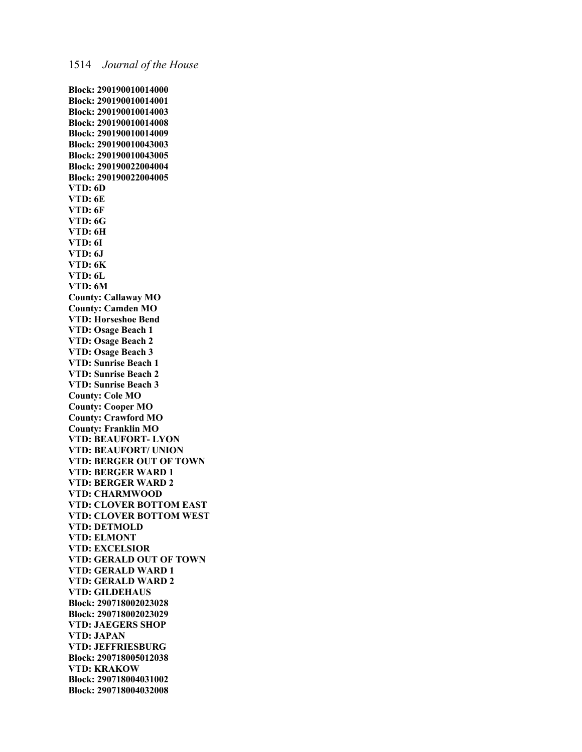**Block: 290190010014000 Block: 290190010014001 Block: 290190010014003 Block: 290190010014008 Block: 290190010014009 Block: 290190010043003 Block: 290190010043005 Block: 290190022004004 Block: 290190022004005 VTD: 6D VTD: 6E VTD: 6F VTD: 6G VTD: 6H VTD: 6I VTD: 6J VTD: 6K VTD: 6L VTD: 6M County: Callaway MO County: Camden MO VTD: Horseshoe Bend VTD: Osage Beach 1 VTD: Osage Beach 2 VTD: Osage Beach 3 VTD: Sunrise Beach 1 VTD: Sunrise Beach 2 VTD: Sunrise Beach 3 County: Cole MO County: Cooper MO County: Crawford MO County: Franklin MO VTD: BEAUFORT- LYON VTD: BEAUFORT/ UNION VTD: BERGER OUT OF TOWN VTD: BERGER WARD 1 VTD: BERGER WARD 2 VTD: CHARMWOOD VTD: CLOVER BOTTOM EAST VTD: CLOVER BOTTOM WEST VTD: DETMOLD VTD: ELMONT VTD: EXCELSIOR VTD: GERALD OUT OF TOWN VTD: GERALD WARD 1 VTD: GERALD WARD 2 VTD: GILDEHAUS Block: 290718002023028 Block: 290718002023029 VTD: JAEGERS SHOP VTD: JAPAN VTD: JEFFRIESBURG Block: 290718005012038 VTD: KRAKOW Block: 290718004031002 Block: 290718004032008**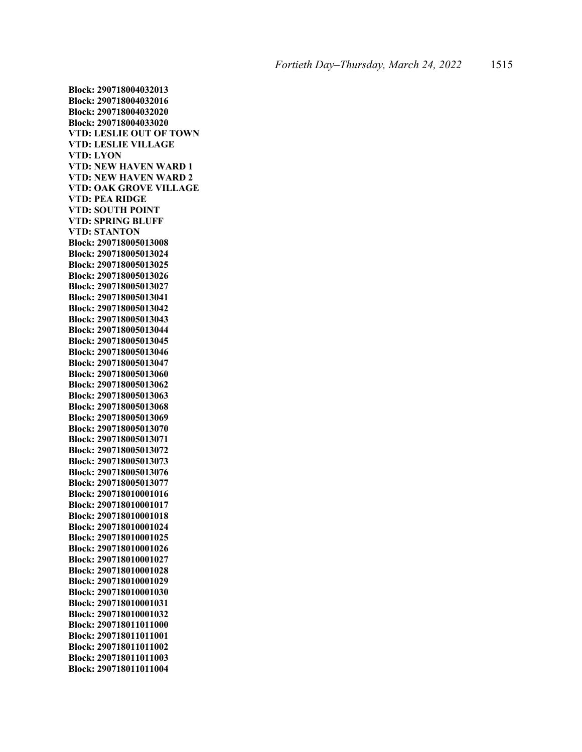**Block: 290718004032013 Block: 290718004032016 Block: 290718004032020 Block: 290718004033020 VTD: LESLIE OUT OF TOWN VTD: LESLIE VILLAGE VTD: LYON VTD: NEW HAVEN WARD 1 VTD: NEW HAVEN WARD 2 VTD: OAK GROVE VILLAGE VTD: PEA RIDGE VTD: SOUTH POINT VTD: SPRING BLUFF VTD: STANTON Block: 290718005013008 Block: 290718005013024 Block: 290718005013025 Block: 290718005013026 Block: 290718005013027 Block: 290718005013041 Block: 290718005013042 Block: 290718005013043 Block: 290718005013044 Block: 290718005013045 Block: 290718005013046 Block: 290718005013047 Block: 290718005013060 Block: 290718005013062 Block: 290718005013063 Block: 290718005013068 Block: 290718005013069 Block: 290718005013070 Block: 290718005013071 Block: 290718005013072 Block: 290718005013073 Block: 290718005013076 Block: 290718005013077 Block: 290718010001016 Block: 290718010001017 Block: 290718010001018 Block: 290718010001024 Block: 290718010001025 Block: 290718010001026 Block: 290718010001027 Block: 290718010001028 Block: 290718010001029 Block: 290718010001030 Block: 290718010001031 Block: 290718010001032 Block: 290718011011000 Block: 290718011011001 Block: 290718011011002 Block: 290718011011003 Block: 290718011011004**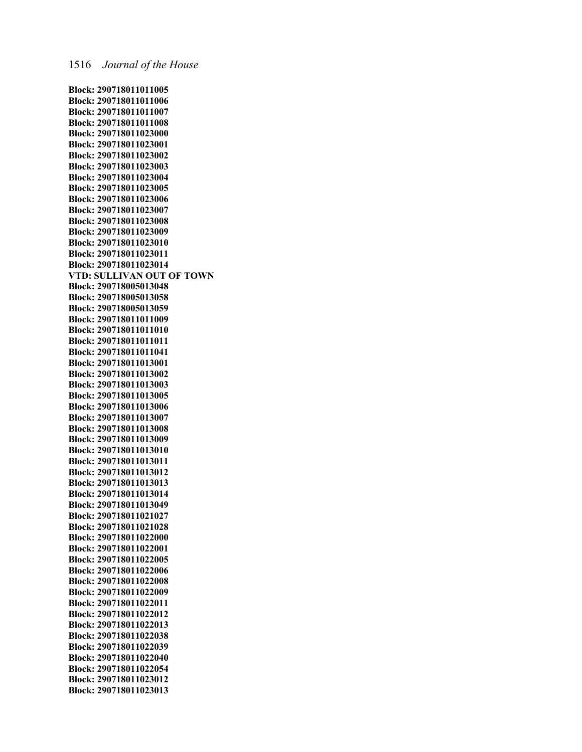**Block: 290718011011005 Block: 290718011011006 Block: 290718011011007 Block: 290718011011008 Block: 290718011023000 Block: 290718011023001 Block: 290718011023002 Block: 290718011023003 Block: 290718011023004 Block: 290718011023005 Block: 290718011023006 Block: 290718011023007 Block: 290718011023008 Block: 290718011023009 Block: 290718011023010 Block: 290718011023011 Block: 290718011023014 VTD: SULLIVAN OUT OF TOWN Block: 290718005013048 Block: 290718005013058 Block: 290718005013059 Block: 290718011011009 Block: 290718011011010 Block: 290718011011011 Block: 290718011011041 Block: 290718011013001 Block: 290718011013002 Block: 290718011013003 Block: 290718011013005 Block: 290718011013006 Block: 290718011013007 Block: 290718011013008 Block: 290718011013009 Block: 290718011013010 Block: 290718011013011 Block: 290718011013012 Block: 290718011013013 Block: 290718011013014 Block: 290718011013049 Block: 290718011021027 Block: 290718011021028 Block: 290718011022000 Block: 290718011022001 Block: 290718011022005 Block: 290718011022006 Block: 290718011022008 Block: 290718011022009 Block: 290718011022011 Block: 290718011022012 Block: 290718011022013 Block: 290718011022038 Block: 290718011022039 Block: 290718011022040 Block: 290718011022054 Block: 290718011023012 Block: 290718011023013**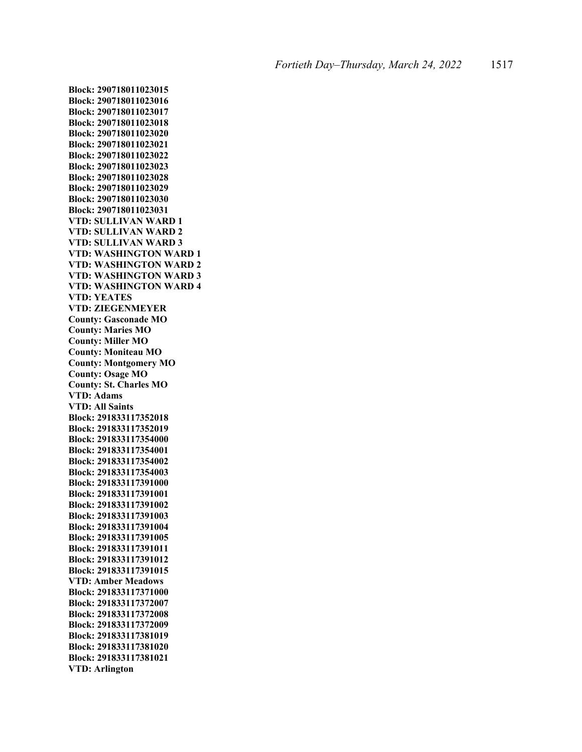**Block: 290718011023016 Block: 290718011023017 Block: 290718011023018 Block: 290718011023020 Block: 290718011023021 Block: 290718011023022 Block: 290718011023023 Block: 290718011023028 Block: 290718011023029 Block: 290718011023030 Block: 290718011023031 VTD: SULLIVAN WARD 1 VTD: SULLIVAN WARD 2 VTD: SULLIVAN WARD 3 VTD: WASHINGTON WARD 1 VTD: WASHINGTON WARD 2 VTD: WASHINGTON WARD 3 VTD: WASHINGTON WARD 4 VTD: YEATES VTD: ZIEGENMEYER County: Gasconade MO County: Maries MO County: Miller MO County: Moniteau MO County: Montgomery MO County: Osage MO County: St. Charles MO VTD: Adams VTD: All Saints Block: 291833117352018 Block: 291833117352019 Block: 291833117354000 Block: 291833117354001 Block: 291833117354002 Block: 291833117354003 Block: 291833117391000 Block: 291833117391001 Block: 291833117391002 Block: 291833117391003 Block: 291833117391004 Block: 291833117391005 Block: 291833117391011 Block: 291833117391012 Block: 291833117391015 VTD: Amber Meadows Block: 291833117371000 Block: 291833117372007 Block: 291833117372008 Block: 291833117372009 Block: 291833117381019 Block: 291833117381020 Block: 291833117381021 VTD: Arlington**

**Block: 290718011023015**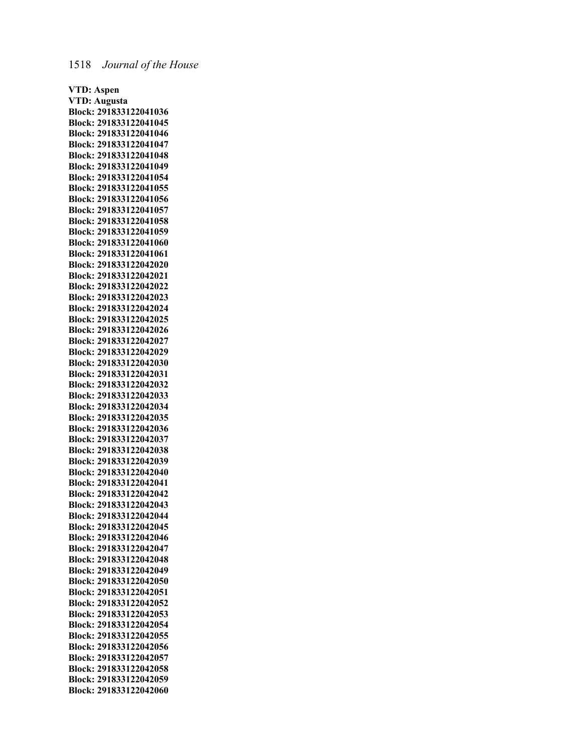**VTD: Aspen VTD: Augusta Block: 291833122041036 Block: 291833122041045 Block: 291833122041046 Block: 291833122041047 Block: 291833122041048 Block: 291833122041049 Block: 291833122041054 Block: 291833122041055 Block: 291833122041056 Block: 291833122041057 Block: 291833122041058 Block: 291833122041059 Block: 291833122041060 Block: 291833122041061 Block: 291833122042020 Block: 291833122042021 Block: 291833122042022 Block: 291833122042023 Block: 291833122042024 Block: 291833122042025 Block: 291833122042026 Block: 291833122042027 Block: 291833122042029 Block: 291833122042030 Block: 291833122042031 Block: 291833122042032 Block: 291833122042033 Block: 291833122042034 Block: 291833122042035 Block: 291833122042036 Block: 291833122042037 Block: 291833122042038 Block: 291833122042039 Block: 291833122042040 Block: 291833122042041 Block: 291833122042042 Block: 291833122042043 Block: 291833122042044 Block: 291833122042045 Block: 291833122042046 Block: 291833122042047 Block: 291833122042048 Block: 291833122042049 Block: 291833122042050 Block: 291833122042051 Block: 291833122042052 Block: 291833122042053 Block: 291833122042054 Block: 291833122042055 Block: 291833122042056 Block: 291833122042057 Block: 291833122042058 Block: 291833122042059 Block: 291833122042060**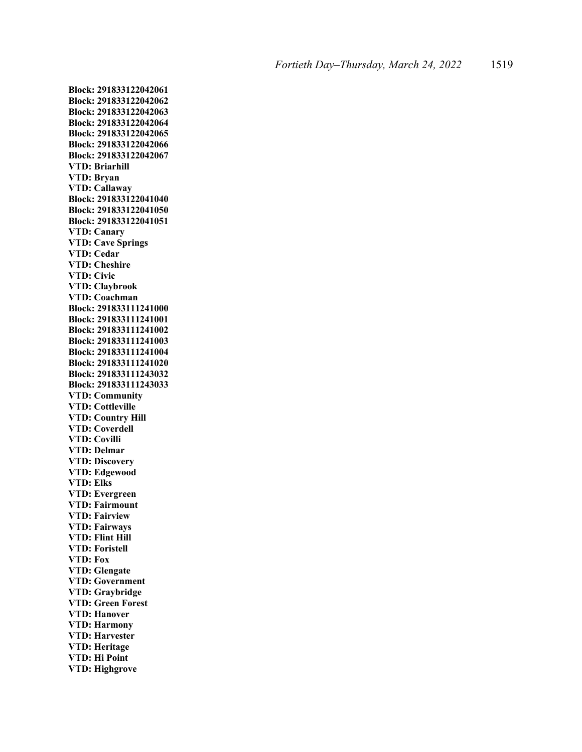**Block: 291833122042061 Block: 291833122042062 Block: 291833122042063 Block: 291833122042064 Block: 291833122042065 Block: 291833122042066 Block: 291833122042067 VTD: Briarhill VTD: Bryan VTD: Callaway Block: 291833122041040 Block: 291833122041050 Block: 291833122041051 VTD: Canary VTD: Cave Springs VTD: Cedar VTD: Cheshire VTD: Civic VTD: Claybrook VTD: Coachman Block: 291833111241000 Block: 291833111241001 Block: 291833111241002 Block: 291833111241003 Block: 291833111241004 Block: 291833111241020 Block: 291833111243032 Block: 291833111243033 VTD: Community VTD: Cottleville VTD: Country Hill VTD: Coverdell VTD: Covilli VTD: Delmar VTD: Discovery VTD: Edgewood VTD: Elks VTD: Evergreen VTD: Fairmount VTD: Fairview VTD: Fairways VTD: Flint Hill VTD: Foristell VTD: Fox VTD: Glengate VTD: Government VTD: Graybridge VTD: Green Forest VTD: Hanover VTD: Harmony VTD: Harvester VTD: Heritage VTD: Hi Point VTD: Highgrove**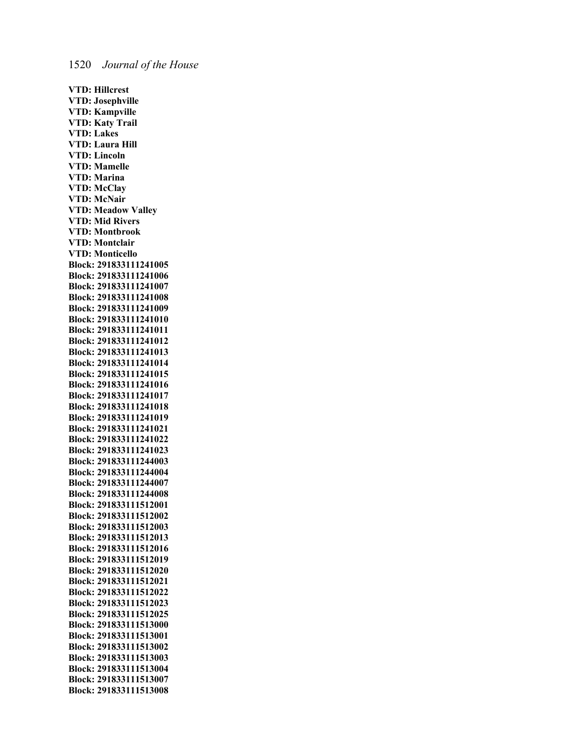**VTD: Hillcrest VTD: Josephville VTD: Kampville VTD: Katy Trail VTD: Lakes VTD: Laura Hill VTD: Lincoln VTD: Mamelle VTD: Marina VTD: McClay VTD: McNair VTD: Meadow Valley VTD: Mid Rivers VTD: Montbrook VTD: Montclair VTD: Monticello Block: 291833111241005 Block: 291833111241006 Block: 291833111241007 Block: 291833111241008 Block: 291833111241009 Block: 291833111241010 Block: 291833111241011 Block: 291833111241012 Block: 291833111241013 Block: 291833111241014 Block: 291833111241015 Block: 291833111241016 Block: 291833111241017 Block: 291833111241018 Block: 291833111241019 Block: 291833111241021 Block: 291833111241022 Block: 291833111241023 Block: 291833111244003 Block: 291833111244004 Block: 291833111244007 Block: 291833111244008 Block: 291833111512001 Block: 291833111512002 Block: 291833111512003 Block: 291833111512013 Block: 291833111512016 Block: 291833111512019 Block: 291833111512020 Block: 291833111512021 Block: 291833111512022 Block: 291833111512023 Block: 291833111512025 Block: 291833111513000 Block: 291833111513001 Block: 291833111513002 Block: 291833111513003 Block: 291833111513004 Block: 291833111513007 Block: 291833111513008**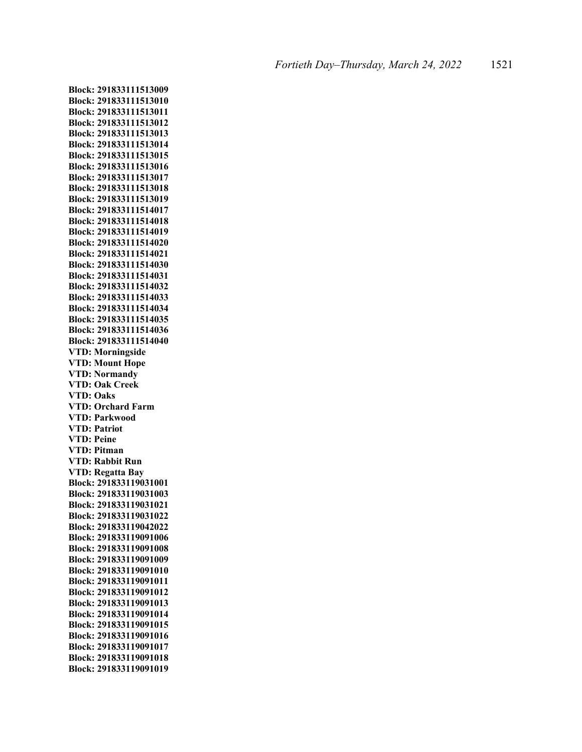**Block: 291833111513009 Block: 291833111513010 Block: 291833111513011 Block: 291833111513012 Block: 291833111513013 Block: 291833111513014 Block: 291833111513015 Block: 291833111513016 Block: 291833111513017 Block: 291833111513018 Block: 291833111513019 Block: 291833111514017 Block: 291833111514018 Block: 291833111514019 Block: 291833111514020 Block: 291833111514021 Block: 291833111514030 Block: 291833111514031 Block: 291833111514032 Block: 291833111514033 Block: 291833111514034 Block: 291833111514035 Block: 291833111514036 Block: 291833111514040 VTD: Morningside VTD: Mount Hope VTD: Normandy VTD: Oak Creek VTD: Oaks VTD: Orchard Farm VTD: Parkwood VTD: Patriot VTD: Peine VTD: Pitman VTD: Rabbit Run VTD: Regatta Bay Block: 291833119031001 Block: 291833119031003 Block: 291833119031021 Block: 291833119031022 Block: 291833119042022 Block: 291833119091006 Block: 291833119091008 Block: 291833119091009 Block: 291833119091010 Block: 291833119091011 Block: 291833119091012 Block: 291833119091013 Block: 291833119091014 Block: 291833119091015 Block: 291833119091016 Block: 291833119091017 Block: 291833119091018 Block: 291833119091019**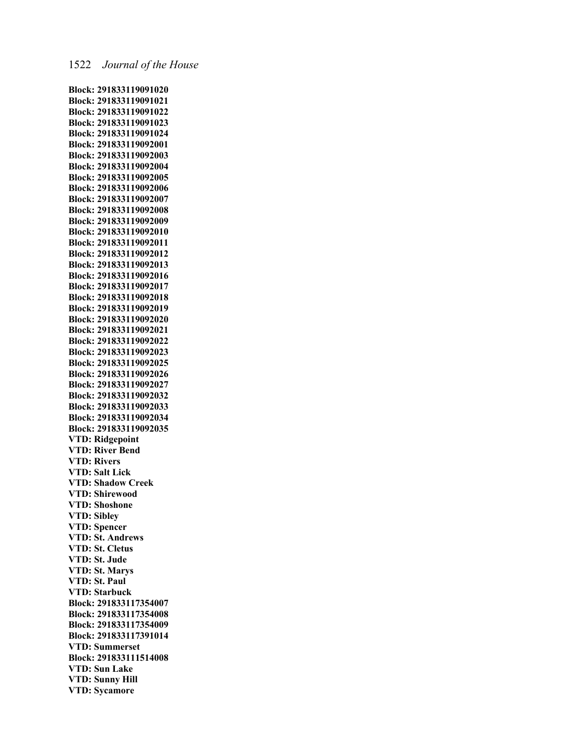**Block: 291833119091020 Block: 291833119091021 Block: 291833119091022 Block: 291833119091023 Block: 291833119091024 Block: 291833119092001 Block: 291833119092003 Block: 291833119092004 Block: 291833119092005 Block: 291833119092006 Block: 291833119092007 Block: 291833119092008 Block: 291833119092009 Block: 291833119092010 Block: 291833119092011 Block: 291833119092012 Block: 291833119092013 Block: 291833119092016 Block: 291833119092017 Block: 291833119092018 Block: 291833119092019 Block: 291833119092020 Block: 291833119092021 Block: 291833119092022 Block: 291833119092023 Block: 291833119092025 Block: 291833119092026 Block: 291833119092027 Block: 291833119092032 Block: 291833119092033 Block: 291833119092034 Block: 291833119092035 VTD: Ridgepoint VTD: River Bend VTD: Rivers VTD: Salt Lick VTD: Shadow Creek VTD: Shirewood VTD: Shoshone VTD: Sibley VTD: Spencer VTD: St. Andrews VTD: St. Cletus VTD: St. Jude VTD: St. Marys VTD: St. Paul VTD: Starbuck Block: 291833117354007 Block: 291833117354008 Block: 291833117354009 Block: 291833117391014 VTD: Summerset Block: 291833111514008 VTD: Sun Lake VTD: Sunny Hill VTD: Sycamore**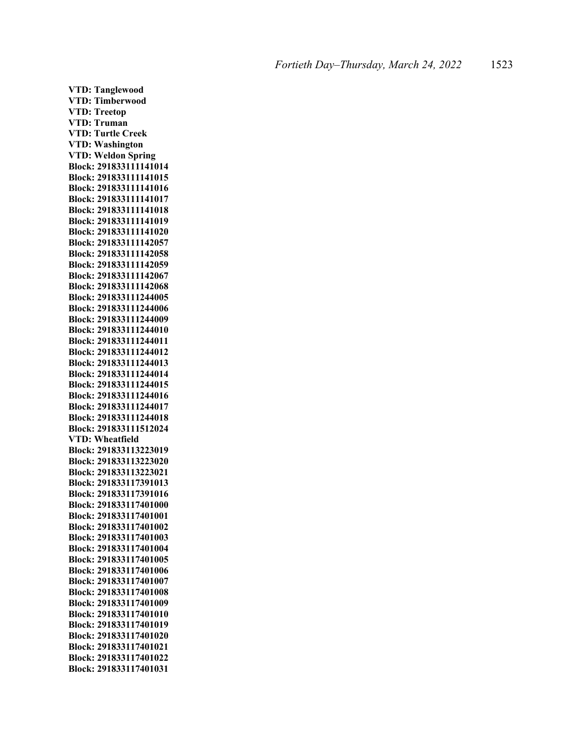**VTD: Tanglewood VTD: Timberwood VTD: Treetop VTD: Truman VTD: Turtle Creek VTD: Washington VTD: Weldon Spring Block: 291833111141014 Block: 291833111141015 Block: 291833111141016 Block: 291833111141017 Block: 291833111141018 Block: 291833111141019 Block: 291833111141020 Block: 291833111142057 Block: 291833111142058 Block: 291833111142059 Block: 291833111142067 Block: 291833111142068 Block: 291833111244005 Block: 291833111244006 Block: 291833111244009 Block: 291833111244010 Block: 291833111244011 Block: 291833111244012 Block: 291833111244013 Block: 291833111244014 Block: 291833111244015 Block: 291833111244016 Block: 291833111244017 Block: 291833111244018 Block: 291833111512024 VTD: Wheatfield Block: 291833113223019 Block: 291833113223020 Block: 291833113223021 Block: 291833117391013 Block: 291833117391016 Block: 291833117401000 Block: 291833117401001 Block: 291833117401002 Block: 291833117401003 Block: 291833117401004 Block: 291833117401005 Block: 291833117401006 Block: 291833117401007 Block: 291833117401008 Block: 291833117401009 Block: 291833117401010 Block: 291833117401019 Block: 291833117401020 Block: 291833117401021 Block: 291833117401022 Block: 291833117401031**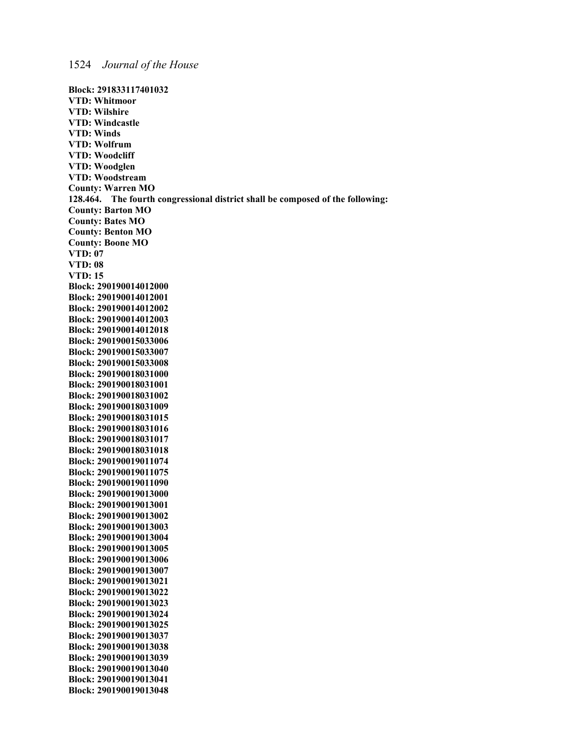**Block: 291833117401032 VTD: Whitmoor VTD: Wilshire VTD: Windcastle VTD: Winds VTD: Wolfrum VTD: Woodcliff VTD: Woodglen VTD: Woodstream County: Warren MO 128.464. The fourth congressional district shall be composed of the following: County: Barton MO County: Bates MO County: Benton MO County: Boone MO VTD: 07 VTD: 08 VTD: 15 Block: 290190014012000 Block: 290190014012001 Block: 290190014012002 Block: 290190014012003 Block: 290190014012018 Block: 290190015033006 Block: 290190015033007 Block: 290190015033008 Block: 290190018031000 Block: 290190018031001 Block: 290190018031002 Block: 290190018031009 Block: 290190018031015 Block: 290190018031016 Block: 290190018031017 Block: 290190018031018 Block: 290190019011074 Block: 290190019011075 Block: 290190019011090 Block: 290190019013000 Block: 290190019013001 Block: 290190019013002 Block: 290190019013003 Block: 290190019013004 Block: 290190019013005 Block: 290190019013006 Block: 290190019013007 Block: 290190019013021 Block: 290190019013022 Block: 290190019013023 Block: 290190019013024 Block: 290190019013025 Block: 290190019013037 Block: 290190019013038 Block: 290190019013039 Block: 290190019013040 Block: 290190019013041 Block: 290190019013048**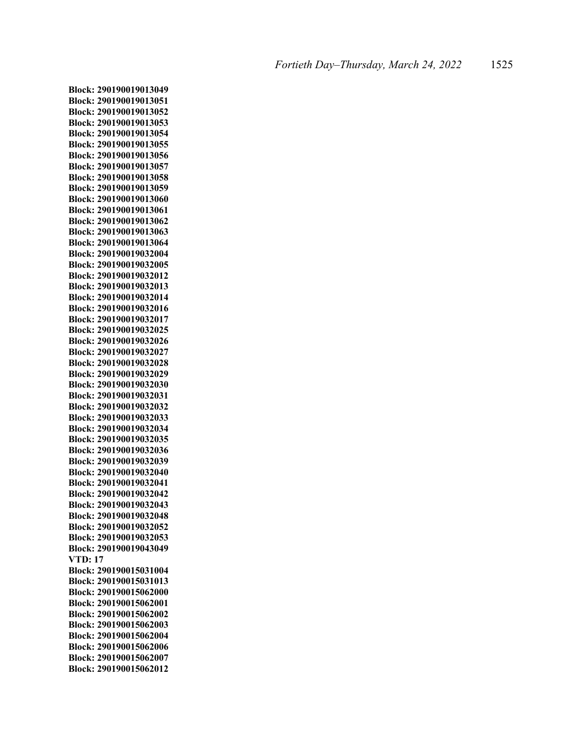**Block: 290190019013049 Block: 290190019013051 Block: 290190019013052 Block: 290190019013053 Block: 290190019013054 Block: 290190019013055 Block: 290190019013056 Block: 290190019013057 Block: 290190019013058 Block: 290190019013059 Block: 290190019013060 Block: 290190019013061 Block: 290190019013062 Block: 290190019013063 Block: 290190019013064 Block: 290190019032004 Block: 290190019032005 Block: 290190019032012 Block: 290190019032013 Block: 290190019032014 Block: 290190019032016 Block: 290190019032017 Block: 290190019032025 Block: 290190019032026 Block: 290190019032027 Block: 290190019032028 Block: 290190019032029 Block: 290190019032030 Block: 290190019032031 Block: 290190019032032 Block: 290190019032033 Block: 290190019032034 Block: 290190019032035 Block: 290190019032036 Block: 290190019032039 Block: 290190019032040 Block: 290190019032041 Block: 290190019032042 Block: 290190019032043 Block: 290190019032048 Block: 290190019032052 Block: 290190019032053 Block: 290190019043049 VTD: 17 Block: 290190015031004 Block: 290190015031013 Block: 290190015062000 Block: 290190015062001 Block: 290190015062002 Block: 290190015062003 Block: 290190015062004 Block: 290190015062006 Block: 290190015062007 Block: 290190015062012**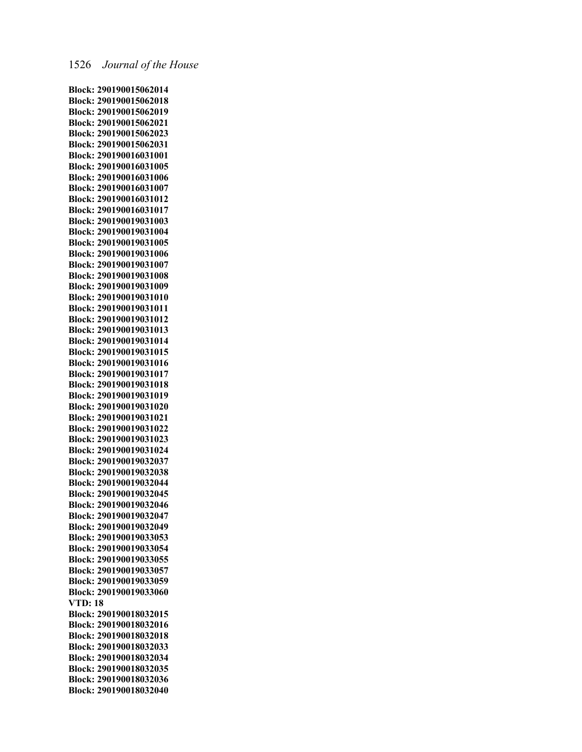**Block: 290190015062014 Block: 290190015062018 Block: 290190015062019 Block: 290190015062021 Block: 290190015062023 Block: 290190015062031 Block: 290190016031001 Block: 290190016031005 Block: 290190016031006 Block: 290190016031007 Block: 290190016031012 Block: 290190016031017 Block: 290190019031003 Block: 290190019031004 Block: 290190019031005 Block: 290190019031006 Block: 290190019031007 Block: 290190019031008 Block: 290190019031009 Block: 290190019031010 Block: 290190019031011 Block: 290190019031012 Block: 290190019031013 Block: 290190019031014 Block: 290190019031015 Block: 290190019031016 Block: 290190019031017 Block: 290190019031018 Block: 290190019031019 Block: 290190019031020 Block: 290190019031021 Block: 290190019031022 Block: 290190019031023 Block: 290190019031024 Block: 290190019032037 Block: 290190019032038 Block: 290190019032044 Block: 290190019032045 Block: 290190019032046 Block: 290190019032047 Block: 290190019032049 Block: 290190019033053 Block: 290190019033054 Block: 290190019033055 Block: 290190019033057 Block: 290190019033059 Block: 290190019033060 VTD: 18 Block: 290190018032015 Block: 290190018032016 Block: 290190018032018 Block: 290190018032033 Block: 290190018032034 Block: 290190018032035 Block: 290190018032036 Block: 290190018032040**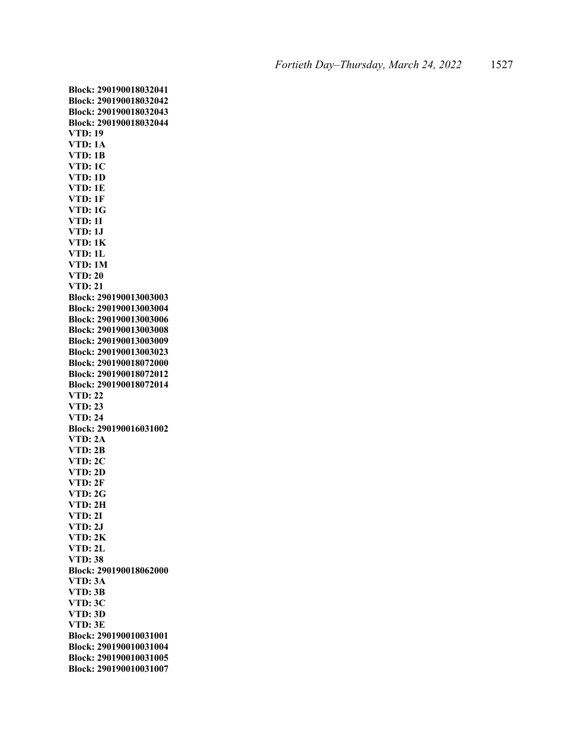**Block: 290190018032041 Block: 290190018032042 Block: 290190018032043 Block: 290190018032044 VTD: 19 VTD: 1A VTD: 1B VTD: 1C VTD: 1D VTD: 1E VTD: 1F VTD: 1G VTD: 1I VTD: 1J VTD: 1K VTD: 1L VTD: 1M VTD: 20 VTD: 21 Block: 290190013003003 Block: 290190013003004 Block: 290190013003006 Block: 290190013003008 Block: 290190013003009 Block: 290190013003023 Block: 290190018072000 Block: 290190018072012 Block: 290190018072014 VTD: 22 VTD: 23 VTD: 24 Block: 290190016031002 VTD: 2A VTD: 2B VTD: 2C VTD: 2D VTD: 2F VTD: 2G VTD: 2H VTD: 2I VTD: 2J VTD: 2K VTD: 2L VTD: 38 Block: 290190018062000 VTD: 3A VTD: 3B VTD: 3C VTD: 3D VTD: 3E Block: 290190010031001 Block: 290190010031004 Block: 290190010031005 Block: 290190010031007**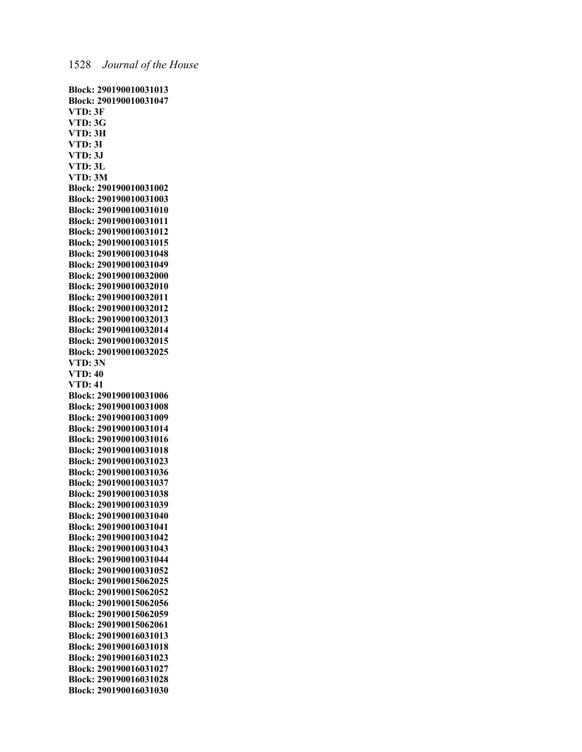**Block: 290190010031013 Block: 290190010031047 VTD: 3F VTD: 3G VTD: 3H VTD: 3I VTD: 3J VTD: 3L VTD: 3M Block: 290190010031002 Block: 290190010031003 Block: 290190010031010 Block: 290190010031011 Block: 290190010031012 Block: 290190010031015 Block: 290190010031048 Block: 290190010031049 Block: 290190010032000 Block: 290190010032010 Block: 290190010032011 Block: 290190010032012 Block: 290190010032013 Block: 290190010032014 Block: 290190010032015 Block: 290190010032025 VTD: 3N VTD: 40 VTD: 41 Block: 290190010031006 Block: 290190010031008 Block: 290190010031009 Block: 290190010031014 Block: 290190010031016 Block: 290190010031018 Block: 290190010031023 Block: 290190010031036 Block: 290190010031037 Block: 290190010031038 Block: 290190010031039 Block: 290190010031040 Block: 290190010031041 Block: 290190010031042 Block: 290190010031043 Block: 290190010031044 Block: 290190010031052 Block: 290190015062025 Block: 290190015062052 Block: 290190015062056 Block: 290190015062059 Block: 290190015062061 Block: 290190016031013 Block: 290190016031018 Block: 290190016031023 Block: 290190016031027 Block: 290190016031028 Block: 290190016031030**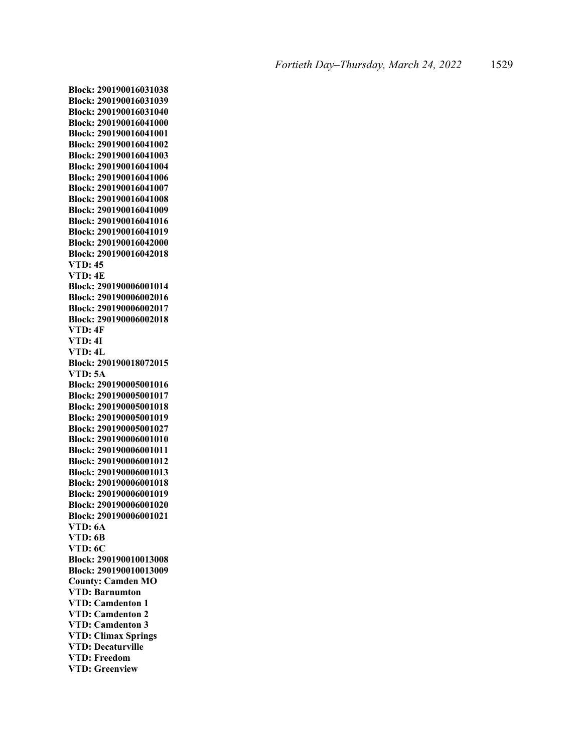**Block: 290190016031038 Block: 290190016031039 Block: 290190016031040 Block: 290190016041000 Block: 290190016041001 Block: 290190016041002 Block: 290190016041003 Block: 290190016041004 Block: 290190016041006 Block: 290190016041007 Block: 290190016041008 Block: 290190016041009 Block: 290190016041016 Block: 290190016041019 Block: 290190016042000 Block: 290190016042018 VTD: 45 VTD: 4E Block: 290190006001014 Block: 290190006002016 Block: 290190006002017 Block: 290190006002018 VTD: 4F VTD: 4I VTD: 4L Block: 290190018072015 VTD: 5A Block: 290190005001016 Block: 290190005001017 Block: 290190005001018 Block: 290190005001019 Block: 290190005001027 Block: 290190006001010 Block: 290190006001011 Block: 290190006001012 Block: 290190006001013 Block: 290190006001018 Block: 290190006001019 Block: 290190006001020 Block: 290190006001021 VTD: 6A VTD: 6B VTD: 6C Block: 290190010013008 Block: 290190010013009 County: Camden MO VTD: Barnumton VTD: Camdenton 1 VTD: Camdenton 2 VTD: Camdenton 3 VTD: Climax Springs VTD: Decaturville VTD: Freedom VTD: Greenview**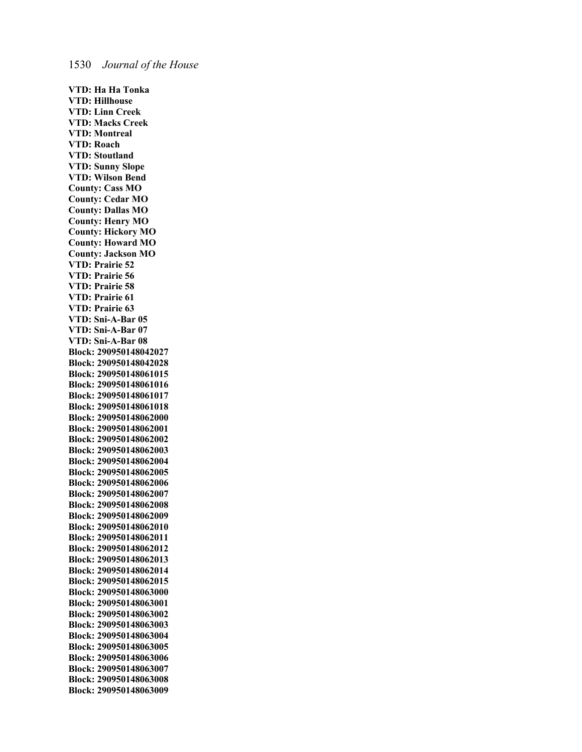**VTD: Ha Ha Tonka VTD: Hillhouse VTD: Linn Creek VTD: Macks Creek VTD: Montreal VTD: Roach VTD: Stoutland VTD: Sunny Slope VTD: Wilson Bend County: Cass MO County: Cedar MO County: Dallas MO County: Henry MO County: Hickory MO County: Howard MO County: Jackson MO VTD: Prairie 52 VTD: Prairie 56 VTD: Prairie 58 VTD: Prairie 61 VTD: Prairie 63 VTD: Sni-A-Bar 05 VTD: Sni-A-Bar 07 VTD: Sni-A-Bar 08 Block: 290950148042027 Block: 290950148042028 Block: 290950148061015 Block: 290950148061016 Block: 290950148061017 Block: 290950148061018 Block: 290950148062000 Block: 290950148062001 Block: 290950148062002 Block: 290950148062003 Block: 290950148062004 Block: 290950148062005 Block: 290950148062006 Block: 290950148062007 Block: 290950148062008 Block: 290950148062009 Block: 290950148062010 Block: 290950148062011 Block: 290950148062012 Block: 290950148062013 Block: 290950148062014 Block: 290950148062015 Block: 290950148063000 Block: 290950148063001 Block: 290950148063002 Block: 290950148063003 Block: 290950148063004 Block: 290950148063005 Block: 290950148063006 Block: 290950148063007 Block: 290950148063008 Block: 290950148063009**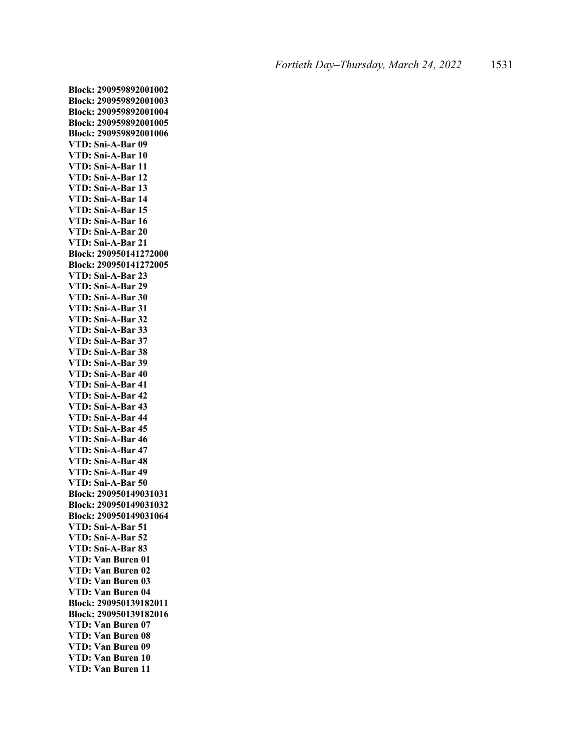**Block: 290959892001002 Block: 290959892001003 Block: 290959892001004 Block: 290959892001005 Block: 290959892001006 VTD: Sni-A-Bar 09 VTD: Sni-A-Bar 10 VTD: Sni-A-Bar 11 VTD: Sni-A-Bar 12 VTD: Sni-A-Bar 13 VTD: Sni-A-Bar 14 VTD: Sni-A-Bar 15 VTD: Sni-A-Bar 16 VTD: Sni-A-Bar 20 VTD: Sni-A-Bar 21 Block: 290950141272000 Block: 290950141272005 VTD: Sni-A-Bar 23 VTD: Sni-A-Bar 29 VTD: Sni-A-Bar 30 VTD: Sni-A-Bar 31 VTD: Sni-A-Bar 32 VTD: Sni-A-Bar 33 VTD: Sni-A-Bar 37 VTD: Sni-A-Bar 38 VTD: Sni-A-Bar 39 VTD: Sni-A-Bar 40 VTD: Sni-A-Bar 41 VTD: Sni-A-Bar 42 VTD: Sni-A-Bar 43 VTD: Sni-A-Bar 44 VTD: Sni-A-Bar 45 VTD: Sni-A-Bar 46 VTD: Sni-A-Bar 47 VTD: Sni-A-Bar 48 VTD: Sni-A-Bar 49 VTD: Sni-A-Bar 50 Block: 290950149031031 Block: 290950149031032 Block: 290950149031064 VTD: Sni-A-Bar 51 VTD: Sni-A-Bar 52 VTD: Sni-A-Bar 83 VTD: Van Buren 01 VTD: Van Buren 02 VTD: Van Buren 03 VTD: Van Buren 04 Block: 290950139182011 Block: 290950139182016 VTD: Van Buren 07 VTD: Van Buren 08 VTD: Van Buren 09 VTD: Van Buren 10 VTD: Van Buren 11**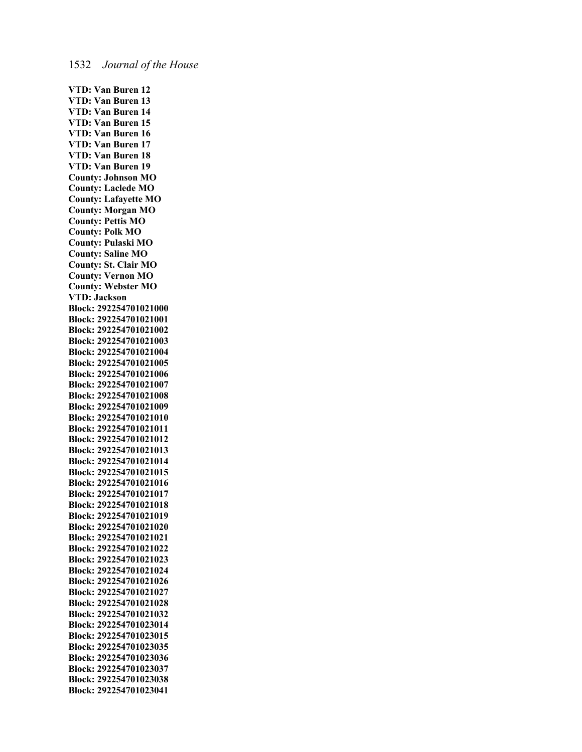**VTD: Van Buren 12 VTD: Van Buren 13 VTD: Van Buren 14 VTD: Van Buren 15 VTD: Van Buren 16 VTD: Van Buren 17 VTD: Van Buren 18 VTD: Van Buren 19 County: Johnson MO County: Laclede MO County: Lafayette MO County: Morgan MO County: Pettis MO County: Polk MO County: Pulaski MO County: Saline MO County: St. Clair MO County: Vernon MO County: Webster MO VTD: Jackson Block: 292254701021000 Block: 292254701021001 Block: 292254701021002 Block: 292254701021003 Block: 292254701021004 Block: 292254701021005 Block: 292254701021006 Block: 292254701021007 Block: 292254701021008 Block: 292254701021009 Block: 292254701021010 Block: 292254701021011 Block: 292254701021012 Block: 292254701021013 Block: 292254701021014 Block: 292254701021015 Block: 292254701021016 Block: 292254701021017 Block: 292254701021018 Block: 292254701021019 Block: 292254701021020 Block: 292254701021021 Block: 292254701021022 Block: 292254701021023 Block: 292254701021024 Block: 292254701021026 Block: 292254701021027 Block: 292254701021028 Block: 292254701021032 Block: 292254701023014 Block: 292254701023015 Block: 292254701023035 Block: 292254701023036 Block: 292254701023037 Block: 292254701023038 Block: 292254701023041**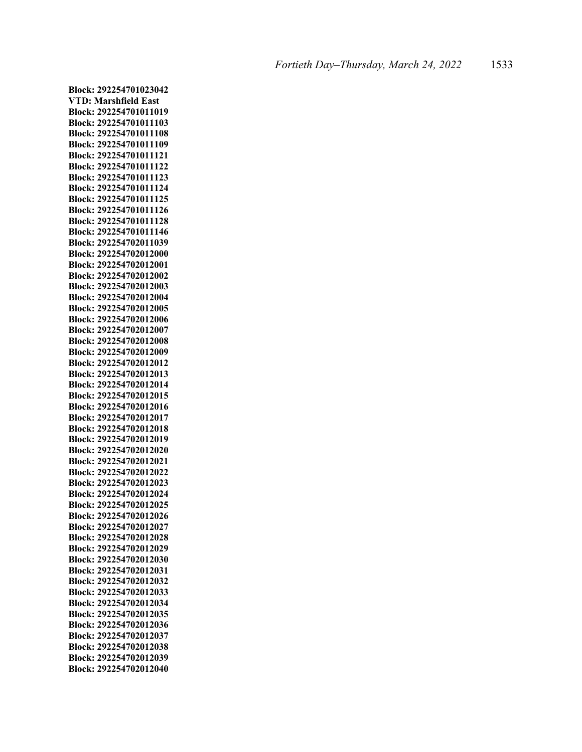**Block: 292254701023042 VTD: Marshfield East Block: 292254701011019 Block: 292254701011103 Block: 292254701011108 Block: 292254701011109 Block: 292254701011121 Block: 292254701011122 Block: 292254701011123 Block: 292254701011124 Block: 292254701011125 Block: 292254701011126 Block: 292254701011128 Block: 292254701011146 Block: 292254702011039 Block: 292254702012000 Block: 292254702012001 Block: 292254702012002 Block: 292254702012003 Block: 292254702012004 Block: 292254702012005 Block: 292254702012006 Block: 292254702012007 Block: 292254702012008 Block: 292254702012009 Block: 292254702012012 Block: 292254702012013 Block: 292254702012014 Block: 292254702012015 Block: 292254702012016 Block: 292254702012017 Block: 292254702012018 Block: 292254702012019 Block: 292254702012020 Block: 292254702012021 Block: 292254702012022 Block: 292254702012023 Block: 292254702012024 Block: 292254702012025 Block: 292254702012026 Block: 292254702012027 Block: 292254702012028 Block: 292254702012029 Block: 292254702012030 Block: 292254702012031 Block: 292254702012032 Block: 292254702012033 Block: 292254702012034 Block: 292254702012035 Block: 292254702012036 Block: 292254702012037 Block: 292254702012038 Block: 292254702012039 Block: 292254702012040**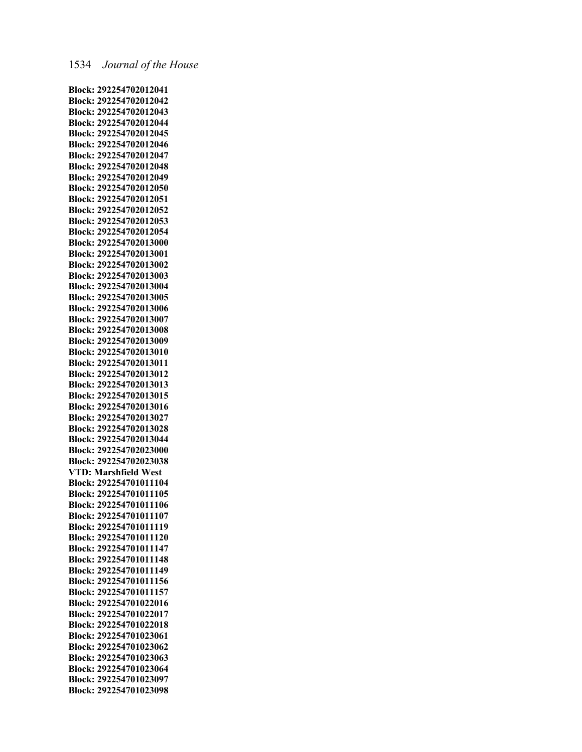## 1534 *Journal of the House*

**Block: 292254702012041 Block: 292254702012042 Block: 292254702012043 Block: 292254702012044 Block: 292254702012045 Block: 292254702012046 Block: 292254702012047 Block: 292254702012048 Block: 292254702012049 Block: 292254702012050 Block: 292254702012051 Block: 292254702012052 Block: 292254702012053 Block: 292254702012054 Block: 292254702013000 Block: 292254702013001 Block: 292254702013002 Block: 292254702013003 Block: 292254702013004 Block: 292254702013005 Block: 292254702013006 Block: 292254702013007 Block: 292254702013008 Block: 292254702013009 Block: 292254702013010 Block: 292254702013011 Block: 292254702013012 Block: 292254702013013 Block: 292254702013015 Block: 292254702013016 Block: 292254702013027 Block: 292254702013028 Block: 292254702013044 Block: 292254702023000 Block: 292254702023038 VTD: Marshfield West Block: 292254701011104 Block: 292254701011105 Block: 292254701011106 Block: 292254701011107 Block: 292254701011119 Block: 292254701011120 Block: 292254701011147 Block: 292254701011148 Block: 292254701011149 Block: 292254701011156 Block: 292254701011157 Block: 292254701022016 Block: 292254701022017 Block: 292254701022018 Block: 292254701023061 Block: 292254701023062 Block: 292254701023063 Block: 292254701023064 Block: 292254701023097 Block: 292254701023098**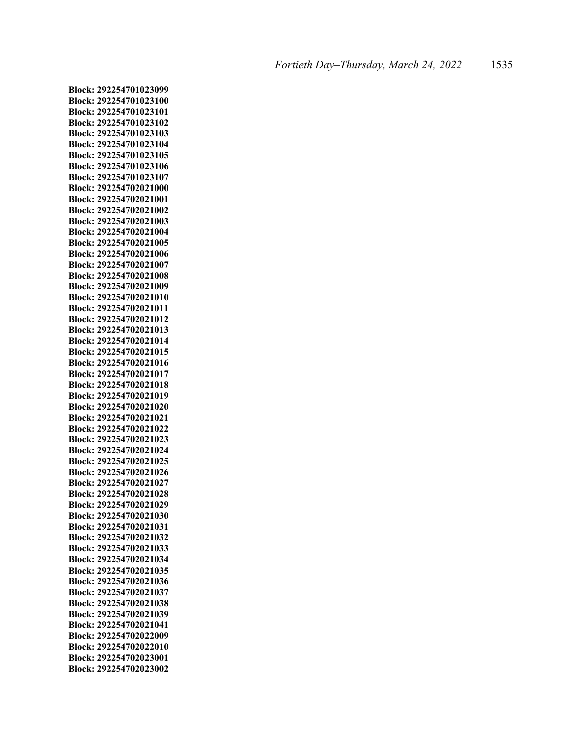**Block: 292254701023099 Block: 292254701023100 Block: 292254701023101 Block: 292254701023102 Block: 292254701023103 Block: 292254701023104 Block: 292254701023105 Block: 292254701023106 Block: 292254701023107 Block: 292254702021000 Block: 292254702021001 Block: 292254702021002 Block: 292254702021003 Block: 292254702021004 Block: 292254702021005 Block: 292254702021006 Block: 292254702021007 Block: 292254702021008 Block: 292254702021009 Block: 292254702021010 Block: 292254702021011 Block: 292254702021012 Block: 292254702021013 Block: 292254702021014 Block: 292254702021015 Block: 292254702021016 Block: 292254702021017 Block: 292254702021018 Block: 292254702021019 Block: 292254702021020 Block: 292254702021021 Block: 292254702021022 Block: 292254702021023 Block: 292254702021024 Block: 292254702021025 Block: 292254702021026 Block: 292254702021027 Block: 292254702021028 Block: 292254702021029 Block: 292254702021030 Block: 292254702021031 Block: 292254702021032 Block: 292254702021033 Block: 292254702021034 Block: 292254702021035 Block: 292254702021036 Block: 292254702021037 Block: 292254702021038 Block: 292254702021039 Block: 292254702021041 Block: 292254702022009 Block: 292254702022010 Block: 292254702023001 Block: 292254702023002**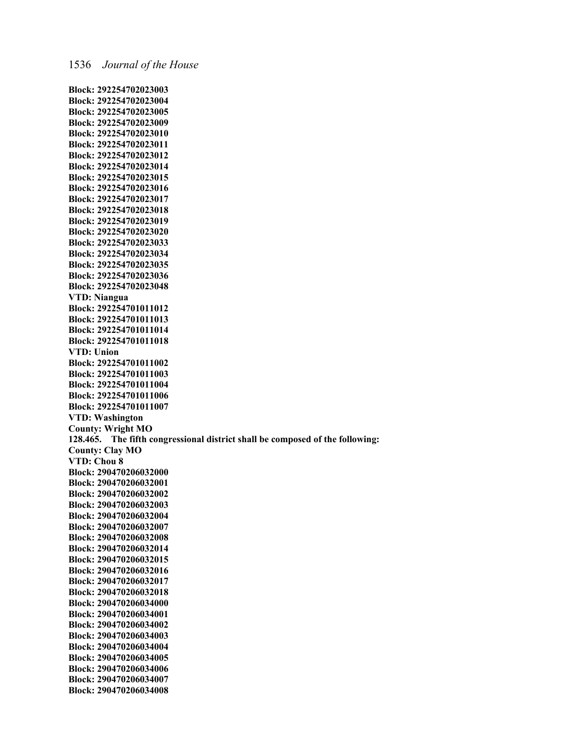**Block: 292254702023003 Block: 292254702023004 Block: 292254702023005 Block: 292254702023009 Block: 292254702023010 Block: 292254702023011 Block: 292254702023012 Block: 292254702023014 Block: 292254702023015 Block: 292254702023016 Block: 292254702023017 Block: 292254702023018 Block: 292254702023019 Block: 292254702023020 Block: 292254702023033 Block: 292254702023034 Block: 292254702023035 Block: 292254702023036 Block: 292254702023048 VTD: Niangua Block: 292254701011012 Block: 292254701011013 Block: 292254701011014 Block: 292254701011018 VTD: Union Block: 292254701011002 Block: 292254701011003 Block: 292254701011004 Block: 292254701011006 Block: 292254701011007 VTD: Washington County: Wright MO 128.465. The fifth congressional district shall be composed of the following: County: Clay MO VTD: Chou 8 Block: 290470206032000 Block: 290470206032001 Block: 290470206032002 Block: 290470206032003 Block: 290470206032004 Block: 290470206032007 Block: 290470206032008 Block: 290470206032014 Block: 290470206032015 Block: 290470206032016 Block: 290470206032017 Block: 290470206032018 Block: 290470206034000 Block: 290470206034001 Block: 290470206034002 Block: 290470206034003 Block: 290470206034004 Block: 290470206034005 Block: 290470206034006 Block: 290470206034007 Block: 290470206034008**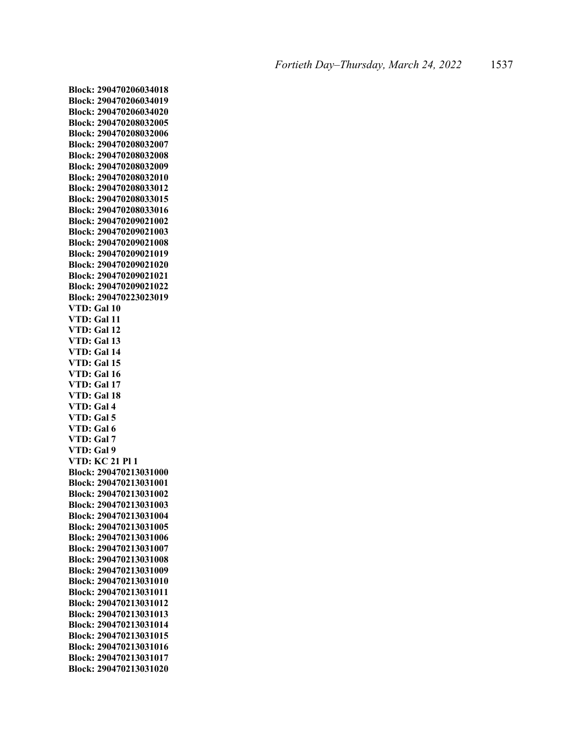**Block: 290470206034018 Block: 290470206034019 Block: 290470206034020 Block: 290470208032005 Block: 290470208032006 Block: 290470208032007 Block: 290470208032008 Block: 290470208032009 Block: 290470208032010 Block: 290470208033012 Block: 290470208033015 Block: 290470208033016 Block: 290470209021002 Block: 290470209021003 Block: 290470209021008 Block: 290470209021019 Block: 290470209021020 Block: 290470209021021 Block: 290470209021022 Block: 290470223023019 VTD: Gal 10 VTD: Gal 11 VTD: Gal 12 VTD: Gal 13 VTD: Gal 14 VTD: Gal 15 VTD: Gal 16 VTD: Gal 17 VTD: Gal 18 VTD: Gal 4 VTD: Gal 5 VTD: Gal 6 VTD: Gal 7 VTD: Gal 9 VTD: KC 21 Pl 1 Block: 290470213031000 Block: 290470213031001 Block: 290470213031002 Block: 290470213031003 Block: 290470213031004 Block: 290470213031005 Block: 290470213031006 Block: 290470213031007 Block: 290470213031008 Block: 290470213031009 Block: 290470213031010 Block: 290470213031011 Block: 290470213031012 Block: 290470213031013 Block: 290470213031014 Block: 290470213031015 Block: 290470213031016 Block: 290470213031017 Block: 290470213031020**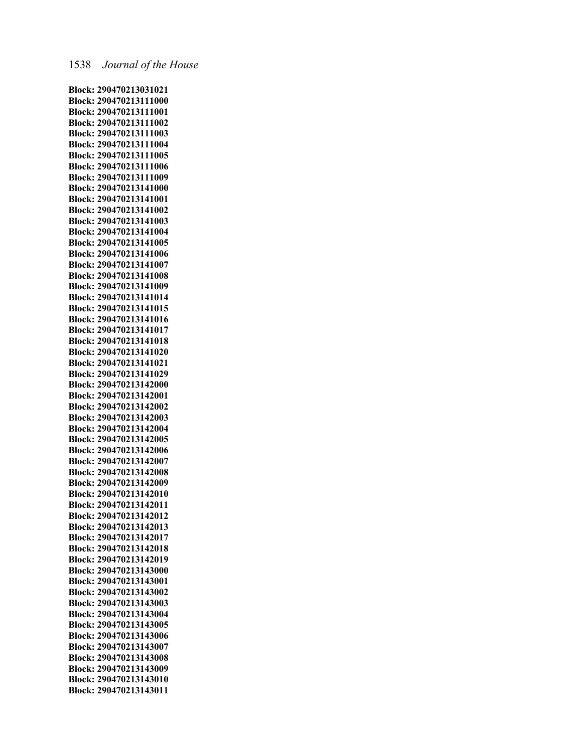**Block: 290470213031021 Block: 290470213111000 Block: 290470213111001 Block: 290470213111002 Block: 290470213111003 Block: 290470213111004 Block: 290470213111005 Block: 290470213111006 Block: 290470213111009 Block: 290470213141000 Block: 290470213141001 Block: 290470213141002 Block: 290470213141003 Block: 290470213141004 Block: 290470213141005 Block: 290470213141006 Block: 290470213141007 Block: 290470213141008 Block: 290470213141009 Block: 290470213141014 Block: 290470213141015 Block: 290470213141016 Block: 290470213141017 Block: 290470213141018 Block: 290470213141020 Block: 290470213141021 Block: 290470213141029 Block: 290470213142000 Block: 290470213142001 Block: 290470213142002 Block: 290470213142003 Block: 290470213142004 Block: 290470213142005 Block: 290470213142006 Block: 290470213142007 Block: 290470213142008 Block: 290470213142009 Block: 290470213142010 Block: 290470213142011 Block: 290470213142012 Block: 290470213142013 Block: 290470213142017 Block: 290470213142018 Block: 290470213142019 Block: 290470213143000 Block: 290470213143001 Block: 290470213143002 Block: 290470213143003 Block: 290470213143004 Block: 290470213143005 Block: 290470213143006 Block: 290470213143007 Block: 290470213143008 Block: 290470213143009 Block: 290470213143010 Block: 290470213143011**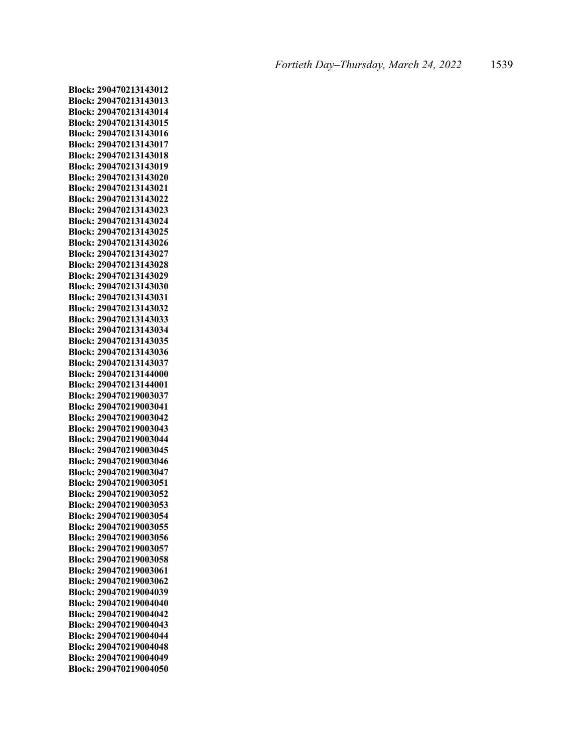**Block: 290470213143012 Block: 290470213143013 Block: 290470213143014 Block: 290470213143015 Block: 290470213143016 Block: 290470213143017 Block: 290470213143018 Block: 290470213143019 Block: 290470213143020 Block: 290470213143021 Block: 290470213143022 Block: 290470213143023 Block: 290470213143024 Block: 290470213143025 Block: 290470213143026 Block: 290470213143027 Block: 290470213143028 Block: 290470213143029 Block: 290470213143030 Block: 290470213143031 Block: 290470213143032 Block: 290470213143033 Block: 290470213143034 Block: 290470213143035 Block: 290470213143036 Block: 290470213143037 Block: 290470213144000 Block: 290470213144001 Block: 290470219003037 Block: 290470219003041 Block: 290470219003042 Block: 290470219003043 Block: 290470219003044 Block: 290470219003045 Block: 290470219003046 Block: 290470219003047 Block: 290470219003051 Block: 290470219003052 Block: 290470219003053 Block: 290470219003054 Block: 290470219003055 Block: 290470219003056 Block: 290470219003057 Block: 290470219003058 Block: 290470219003061 Block: 290470219003062 Block: 290470219004039 Block: 290470219004040 Block: 290470219004042 Block: 290470219004043 Block: 290470219004044 Block: 290470219004048 Block: 290470219004049 Block: 290470219004050**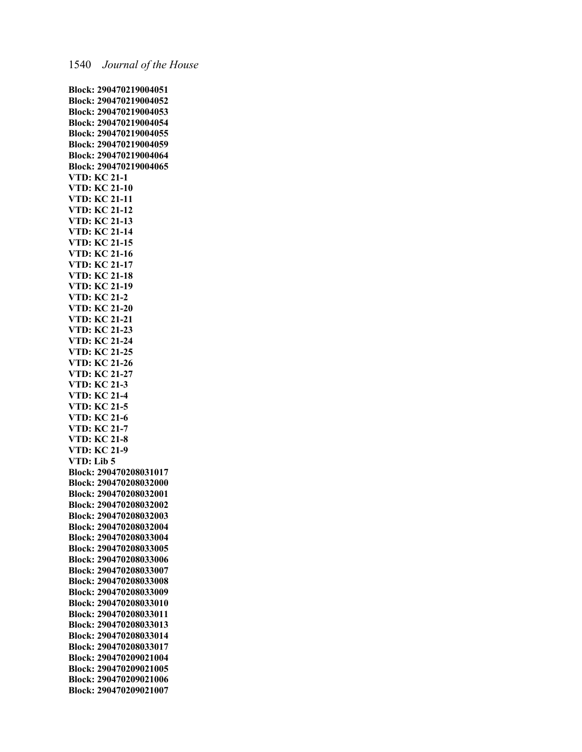**Block: 290470219004051 Block: 290470219004052 Block: 290470219004053 Block: 290470219004054 Block: 290470219004055 Block: 290470219004059 Block: 290470219004064 Block: 290470219004065 VTD: KC 21-1 VTD: KC 21-10 VTD: KC 21-11 VTD: KC 21-12 VTD: KC 21-13 VTD: KC 21-14 VTD: KC 21-15 VTD: KC 21-16 VTD: KC 21-17 VTD: KC 21-18 VTD: KC 21-19 VTD: KC 21-2 VTD: KC 21-20 VTD: KC 21-21 VTD: KC 21-23 VTD: KC 21-24 VTD: KC 21-25 VTD: KC 21-26 VTD: KC 21-27 VTD: KC 21-3 VTD: KC 21-4 VTD: KC 21-5 VTD: KC 21-6 VTD: KC 21-7 VTD: KC 21-8 VTD: KC 21-9 VTD: Lib 5 Block: 290470208031017 Block: 290470208032000 Block: 290470208032001 Block: 290470208032002 Block: 290470208032003 Block: 290470208032004 Block: 290470208033004 Block: 290470208033005 Block: 290470208033006 Block: 290470208033007 Block: 290470208033008 Block: 290470208033009 Block: 290470208033010 Block: 290470208033011 Block: 290470208033013 Block: 290470208033014 Block: 290470208033017 Block: 290470209021004 Block: 290470209021005 Block: 290470209021006 Block: 290470209021007**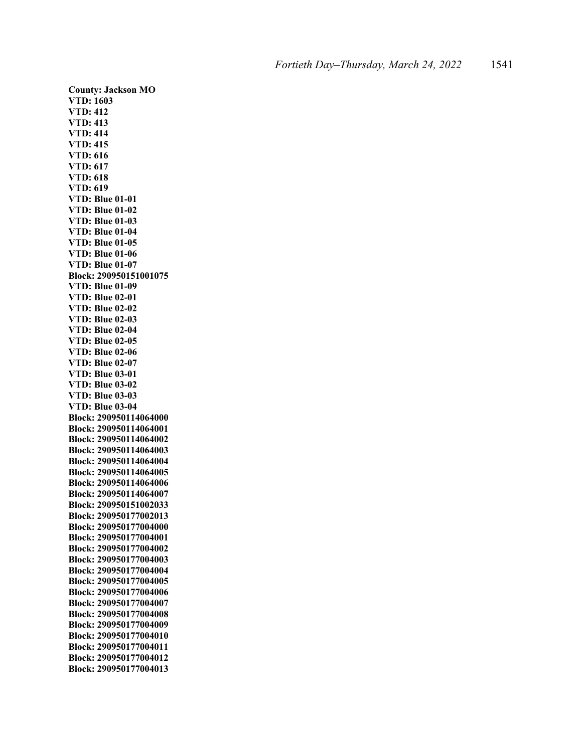**County: Jackson MO VTD: 1603 VTD: 412 VTD: 413 VTD: 414 VTD: 415 VTD: 616 VTD: 617 VTD: 618 VTD: 619 VTD: Blue 01-01 VTD: Blue 01-02 VTD: Blue 01-03 VTD: Blue 01-04 VTD: Blue 01-05 VTD: Blue 01-06 VTD: Blue 01-07 Block: 290950151001075 VTD: Blue 01-09 VTD: Blue 02-01 VTD: Blue 02-02 VTD: Blue 02-03 VTD: Blue 02-04 VTD: Blue 02-05 VTD: Blue 02-06 VTD: Blue 02-07 VTD: Blue 03-01 VTD: Blue 03-02 VTD: Blue 03-03 VTD: Blue 03-04 Block: 290950114064000 Block: 290950114064001 Block: 290950114064002 Block: 290950114064003 Block: 290950114064004 Block: 290950114064005 Block: 290950114064006 Block: 290950114064007 Block: 290950151002033 Block: 290950177002013 Block: 290950177004000 Block: 290950177004001 Block: 290950177004002 Block: 290950177004003 Block: 290950177004004 Block: 290950177004005 Block: 290950177004006 Block: 290950177004007 Block: 290950177004008 Block: 290950177004009 Block: 290950177004010 Block: 290950177004011 Block: 290950177004012 Block: 290950177004013**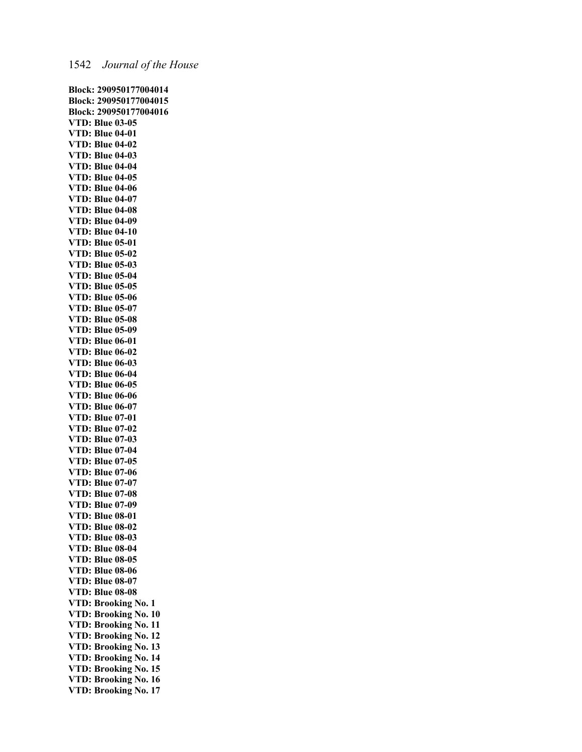**Block: 290950177004014 Block: 290950177004015 Block: 290950177004016 VTD: Blue 03-05 VTD: Blue 04-01 VTD: Blue 04-02 VTD: Blue 04-03 VTD: Blue 04-04 VTD: Blue 04-05 VTD: Blue 04-06 VTD: Blue 04-07 VTD: Blue 04-08 VTD: Blue 04-09 VTD: Blue 04-10 VTD: Blue 05-01 VTD: Blue 05-02 VTD: Blue 05-03 VTD: Blue 05-04 VTD: Blue 05-05 VTD: Blue 05-06 VTD: Blue 05-07 VTD: Blue 05-08 VTD: Blue 05-09 VTD: Blue 06-01 VTD: Blue 06-02 VTD: Blue 06-03 VTD: Blue 06-04 VTD: Blue 06-05 VTD: Blue 06-06 VTD: Blue 06-07 VTD: Blue 07-01 VTD: Blue 07-02 VTD: Blue 07-03 VTD: Blue 07-04 VTD: Blue 07-05 VTD: Blue 07-06 VTD: Blue 07-07 VTD: Blue 07-08 VTD: Blue 07-09 VTD: Blue 08-01 VTD: Blue 08-02 VTD: Blue 08-03 VTD: Blue 08-04 VTD: Blue 08-05 VTD: Blue 08-06 VTD: Blue 08-07 VTD: Blue 08-08 VTD: Brooking No. 1 VTD: Brooking No. 10 VTD: Brooking No. 11 VTD: Brooking No. 12 VTD: Brooking No. 13 VTD: Brooking No. 14 VTD: Brooking No. 15 VTD: Brooking No. 16 VTD: Brooking No. 17**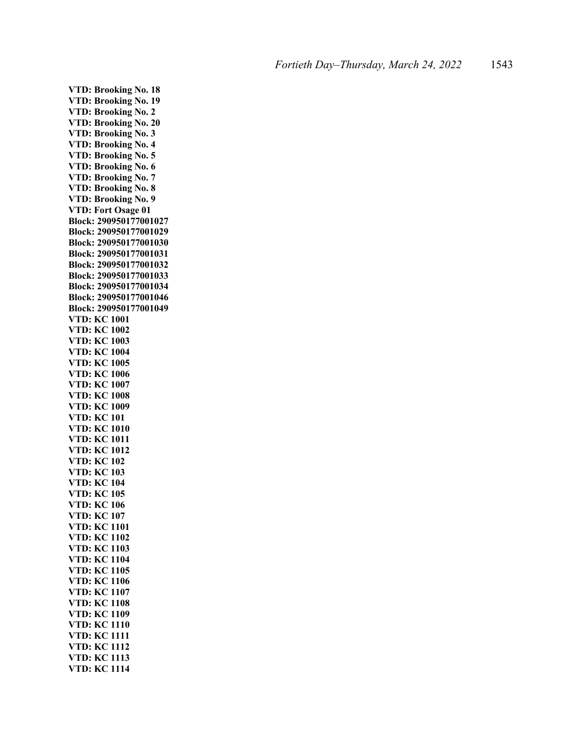**VTD: Brooking No. 18 VTD: Brooking No. 19 VTD: Brooking No. 2 VTD: Brooking No. 20 VTD: Brooking No. 3 VTD: Brooking No. 4 VTD: Brooking No. 5 VTD: Brooking No. 6 VTD: Brooking No. 7 VTD: Brooking No. 8 VTD: Brooking No. 9 VTD: Fort Osage 01 Block: 290950177001027 Block: 290950177001029 Block: 290950177001030 Block: 290950177001031 Block: 290950177001032 Block: 290950177001033 Block: 290950177001034 Block: 290950177001046 Block: 290950177001049 VTD: KC 1001 VTD: KC 1002 VTD: KC 1003 VTD: KC 1004 VTD: KC 1005 VTD: KC 1006 VTD: KC 1007 VTD: KC 1008 VTD: KC 1009 VTD: KC 101 VTD: KC 1010 VTD: KC 1011 VTD: KC 1012 VTD: KC 102 VTD: KC 103 VTD: KC 104 VTD: KC 105 VTD: KC 106 VTD: KC 107 VTD: KC 1101 VTD: KC 1102 VTD: KC 1103 VTD: KC 1104 VTD: KC 1105 VTD: KC 1106 VTD: KC 1107 VTD: KC 1108 VTD: KC 1109 VTD: KC 1110 VTD: KC 1111 VTD: KC 1112 VTD: KC 1113 VTD: KC 1114**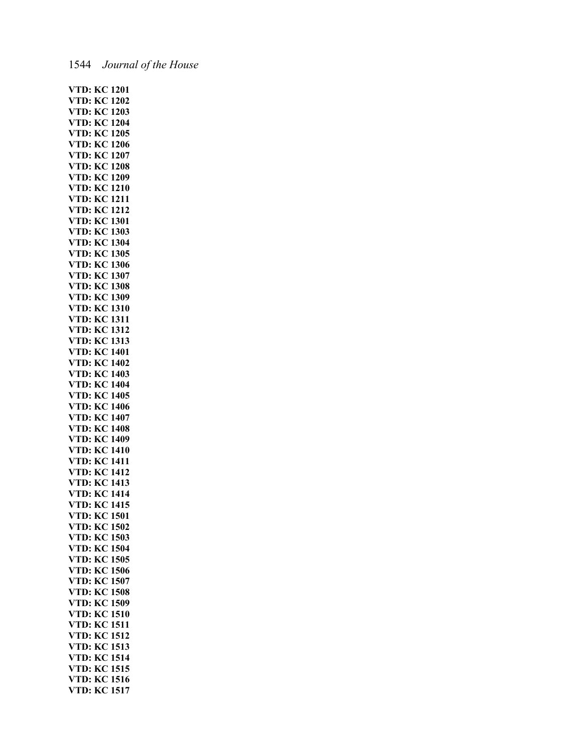## 1544 *Journal of the House*

| VTD:                       |                     |              |
|----------------------------|---------------------|--------------|
|                            | KC                  | 1201         |
| VTD:                       | KC                  | 1202         |
|                            |                     |              |
| VTD:                       | KC                  | 1203         |
| VTD:                       | KC                  | 1204         |
| VTD:                       | KС                  | 1205         |
| VTD:                       | KC                  | 1206         |
| VTD:                       | $K_{\rm C}$         | 1207         |
|                            | KC                  | 1208         |
| VTD:                       |                     |              |
| VTD:                       | KС                  | 1209         |
| VTD:                       | KĆ                  | 1210         |
| VTD:                       | КC                  | 1211         |
| VTD:                       | KС                  | 1212         |
| VTD:                       | KC                  | 1301         |
| VTD:                       | KC                  | 1303         |
| VTD:                       | KC                  | 1304         |
|                            |                     | 1305         |
| VTD:                       | KC                  |              |
| VTD:                       | KC                  | 1306         |
| VTD:                       | KС                  | 1307         |
| VTD:                       | KС                  | 1308         |
| VTD:                       | KC                  | 1309         |
|                            | KC                  | 1310         |
| VT <mark>D:</mark><br>VTD: | KĆ                  | 1311         |
| VTD:                       | КC                  | 1312         |
|                            |                     | 1313         |
| VTD:                       | KС                  |              |
| VTD:                       | KC                  | 1401         |
| VTD:                       | KC                  | 1402         |
| VTD:                       | KC                  | 1403         |
| VTD:                       | KC                  | 1404         |
| VTD:                       | KC                  | 1405         |
| VTD:                       | KC                  | 1406         |
| VTD:                       | .<br>KC             | 1407         |
|                            | KC                  | 1408         |
| VTD:<br>VTD:<br>VTD:       | КĊ                  | 1409         |
|                            |                     |              |
|                            |                     |              |
|                            | KĆ                  | 1410         |
| VTD:                       | КC                  | 1411         |
| VTD:                       | КC                  | 1412         |
| VTD:                       | KС                  | 1413         |
|                            | KC                  | 1414         |
| VTD:                       |                     |              |
| VTD:                       | KC                  | 1415         |
| VTD:                       | KС                  | 1501         |
| VTD:                       | KC                  | 1502         |
| VTD:                       | KC                  | 1503         |
| VTD:                       |                     | 1504         |
| VTD:                       | .<br>KC<br>KC       | 1505         |
|                            | кĊ                  | 1506         |
| VTD:<br>VTD:               |                     | 1507         |
| VTD:                       | $\tilde{\text{KC}}$ |              |
|                            | КĊ                  | 1508         |
| VTD:                       | KС                  | 1509         |
| VTD:                       | KC                  | 1510         |
| VTD:                       | KC                  | 1511         |
| VTD:                       | KC                  | 1512         |
| VTD:                       | KC                  | 1513         |
| VTD:                       | KС                  | 1514         |
| VTD:                       | KC                  | 1515         |
| VTD:<br>VTD:               | $K_{\rm C}$<br>KC   | 1516<br>1517 |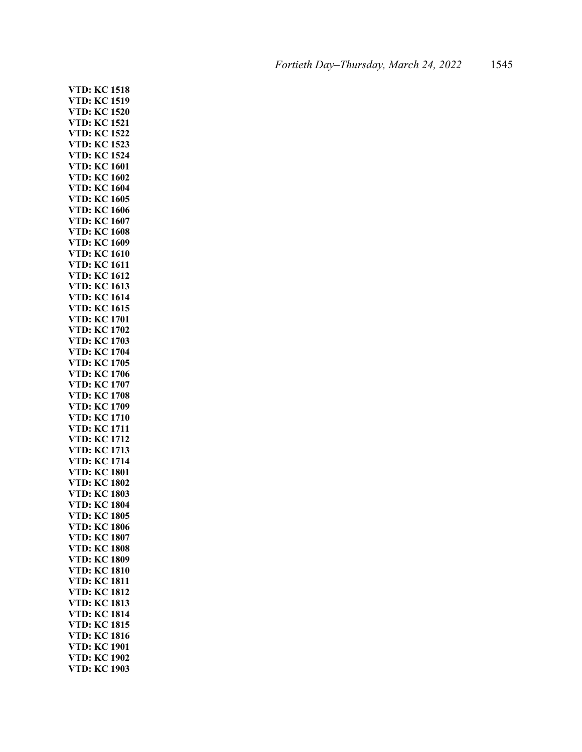**VTD: KC 1518 VTD: KC 1519 VTD: KC 1520 VTD: KC 1521 VTD: KC 1522 VTD: KC 1523 VTD: KC 1524 VTD: KC 1601 VTD: KC 1602 VTD: KC 1604 VTD: KC 1605 VTD: KC 1606 VTD: KC 1607 VTD: KC 1608 VTD: KC 1609 VTD: KC 1610 VTD: KC 1611 VTD: KC 1612 VTD: KC 1613 VTD: KC 1614 VTD: KC 1615 VTD: KC 1701 VTD: KC 1702 VTD: KC 1703 VTD: KC 1704 VTD: KC 1705 VTD: KC 1706 VTD: KC 1707 VTD: KC 1708 VTD: KC 1709 VTD: KC 1710 VTD: KC 1711 VTD: KC 1712 VTD: KC 1713 VTD: KC 1714 VTD: KC 1801 VTD: KC 1802 VTD: KC 1803 VTD: KC 1804 VTD: KC 1805 VTD: KC 1806 VTD: KC 1807 VTD: KC 1808 VTD: KC 1809 VTD: KC 1810 VTD: KC 1811 VTD: KC 1812 VTD: KC 1813 VTD: KC 1814 VTD: KC 1815 VTD: KC 1816 VTD: KC 1901 VTD: KC 1902 VTD: KC 1903**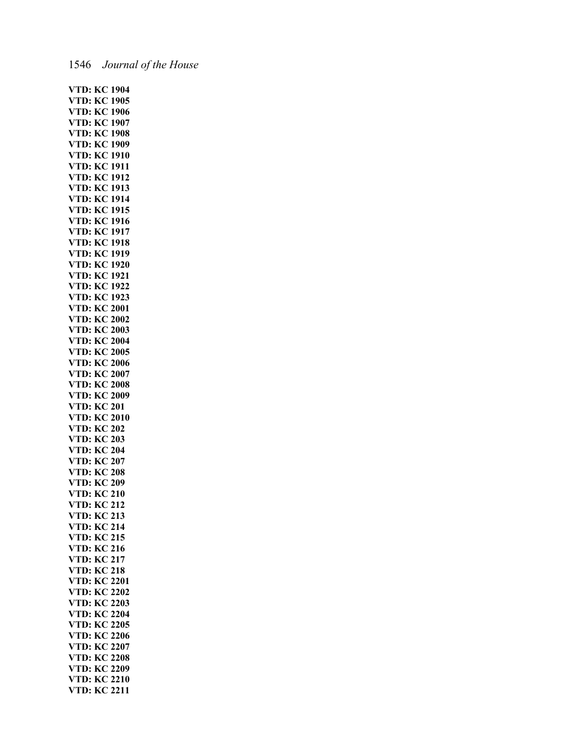# 1546 *Journal of the House*

| VTD:                 | KC                  | 1904         |
|----------------------|---------------------|--------------|
| VTD:                 | KC                  | 1905         |
|                      |                     |              |
| VTD:                 | KС                  | 1906         |
| VTD:                 | KС                  | 1907         |
| VTD:                 | KC                  | 1908         |
| VTD:                 | KС                  | 1909         |
| V                    | KC                  | 1910         |
| TD:                  |                     |              |
| VTD:                 | KC                  | 1911         |
| VTD:                 | КC                  | 1912         |
| VTD:                 | КC                  | 1913         |
| VTD:                 | KC                  | 1914         |
| VTD:                 | KC                  | 1915         |
|                      | KC                  | 1916         |
| VTD:                 |                     |              |
| VTD:                 | KC                  | 1917         |
| VTD:                 | KC                  | 1918         |
| VTD:                 | KC                  | 1919         |
| VTD:                 | KC                  | 1920         |
|                      |                     | 1921         |
| VTD:                 | KС                  |              |
| VTD:                 | KC                  | 1922         |
| VTD:                 | KC                  | 1923         |
| VTD:                 | KС                  | 2001         |
| VTD:                 | КC                  | 2002         |
|                      |                     |              |
| VTD:                 | KC                  | 2003         |
| VTD:                 | KC                  | 2004         |
| VTD:                 | KC                  | 2005         |
| VTD:                 | KC                  | 2006         |
| VTD:                 | KС                  | 2007         |
|                      |                     |              |
| VTD:                 | KС                  | 2008         |
|                      |                     |              |
|                      | KC                  | 2009         |
| VTD:                 |                     |              |
|                      | KC                  | 201          |
| VTD:<br>VTD:         | KC                  | 2010         |
| VTD:                 | KC                  | 202          |
| VTD:                 | $\tilde{K}$         | 203          |
| VTD:                 | KC                  | 204          |
| VTD:                 |                     |              |
|                      | KC                  | 207          |
| VTD:                 | KC                  | 208          |
| VTD:                 | KC                  | 209          |
| VTD:                 | KC                  | 210          |
| VTD:                 | K <sub>C</sub><br>ر | 212          |
|                      |                     |              |
| VTD:                 | KC                  | 213          |
| VTD:                 | KC                  | 214          |
| VTD:                 |                     | 215          |
|                      | KC<br>KC            | 216          |
|                      |                     | 217          |
|                      |                     | 218          |
| VTD:<br>VTD:<br>VTD: | KC<br>KC            | 2201         |
| VTD:                 | KС                  |              |
| VTD:                 | KC                  | 2202         |
| VTD:                 | KC                  | 2203         |
| VTD:                 | KC                  | 2204         |
| VTD:                 | KC                  | 2205         |
| VTD:                 | KC                  | 2206         |
|                      |                     |              |
| VTD:                 | KC                  | 2207         |
| VTD:                 | KC                  | 2208         |
|                      |                     | 2209         |
| VTD:<br>VTD:<br>VTD: | KC<br>KC<br>КĊ      | 2210<br>2211 |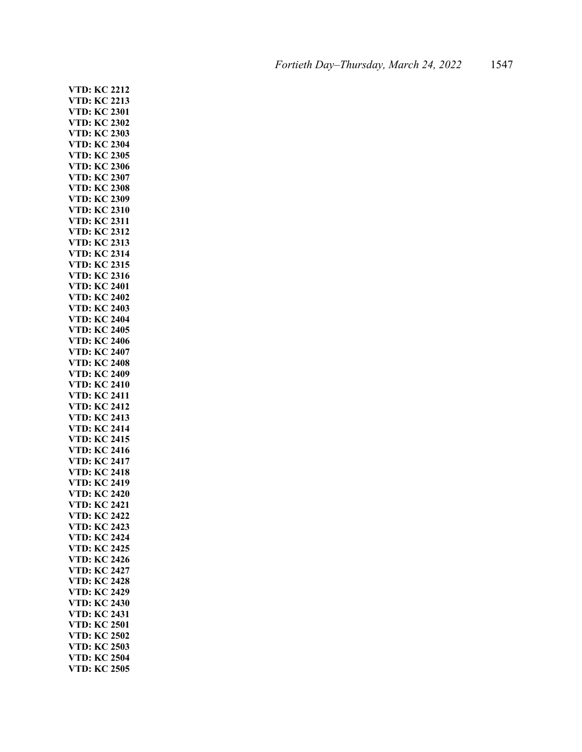**VTD: KC 2212 VTD: KC 2213 VTD: KC 2301 VTD: KC 2302 VTD: KC 2303 VTD: KC 2304 VTD: KC 2305 VTD: KC 2306 VTD: KC 2307 VTD: KC 2308 VTD: KC 2309 VTD: KC 2310 VTD: KC 2311 VTD: KC 2312 VTD: KC 2313 VTD: KC 2314 VTD: KC 2315 VTD: KC 2316 VTD: KC 2401 VTD: KC 2402 VTD: KC 2403 VTD: KC 2404 VTD: KC 2405 VTD: KC 2406 VTD: KC 2407 VTD: KC 2408 VTD: KC 2409 VTD: KC 2410 VTD: KC 2411 VTD: KC 2412 VTD: KC 2413 VTD: KC 2414 VTD: KC 2415 VTD: KC 2416 VTD: KC 2417 VTD: KC 2418 VTD: KC 2419 VTD: KC 2420 VTD: KC 2421 VTD: KC 2422 VTD: KC 2423 VTD: KC 2424 VTD: KC 2425 VTD: KC 2426 VTD: KC 2427 VTD: KC 2428 VTD: KC 2429 VTD: KC 2430 VTD: KC 2431 VTD: KC 2501 VTD: KC 2502 VTD: KC 2503 VTD: KC 2504 VTD: KC 2505**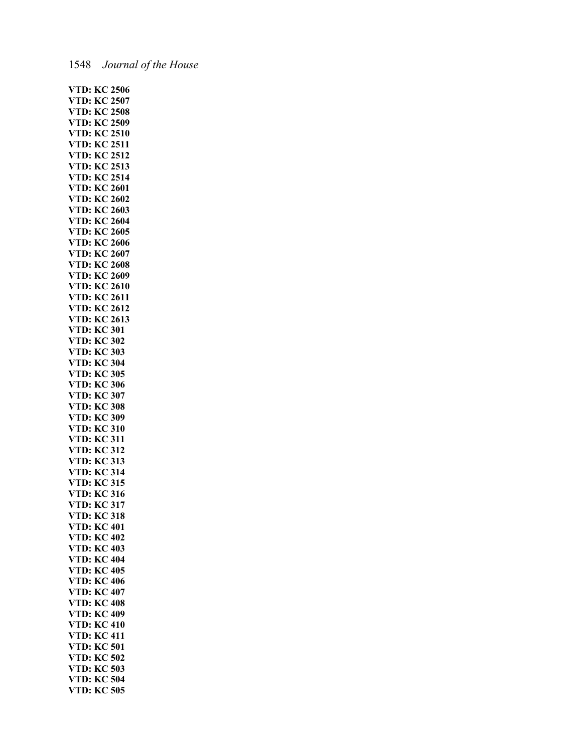## 1548 *Journal of the House*

|                                                                                                    |                                      | <b>VTD: KC 2506</b>               |
|----------------------------------------------------------------------------------------------------|--------------------------------------|-----------------------------------|
| <b>VTD: KC 2507</b>                                                                                |                                      |                                   |
|                                                                                                    |                                      |                                   |
| <b>VTD: KC 2508</b>                                                                                |                                      |                                   |
| <b>VTD: KC 2509</b>                                                                                |                                      |                                   |
| <b>VTD: KC 2510<br/>VTD: KC 2511<br/>VTD: KC 2512<br/>VTD: KC 2513<br/>VTD: KC 2514</b>            |                                      |                                   |
|                                                                                                    |                                      |                                   |
|                                                                                                    |                                      |                                   |
|                                                                                                    |                                      |                                   |
|                                                                                                    |                                      | 2513                              |
|                                                                                                    |                                      |                                   |
|                                                                                                    |                                      |                                   |
| <b>VTD: KC 2601</b>                                                                                |                                      |                                   |
| <b>VTD: KC 2602</b>                                                                                |                                      |                                   |
|                                                                                                    |                                      |                                   |
| <b>VTD: KC 2603</b>                                                                                |                                      |                                   |
| <b>VTD: KC 2604</b>                                                                                |                                      |                                   |
|                                                                                                    |                                      |                                   |
| <b>VTD: KC 2605</b>                                                                                |                                      |                                   |
| <b>VTD: KC 2606</b>                                                                                |                                      |                                   |
| <b>VTD: KC 2607</b>                                                                                |                                      |                                   |
|                                                                                                    |                                      |                                   |
|                                                                                                    |                                      |                                   |
|                                                                                                    |                                      |                                   |
|                                                                                                    |                                      |                                   |
| <b>VTD: KC 2608<br/>VTD: KC 2608<br/>VTD: KC 2610<br/>VTD: KC 2611<br/>VTD: KC 2612</b>            |                                      |                                   |
|                                                                                                    |                                      |                                   |
|                                                                                                    |                                      |                                   |
| <b>VTD: KC 2613</b>                                                                                |                                      |                                   |
|                                                                                                    |                                      |                                   |
| <b>VTD: KC 301</b>                                                                                 |                                      |                                   |
| <b>VTD: KC 302</b>                                                                                 |                                      |                                   |
| <b>VTD: KC 303</b>                                                                                 |                                      |                                   |
|                                                                                                    |                                      |                                   |
| <b>VTD: KC 304</b>                                                                                 |                                      |                                   |
| <b>VTD: KC 305</b>                                                                                 |                                      |                                   |
| <b>VTD: KC 306</b>                                                                                 |                                      |                                   |
|                                                                                                    |                                      |                                   |
|                                                                                                    |                                      |                                   |
|                                                                                                    |                                      |                                   |
|                                                                                                    |                                      |                                   |
|                                                                                                    |                                      |                                   |
|                                                                                                    |                                      | 309                               |
|                                                                                                    |                                      | 310                               |
|                                                                                                    |                                      |                                   |
| <b>VTD: KC 307<br/>VTD: KC 308<br/>VTD: KC 308<br/>VTD: KC 310<br/>VTD: KC 311<br/>VTD: KC 311</b> |                                      |                                   |
| <b>VTD: KC 312</b>                                                                                 |                                      |                                   |
| <b>VTD: KC 313</b>                                                                                 |                                      |                                   |
|                                                                                                    |                                      |                                   |
| <b>VTD: KC 314</b>                                                                                 |                                      |                                   |
| <b>VTD: KC 315</b>                                                                                 |                                      |                                   |
| <b>VTD: KC 316</b>                                                                                 |                                      |                                   |
|                                                                                                    |                                      |                                   |
| <b>VTD: KC 317</b>                                                                                 |                                      |                                   |
| VTD:                                                                                               |                                      | <b>KC 318</b>                     |
| VTD:                                                                                               | <b>KC 401</b>                        |                                   |
|                                                                                                    |                                      |                                   |
| VTD:                                                                                               |                                      |                                   |
| VTD:                                                                                               |                                      |                                   |
| VTD:                                                                                               |                                      |                                   |
|                                                                                                    |                                      |                                   |
| VTD:                                                                                               | KC 402<br>KC 403<br>KC 404<br>KC 405 |                                   |
| VTD:                                                                                               | <b>KC 406</b>                        |                                   |
| VTD:                                                                                               |                                      | <b>KC 407</b>                     |
|                                                                                                    |                                      |                                   |
| VTD:                                                                                               |                                      | <b>KC 408</b>                     |
| VTD:                                                                                               |                                      | <b>KC 409</b>                     |
| VTD:                                                                                               |                                      | <b>KC 410</b>                     |
|                                                                                                    |                                      |                                   |
| VTD:                                                                                               | <b>KC 411</b>                        |                                   |
| VTD:                                                                                               | <b>KC 501</b>                        |                                   |
| VTD:                                                                                               |                                      |                                   |
|                                                                                                    | KC 502                               |                                   |
| VTD:                                                                                               |                                      |                                   |
| VTD:<br>VTD:                                                                                       |                                      | KC 503<br>KC 504<br><b>KC 505</b> |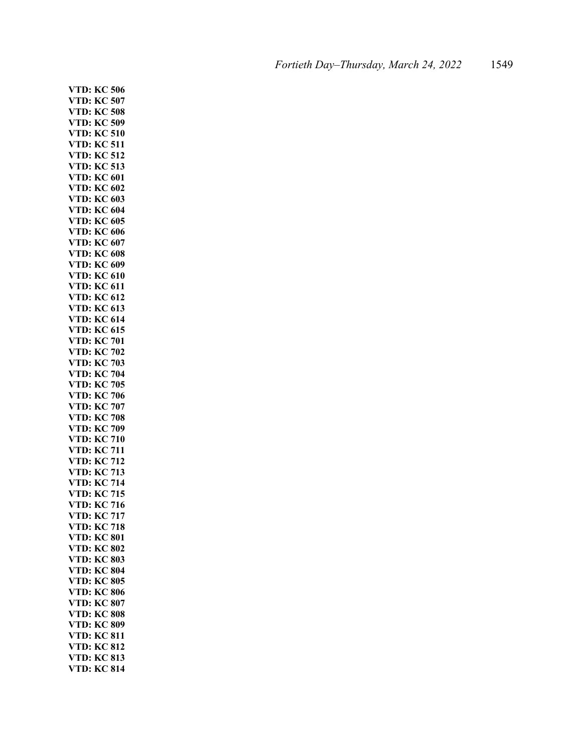**VTD: KC 506 VTD: KC 507 VTD: KC 508 VTD: KC 509 VTD: KC 510 VTD: KC 511 VTD: KC 512 VTD: KC 513 VTD: KC 601 VTD: KC 602 VTD: KC 603 VTD: KC 604 VTD: KC 605 VTD: KC 606 VTD: KC 607 VTD: KC 608 VTD: KC 609 VTD: KC 610 VTD: KC 611 VTD: KC 612 VTD: KC 613 VTD: KC 614 VTD: KC 615 VTD: KC 701 VTD: KC 702 VTD: KC 703 VTD: KC 704 VTD: KC 705 VTD: KC 706 VTD: KC 707 VTD: KC 708 VTD: KC 709 VTD: KC 710 VTD: KC 711 VTD: KC 712 VTD: KC 713 VTD: KC 714 VTD: KC 715 VTD: KC 716 VTD: KC 717 VTD: KC 718 VTD: KC 801 VTD: KC 802 VTD: KC 803 VTD: KC 804 VTD: KC 805 VTD: KC 806 VTD: KC 807 VTD: KC 808 VTD: KC 809 VTD: KC 811 VTD: KC 812 VTD: KC 813 VTD: KC 814**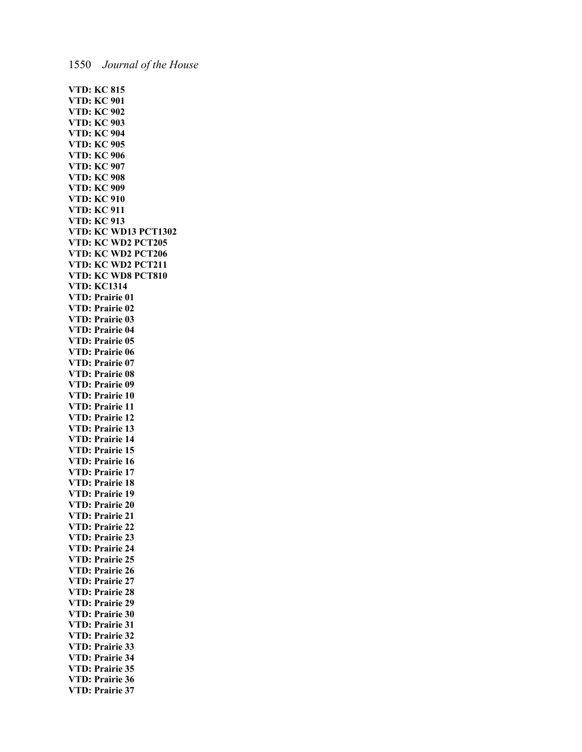**VTD: KC 815 VTD: KC 901 VTD: KC 902 VTD: KC 903 VTD: KC 904 VTD: KC 905 VTD: KC 906 VTD: KC 907 VTD: KC 908 VTD: KC 909 VTD: KC 910 VTD: KC 911 VTD: KC 913 VTD: KC WD13 PCT1302 VTD: KC WD2 PCT205 VTD: KC WD2 PCT206 VTD: KC WD2 PCT211 VTD: KC WD8 PCT810 VTD: KC1314 VTD: Prairie 01 VTD: Prairie 02 VTD: Prairie 03 VTD: Prairie 04 VTD: Prairie 05 VTD: Prairie 06 VTD: Prairie 07 VTD: Prairie 08 VTD: Prairie 09 VTD: Prairie 10 VTD: Prairie 11 VTD: Prairie 12 VTD: Prairie 13 VTD: Prairie 14 VTD: Prairie 15 VTD: Prairie 16 VTD: Prairie 17 VTD: Prairie 18 VTD: Prairie 19 VTD: Prairie 20 VTD: Prairie 21 VTD: Prairie 22 VTD: Prairie 23 VTD: Prairie 24 VTD: Prairie 25 VTD: Prairie 26 VTD: Prairie 27 VTD: Prairie 28 VTD: Prairie 29 VTD: Prairie 30 VTD: Prairie 31 VTD: Prairie 32 VTD: Prairie 33 VTD: Prairie 34 VTD: Prairie 35 VTD: Prairie 36 VTD: Prairie 37**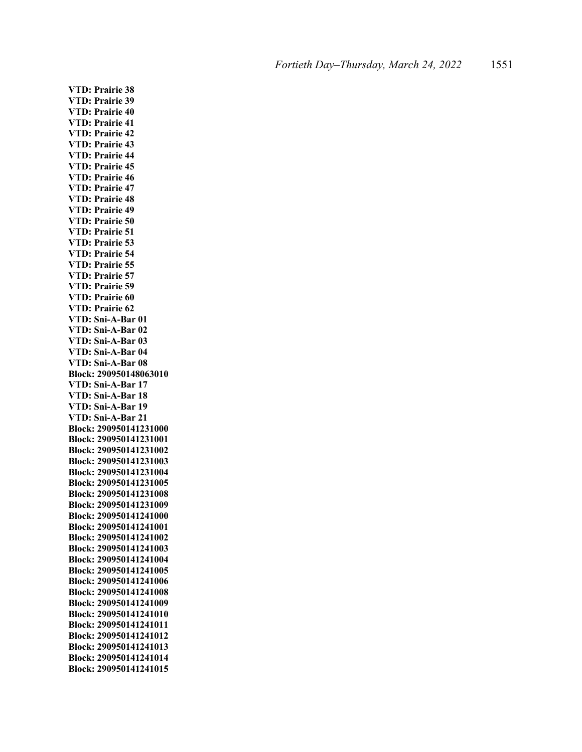**VTD: Prairie 38 VTD: Prairie 39 VTD: Prairie 40 VTD: Prairie 41 VTD: Prairie 42 VTD: Prairie 43 VTD: Prairie 44 VTD: Prairie 45 VTD: Prairie 46 VTD: Prairie 47 VTD: Prairie 48 VTD: Prairie 49 VTD: Prairie 50 VTD: Prairie 51 VTD: Prairie 53 VTD: Prairie 54 VTD: Prairie 55 VTD: Prairie 57 VTD: Prairie 59 VTD: Prairie 60 VTD: Prairie 62 VTD: Sni-A-Bar 01 VTD: Sni-A-Bar 02 VTD: Sni-A-Bar 03 VTD: Sni-A-Bar 04 VTD: Sni-A-Bar 08 Block: 290950148063010 VTD: Sni-A-Bar 17 VTD: Sni-A-Bar 18 VTD: Sni-A-Bar 19 VTD: Sni-A-Bar 21 Block: 290950141231000 Block: 290950141231001 Block: 290950141231002 Block: 290950141231003 Block: 290950141231004 Block: 290950141231005 Block: 290950141231008 Block: 290950141231009 Block: 290950141241000 Block: 290950141241001 Block: 290950141241002 Block: 290950141241003 Block: 290950141241004 Block: 290950141241005 Block: 290950141241006 Block: 290950141241008 Block: 290950141241009 Block: 290950141241010 Block: 290950141241011 Block: 290950141241012 Block: 290950141241013 Block: 290950141241014 Block: 290950141241015**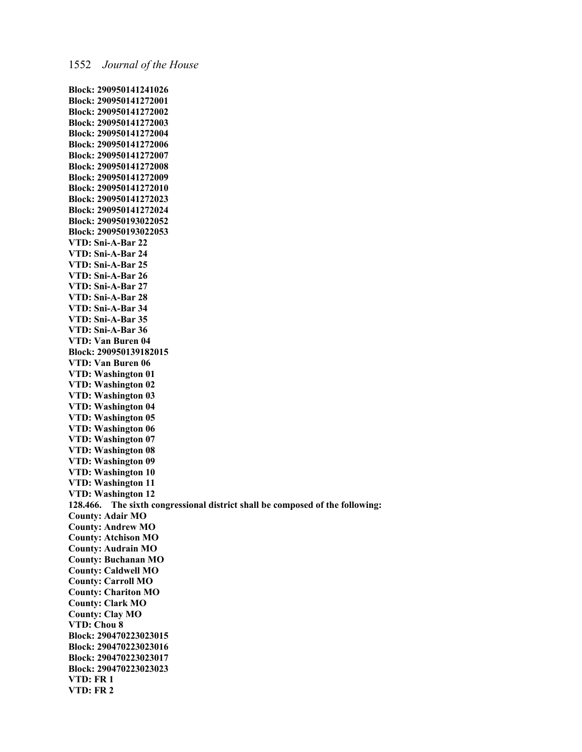**Block: 290950141241026 Block: 290950141272001 Block: 290950141272002 Block: 290950141272003 Block: 290950141272004 Block: 290950141272006 Block: 290950141272007 Block: 290950141272008 Block: 290950141272009 Block: 290950141272010 Block: 290950141272023 Block: 290950141272024 Block: 290950193022052 Block: 290950193022053 VTD: Sni-A-Bar 22 VTD: Sni-A-Bar 24 VTD: Sni-A-Bar 25 VTD: Sni-A-Bar 26 VTD: Sni-A-Bar 27 VTD: Sni-A-Bar 28 VTD: Sni-A-Bar 34 VTD: Sni-A-Bar 35 VTD: Sni-A-Bar 36 VTD: Van Buren 04 Block: 290950139182015 VTD: Van Buren 06 VTD: Washington 01 VTD: Washington 02 VTD: Washington 03 VTD: Washington 04 VTD: Washington 05 VTD: Washington 06 VTD: Washington 07 VTD: Washington 08 VTD: Washington 09 VTD: Washington 10 VTD: Washington 11 VTD: Washington 12 128.466. The sixth congressional district shall be composed of the following: County: Adair MO County: Andrew MO County: Atchison MO County: Audrain MO County: Buchanan MO County: Caldwell MO County: Carroll MO County: Chariton MO County: Clark MO County: Clay MO VTD: Chou 8 Block: 290470223023015 Block: 290470223023016 Block: 290470223023017 Block: 290470223023023 VTD: FR 1 VTD: FR 2**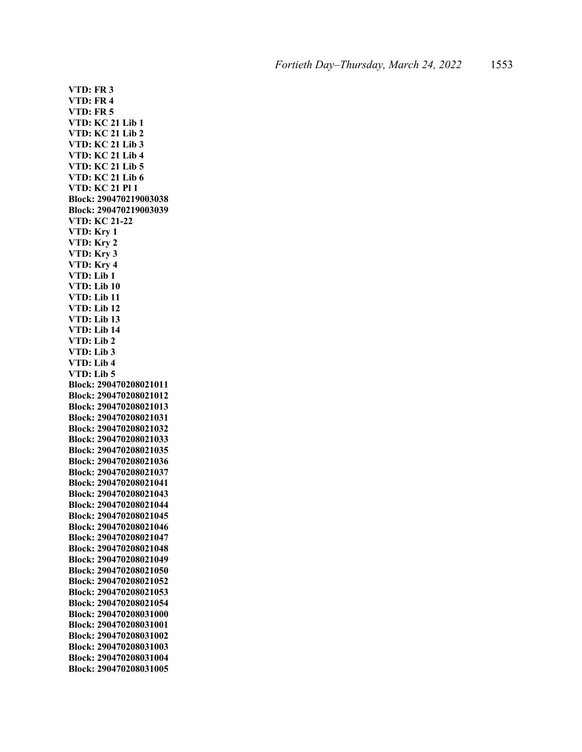**VTD: FR 3 VTD: FR 4 VTD: FR 5 VTD: KC 21 Lib 1 VTD: KC 21 Lib 2 VTD: KC 21 Lib 3 VTD: KC 21 Lib 4 VTD: KC 21 Lib 5 VTD: KC 21 Lib 6 VTD: KC 21 Pl 1 Block: 290470219003038 Block: 290470219003039 VTD: KC 21-22 VTD: Kry 1 VTD: Kry 2 VTD: Kry 3 VTD: Kry 4 VTD: Lib 1 VTD: Lib 10 VTD: Lib 11 VTD: Lib 12 VTD: Lib 13 VTD: Lib 14 VTD: Lib 2 VTD: Lib 3 VTD: Lib 4 VTD: Lib 5 Block: 290470208021011 Block: 290470208021012 Block: 290470208021013 Block: 290470208021031 Block: 290470208021032 Block: 290470208021033 Block: 290470208021035 Block: 290470208021036 Block: 290470208021037 Block: 290470208021041 Block: 290470208021043 Block: 290470208021044 Block: 290470208021045 Block: 290470208021046 Block: 290470208021047 Block: 290470208021048 Block: 290470208021049 Block: 290470208021050 Block: 290470208021052 Block: 290470208021053 Block: 290470208021054 Block: 290470208031000 Block: 290470208031001 Block: 290470208031002 Block: 290470208031003 Block: 290470208031004 Block: 290470208031005**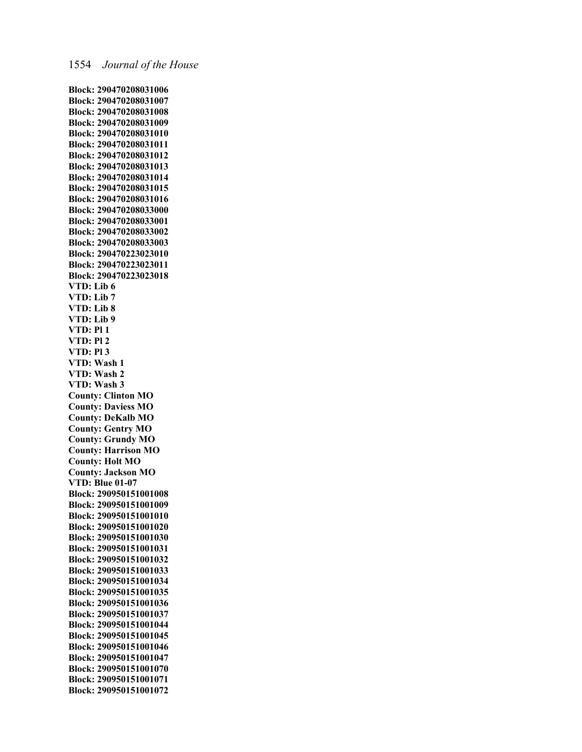**Block: 290470208031006 Block: 290470208031007 Block: 290470208031008 Block: 290470208031009 Block: 290470208031010 Block: 290470208031011 Block: 290470208031012 Block: 290470208031013 Block: 290470208031014 Block: 290470208031015 Block: 290470208031016 Block: 290470208033000 Block: 290470208033001 Block: 290470208033002 Block: 290470208033003 Block: 290470223023010 Block: 290470223023011 Block: 290470223023018 VTD: Lib 6 VTD: Lib 7 VTD: Lib 8 VTD: Lib 9 VTD: Pl 1 VTD: Pl 2 VTD: Pl 3 VTD: Wash 1 VTD: Wash 2 VTD: Wash 3 County: Clinton MO County: Daviess MO County: DeKalb MO County: Gentry MO County: Grundy MO County: Harrison MO County: Holt MO County: Jackson MO VTD: Blue 01-07 Block: 290950151001008 Block: 290950151001009 Block: 290950151001010 Block: 290950151001020 Block: 290950151001030 Block: 290950151001031 Block: 290950151001032 Block: 290950151001033 Block: 290950151001034 Block: 290950151001035 Block: 290950151001036 Block: 290950151001037 Block: 290950151001044 Block: 290950151001045 Block: 290950151001046 Block: 290950151001047 Block: 290950151001070 Block: 290950151001071 Block: 290950151001072**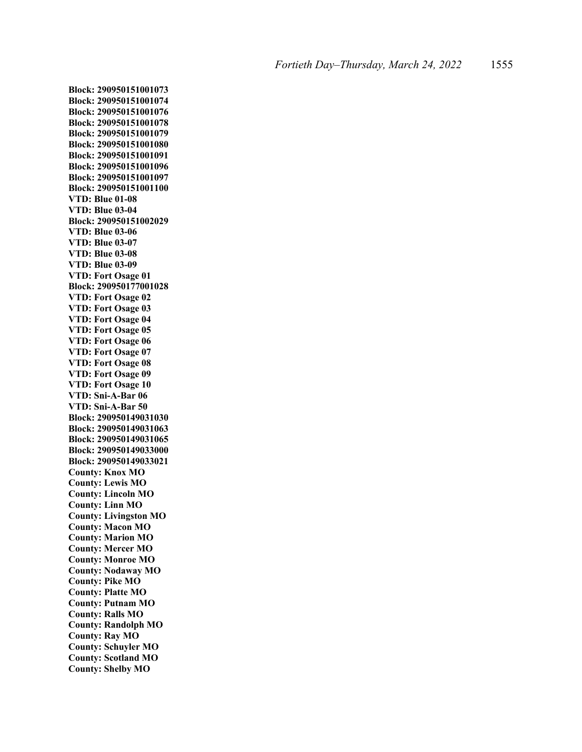**Block: 290950151001073 Block: 290950151001074 Block: 290950151001076 Block: 290950151001078 Block: 290950151001079 Block: 290950151001080 Block: 290950151001091 Block: 290950151001096 Block: 290950151001097 Block: 290950151001100 VTD: Blue 01-08 VTD: Blue 03-04 Block: 290950151002029 VTD: Blue 03-06 VTD: Blue 03-07 VTD: Blue 03-08 VTD: Blue 03-09 VTD: Fort Osage 01 Block: 290950177001028 VTD: Fort Osage 02 VTD: Fort Osage 03 VTD: Fort Osage 04 VTD: Fort Osage 05 VTD: Fort Osage 06 VTD: Fort Osage 07 VTD: Fort Osage 08 VTD: Fort Osage 09 VTD: Fort Osage 10 VTD: Sni-A-Bar 06 VTD: Sni-A-Bar 50 Block: 290950149031030 Block: 290950149031063 Block: 290950149031065 Block: 290950149033000 Block: 290950149033021 County: Knox MO County: Lewis MO County: Lincoln MO County: Linn MO County: Livingston MO County: Macon MO County: Marion MO County: Mercer MO County: Monroe MO County: Nodaway MO County: Pike MO County: Platte MO County: Putnam MO County: Ralls MO County: Randolph MO County: Ray MO County: Schuyler MO County: Scotland MO County: Shelby MO**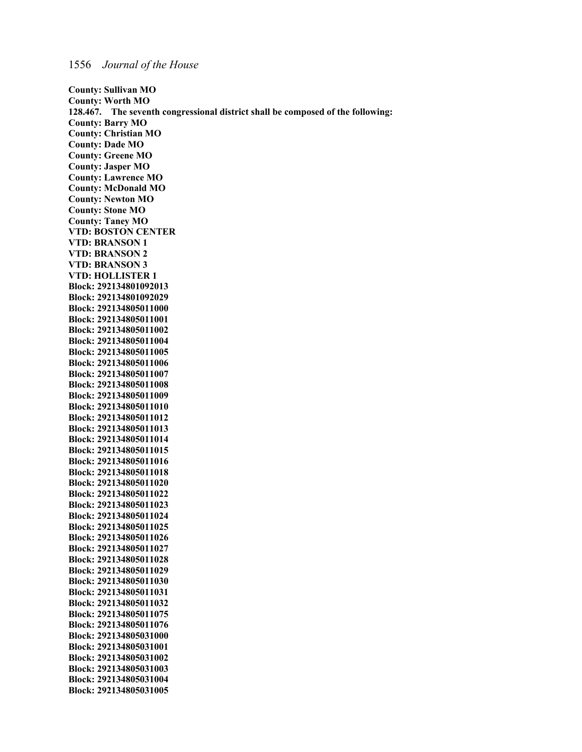**Block: 292134805031005**

**County: Sullivan MO County: Worth MO 128.467. The seventh congressional district shall be composed of the following: County: Barry MO County: Christian MO County: Dade MO County: Greene MO County: Jasper MO County: Lawrence MO County: McDonald MO County: Newton MO County: Stone MO County: Taney MO VTD: BOSTON CENTER VTD: BRANSON 1 VTD: BRANSON 2 VTD: BRANSON 3 VTD: HOLLISTER 1 Block: 292134801092013 Block: 292134801092029 Block: 292134805011000 Block: 292134805011001 Block: 292134805011002 Block: 292134805011004 Block: 292134805011005 Block: 292134805011006 Block: 292134805011007 Block: 292134805011008 Block: 292134805011009 Block: 292134805011010 Block: 292134805011012 Block: 292134805011013 Block: 292134805011014 Block: 292134805011015 Block: 292134805011016 Block: 292134805011018 Block: 292134805011020 Block: 292134805011022 Block: 292134805011023 Block: 292134805011024 Block: 292134805011025 Block: 292134805011026 Block: 292134805011027 Block: 292134805011028 Block: 292134805011029 Block: 292134805011030 Block: 292134805011031 Block: 292134805011032 Block: 292134805011075 Block: 292134805011076 Block: 292134805031000 Block: 292134805031001 Block: 292134805031002 Block: 292134805031003 Block: 292134805031004**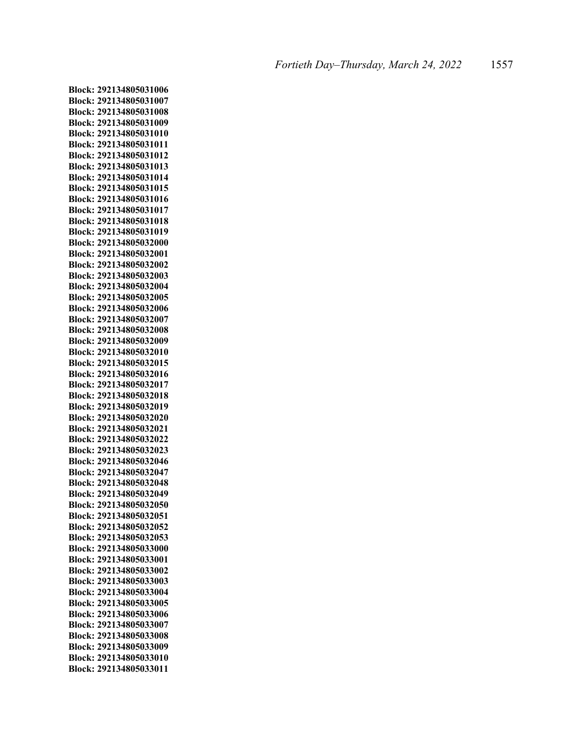**Block: 292134805031006 Block: 292134805031007 Block: 292134805031008 Block: 292134805031009 Block: 292134805031010 Block: 292134805031011 Block: 292134805031012 Block: 292134805031013 Block: 292134805031014 Block: 292134805031015 Block: 292134805031016 Block: 292134805031017 Block: 292134805031018 Block: 292134805031019 Block: 292134805032000 Block: 292134805032001 Block: 292134805032002 Block: 292134805032003 Block: 292134805032004 Block: 292134805032005 Block: 292134805032006 Block: 292134805032007 Block: 292134805032008 Block: 292134805032009 Block: 292134805032010 Block: 292134805032015 Block: 292134805032016 Block: 292134805032017 Block: 292134805032018 Block: 292134805032019 Block: 292134805032020 Block: 292134805032021 Block: 292134805032022 Block: 292134805032023 Block: 292134805032046 Block: 292134805032047 Block: 292134805032048 Block: 292134805032049 Block: 292134805032050 Block: 292134805032051 Block: 292134805032052 Block: 292134805032053 Block: 292134805033000 Block: 292134805033001 Block: 292134805033002 Block: 292134805033003 Block: 292134805033004 Block: 292134805033005 Block: 292134805033006 Block: 292134805033007 Block: 292134805033008 Block: 292134805033009 Block: 292134805033010 Block: 292134805033011**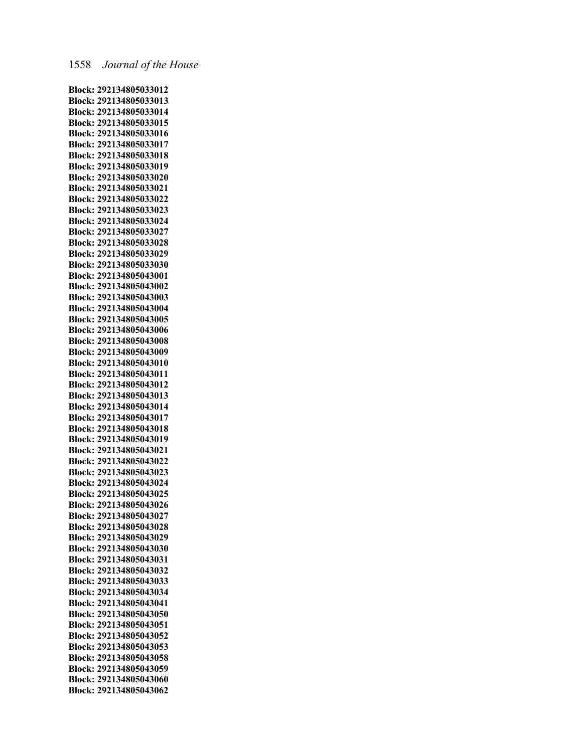**Block: 292134805033012 Block: 292134805033013 Block: 292134805033014 Block: 292134805033015 Block: 292134805033016 Block: 292134805033017 Block: 292134805033018 Block: 292134805033019 Block: 292134805033020 Block: 292134805033021 Block: 292134805033022 Block: 292134805033023 Block: 292134805033024 Block: 292134805033027 Block: 292134805033028 Block: 292134805033029 Block: 292134805033030 Block: 292134805043001 Block: 292134805043002 Block: 292134805043003 Block: 292134805043004 Block: 292134805043005 Block: 292134805043006 Block: 292134805043008 Block: 292134805043009 Block: 292134805043010 Block: 292134805043011 Block: 292134805043012 Block: 292134805043013 Block: 292134805043014 Block: 292134805043017 Block: 292134805043018 Block: 292134805043019 Block: 292134805043021 Block: 292134805043022 Block: 292134805043023 Block: 292134805043024 Block: 292134805043025 Block: 292134805043026 Block: 292134805043027 Block: 292134805043028 Block: 292134805043029 Block: 292134805043030 Block: 292134805043031 Block: 292134805043032 Block: 292134805043033 Block: 292134805043034 Block: 292134805043041 Block: 292134805043050 Block: 292134805043051 Block: 292134805043052 Block: 292134805043053 Block: 292134805043058 Block: 292134805043059 Block: 292134805043060 Block: 292134805043062**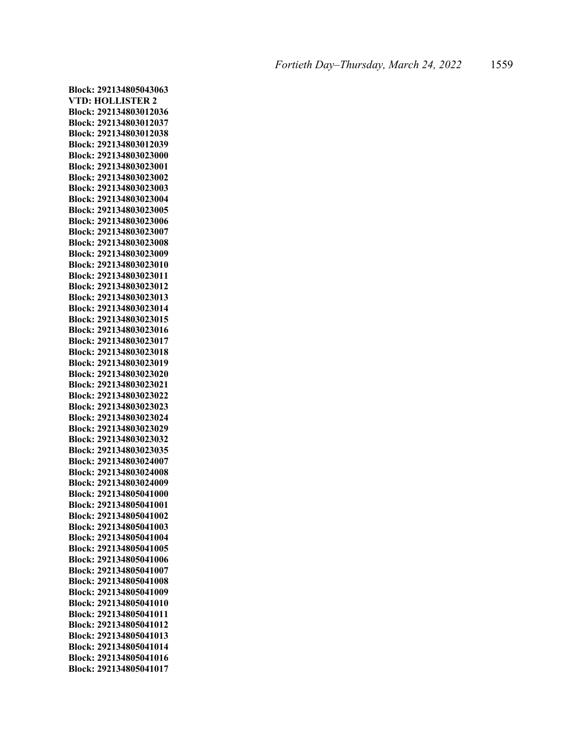**Block: 292134805043063 VTD: HOLLISTER 2 Block: 292134803012036 Block: 292134803012037 Block: 292134803012038 Block: 292134803012039 Block: 292134803023000 Block: 292134803023001 Block: 292134803023002 Block: 292134803023003 Block: 292134803023004 Block: 292134803023005 Block: 292134803023006 Block: 292134803023007 Block: 292134803023008 Block: 292134803023009 Block: 292134803023010 Block: 292134803023011 Block: 292134803023012 Block: 292134803023013 Block: 292134803023014 Block: 292134803023015 Block: 292134803023016 Block: 292134803023017 Block: 292134803023018 Block: 292134803023019 Block: 292134803023020 Block: 292134803023021 Block: 292134803023022 Block: 292134803023023 Block: 292134803023024 Block: 292134803023029 Block: 292134803023032 Block: 292134803023035 Block: 292134803024007 Block: 292134803024008 Block: 292134803024009 Block: 292134805041000 Block: 292134805041001 Block: 292134805041002 Block: 292134805041003 Block: 292134805041004 Block: 292134805041005 Block: 292134805041006 Block: 292134805041007 Block: 292134805041008 Block: 292134805041009 Block: 292134805041010 Block: 292134805041011 Block: 292134805041012 Block: 292134805041013 Block: 292134805041014 Block: 292134805041016 Block: 292134805041017**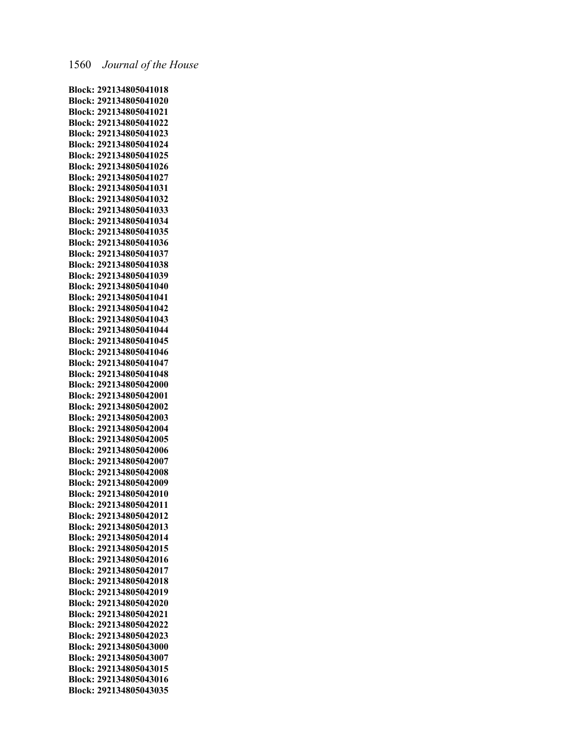**Block: 292134805041018 Block: 292134805041020 Block: 292134805041021 Block: 292134805041022 Block: 292134805041023 Block: 292134805041024 Block: 292134805041025 Block: 292134805041026 Block: 292134805041027 Block: 292134805041031 Block: 292134805041032 Block: 292134805041033 Block: 292134805041034 Block: 292134805041035 Block: 292134805041036 Block: 292134805041037 Block: 292134805041038 Block: 292134805041039 Block: 292134805041040 Block: 292134805041041 Block: 292134805041042 Block: 292134805041043 Block: 292134805041044 Block: 292134805041045 Block: 292134805041046 Block: 292134805041047 Block: 292134805041048 Block: 292134805042000 Block: 292134805042001 Block: 292134805042002 Block: 292134805042003 Block: 292134805042004 Block: 292134805042005 Block: 292134805042006 Block: 292134805042007 Block: 292134805042008 Block: 292134805042009 Block: 292134805042010 Block: 292134805042011 Block: 292134805042012 Block: 292134805042013 Block: 292134805042014 Block: 292134805042015 Block: 292134805042016 Block: 292134805042017 Block: 292134805042018 Block: 292134805042019 Block: 292134805042020 Block: 292134805042021 Block: 292134805042022 Block: 292134805042023 Block: 292134805043000 Block: 292134805043007 Block: 292134805043015 Block: 292134805043016 Block: 292134805043035**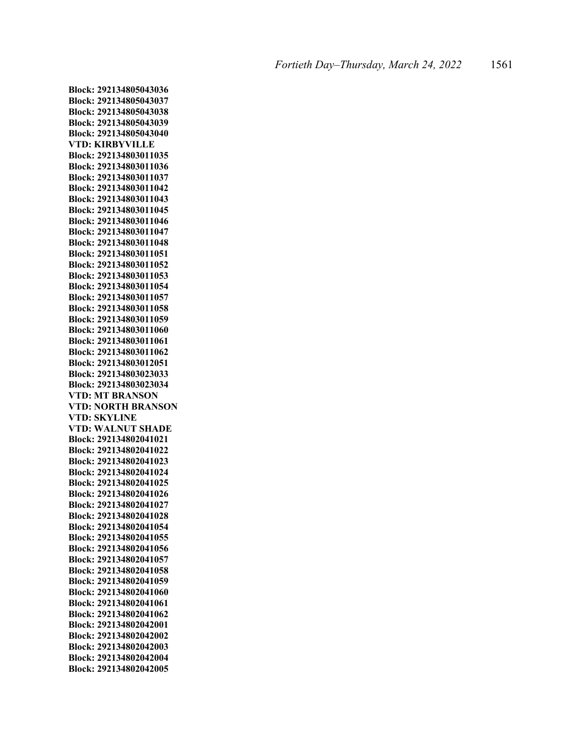**Block: 292134805043036 Block: 292134805043037 Block: 292134805043038 Block: 292134805043039 Block: 292134805043040 VTD: KIRBYVILLE Block: 292134803011035 Block: 292134803011036 Block: 292134803011037 Block: 292134803011042 Block: 292134803011043 Block: 292134803011045 Block: 292134803011046 Block: 292134803011047 Block: 292134803011048 Block: 292134803011051 Block: 292134803011052 Block: 292134803011053 Block: 292134803011054 Block: 292134803011057 Block: 292134803011058 Block: 292134803011059 Block: 292134803011060 Block: 292134803011061 Block: 292134803011062 Block: 292134803012051 Block: 292134803023033 Block: 292134803023034 VTD: MT BRANSON VTD: NORTH BRANSON VTD: SKYLINE VTD: WALNUT SHADE Block: 292134802041021 Block: 292134802041022 Block: 292134802041023 Block: 292134802041024 Block: 292134802041025 Block: 292134802041026 Block: 292134802041027 Block: 292134802041028 Block: 292134802041054 Block: 292134802041055 Block: 292134802041056 Block: 292134802041057 Block: 292134802041058 Block: 292134802041059 Block: 292134802041060 Block: 292134802041061 Block: 292134802041062 Block: 292134802042001 Block: 292134802042002 Block: 292134802042003 Block: 292134802042004 Block: 292134802042005**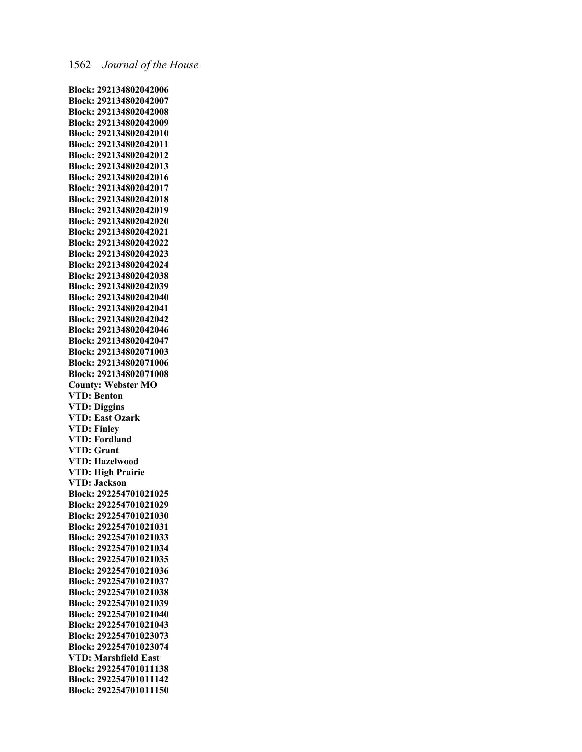**Block: 292134802042006 Block: 292134802042007 Block: 292134802042008 Block: 292134802042009 Block: 292134802042010 Block: 292134802042011 Block: 292134802042012 Block: 292134802042013 Block: 292134802042016 Block: 292134802042017 Block: 292134802042018 Block: 292134802042019 Block: 292134802042020 Block: 292134802042021 Block: 292134802042022 Block: 292134802042023 Block: 292134802042024 Block: 292134802042038 Block: 292134802042039 Block: 292134802042040 Block: 292134802042041 Block: 292134802042042 Block: 292134802042046 Block: 292134802042047 Block: 292134802071003 Block: 292134802071006 Block: 292134802071008 County: Webster MO VTD: Benton VTD: Diggins VTD: East Ozark VTD: Finley VTD: Fordland VTD: Grant VTD: Hazelwood VTD: High Prairie VTD: Jackson Block: 292254701021025 Block: 292254701021029 Block: 292254701021030 Block: 292254701021031 Block: 292254701021033 Block: 292254701021034 Block: 292254701021035 Block: 292254701021036 Block: 292254701021037 Block: 292254701021038 Block: 292254701021039 Block: 292254701021040 Block: 292254701021043 Block: 292254701023073 Block: 292254701023074 VTD: Marshfield East Block: 292254701011138 Block: 292254701011142 Block: 292254701011150**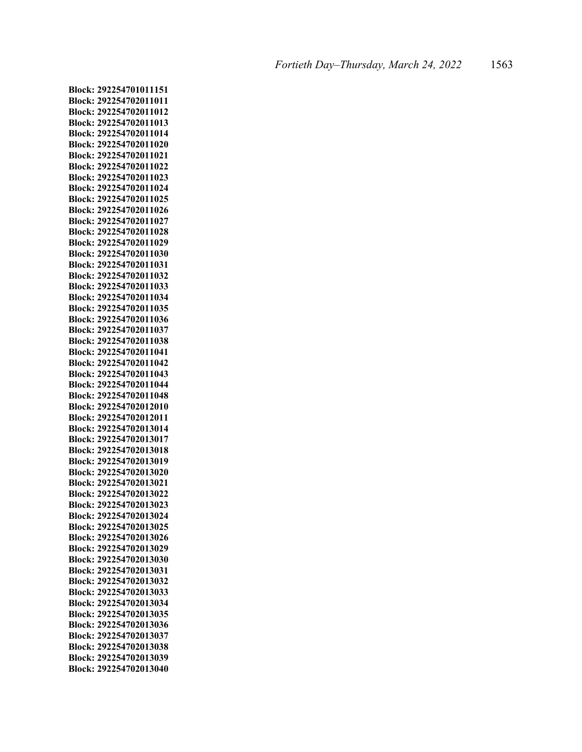**Block: 292254701011151 Block: 292254702011011 Block: 292254702011012 Block: 292254702011013 Block: 292254702011014 Block: 292254702011020 Block: 292254702011021 Block: 292254702011022 Block: 292254702011023 Block: 292254702011024 Block: 292254702011025 Block: 292254702011026 Block: 292254702011027 Block: 292254702011028 Block: 292254702011029 Block: 292254702011030 Block: 292254702011031 Block: 292254702011032 Block: 292254702011033 Block: 292254702011034 Block: 292254702011035 Block: 292254702011036 Block: 292254702011037 Block: 292254702011038 Block: 292254702011041 Block: 292254702011042 Block: 292254702011043 Block: 292254702011044 Block: 292254702011048 Block: 292254702012010 Block: 292254702012011 Block: 292254702013014 Block: 292254702013017 Block: 292254702013018 Block: 292254702013019 Block: 292254702013020 Block: 292254702013021 Block: 292254702013022 Block: 292254702013023 Block: 292254702013024 Block: 292254702013025 Block: 292254702013026 Block: 292254702013029 Block: 292254702013030 Block: 292254702013031 Block: 292254702013032 Block: 292254702013033 Block: 292254702013034 Block: 292254702013035 Block: 292254702013036 Block: 292254702013037 Block: 292254702013038 Block: 292254702013039 Block: 292254702013040**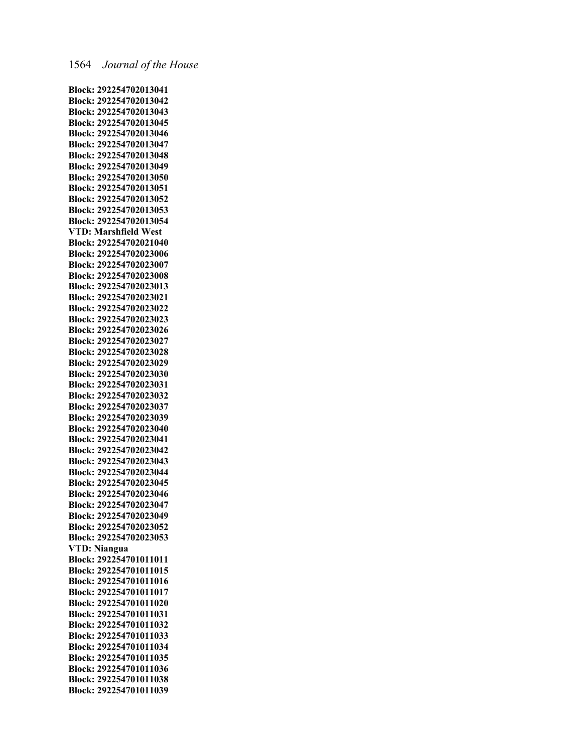**Block: 292254702013041 Block: 292254702013042 Block: 292254702013043 Block: 292254702013045 Block: 292254702013046 Block: 292254702013047 Block: 292254702013048 Block: 292254702013049 Block: 292254702013050 Block: 292254702013051 Block: 292254702013052 Block: 292254702013053 Block: 292254702013054 VTD: Marshfield West Block: 292254702021040 Block: 292254702023006 Block: 292254702023007 Block: 292254702023008 Block: 292254702023013 Block: 292254702023021 Block: 292254702023022 Block: 292254702023023 Block: 292254702023026 Block: 292254702023027 Block: 292254702023028 Block: 292254702023029 Block: 292254702023030 Block: 292254702023031 Block: 292254702023032 Block: 292254702023037 Block: 292254702023039 Block: 292254702023040 Block: 292254702023041 Block: 292254702023042 Block: 292254702023043 Block: 292254702023044 Block: 292254702023045 Block: 292254702023046 Block: 292254702023047 Block: 292254702023049 Block: 292254702023052 Block: 292254702023053 VTD: Niangua Block: 292254701011011 Block: 292254701011015 Block: 292254701011016 Block: 292254701011017 Block: 292254701011020 Block: 292254701011031 Block: 292254701011032 Block: 292254701011033 Block: 292254701011034 Block: 292254701011035 Block: 292254701011036 Block: 292254701011038 Block: 292254701011039**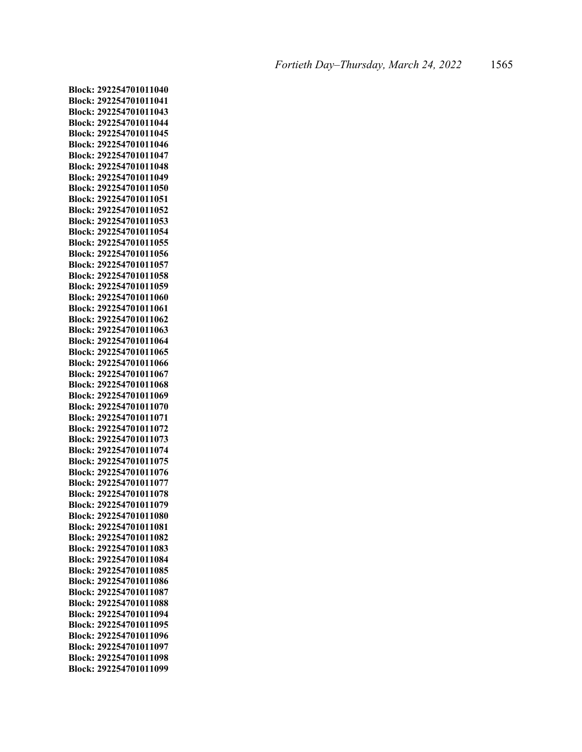**Block: 292254701011040 Block: 292254701011041 Block: 292254701011043 Block: 292254701011044 Block: 292254701011045 Block: 292254701011046 Block: 292254701011047 Block: 292254701011048 Block: 292254701011049 Block: 292254701011050 Block: 292254701011051 Block: 292254701011052 Block: 292254701011053 Block: 292254701011054 Block: 292254701011055 Block: 292254701011056 Block: 292254701011057 Block: 292254701011058 Block: 292254701011059 Block: 292254701011060 Block: 292254701011061 Block: 292254701011062 Block: 292254701011063 Block: 292254701011064 Block: 292254701011065 Block: 292254701011066 Block: 292254701011067 Block: 292254701011068 Block: 292254701011069 Block: 292254701011070 Block: 292254701011071 Block: 292254701011072 Block: 292254701011073 Block: 292254701011074 Block: 292254701011075 Block: 292254701011076 Block: 292254701011077 Block: 292254701011078 Block: 292254701011079 Block: 292254701011080 Block: 292254701011081 Block: 292254701011082 Block: 292254701011083 Block: 292254701011084 Block: 292254701011085 Block: 292254701011086 Block: 292254701011087 Block: 292254701011088 Block: 292254701011094 Block: 292254701011095 Block: 292254701011096 Block: 292254701011097 Block: 292254701011098 Block: 292254701011099**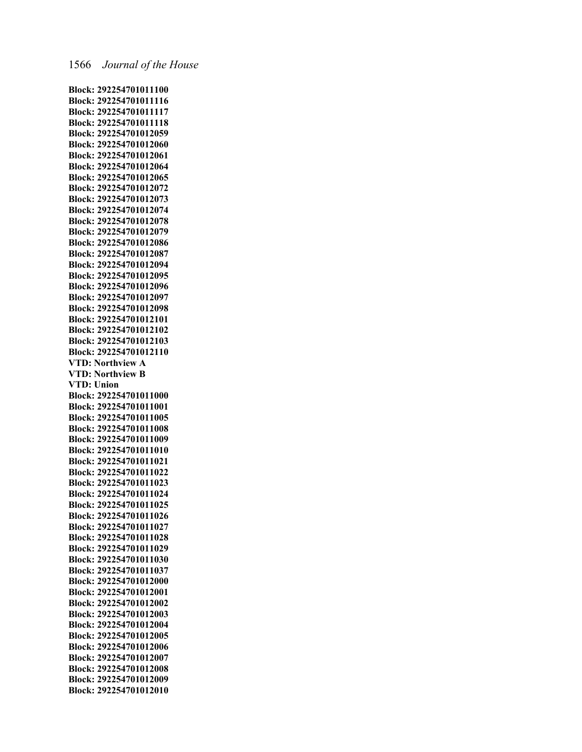**Block: 292254701011100 Block: 292254701011116 Block: 292254701011117 Block: 292254701011118 Block: 292254701012059 Block: 292254701012060 Block: 292254701012061 Block: 292254701012064 Block: 292254701012065 Block: 292254701012072 Block: 292254701012073 Block: 292254701012074 Block: 292254701012078 Block: 292254701012079 Block: 292254701012086 Block: 292254701012087 Block: 292254701012094 Block: 292254701012095 Block: 292254701012096 Block: 292254701012097 Block: 292254701012098 Block: 292254701012101 Block: 292254701012102 Block: 292254701012103 Block: 292254701012110 VTD: Northview A VTD: Northview B VTD: Union Block: 292254701011000 Block: 292254701011001 Block: 292254701011005 Block: 292254701011008 Block: 292254701011009 Block: 292254701011010 Block: 292254701011021 Block: 292254701011022 Block: 292254701011023 Block: 292254701011024 Block: 292254701011025 Block: 292254701011026 Block: 292254701011027 Block: 292254701011028 Block: 292254701011029 Block: 292254701011030 Block: 292254701011037 Block: 292254701012000 Block: 292254701012001 Block: 292254701012002 Block: 292254701012003 Block: 292254701012004 Block: 292254701012005 Block: 292254701012006 Block: 292254701012007 Block: 292254701012008 Block: 292254701012009 Block: 292254701012010**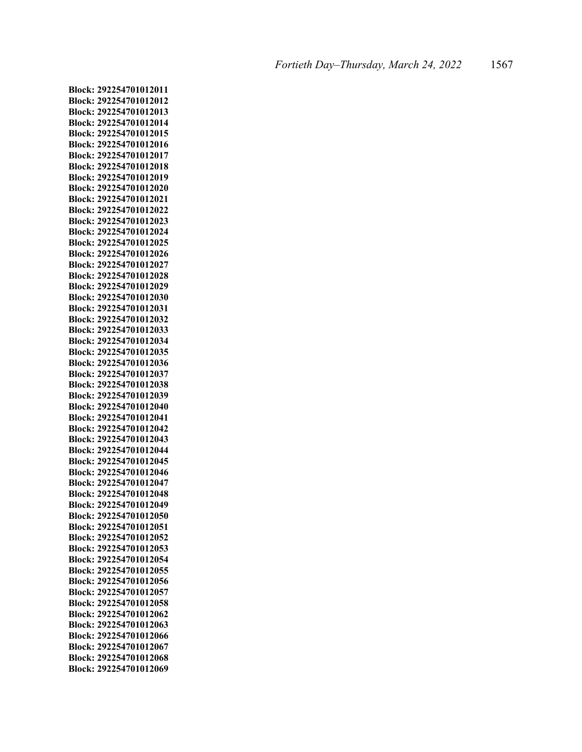**Block: 292254701012011 Block: 292254701012012 Block: 292254701012013 Block: 292254701012014 Block: 292254701012015 Block: 292254701012016 Block: 292254701012017 Block: 292254701012018 Block: 292254701012019 Block: 292254701012020 Block: 292254701012021 Block: 292254701012022 Block: 292254701012023 Block: 292254701012024 Block: 292254701012025 Block: 292254701012026 Block: 292254701012027 Block: 292254701012028 Block: 292254701012029 Block: 292254701012030 Block: 292254701012031 Block: 292254701012032 Block: 292254701012033 Block: 292254701012034 Block: 292254701012035 Block: 292254701012036 Block: 292254701012037 Block: 292254701012038 Block: 292254701012039 Block: 292254701012040 Block: 292254701012041 Block: 292254701012042 Block: 292254701012043 Block: 292254701012044 Block: 292254701012045 Block: 292254701012046 Block: 292254701012047 Block: 292254701012048 Block: 292254701012049 Block: 292254701012050 Block: 292254701012051 Block: 292254701012052 Block: 292254701012053 Block: 292254701012054 Block: 292254701012055 Block: 292254701012056 Block: 292254701012057 Block: 292254701012058 Block: 292254701012062 Block: 292254701012063 Block: 292254701012066 Block: 292254701012067 Block: 292254701012068 Block: 292254701012069**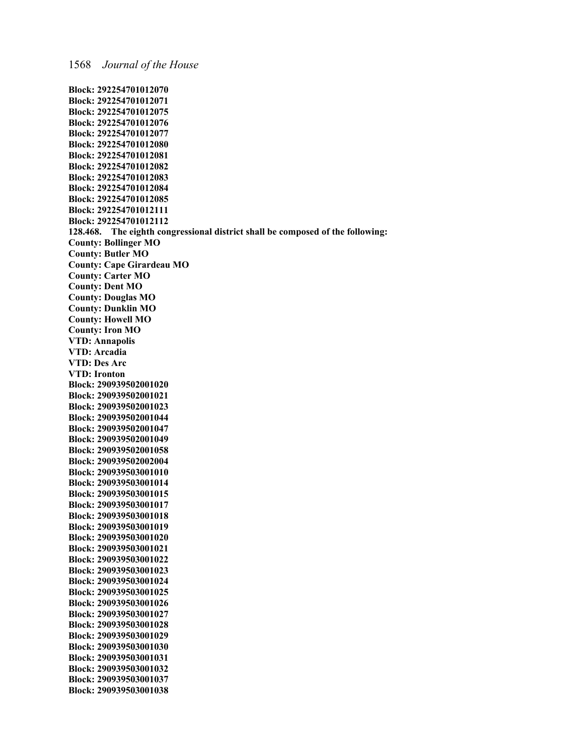**Block: 290939503001038**

**Block: 292254701012070 Block: 292254701012071 Block: 292254701012075 Block: 292254701012076 Block: 292254701012077 Block: 292254701012080 Block: 292254701012081 Block: 292254701012082 Block: 292254701012083 Block: 292254701012084 Block: 292254701012085 Block: 292254701012111 Block: 292254701012112 128.468. The eighth congressional district shall be composed of the following: County: Bollinger MO County: Butler MO County: Cape Girardeau MO County: Carter MO County: Dent MO County: Douglas MO County: Dunklin MO County: Howell MO County: Iron MO VTD: Annapolis VTD: Arcadia VTD: Des Arc VTD: Ironton Block: 290939502001020 Block: 290939502001021 Block: 290939502001023 Block: 290939502001044 Block: 290939502001047 Block: 290939502001049 Block: 290939502001058 Block: 290939502002004 Block: 290939503001010 Block: 290939503001014 Block: 290939503001015 Block: 290939503001017 Block: 290939503001018 Block: 290939503001019 Block: 290939503001020 Block: 290939503001021 Block: 290939503001022 Block: 290939503001023 Block: 290939503001024 Block: 290939503001025 Block: 290939503001026 Block: 290939503001027 Block: 290939503001028 Block: 290939503001029 Block: 290939503001030 Block: 290939503001031 Block: 290939503001032 Block: 290939503001037**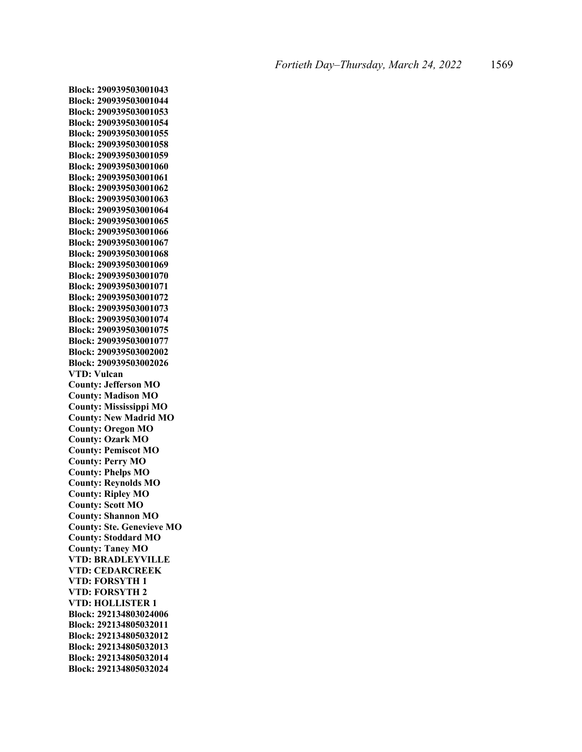**Block: 290939503001043 Block: 290939503001044 Block: 290939503001053 Block: 290939503001054 Block: 290939503001055 Block: 290939503001058 Block: 290939503001059 Block: 290939503001060 Block: 290939503001061 Block: 290939503001062 Block: 290939503001063 Block: 290939503001064 Block: 290939503001065 Block: 290939503001066 Block: 290939503001067 Block: 290939503001068 Block: 290939503001069 Block: 290939503001070 Block: 290939503001071 Block: 290939503001072 Block: 290939503001073 Block: 290939503001074 Block: 290939503001075 Block: 290939503001077 Block: 290939503002002 Block: 290939503002026 VTD: Vulcan County: Jefferson MO County: Madison MO County: Mississippi MO County: New Madrid MO County: Oregon MO County: Ozark MO County: Pemiscot MO County: Perry MO County: Phelps MO County: Reynolds MO County: Ripley MO County: Scott MO County: Shannon MO County: Ste. Genevieve MO County: Stoddard MO County: Taney MO VTD: BRADLEYVILLE VTD: CEDARCREEK VTD: FORSYTH 1 VTD: FORSYTH 2 VTD: HOLLISTER 1 Block: 292134803024006 Block: 292134805032011 Block: 292134805032012 Block: 292134805032013 Block: 292134805032014 Block: 292134805032024**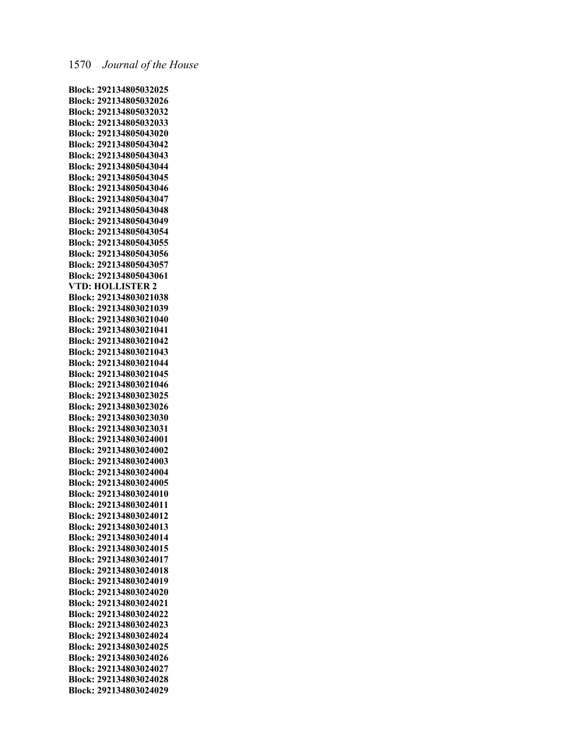**Block: 292134805032025 Block: 292134805032026 Block: 292134805032032 Block: 292134805032033 Block: 292134805043020 Block: 292134805043042 Block: 292134805043043 Block: 292134805043044 Block: 292134805043045 Block: 292134805043046 Block: 292134805043047 Block: 292134805043048 Block: 292134805043049 Block: 292134805043054 Block: 292134805043055 Block: 292134805043056 Block: 292134805043057 Block: 292134805043061 VTD: HOLLISTER 2 Block: 292134803021038 Block: 292134803021039 Block: 292134803021040 Block: 292134803021041 Block: 292134803021042 Block: 292134803021043 Block: 292134803021044 Block: 292134803021045 Block: 292134803021046 Block: 292134803023025 Block: 292134803023026 Block: 292134803023030 Block: 292134803023031 Block: 292134803024001 Block: 292134803024002 Block: 292134803024003 Block: 292134803024004 Block: 292134803024005 Block: 292134803024010 Block: 292134803024011 Block: 292134803024012 Block: 292134803024013 Block: 292134803024014 Block: 292134803024015 Block: 292134803024017 Block: 292134803024018 Block: 292134803024019 Block: 292134803024020 Block: 292134803024021 Block: 292134803024022 Block: 292134803024023 Block: 292134803024024 Block: 292134803024025 Block: 292134803024026 Block: 292134803024027 Block: 292134803024028 Block: 292134803024029**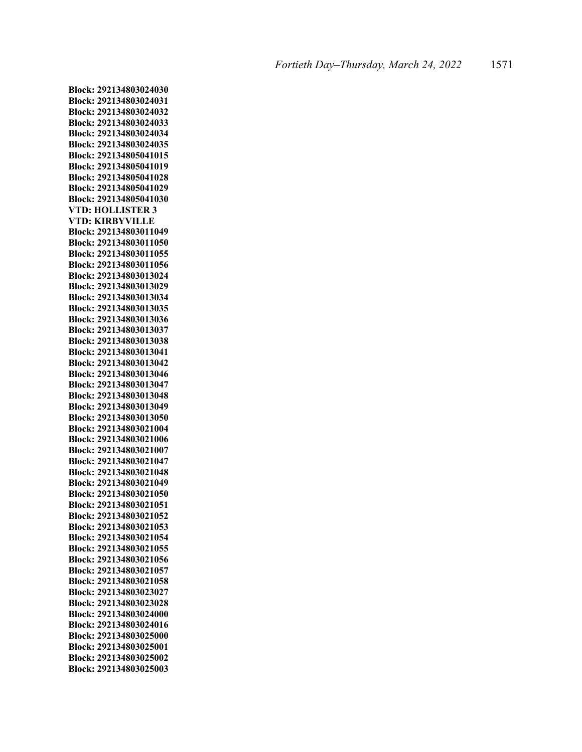**Block: 292134803024030 Block: 292134803024031 Block: 292134803024032 Block: 292134803024033 Block: 292134803024034 Block: 292134803024035 Block: 292134805041015 Block: 292134805041019 Block: 292134805041028 Block: 292134805041029 Block: 292134805041030 VTD: HOLLISTER 3 VTD: KIRBYVILLE Block: 292134803011049 Block: 292134803011050 Block: 292134803011055 Block: 292134803011056 Block: 292134803013024 Block: 292134803013029 Block: 292134803013034 Block: 292134803013035 Block: 292134803013036 Block: 292134803013037 Block: 292134803013038 Block: 292134803013041 Block: 292134803013042 Block: 292134803013046 Block: 292134803013047 Block: 292134803013048 Block: 292134803013049 Block: 292134803013050 Block: 292134803021004 Block: 292134803021006 Block: 292134803021007 Block: 292134803021047 Block: 292134803021048 Block: 292134803021049 Block: 292134803021050 Block: 292134803021051 Block: 292134803021052 Block: 292134803021053 Block: 292134803021054 Block: 292134803021055 Block: 292134803021056 Block: 292134803021057 Block: 292134803021058 Block: 292134803023027 Block: 292134803023028 Block: 292134803024000 Block: 292134803024016 Block: 292134803025000 Block: 292134803025001 Block: 292134803025002 Block: 292134803025003**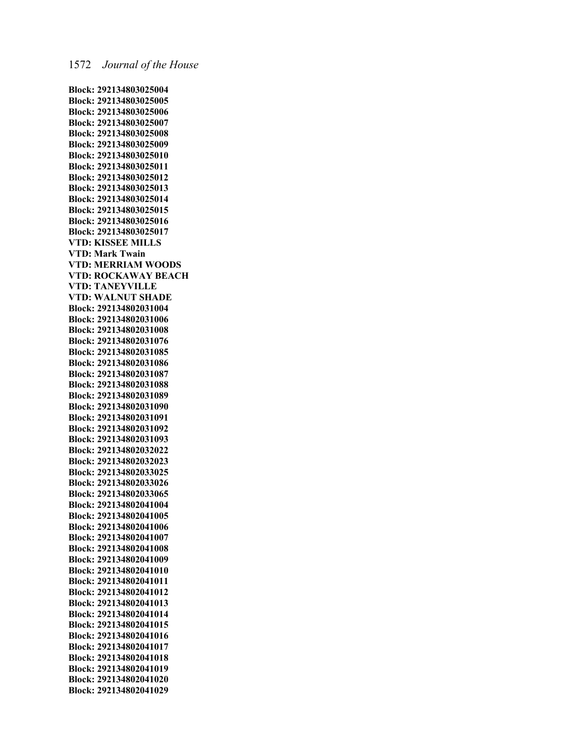**Block: 292134803025004 Block: 292134803025005 Block: 292134803025006 Block: 292134803025007 Block: 292134803025008 Block: 292134803025009 Block: 292134803025010 Block: 292134803025011 Block: 292134803025012 Block: 292134803025013 Block: 292134803025014 Block: 292134803025015 Block: 292134803025016 Block: 292134803025017 VTD: KISSEE MILLS VTD: Mark Twain VTD: MERRIAM WOODS VTD: ROCKAWAY BEACH VTD: TANEYVILLE VTD: WALNUT SHADE Block: 292134802031004 Block: 292134802031006 Block: 292134802031008 Block: 292134802031076 Block: 292134802031085 Block: 292134802031086 Block: 292134802031087 Block: 292134802031088 Block: 292134802031089 Block: 292134802031090 Block: 292134802031091 Block: 292134802031092 Block: 292134802031093 Block: 292134802032022 Block: 292134802032023 Block: 292134802033025 Block: 292134802033026 Block: 292134802033065 Block: 292134802041004 Block: 292134802041005 Block: 292134802041006 Block: 292134802041007 Block: 292134802041008 Block: 292134802041009 Block: 292134802041010 Block: 292134802041011 Block: 292134802041012 Block: 292134802041013 Block: 292134802041014 Block: 292134802041015 Block: 292134802041016 Block: 292134802041017 Block: 292134802041018 Block: 292134802041019 Block: 292134802041020 Block: 292134802041029**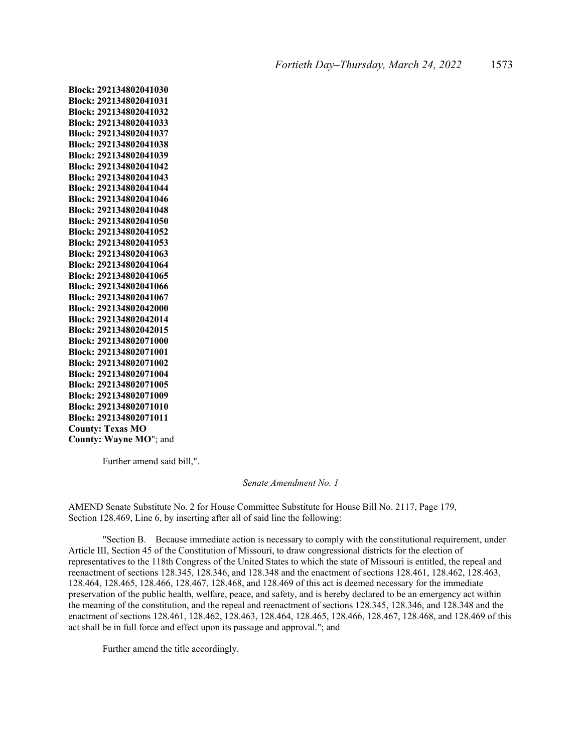**Block: 292134802041030 Block: 292134802041031 Block: 292134802041032 Block: 292134802041033 Block: 292134802041037 Block: 292134802041038 Block: 292134802041039 Block: 292134802041042 Block: 292134802041043 Block: 292134802041044 Block: 292134802041046 Block: 292134802041048 Block: 292134802041050 Block: 292134802041052 Block: 292134802041053 Block: 292134802041063 Block: 292134802041064 Block: 292134802041065 Block: 292134802041066 Block: 292134802041067 Block: 292134802042000 Block: 292134802042014 Block: 292134802042015 Block: 292134802071000 Block: 292134802071001 Block: 292134802071002 Block: 292134802071004 Block: 292134802071005 Block: 292134802071009 Block: 292134802071010 Block: 292134802071011 County: Texas MO County: Wayne MO**"; and

Further amend said bill,".

*Senate Amendment No. 1* 

AMEND Senate Substitute No. 2 for House Committee Substitute for House Bill No. 2117, Page 179, Section 128.469, Line 6, by inserting after all of said line the following:

"Section B. Because immediate action is necessary to comply with the constitutional requirement, under Article III, Section 45 of the Constitution of Missouri, to draw congressional districts for the election of representatives to the 118th Congress of the United States to which the state of Missouri is entitled, the repeal and reenactment of sections 128.345, 128.346, and 128.348 and the enactment of sections 128.461, 128.462, 128.463, 128.464, 128.465, 128.466, 128.467, 128.468, and 128.469 of this act is deemed necessary for the immediate preservation of the public health, welfare, peace, and safety, and is hereby declared to be an emergency act within the meaning of the constitution, and the repeal and reenactment of sections 128.345, 128.346, and 128.348 and the enactment of sections 128.461, 128.462, 128.463, 128.464, 128.465, 128.466, 128.467, 128.468, and 128.469 of this act shall be in full force and effect upon its passage and approval."; and

Further amend the title accordingly.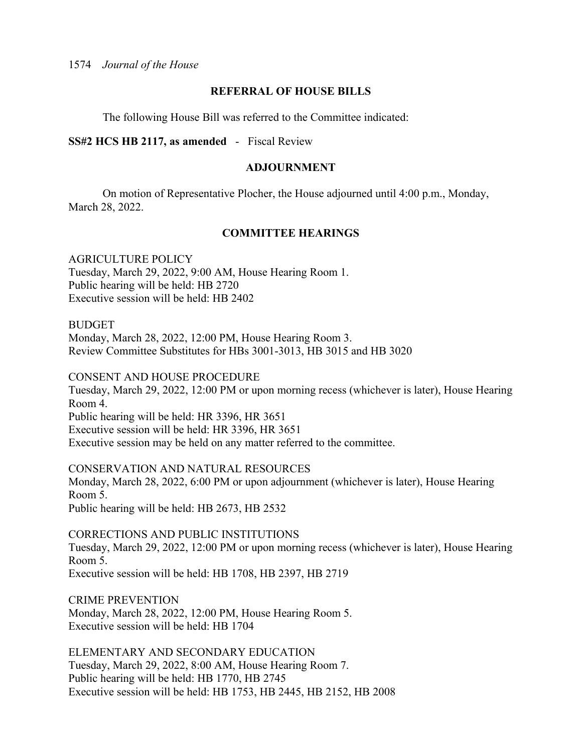1574 *Journal of the House* 

#### **REFERRAL OF HOUSE BILLS**

The following House Bill was referred to the Committee indicated:

## **SS#2 HCS HB 2117, as amended** - Fiscal Review

#### **ADJOURNMENT**

 On motion of Representative Plocher, the House adjourned until 4:00 p.m., Monday, March 28, 2022.

## **COMMITTEE HEARINGS**

AGRICULTURE POLICY Tuesday, March 29, 2022, 9:00 AM, House Hearing Room 1. Public hearing will be held: HB 2720 Executive session will be held: HB 2402

BUDGET

Monday, March 28, 2022, 12:00 PM, House Hearing Room 3. Review Committee Substitutes for HBs 3001-3013, HB 3015 and HB 3020

CONSENT AND HOUSE PROCEDURE Tuesday, March 29, 2022, 12:00 PM or upon morning recess (whichever is later), House Hearing Room 4. Public hearing will be held: HR 3396, HR 3651 Executive session will be held: HR 3396, HR 3651 Executive session may be held on any matter referred to the committee.

CONSERVATION AND NATURAL RESOURCES Monday, March 28, 2022, 6:00 PM or upon adjournment (whichever is later), House Hearing Room 5. Public hearing will be held: HB 2673, HB 2532

CORRECTIONS AND PUBLIC INSTITUTIONS Tuesday, March 29, 2022, 12:00 PM or upon morning recess (whichever is later), House Hearing Room 5. Executive session will be held: HB 1708, HB 2397, HB 2719

CRIME PREVENTION Monday, March 28, 2022, 12:00 PM, House Hearing Room 5. Executive session will be held: HB 1704

ELEMENTARY AND SECONDARY EDUCATION Tuesday, March 29, 2022, 8:00 AM, House Hearing Room 7. Public hearing will be held: HB 1770, HB 2745 Executive session will be held: HB 1753, HB 2445, HB 2152, HB 2008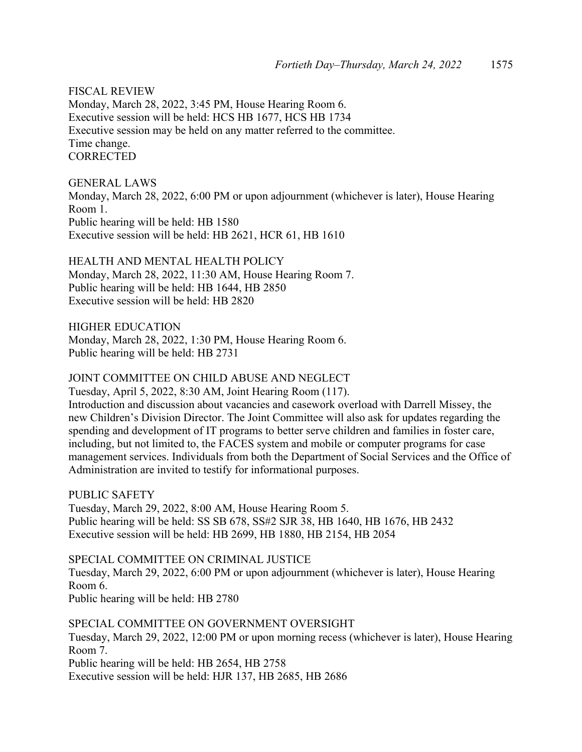FISCAL REVIEW Monday, March 28, 2022, 3:45 PM, House Hearing Room 6. Executive session will be held: HCS HB 1677, HCS HB 1734 Executive session may be held on any matter referred to the committee. Time change. **CORRECTED** 

GENERAL LAWS Monday, March 28, 2022, 6:00 PM or upon adjournment (whichever is later), House Hearing Room 1. Public hearing will be held: HB 1580 Executive session will be held: HB 2621, HCR 61, HB 1610

HEALTH AND MENTAL HEALTH POLICY Monday, March 28, 2022, 11:30 AM, House Hearing Room 7. Public hearing will be held: HB 1644, HB 2850 Executive session will be held: HB 2820

HIGHER EDUCATION Monday, March 28, 2022, 1:30 PM, House Hearing Room 6. Public hearing will be held: HB 2731

## JOINT COMMITTEE ON CHILD ABUSE AND NEGLECT

Tuesday, April 5, 2022, 8:30 AM, Joint Hearing Room (117).

Introduction and discussion about vacancies and casework overload with Darrell Missey, the new Children's Division Director. The Joint Committee will also ask for updates regarding the spending and development of IT programs to better serve children and families in foster care, including, but not limited to, the FACES system and mobile or computer programs for case management services. Individuals from both the Department of Social Services and the Office of Administration are invited to testify for informational purposes.

PUBLIC SAFETY Tuesday, March 29, 2022, 8:00 AM, House Hearing Room 5. Public hearing will be held: SS SB 678, SS#2 SJR 38, HB 1640, HB 1676, HB 2432 Executive session will be held: HB 2699, HB 1880, HB 2154, HB 2054

SPECIAL COMMITTEE ON CRIMINAL JUSTICE Tuesday, March 29, 2022, 6:00 PM or upon adjournment (whichever is later), House Hearing Room 6. Public hearing will be held: HB 2780

SPECIAL COMMITTEE ON GOVERNMENT OVERSIGHT Tuesday, March 29, 2022, 12:00 PM or upon morning recess (whichever is later), House Hearing Room 7. Public hearing will be held: HB 2654, HB 2758 Executive session will be held: HJR 137, HB 2685, HB 2686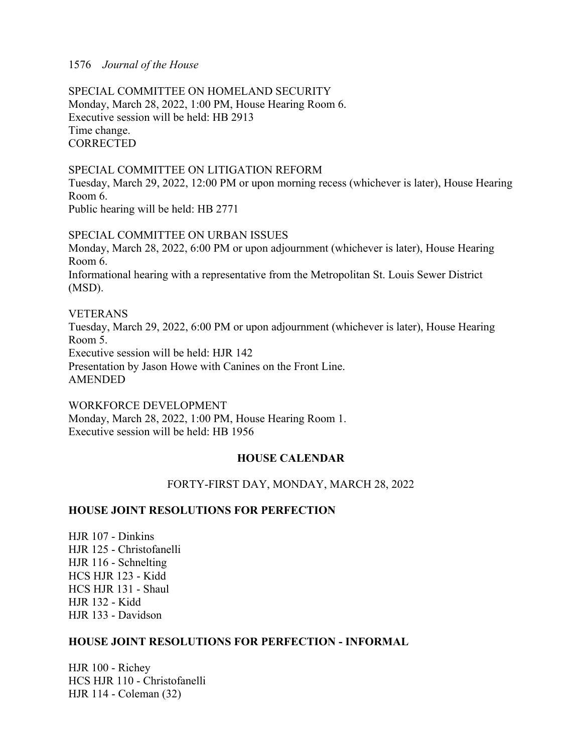## 1576 *Journal of the House*

SPECIAL COMMITTEE ON HOMELAND SECURITY Monday, March 28, 2022, 1:00 PM, House Hearing Room 6. Executive session will be held: HB 2913 Time change. **CORRECTED** 

#### SPECIAL COMMITTEE ON LITIGATION REFORM

Tuesday, March 29, 2022, 12:00 PM or upon morning recess (whichever is later), House Hearing Room 6. Public hearing will be held: HB 2771

SPECIAL COMMITTEE ON URBAN ISSUES Monday, March 28, 2022, 6:00 PM or upon adjournment (whichever is later), House Hearing Room 6. Informational hearing with a representative from the Metropolitan St. Louis Sewer District (MSD).

VETERANS Tuesday, March 29, 2022, 6:00 PM or upon adjournment (whichever is later), House Hearing Room 5. Executive session will be held: HJR 142 Presentation by Jason Howe with Canines on the Front Line. AMENDED

WORKFORCE DEVELOPMENT Monday, March 28, 2022, 1:00 PM, House Hearing Room 1. Executive session will be held: HB 1956

## **HOUSE CALENDAR**

## FORTY-FIRST DAY, MONDAY, MARCH 28, 2022

#### **HOUSE JOINT RESOLUTIONS FOR PERFECTION**

HJR 107 - Dinkins HJR 125 - Christofanelli HJR 116 - Schnelting HCS HJR 123 - Kidd HCS HJR 131 - Shaul HJR 132 - Kidd HJR 133 - Davidson

## **HOUSE JOINT RESOLUTIONS FOR PERFECTION - INFORMAL**

HJR 100 - Richey HCS HJR 110 - Christofanelli HJR 114 - Coleman (32)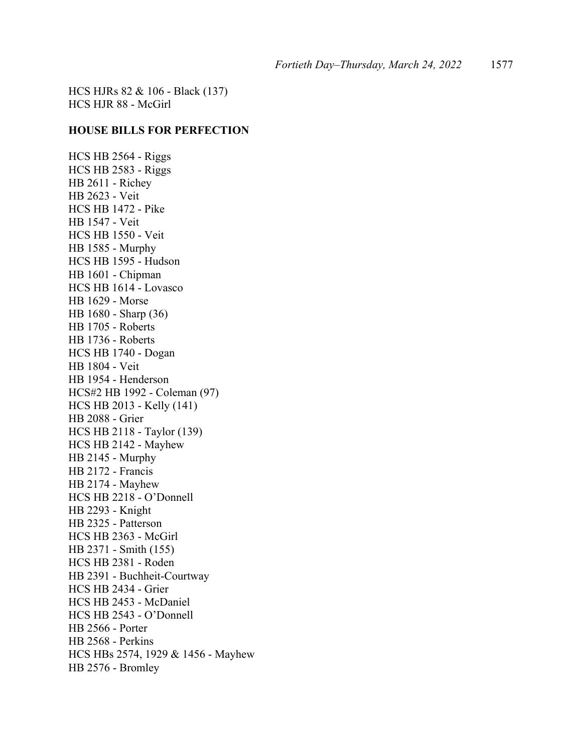HCS HJRs 82 & 106 - Black (137) HCS HJR 88 - McGirl

#### **HOUSE BILLS FOR PERFECTION**

HCS HB 2564 - Riggs HCS HB 2583 - Riggs HB 2611 - Richey HB 2623 - Veit HCS HB 1472 - Pike HB 1547 - Veit HCS HB 1550 - Veit HB 1585 - Murphy HCS HB 1595 - Hudson HB 1601 - Chipman HCS HB 1614 - Lovasco HB 1629 - Morse HB 1680 - Sharp (36) HB 1705 - Roberts HB 1736 - Roberts HCS HB 1740 - Dogan HB 1804 - Veit HB 1954 - Henderson HCS#2 HB 1992 - Coleman (97) HCS HB 2013 - Kelly (141) HB 2088 - Grier HCS HB 2118 - Taylor (139) HCS HB 2142 - Mayhew HB 2145 - Murphy HB 2172 - Francis HB 2174 - Mayhew HCS HB 2218 - O'Donnell HB 2293 - Knight HB 2325 - Patterson HCS HB 2363 - McGirl HB 2371 - Smith (155) HCS HB 2381 - Roden HB 2391 - Buchheit-Courtway HCS HB 2434 - Grier HCS HB 2453 - McDaniel HCS HB 2543 - O'Donnell HB 2566 - Porter HB 2568 - Perkins HCS HBs 2574, 1929 & 1456 - Mayhew HB 2576 - Bromley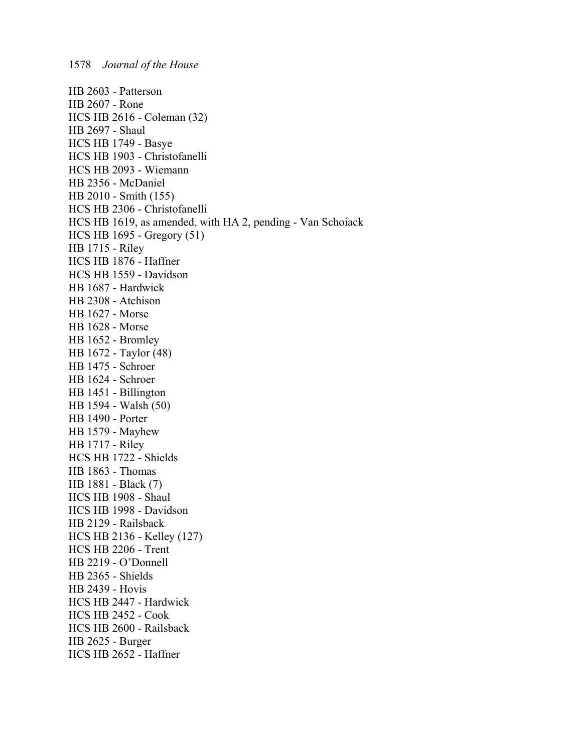HB 2603 - Patterson HB 2607 - Rone HCS HB 2616 - Coleman (32) HB 2697 - Shaul HCS HB 1749 - Basye HCS HB 1903 - Christofanelli HCS HB 2093 - Wiemann HB 2356 - McDaniel HB 2010 - Smith (155) HCS HB 2306 - Christofanelli HCS HB 1619, as amended, with HA 2, pending - Van Schoiack HCS HB 1695 - Gregory (51) HB 1715 - Riley HCS HB 1876 - Haffner HCS HB 1559 - Davidson HB 1687 - Hardwick HB 2308 - Atchison HB 1627 - Morse HB 1628 - Morse HB 1652 - Bromley HB 1672 - Taylor (48) HB 1475 - Schroer HB 1624 - Schroer HB 1451 - Billington HB 1594 - Walsh (50) HB 1490 - Porter HB 1579 - Mayhew HB 1717 - Riley HCS HB 1722 - Shields HB 1863 - Thomas HB 1881 - Black (7) HCS HB 1908 - Shaul HCS HB 1998 - Davidson HB 2129 - Railsback HCS HB 2136 - Kelley (127) HCS HB 2206 - Trent HB 2219 - O'Donnell HB 2365 - Shields HB 2439 - Hovis HCS HB 2447 - Hardwick HCS HB 2452 - Cook HCS HB 2600 - Railsback HB 2625 - Burger HCS HB 2652 - Haffner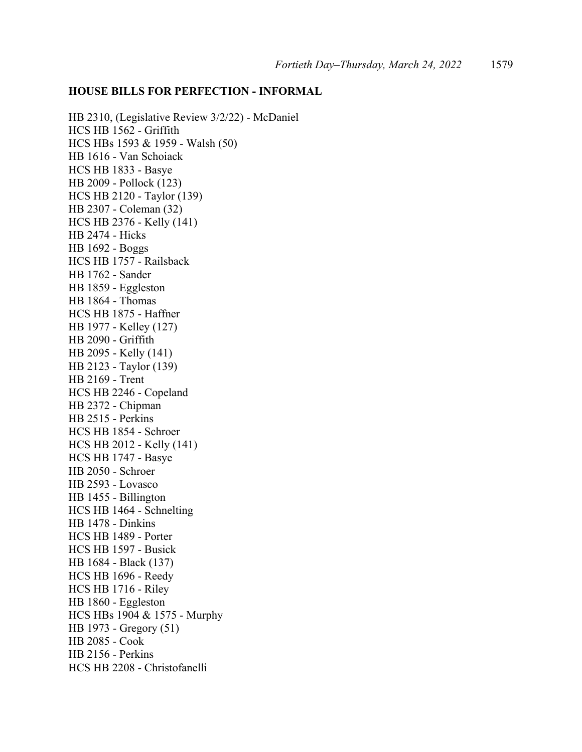#### **HOUSE BILLS FOR PERFECTION - INFORMAL**

HB 2310, (Legislative Review 3/2/22) - McDaniel HCS HB 1562 - Griffith HCS HBs 1593 & 1959 - Walsh (50) HB 1616 - Van Schoiack HCS HB 1833 - Basye HB 2009 - Pollock (123) HCS HB 2120 - Taylor (139) HB 2307 - Coleman (32) HCS HB 2376 - Kelly (141) HB 2474 - Hicks HB 1692 - Boggs HCS HB 1757 - Railsback HB 1762 - Sander HB 1859 - Eggleston HB 1864 - Thomas HCS HB 1875 - Haffner HB 1977 - Kelley (127) HB 2090 - Griffith HB 2095 - Kelly (141) HB 2123 - Taylor (139) HB 2169 - Trent HCS HB 2246 - Copeland HB 2372 - Chipman HB 2515 - Perkins HCS HB 1854 - Schroer HCS HB 2012 - Kelly (141) HCS HB 1747 - Basye HB 2050 - Schroer HB 2593 - Lovasco HB 1455 - Billington HCS HB 1464 - Schnelting HB 1478 - Dinkins HCS HB 1489 - Porter HCS HB 1597 - Busick HB 1684 - Black (137) HCS HB 1696 - Reedy HCS HB 1716 - Riley HB 1860 - Eggleston HCS HBs 1904 & 1575 - Murphy HB 1973 - Gregory (51) HB 2085 - Cook HB 2156 - Perkins HCS HB 2208 - Christofanelli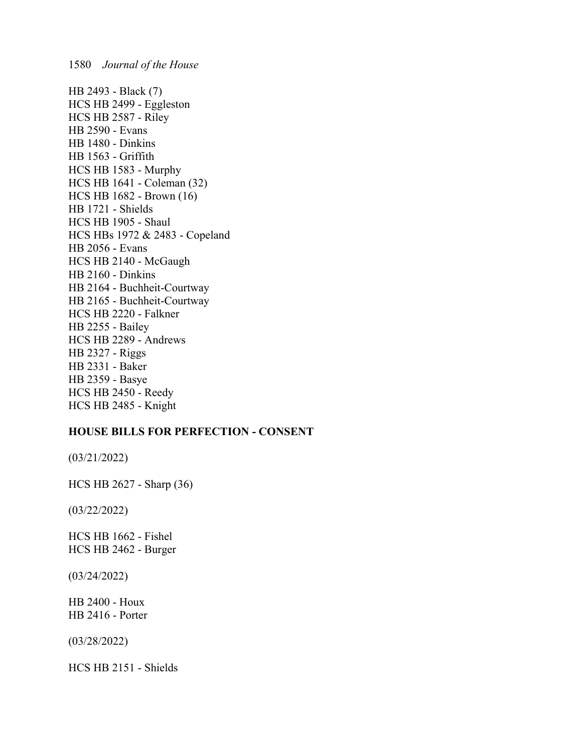HB 2493 - Black (7) HCS HB 2499 - Eggleston HCS HB 2587 - Riley HB 2590 - Evans HB 1480 - Dinkins HB 1563 - Griffith HCS HB 1583 - Murphy HCS HB 1641 - Coleman (32) HCS HB 1682 - Brown (16) HB 1721 - Shields HCS HB 1905 - Shaul HCS HBs 1972 & 2483 - Copeland HB 2056 - Evans HCS HB 2140 - McGaugh HB 2160 - Dinkins HB 2164 - Buchheit-Courtway HB 2165 - Buchheit-Courtway HCS HB 2220 - Falkner HB 2255 - Bailey HCS HB 2289 - Andrews HB 2327 - Riggs HB 2331 - Baker HB 2359 - Basye HCS HB 2450 - Reedy HCS HB 2485 - Knight

## **HOUSE BILLS FOR PERFECTION - CONSENT**

(03/21/2022)

HCS HB 2627 - Sharp (36)

(03/22/2022)

HCS HB 1662 - Fishel HCS HB 2462 - Burger

(03/24/2022)

HB 2400 - Houx HB 2416 - Porter

(03/28/2022)

HCS HB 2151 - Shields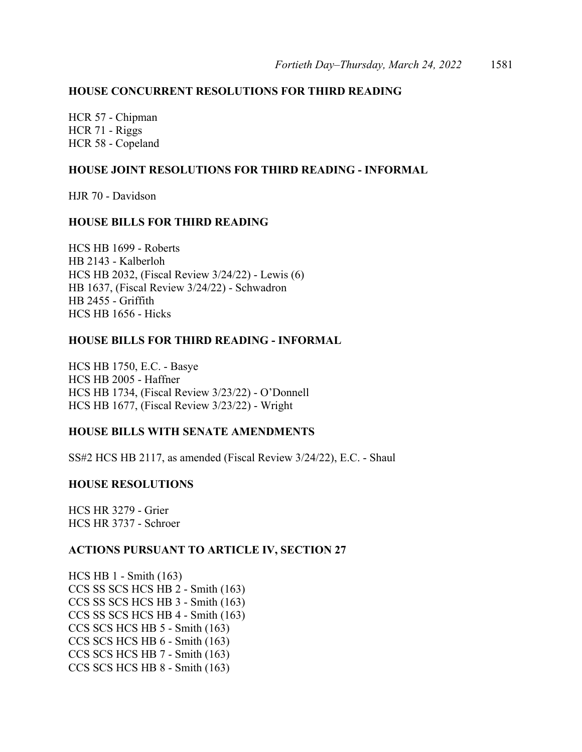# **HOUSE CONCURRENT RESOLUTIONS FOR THIRD READING**

HCR 57 - Chipman HCR 71 - Riggs HCR 58 - Copeland

## **HOUSE JOINT RESOLUTIONS FOR THIRD READING - INFORMAL**

HJR 70 - Davidson

## **HOUSE BILLS FOR THIRD READING**

HCS HB 1699 - Roberts HB 2143 - Kalberloh HCS HB 2032, (Fiscal Review 3/24/22) - Lewis (6) HB 1637, (Fiscal Review 3/24/22) - Schwadron HB 2455 - Griffith HCS HB 1656 - Hicks

## **HOUSE BILLS FOR THIRD READING - INFORMAL**

HCS HB 1750, E.C. - Basye HCS HB 2005 - Haffner HCS HB 1734, (Fiscal Review 3/23/22) - O'Donnell HCS HB 1677, (Fiscal Review 3/23/22) - Wright

#### **HOUSE BILLS WITH SENATE AMENDMENTS**

SS#2 HCS HB 2117, as amended (Fiscal Review 3/24/22), E.C. - Shaul

#### **HOUSE RESOLUTIONS**

HCS HR 3279 - Grier HCS HR 3737 - Schroer

#### **ACTIONS PURSUANT TO ARTICLE IV, SECTION 27**

HCS HB 1 - Smith (163) CCS SS SCS HCS HB 2 - Smith (163) CCS SS SCS HCS HB 3 - Smith (163) CCS SS SCS HCS HB 4 - Smith (163) CCS SCS HCS HB 5 - Smith (163) CCS SCS HCS HB 6 - Smith (163) CCS SCS HCS HB 7 - Smith (163) CCS SCS HCS HB 8 - Smith (163)